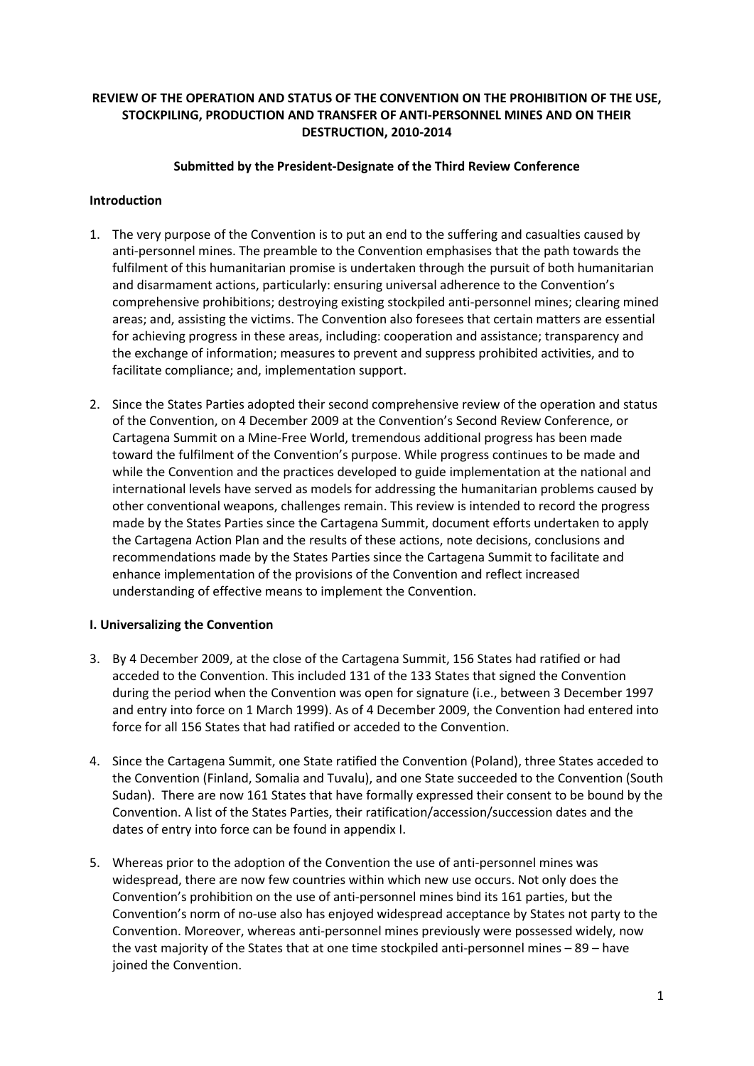## **REVIEW OF THE OPERATION AND STATUS OF THE CONVENTION ON THE PROHIBITION OF THE USE, STOCKPILING, PRODUCTION AND TRANSFER OF ANTI-PERSONNEL MINES AND ON THEIR DESTRUCTION, 2010-2014**

## **Submitted by the President-Designate of the Third Review Conference**

## **Introduction**

- 1. The very purpose of the Convention is to put an end to the suffering and casualties caused by anti-personnel mines. The preamble to the Convention emphasises that the path towards the fulfilment of this humanitarian promise is undertaken through the pursuit of both humanitarian and disarmament actions, particularly: ensuring universal adherence to the Convention's comprehensive prohibitions; destroying existing stockpiled anti-personnel mines; clearing mined areas; and, assisting the victims. The Convention also foresees that certain matters are essential for achieving progress in these areas, including: cooperation and assistance; transparency and the exchange of information; measures to prevent and suppress prohibited activities, and to facilitate compliance; and, implementation support.
- 2. Since the States Parties adopted their second comprehensive review of the operation and status of the Convention, on 4 December 2009 at the Convention's Second Review Conference, or Cartagena Summit on a Mine-Free World, tremendous additional progress has been made toward the fulfilment of the Convention's purpose. While progress continues to be made and while the Convention and the practices developed to guide implementation at the national and international levels have served as models for addressing the humanitarian problems caused by other conventional weapons, challenges remain. This review is intended to record the progress made by the States Parties since the Cartagena Summit, document efforts undertaken to apply the Cartagena Action Plan and the results of these actions, note decisions, conclusions and recommendations made by the States Parties since the Cartagena Summit to facilitate and enhance implementation of the provisions of the Convention and reflect increased understanding of effective means to implement the Convention.

### **I. Universalizing the Convention**

- 3. By 4 December 2009, at the close of the Cartagena Summit, 156 States had ratified or had acceded to the Convention. This included 131 of the 133 States that signed the Convention during the period when the Convention was open for signature (i.e., between 3 December 1997 and entry into force on 1 March 1999). As of 4 December 2009, the Convention had entered into force for all 156 States that had ratified or acceded to the Convention.
- 4. Since the Cartagena Summit, one State ratified the Convention (Poland), three States acceded to the Convention (Finland, Somalia and Tuvalu), and one State succeeded to the Convention (South Sudan). There are now 161 States that have formally expressed their consent to be bound by the Convention. A list of the States Parties, their ratification/accession/succession dates and the dates of entry into force can be found in appendix I.
- 5. Whereas prior to the adoption of the Convention the use of anti-personnel mines was widespread, there are now few countries within which new use occurs. Not only does the Convention's prohibition on the use of anti-personnel mines bind its 161 parties, but the Convention's norm of no-use also has enjoyed widespread acceptance by States not party to the Convention. Moreover, whereas anti-personnel mines previously were possessed widely, now the vast majority of the States that at one time stockpiled anti-personnel mines – 89 – have joined the Convention.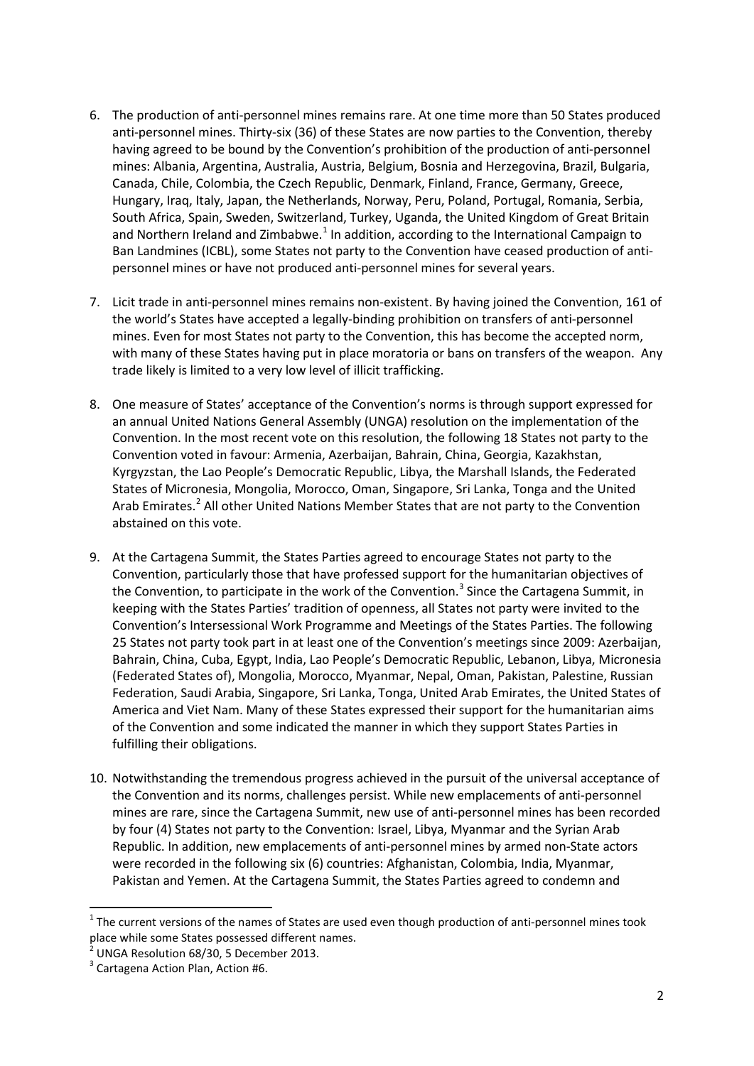- 6. The production of anti-personnel mines remains rare. At one time more than 50 States produced anti-personnel mines. Thirty-six (36) of these States are now parties to the Convention, thereby having agreed to be bound by the Convention's prohibition of the production of anti-personnel mines: Albania, Argentina, Australia, Austria, Belgium, Bosnia and Herzegovina, Brazil, Bulgaria, Canada, Chile, Colombia, the Czech Republic, Denmark, Finland, France, Germany, Greece, Hungary, Iraq, Italy, Japan, the Netherlands, Norway, Peru, Poland, Portugal, Romania, Serbia, South Africa, Spain, Sweden, Switzerland, Turkey, Uganda, the United Kingdom of Great Britain and Northern Ireland and Zimbabwe.<sup>[1](#page-1-0)</sup> In addition, according to the International Campaign to Ban Landmines (ICBL), some States not party to the Convention have ceased production of antipersonnel mines or have not produced anti-personnel mines for several years.
- 7. Licit trade in anti-personnel mines remains non-existent. By having joined the Convention, 161 of the world's States have accepted a legally-binding prohibition on transfers of anti-personnel mines. Even for most States not party to the Convention, this has become the accepted norm, with many of these States having put in place moratoria or bans on transfers of the weapon. Any trade likely is limited to a very low level of illicit trafficking.
- 8. One measure of States' acceptance of the Convention's norms is through support expressed for an annual United Nations General Assembly (UNGA) resolution on the implementation of the Convention. In the most recent vote on this resolution, the following 18 States not party to the Convention voted in favour: Armenia, Azerbaijan, Bahrain, China, Georgia, Kazakhstan, Kyrgyzstan, the Lao People's Democratic Republic, Libya, the Marshall Islands, the Federated States of Micronesia, Mongolia, Morocco, Oman, Singapore, Sri Lanka, Tonga and the United Arab Emirates.<sup>[2](#page-1-1)</sup> All other United Nations Member States that are not party to the Convention abstained on this vote.
- 9. At the Cartagena Summit, the States Parties agreed to encourage States not party to the Convention, particularly those that have professed support for the humanitarian objectives of the Convention, to participate in the work of the Convention.<sup>[3](#page-1-2)</sup> Since the Cartagena Summit, in keeping with the States Parties' tradition of openness, all States not party were invited to the Convention's Intersessional Work Programme and Meetings of the States Parties. The following 25 States not party took part in at least one of the Convention's meetings since 2009: Azerbaijan, Bahrain, China, Cuba, Egypt, India, Lao People's Democratic Republic, Lebanon, Libya, Micronesia (Federated States of), Mongolia, Morocco, Myanmar, Nepal, Oman, Pakistan, Palestine, Russian Federation, Saudi Arabia, Singapore, Sri Lanka, Tonga, United Arab Emirates, the United States of America and Viet Nam. Many of these States expressed their support for the humanitarian aims of the Convention and some indicated the manner in which they support States Parties in fulfilling their obligations.
- 10. Notwithstanding the tremendous progress achieved in the pursuit of the universal acceptance of the Convention and its norms, challenges persist. While new emplacements of anti-personnel mines are rare, since the Cartagena Summit, new use of anti-personnel mines has been recorded by four (4) States not party to the Convention: Israel, Libya, Myanmar and the Syrian Arab Republic. In addition, new emplacements of anti-personnel mines by armed non-State actors were recorded in the following six (6) countries: Afghanistan, Colombia, India, Myanmar, Pakistan and Yemen. At the Cartagena Summit, the States Parties agreed to condemn and

<span id="page-1-0"></span> $1$  The current versions of the names of States are used even though production of anti-personnel mines took place while some States possessed different names.

<span id="page-1-1"></span> $^{\frac{2}{2}}$  UNGA Resolution 68/30, 5 December 2013.

<span id="page-1-2"></span> $3$  Cartagena Action Plan, Action #6.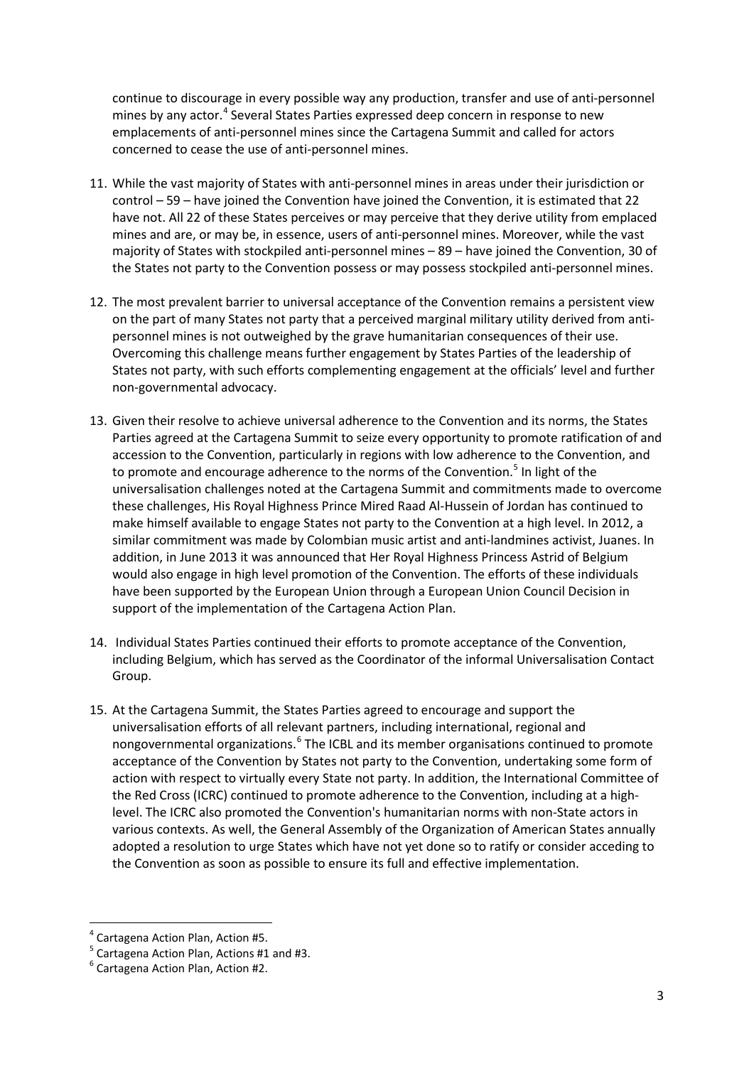continue to discourage in every possible way any production, transfer and use of anti-personnel mines by any actor.<sup>[4](#page-2-0)</sup> Several States Parties expressed deep concern in response to new emplacements of anti-personnel mines since the Cartagena Summit and called for actors concerned to cease the use of anti-personnel mines.

- 11. While the vast majority of States with anti-personnel mines in areas under their jurisdiction or control – 59 – have joined the Convention have joined the Convention, it is estimated that 22 have not. All 22 of these States perceives or may perceive that they derive utility from emplaced mines and are, or may be, in essence, users of anti-personnel mines. Moreover, while the vast majority of States with stockpiled anti-personnel mines – 89 – have joined the Convention, 30 of the States not party to the Convention possess or may possess stockpiled anti-personnel mines.
- 12. The most prevalent barrier to universal acceptance of the Convention remains a persistent view on the part of many States not party that a perceived marginal military utility derived from antipersonnel mines is not outweighed by the grave humanitarian consequences of their use. Overcoming this challenge means further engagement by States Parties of the leadership of States not party, with such efforts complementing engagement at the officials' level and further non-governmental advocacy.
- 13. Given their resolve to achieve universal adherence to the Convention and its norms, the States Parties agreed at the Cartagena Summit to seize every opportunity to promote ratification of and accession to the Convention, particularly in regions with low adherence to the Convention, and to promote and encourage adherence to the norms of the Convention.<sup>[5](#page-2-1)</sup> In light of the universalisation challenges noted at the Cartagena Summit and commitments made to overcome these challenges, His Royal Highness Prince Mired Raad Al-Hussein of Jordan has continued to make himself available to engage States not party to the Convention at a high level. In 2012, a similar commitment was made by Colombian music artist and anti-landmines activist, Juanes. In addition, in June 2013 it was announced that Her Royal Highness Princess Astrid of Belgium would also engage in high level promotion of the Convention. The efforts of these individuals have been supported by the European Union through a European Union Council Decision in support of the implementation of the Cartagena Action Plan.
- 14. Individual States Parties continued their efforts to promote acceptance of the Convention, including Belgium, which has served as the Coordinator of the informal Universalisation Contact Group.
- 15. At the Cartagena Summit, the States Parties agreed to encourage and support the universalisation efforts of all relevant partners, including international, regional and nongovernmental organizations.<sup>[6](#page-2-2)</sup> The ICBL and its member organisations continued to promote acceptance of the Convention by States not party to the Convention, undertaking some form of action with respect to virtually every State not party. In addition, the International Committee of the Red Cross (ICRC) continued to promote adherence to the Convention, including at a highlevel. The ICRC also promoted the Convention's humanitarian norms with non-State actors in various contexts. As well, the General Assembly of the Organization of American States annually adopted a resolution to urge States which have not yet done so to ratify or consider acceding to the Convention as soon as possible to ensure its full and effective implementation.

<span id="page-2-0"></span>

<sup>&</sup>lt;sup>4</sup> Cartagena Action Plan, Action #5.<br><sup>5</sup> Cartagena Action Plan, Actions #1 and #3.

<span id="page-2-2"></span><span id="page-2-1"></span> $6$  Cartagena Action Plan, Action #2.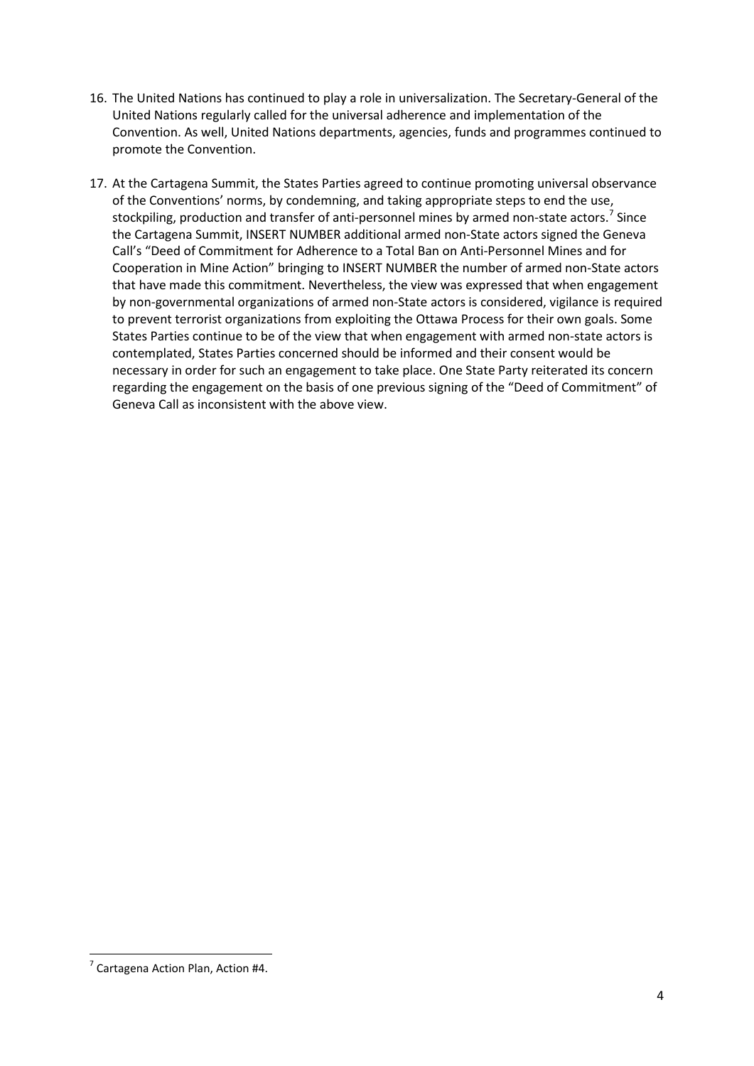- 16. The United Nations has continued to play a role in universalization. The Secretary-General of the United Nations regularly called for the universal adherence and implementation of the Convention. As well, United Nations departments, agencies, funds and programmes continued to promote the Convention.
- 17. At the Cartagena Summit, the States Parties agreed to continue promoting universal observance of the Conventions' norms, by condemning, and taking appropriate steps to end the use, stockpiling, production and transfer of anti-personnel mines by armed non-state actors.<sup>[7](#page-3-0)</sup> Since the Cartagena Summit, INSERT NUMBER additional armed non-State actors signed the Geneva Call's "Deed of Commitment for Adherence to a Total Ban on Anti-Personnel Mines and for Cooperation in Mine Action" bringing to INSERT NUMBER the number of armed non-State actors that have made this commitment. Nevertheless, the view was expressed that when engagement by non-governmental organizations of armed non-State actors is considered, vigilance is required to prevent terrorist organizations from exploiting the Ottawa Process for their own goals. Some States Parties continue to be of the view that when engagement with armed non-state actors is contemplated, States Parties concerned should be informed and their consent would be necessary in order for such an engagement to take place. One State Party reiterated its concern regarding the engagement on the basis of one previous signing of the "Deed of Commitment" of Geneva Call as inconsistent with the above view.

<span id="page-3-0"></span> $7$  Cartagena Action Plan, Action #4.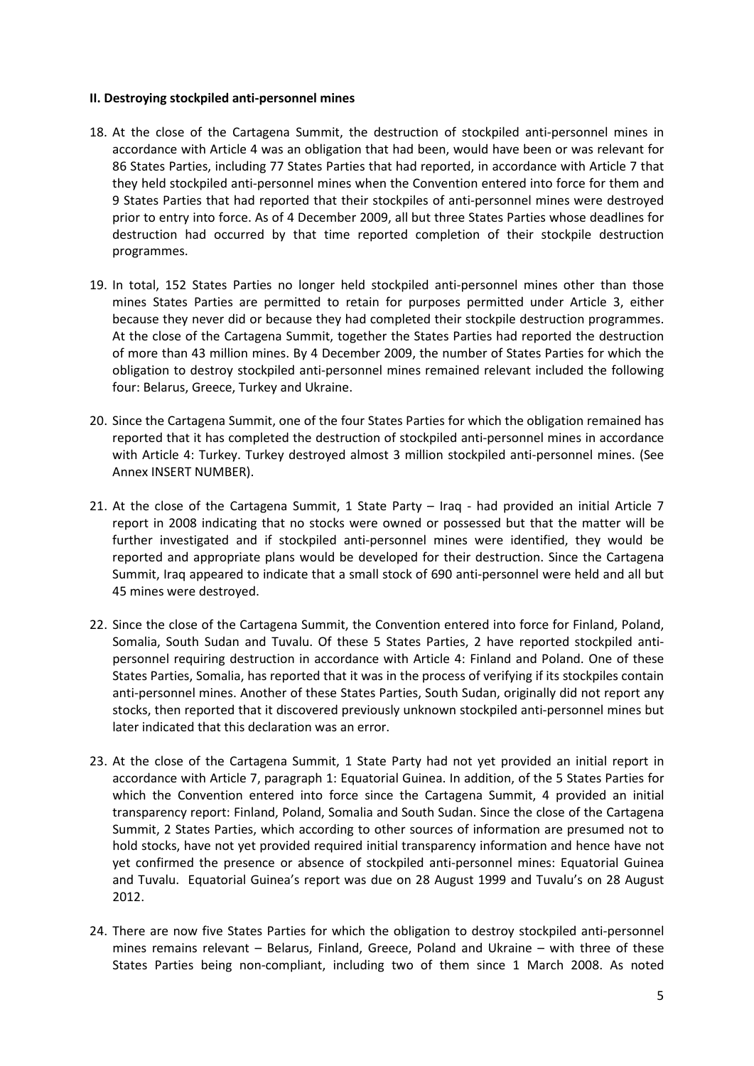#### **II. Destroying stockpiled anti-personnel mines**

- 18. At the close of the Cartagena Summit, the destruction of stockpiled anti-personnel mines in accordance with Article 4 was an obligation that had been, would have been or was relevant for 86 States Parties, including 77 States Parties that had reported, in accordance with Article 7 that they held stockpiled anti-personnel mines when the Convention entered into force for them and 9 States Parties that had reported that their stockpiles of anti-personnel mines were destroyed prior to entry into force. As of 4 December 2009, all but three States Parties whose deadlines for destruction had occurred by that time reported completion of their stockpile destruction programmes.
- 19. In total, 152 States Parties no longer held stockpiled anti-personnel mines other than those mines States Parties are permitted to retain for purposes permitted under Article 3, either because they never did or because they had completed their stockpile destruction programmes. At the close of the Cartagena Summit, together the States Parties had reported the destruction of more than 43 million mines. By 4 December 2009, the number of States Parties for which the obligation to destroy stockpiled anti-personnel mines remained relevant included the following four: Belarus, Greece, Turkey and Ukraine.
- 20. Since the Cartagena Summit, one of the four States Parties for which the obligation remained has reported that it has completed the destruction of stockpiled anti-personnel mines in accordance with Article 4: Turkey. Turkey destroyed almost 3 million stockpiled anti-personnel mines. (See Annex INSERT NUMBER).
- 21. At the close of the Cartagena Summit, 1 State Party Iraq had provided an initial Article 7 report in 2008 indicating that no stocks were owned or possessed but that the matter will be further investigated and if stockpiled anti-personnel mines were identified, they would be reported and appropriate plans would be developed for their destruction. Since the Cartagena Summit, Iraq appeared to indicate that a small stock of 690 anti-personnel were held and all but 45 mines were destroyed.
- 22. Since the close of the Cartagena Summit, the Convention entered into force for Finland, Poland, Somalia, South Sudan and Tuvalu. Of these 5 States Parties, 2 have reported stockpiled antipersonnel requiring destruction in accordance with Article 4: Finland and Poland. One of these States Parties, Somalia, has reported that it was in the process of verifying if its stockpiles contain anti-personnel mines. Another of these States Parties, South Sudan, originally did not report any stocks, then reported that it discovered previously unknown stockpiled anti-personnel mines but later indicated that this declaration was an error.
- 23. At the close of the Cartagena Summit, 1 State Party had not yet provided an initial report in accordance with Article 7, paragraph 1: Equatorial Guinea. In addition, of the 5 States Parties for which the Convention entered into force since the Cartagena Summit, 4 provided an initial transparency report: Finland, Poland, Somalia and South Sudan. Since the close of the Cartagena Summit, 2 States Parties, which according to other sources of information are presumed not to hold stocks, have not yet provided required initial transparency information and hence have not yet confirmed the presence or absence of stockpiled anti-personnel mines: Equatorial Guinea and Tuvalu. Equatorial Guinea's report was due on 28 August 1999 and Tuvalu's on 28 August 2012.
- 24. There are now five States Parties for which the obligation to destroy stockpiled anti-personnel mines remains relevant – Belarus, Finland, Greece, Poland and Ukraine – with three of these States Parties being non-compliant, including two of them since 1 March 2008. As noted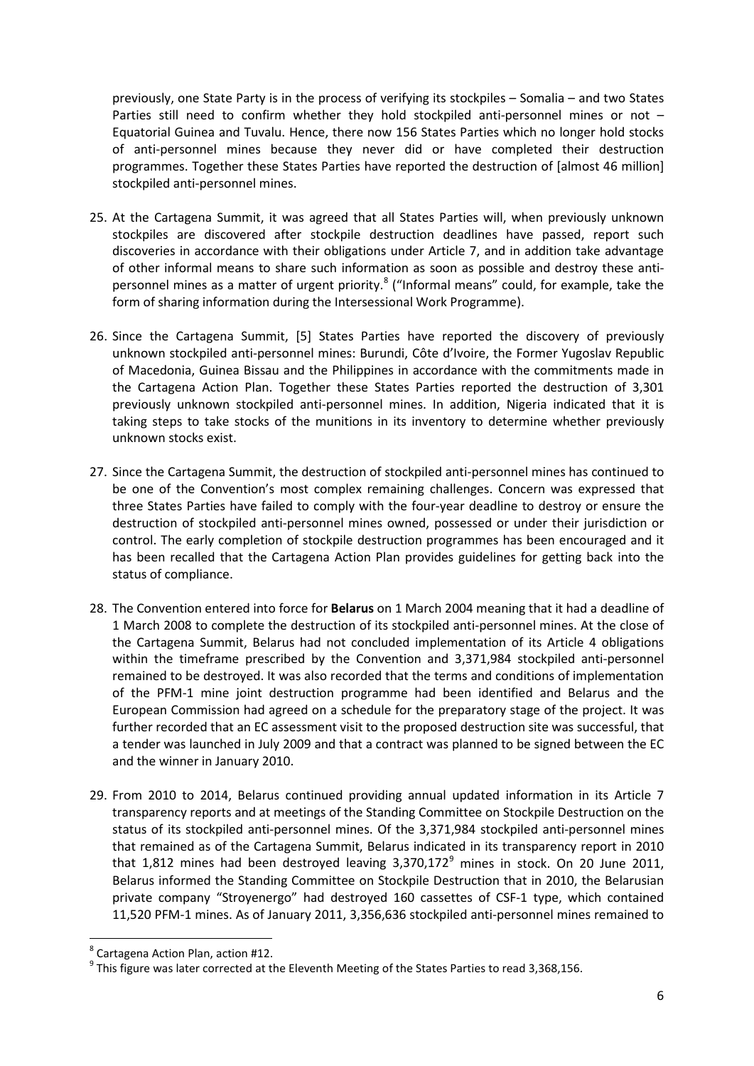previously, one State Party is in the process of verifying its stockpiles – Somalia – and two States Parties still need to confirm whether they hold stockpiled anti-personnel mines or not -Equatorial Guinea and Tuvalu. Hence, there now 156 States Parties which no longer hold stocks of anti-personnel mines because they never did or have completed their destruction programmes. Together these States Parties have reported the destruction of [almost 46 million] stockpiled anti-personnel mines.

- 25. At the Cartagena Summit, it was agreed that all States Parties will, when previously unknown stockpiles are discovered after stockpile destruction deadlines have passed, report such discoveries in accordance with their obligations under Article 7, and in addition take advantage of other informal means to share such information as soon as possible and destroy these anti-personnel mines as a matter of urgent priority.<sup>[8](#page-5-0)</sup> ("Informal means" could, for example, take the form of sharing information during the Intersessional Work Programme).
- 26. Since the Cartagena Summit, [5] States Parties have reported the discovery of previously unknown stockpiled anti-personnel mines: Burundi, Côte d'Ivoire, the Former Yugoslav Republic of Macedonia, Guinea Bissau and the Philippines in accordance with the commitments made in the Cartagena Action Plan. Together these States Parties reported the destruction of 3,301 previously unknown stockpiled anti-personnel mines. In addition, Nigeria indicated that it is taking steps to take stocks of the munitions in its inventory to determine whether previously unknown stocks exist.
- 27. Since the Cartagena Summit, the destruction of stockpiled anti-personnel mines has continued to be one of the Convention's most complex remaining challenges. Concern was expressed that three States Parties have failed to comply with the four-year deadline to destroy or ensure the destruction of stockpiled anti-personnel mines owned, possessed or under their jurisdiction or control. The early completion of stockpile destruction programmes has been encouraged and it has been recalled that the Cartagena Action Plan provides guidelines for getting back into the status of compliance.
- 28. The Convention entered into force for **Belarus** on 1 March 2004 meaning that it had a deadline of 1 March 2008 to complete the destruction of its stockpiled anti-personnel mines. At the close of the Cartagena Summit, Belarus had not concluded implementation of its Article 4 obligations within the timeframe prescribed by the Convention and 3,371,984 stockpiled anti-personnel remained to be destroyed. It was also recorded that the terms and conditions of implementation of the PFM-1 mine joint destruction programme had been identified and Belarus and the European Commission had agreed on a schedule for the preparatory stage of the project. It was further recorded that an EC assessment visit to the proposed destruction site was successful, that a tender was launched in July 2009 and that a contract was planned to be signed between the EC and the winner in January 2010.
- 29. From 2010 to 2014, Belarus continued providing annual updated information in its Article 7 transparency reports and at meetings of the Standing Committee on Stockpile Destruction on the status of its stockpiled anti-personnel mines. Of the 3,371,984 stockpiled anti-personnel mines that remained as of the Cartagena Summit, Belarus indicated in its transparency report in 2010 that 1,812 mines had been destroyed leaving  $3,370,172^9$  $3,370,172^9$  mines in stock. On 20 June 2011, Belarus informed the Standing Committee on Stockpile Destruction that in 2010, the Belarusian private company "Stroyenergo" had destroyed 160 cassettes of CSF-1 type, which contained 11,520 PFM-1 mines. As of January 2011, 3,356,636 stockpiled anti-personnel mines remained to

<span id="page-5-0"></span> <sup>8</sup> Cartagena Action Plan, action #12.

<span id="page-5-1"></span> $9$  This figure was later corrected at the Eleventh Meeting of the States Parties to read 3,368,156.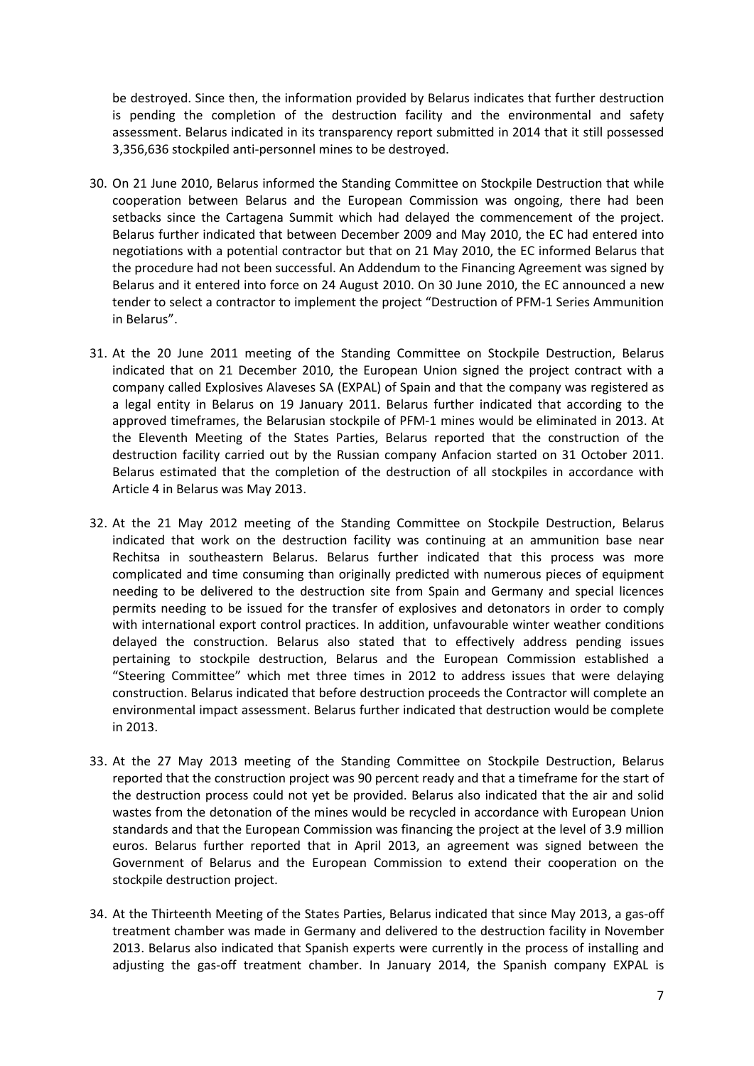be destroyed. Since then, the information provided by Belarus indicates that further destruction is pending the completion of the destruction facility and the environmental and safety assessment. Belarus indicated in its transparency report submitted in 2014 that it still possessed 3,356,636 stockpiled anti-personnel mines to be destroyed.

- 30. On 21 June 2010, Belarus informed the Standing Committee on Stockpile Destruction that while cooperation between Belarus and the European Commission was ongoing, there had been setbacks since the Cartagena Summit which had delayed the commencement of the project. Belarus further indicated that between December 2009 and May 2010, the EC had entered into negotiations with a potential contractor but that on 21 May 2010, the EC informed Belarus that the procedure had not been successful. An Addendum to the Financing Agreement was signed by Belarus and it entered into force on 24 August 2010. On 30 June 2010, the EC announced a new tender to select a contractor to implement the project "Destruction of PFM-1 Series Ammunition in Belarus".
- 31. At the 20 June 2011 meeting of the Standing Committee on Stockpile Destruction, Belarus indicated that on 21 December 2010, the European Union signed the project contract with a company called Explosives Alaveses SA (EXPAL) of Spain and that the company was registered as a legal entity in Belarus on 19 January 2011. Belarus further indicated that according to the approved timeframes, the Belarusian stockpile of PFM-1 mines would be eliminated in 2013. At the Eleventh Meeting of the States Parties, Belarus reported that the construction of the destruction facility carried out by the Russian company Anfacion started on 31 October 2011. Belarus estimated that the completion of the destruction of all stockpiles in accordance with Article 4 in Belarus was May 2013.
- 32. At the 21 May 2012 meeting of the Standing Committee on Stockpile Destruction, Belarus indicated that work on the destruction facility was continuing at an ammunition base near Rechitsa in southeastern Belarus. Belarus further indicated that this process was more complicated and time consuming than originally predicted with numerous pieces of equipment needing to be delivered to the destruction site from Spain and Germany and special licences permits needing to be issued for the transfer of explosives and detonators in order to comply with international export control practices. In addition, unfavourable winter weather conditions delayed the construction. Belarus also stated that to effectively address pending issues pertaining to stockpile destruction, Belarus and the European Commission established a "Steering Committee" which met three times in 2012 to address issues that were delaying construction. Belarus indicated that before destruction proceeds the Contractor will complete an environmental impact assessment. Belarus further indicated that destruction would be complete in 2013.
- 33. At the 27 May 2013 meeting of the Standing Committee on Stockpile Destruction, Belarus reported that the construction project was 90 percent ready and that a timeframe for the start of the destruction process could not yet be provided. Belarus also indicated that the air and solid wastes from the detonation of the mines would be recycled in accordance with European Union standards and that the European Commission was financing the project at the level of 3.9 million euros. Belarus further reported that in April 2013, an agreement was signed between the Government of Belarus and the European Commission to extend their cooperation on the stockpile destruction project.
- 34. At the Thirteenth Meeting of the States Parties, Belarus indicated that since May 2013, a gas-off treatment chamber was made in Germany and delivered to the destruction facility in November 2013. Belarus also indicated that Spanish experts were currently in the process of installing and adjusting the gas-off treatment chamber. In January 2014, the Spanish company EXPAL is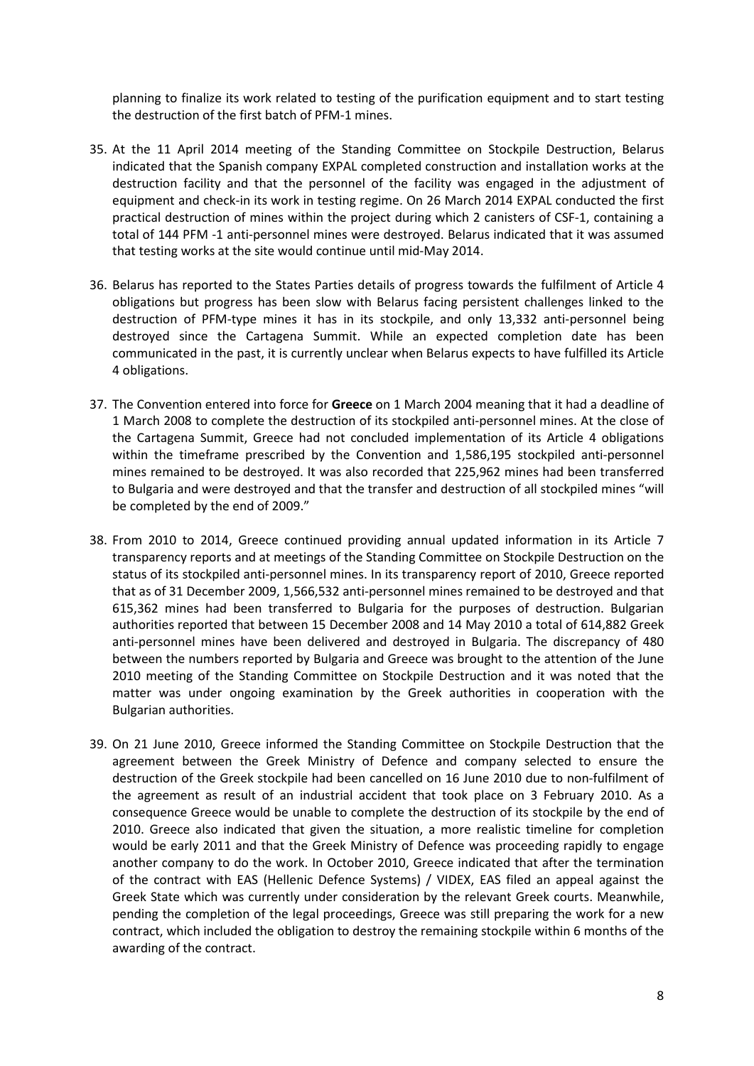planning to finalize its work related to testing of the purification equipment and to start testing the destruction of the first batch of PFM-1 mines.

- 35. At the 11 April 2014 meeting of the Standing Committee on Stockpile Destruction, Belarus indicated that the Spanish company EXPAL completed construction and installation works at the destruction facility and that the personnel of the facility was engaged in the adjustment of equipment and check-in its work in testing regime. On 26 March 2014 EXPAL conducted the first practical destruction of mines within the project during which 2 canisters of CSF-1, containing a total of 144 PFM -1 anti-personnel mines were destroyed. Belarus indicated that it was assumed that testing works at the site would continue until mid-May 2014.
- 36. Belarus has reported to the States Parties details of progress towards the fulfilment of Article 4 obligations but progress has been slow with Belarus facing persistent challenges linked to the destruction of PFM-type mines it has in its stockpile, and only 13,332 anti-personnel being destroyed since the Cartagena Summit. While an expected completion date has been communicated in the past, it is currently unclear when Belarus expects to have fulfilled its Article 4 obligations.
- 37. The Convention entered into force for **Greece** on 1 March 2004 meaning that it had a deadline of 1 March 2008 to complete the destruction of its stockpiled anti-personnel mines. At the close of the Cartagena Summit, Greece had not concluded implementation of its Article 4 obligations within the timeframe prescribed by the Convention and 1,586,195 stockpiled anti-personnel mines remained to be destroyed. It was also recorded that 225,962 mines had been transferred to Bulgaria and were destroyed and that the transfer and destruction of all stockpiled mines "will be completed by the end of 2009."
- 38. From 2010 to 2014, Greece continued providing annual updated information in its Article 7 transparency reports and at meetings of the Standing Committee on Stockpile Destruction on the status of its stockpiled anti-personnel mines. In its transparency report of 2010, Greece reported that as of 31 December 2009, 1,566,532 anti-personnel mines remained to be destroyed and that 615,362 mines had been transferred to Bulgaria for the purposes of destruction. Bulgarian authorities reported that between 15 December 2008 and 14 May 2010 a total of 614,882 Greek anti-personnel mines have been delivered and destroyed in Bulgaria. The discrepancy of 480 between the numbers reported by Bulgaria and Greece was brought to the attention of the June 2010 meeting of the Standing Committee on Stockpile Destruction and it was noted that the matter was under ongoing examination by the Greek authorities in cooperation with the Bulgarian authorities.
- 39. On 21 June 2010, Greece informed the Standing Committee on Stockpile Destruction that the agreement between the Greek Ministry of Defence and company selected to ensure the destruction of the Greek stockpile had been cancelled on 16 June 2010 due to non-fulfilment of the agreement as result of an industrial accident that took place on 3 February 2010. As a consequence Greece would be unable to complete the destruction of its stockpile by the end of 2010. Greece also indicated that given the situation, a more realistic timeline for completion would be early 2011 and that the Greek Ministry of Defence was proceeding rapidly to engage another company to do the work. In October 2010, Greece indicated that after the termination of the contract with EAS (Hellenic Defence Systems) / VIDEX, EAS filed an appeal against the Greek State which was currently under consideration by the relevant Greek courts. Meanwhile, pending the completion of the legal proceedings, Greece was still preparing the work for a new contract, which included the obligation to destroy the remaining stockpile within 6 months of the awarding of the contract.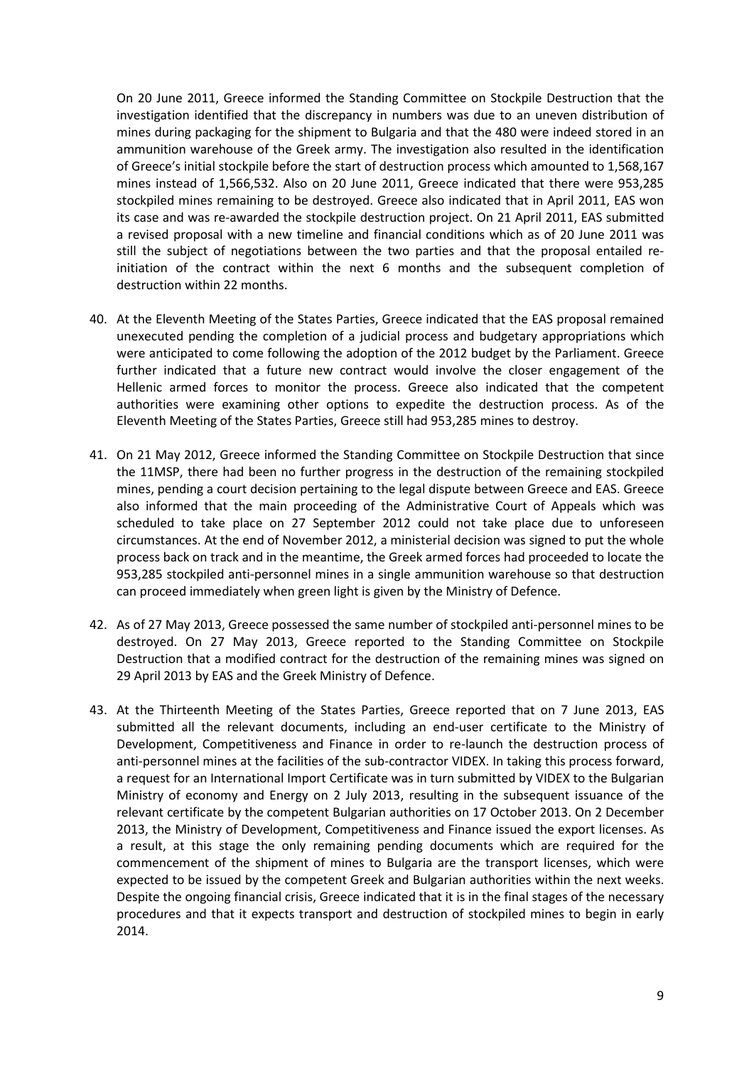On 20 June 2011, Greece informed the Standing Committee on Stockpile Destruction that the investigation identified that the discrepancy in numbers was due to an uneven distribution of mines during packaging for the shipment to Bulgaria and that the 480 were indeed stored in an ammunition warehouse of the Greek army. The investigation also resulted in the identification of Greece's initial stockpile before the start of destruction process which amounted to 1,568,167 mines instead of 1,566,532. Also on 20 June 2011, Greece indicated that there were 953,285 stockpiled mines remaining to be destroyed. Greece also indicated that in April 2011, EAS won its case and was re-awarded the stockpile destruction project. On 21 April 2011, EAS submitted a revised proposal with a new timeline and financial conditions which as of 20 June 2011 was still the subject of negotiations between the two parties and that the proposal entailed reinitiation of the contract within the next 6 months and the subsequent completion of destruction within 22 months.

- 40. At the Eleventh Meeting of the States Parties, Greece indicated that the EAS proposal remained unexecuted pending the completion of a judicial process and budgetary appropriations which were anticipated to come following the adoption of the 2012 budget by the Parliament. Greece further indicated that a future new contract would involve the closer engagement of the Hellenic armed forces to monitor the process. Greece also indicated that the competent authorities were examining other options to expedite the destruction process. As of the Eleventh Meeting of the States Parties, Greece still had 953,285 mines to destroy.
- 41. On 21 May 2012, Greece informed the Standing Committee on Stockpile Destruction that since the 11MSP, there had been no further progress in the destruction of the remaining stockpiled mines, pending a court decision pertaining to the legal dispute between Greece and EAS. Greece also informed that the main proceeding of the Administrative Court of Appeals which was scheduled to take place on 27 September 2012 could not take place due to unforeseen circumstances. At the end of November 2012, a ministerial decision was signed to put the whole process back on track and in the meantime, the Greek armed forces had proceeded to locate the 953,285 stockpiled anti-personnel mines in a single ammunition warehouse so that destruction can proceed immediately when green light is given by the Ministry of Defence.
- 42. As of 27 May 2013, Greece possessed the same number of stockpiled anti-personnel mines to be destroyed. On 27 May 2013, Greece reported to the Standing Committee on Stockpile Destruction that a modified contract for the destruction of the remaining mines was signed on 29 April 2013 by EAS and the Greek Ministry of Defence.
- 43. At the Thirteenth Meeting of the States Parties, Greece reported that on 7 June 2013, EAS submitted all the relevant documents, including an end-user certificate to the Ministry of Development, Competitiveness and Finance in order to re-launch the destruction process of anti-personnel mines at the facilities of the sub-contractor VIDEX. In taking this process forward, a request for an International Import Certificate was in turn submitted by VIDEX to the Bulgarian Ministry of economy and Energy on 2 July 2013, resulting in the subsequent issuance of the relevant certificate by the competent Bulgarian authorities on 17 October 2013. On 2 December 2013, the Ministry of Development, Competitiveness and Finance issued the export licenses. As a result, at this stage the only remaining pending documents which are required for the commencement of the shipment of mines to Bulgaria are the transport licenses, which were expected to be issued by the competent Greek and Bulgarian authorities within the next weeks. Despite the ongoing financial crisis, Greece indicated that it is in the final stages of the necessary procedures and that it expects transport and destruction of stockpiled mines to begin in early 2014.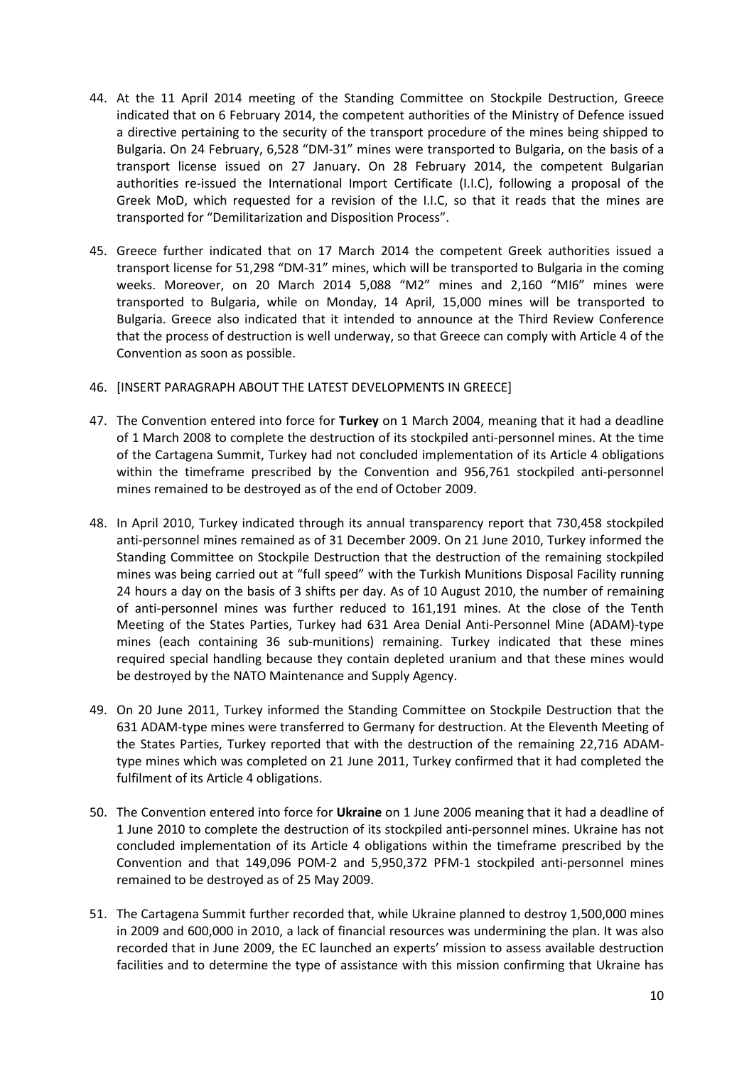- 44. At the 11 April 2014 meeting of the Standing Committee on Stockpile Destruction, Greece indicated that on 6 February 2014, the competent authorities of the Ministry of Defence issued a directive pertaining to the security of the transport procedure of the mines being shipped to Bulgaria. On 24 February, 6,528 "DM-31" mines were transported to Bulgaria, on the basis of a transport license issued on 27 January. On 28 February 2014, the competent Bulgarian authorities re-issued the International Import Certificate (I.I.C), following a proposal of the Greek MoD, which requested for a revision of the I.I.C, so that it reads that the mines are transported for "Demilitarization and Disposition Process".
- 45. Greece further indicated that on 17 March 2014 the competent Greek authorities issued a transport license for 51,298 "DM-31" mines, which will be transported to Bulgaria in the coming weeks. Moreover, on 20 March 2014 5,088 "M2" mines and 2,160 "MI6" mines were transported to Bulgaria, while on Monday, 14 April, 15,000 mines will be transported to Bulgaria. Greece also indicated that it intended to announce at the Third Review Conference that the process of destruction is well underway, so that Greece can comply with Article 4 of the Convention as soon as possible.
- 46. [INSERT PARAGRAPH ABOUT THE LATEST DEVELOPMENTS IN GREECE]
- 47. The Convention entered into force for **Turkey** on 1 March 2004, meaning that it had a deadline of 1 March 2008 to complete the destruction of its stockpiled anti-personnel mines. At the time of the Cartagena Summit, Turkey had not concluded implementation of its Article 4 obligations within the timeframe prescribed by the Convention and 956,761 stockpiled anti-personnel mines remained to be destroyed as of the end of October 2009.
- 48. In April 2010, Turkey indicated through its annual transparency report that 730,458 stockpiled anti-personnel mines remained as of 31 December 2009. On 21 June 2010, Turkey informed the Standing Committee on Stockpile Destruction that the destruction of the remaining stockpiled mines was being carried out at "full speed" with the Turkish Munitions Disposal Facility running 24 hours a day on the basis of 3 shifts per day. As of 10 August 2010, the number of remaining of anti-personnel mines was further reduced to 161,191 mines. At the close of the Tenth Meeting of the States Parties, Turkey had 631 Area Denial Anti-Personnel Mine (ADAM)-type mines (each containing 36 sub-munitions) remaining. Turkey indicated that these mines required special handling because they contain depleted uranium and that these mines would be destroyed by the NATO Maintenance and Supply Agency.
- 49. On 20 June 2011, Turkey informed the Standing Committee on Stockpile Destruction that the 631 ADAM-type mines were transferred to Germany for destruction. At the Eleventh Meeting of the States Parties, Turkey reported that with the destruction of the remaining 22,716 ADAMtype mines which was completed on 21 June 2011, Turkey confirmed that it had completed the fulfilment of its Article 4 obligations.
- 50. The Convention entered into force for **Ukraine** on 1 June 2006 meaning that it had a deadline of 1 June 2010 to complete the destruction of its stockpiled anti-personnel mines. Ukraine has not concluded implementation of its Article 4 obligations within the timeframe prescribed by the Convention and that 149,096 POM-2 and 5,950,372 PFM-1 stockpiled anti-personnel mines remained to be destroyed as of 25 May 2009.
- 51. The Cartagena Summit further recorded that, while Ukraine planned to destroy 1,500,000 mines in 2009 and 600,000 in 2010, a lack of financial resources was undermining the plan. It was also recorded that in June 2009, the EC launched an experts' mission to assess available destruction facilities and to determine the type of assistance with this mission confirming that Ukraine has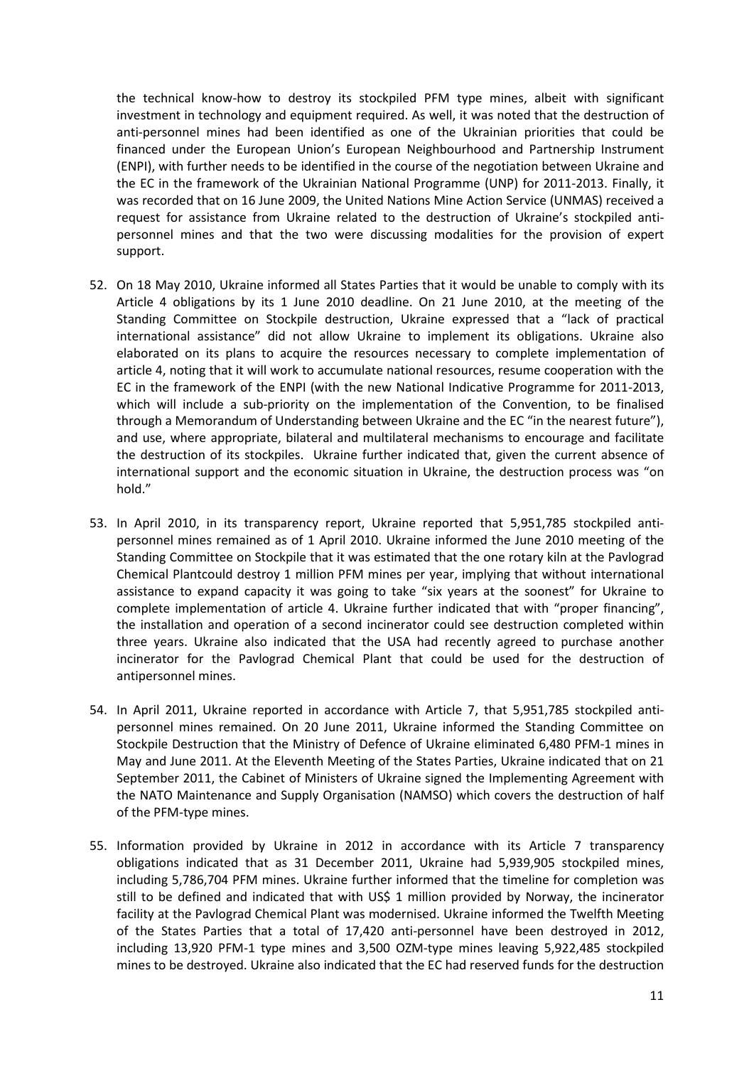the technical know-how to destroy its stockpiled PFM type mines, albeit with significant investment in technology and equipment required. As well, it was noted that the destruction of anti-personnel mines had been identified as one of the Ukrainian priorities that could be financed under the European Union's European Neighbourhood and Partnership Instrument (ENPI), with further needs to be identified in the course of the negotiation between Ukraine and the EC in the framework of the Ukrainian National Programme (UNP) for 2011-2013. Finally, it was recorded that on 16 June 2009, the United Nations Mine Action Service (UNMAS) received a request for assistance from Ukraine related to the destruction of Ukraine's stockpiled antipersonnel mines and that the two were discussing modalities for the provision of expert support.

- 52. On 18 May 2010, Ukraine informed all States Parties that it would be unable to comply with its Article 4 obligations by its 1 June 2010 deadline. On 21 June 2010, at the meeting of the Standing Committee on Stockpile destruction, Ukraine expressed that a "lack of practical international assistance" did not allow Ukraine to implement its obligations. Ukraine also elaborated on its plans to acquire the resources necessary to complete implementation of article 4, noting that it will work to accumulate national resources, resume cooperation with the EC in the framework of the ENPI (with the new National Indicative Programme for 2011-2013, which will include a sub-priority on the implementation of the Convention, to be finalised through a Memorandum of Understanding between Ukraine and the EC "in the nearest future"), and use, where appropriate, bilateral and multilateral mechanisms to encourage and facilitate the destruction of its stockpiles. Ukraine further indicated that, given the current absence of international support and the economic situation in Ukraine, the destruction process was "on hold."
- 53. In April 2010, in its transparency report, Ukraine reported that 5,951,785 stockpiled antipersonnel mines remained as of 1 April 2010. Ukraine informed the June 2010 meeting of the Standing Committee on Stockpile that it was estimated that the one rotary kiln at the Pavlograd Chemical Plantcould destroy 1 million PFM mines per year, implying that without international assistance to expand capacity it was going to take "six years at the soonest" for Ukraine to complete implementation of article 4. Ukraine further indicated that with "proper financing", the installation and operation of a second incinerator could see destruction completed within three years. Ukraine also indicated that the USA had recently agreed to purchase another incinerator for the Pavlograd Chemical Plant that could be used for the destruction of antipersonnel mines.
- 54. In April 2011, Ukraine reported in accordance with Article 7, that 5,951,785 stockpiled antipersonnel mines remained. On 20 June 2011, Ukraine informed the Standing Committee on Stockpile Destruction that the Ministry of Defence of Ukraine eliminated 6,480 PFM-1 mines in May and June 2011. At the Eleventh Meeting of the States Parties, Ukraine indicated that on 21 September 2011, the Cabinet of Ministers of Ukraine signed the Implementing Agreement with the NATO Maintenance and Supply Organisation (NAMSO) which covers the destruction of half of the PFM-type mines.
- 55. Information provided by Ukraine in 2012 in accordance with its Article 7 transparency obligations indicated that as 31 December 2011, Ukraine had 5,939,905 stockpiled mines, including 5,786,704 PFM mines. Ukraine further informed that the timeline for completion was still to be defined and indicated that with US\$ 1 million provided by Norway, the incinerator facility at the Pavlograd Chemical Plant was modernised. Ukraine informed the Twelfth Meeting of the States Parties that a total of 17,420 anti-personnel have been destroyed in 2012, including 13,920 PFM-1 type mines and 3,500 OZM-type mines leaving 5,922,485 stockpiled mines to be destroyed. Ukraine also indicated that the EC had reserved funds for the destruction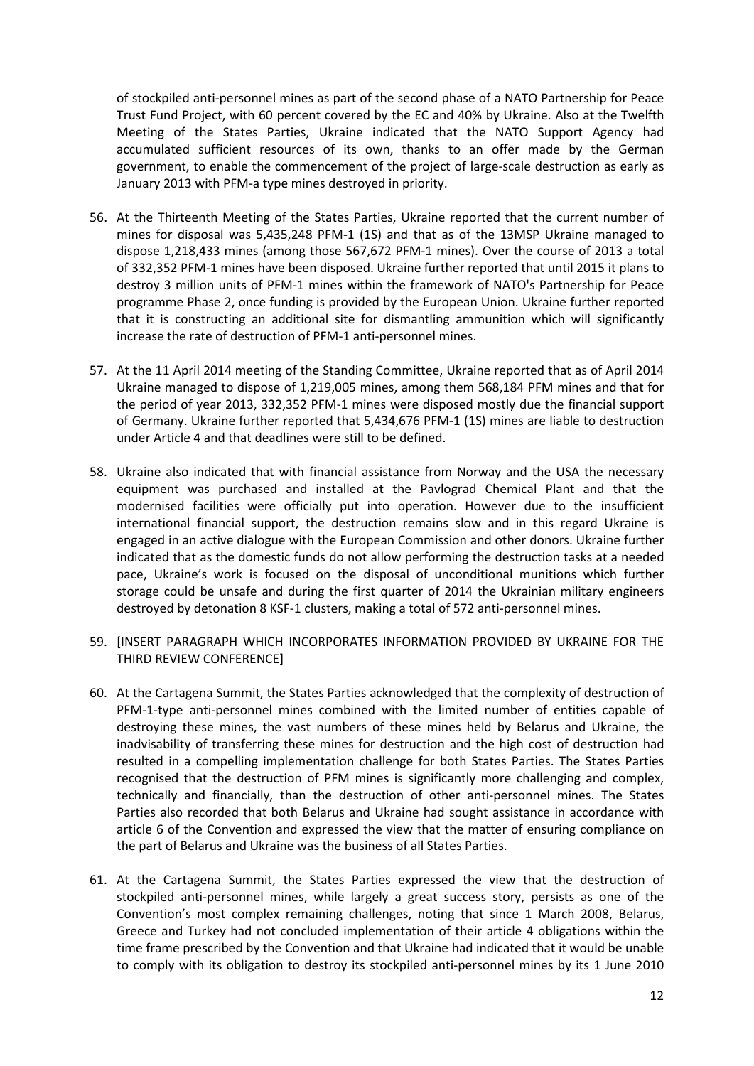of stockpiled anti-personnel mines as part of the second phase of a NATO Partnership for Peace Trust Fund Project, with 60 percent covered by the EC and 40% by Ukraine. Also at the Twelfth Meeting of the States Parties, Ukraine indicated that the NATO Support Agency had accumulated sufficient resources of its own, thanks to an offer made by the German government, to enable the commencement of the project of large-scale destruction as early as January 2013 with PFM-a type mines destroyed in priority.

- 56. At the Thirteenth Meeting of the States Parties, Ukraine reported that the current number of mines for disposal was 5,435,248 PFM-1 (1S) and that as of the 13MSP Ukraine managed to dispose 1,218,433 mines (among those 567,672 PFM-1 mines). Over the course of 2013 a total of 332,352 PFM-1 mines have been disposed. Ukraine further reported that until 2015 it plans to destroy 3 million units of PFM-1 mines within the framework of NATO's Partnership for Peace programme Phase 2, once funding is provided by the European Union. Ukraine further reported that it is constructing an additional site for dismantling ammunition which will significantly increase the rate of destruction of PFM-1 anti-personnel mines.
- 57. At the 11 April 2014 meeting of the Standing Committee, Ukraine reported that as of April 2014 Ukraine managed to dispose of 1,219,005 mines, among them 568,184 PFM mines and that for the period of year 2013, 332,352 PFM-1 mines were disposed mostly due the financial support of Germany. Ukraine further reported that 5,434,676 PFM-1 (1S) mines are liable to destruction under Article 4 and that deadlines were still to be defined.
- 58. Ukraine also indicated that with financial assistance from Norway and the USA the necessary equipment was purchased and installed at the Pavlograd Chemical Plant and that the modernised facilities were officially put into operation. However due to the insufficient international financial support, the destruction remains slow and in this regard Ukraine is engaged in an active dialogue with the European Commission and other donors. Ukraine further indicated that as the domestic funds do not allow performing the destruction tasks at a needed pace, Ukraine's work is focused on the disposal of unconditional munitions which further storage could be unsafe and during the first quarter of 2014 the Ukrainian military engineers destroyed by detonation 8 KSF-1 clusters, making a total of 572 anti-personnel mines.
- 59. [INSERT PARAGRAPH WHICH INCORPORATES INFORMATION PROVIDED BY UKRAINE FOR THE THIRD REVIEW CONFERENCE]
- 60. At the Cartagena Summit, the States Parties acknowledged that the complexity of destruction of PFM-1-type anti-personnel mines combined with the limited number of entities capable of destroying these mines, the vast numbers of these mines held by Belarus and Ukraine, the inadvisability of transferring these mines for destruction and the high cost of destruction had resulted in a compelling implementation challenge for both States Parties. The States Parties recognised that the destruction of PFM mines is significantly more challenging and complex, technically and financially, than the destruction of other anti-personnel mines. The States Parties also recorded that both Belarus and Ukraine had sought assistance in accordance with article 6 of the Convention and expressed the view that the matter of ensuring compliance on the part of Belarus and Ukraine was the business of all States Parties.
- 61. At the Cartagena Summit, the States Parties expressed the view that the destruction of stockpiled anti-personnel mines, while largely a great success story, persists as one of the Convention's most complex remaining challenges, noting that since 1 March 2008, Belarus, Greece and Turkey had not concluded implementation of their article 4 obligations within the time frame prescribed by the Convention and that Ukraine had indicated that it would be unable to comply with its obligation to destroy its stockpiled anti-personnel mines by its 1 June 2010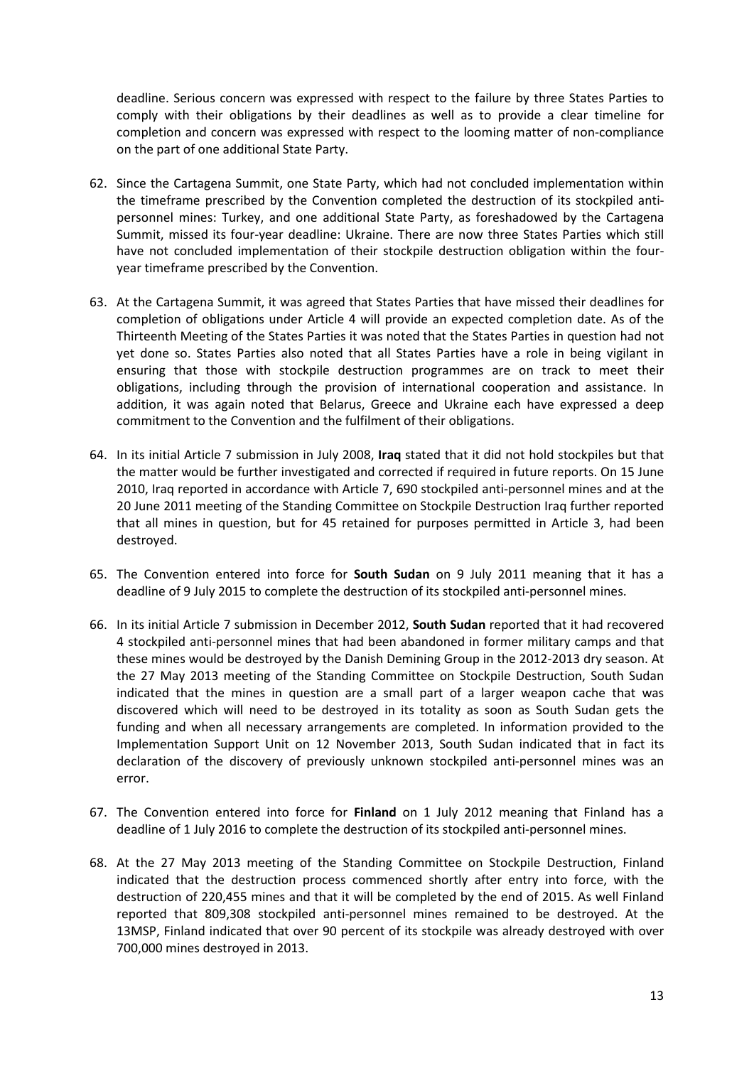deadline. Serious concern was expressed with respect to the failure by three States Parties to comply with their obligations by their deadlines as well as to provide a clear timeline for completion and concern was expressed with respect to the looming matter of non-compliance on the part of one additional State Party.

- 62. Since the Cartagena Summit, one State Party, which had not concluded implementation within the timeframe prescribed by the Convention completed the destruction of its stockpiled antipersonnel mines: Turkey, and one additional State Party, as foreshadowed by the Cartagena Summit, missed its four-year deadline: Ukraine. There are now three States Parties which still have not concluded implementation of their stockpile destruction obligation within the fouryear timeframe prescribed by the Convention.
- 63. At the Cartagena Summit, it was agreed that States Parties that have missed their deadlines for completion of obligations under Article 4 will provide an expected completion date. As of the Thirteenth Meeting of the States Parties it was noted that the States Parties in question had not yet done so. States Parties also noted that all States Parties have a role in being vigilant in ensuring that those with stockpile destruction programmes are on track to meet their obligations, including through the provision of international cooperation and assistance. In addition, it was again noted that Belarus, Greece and Ukraine each have expressed a deep commitment to the Convention and the fulfilment of their obligations.
- 64. In its initial Article 7 submission in July 2008, **Iraq** stated that it did not hold stockpiles but that the matter would be further investigated and corrected if required in future reports. On 15 June 2010, Iraq reported in accordance with Article 7, 690 stockpiled anti-personnel mines and at the 20 June 2011 meeting of the Standing Committee on Stockpile Destruction Iraq further reported that all mines in question, but for 45 retained for purposes permitted in Article 3, had been destroyed.
- 65. The Convention entered into force for **South Sudan** on 9 July 2011 meaning that it has a deadline of 9 July 2015 to complete the destruction of its stockpiled anti-personnel mines.
- 66. In its initial Article 7 submission in December 2012, **South Sudan** reported that it had recovered 4 stockpiled anti-personnel mines that had been abandoned in former military camps and that these mines would be destroyed by the Danish Demining Group in the 2012-2013 dry season. At the 27 May 2013 meeting of the Standing Committee on Stockpile Destruction, South Sudan indicated that the mines in question are a small part of a larger weapon cache that was discovered which will need to be destroyed in its totality as soon as South Sudan gets the funding and when all necessary arrangements are completed. In information provided to the Implementation Support Unit on 12 November 2013, South Sudan indicated that in fact its declaration of the discovery of previously unknown stockpiled anti-personnel mines was an error.
- 67. The Convention entered into force for **Finland** on 1 July 2012 meaning that Finland has a deadline of 1 July 2016 to complete the destruction of its stockpiled anti-personnel mines.
- 68. At the 27 May 2013 meeting of the Standing Committee on Stockpile Destruction, Finland indicated that the destruction process commenced shortly after entry into force, with the destruction of 220,455 mines and that it will be completed by the end of 2015. As well Finland reported that 809,308 stockpiled anti-personnel mines remained to be destroyed. At the 13MSP, Finland indicated that over 90 percent of its stockpile was already destroyed with over 700,000 mines destroyed in 2013.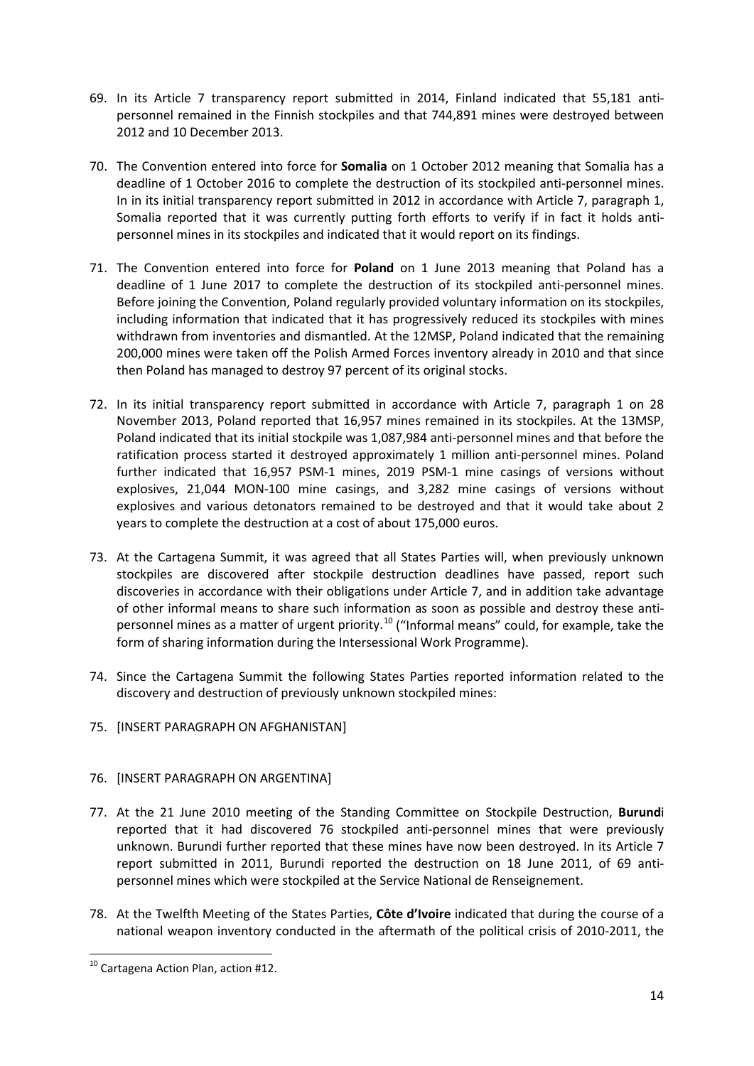- 69. In its Article 7 transparency report submitted in 2014, Finland indicated that 55,181 antipersonnel remained in the Finnish stockpiles and that 744,891 mines were destroyed between 2012 and 10 December 2013.
- 70. The Convention entered into force for **Somalia** on 1 October 2012 meaning that Somalia has a deadline of 1 October 2016 to complete the destruction of its stockpiled anti-personnel mines. In in its initial transparency report submitted in 2012 in accordance with Article 7, paragraph 1, Somalia reported that it was currently putting forth efforts to verify if in fact it holds antipersonnel mines in its stockpiles and indicated that it would report on its findings.
- 71. The Convention entered into force for **Poland** on 1 June 2013 meaning that Poland has a deadline of 1 June 2017 to complete the destruction of its stockpiled anti-personnel mines. Before joining the Convention, Poland regularly provided voluntary information on its stockpiles, including information that indicated that it has progressively reduced its stockpiles with mines withdrawn from inventories and dismantled. At the 12MSP, Poland indicated that the remaining 200,000 mines were taken off the Polish Armed Forces inventory already in 2010 and that since then Poland has managed to destroy 97 percent of its original stocks.
- 72. In its initial transparency report submitted in accordance with Article 7, paragraph 1 on 28 November 2013, Poland reported that 16,957 mines remained in its stockpiles. At the 13MSP, Poland indicated that its initial stockpile was 1,087,984 anti-personnel mines and that before the ratification process started it destroyed approximately 1 million anti-personnel mines. Poland further indicated that 16,957 PSM-1 mines, 2019 PSM-1 mine casings of versions without explosives, 21,044 MON-100 mine casings, and 3,282 mine casings of versions without explosives and various detonators remained to be destroyed and that it would take about 2 years to complete the destruction at a cost of about 175,000 euros.
- 73. At the Cartagena Summit, it was agreed that all States Parties will, when previously unknown stockpiles are discovered after stockpile destruction deadlines have passed, report such discoveries in accordance with their obligations under Article 7, and in addition take advantage of other informal means to share such information as soon as possible and destroy these anti-personnel mines as a matter of urgent priority.<sup>[10](#page-13-0)</sup> ("Informal means" could, for example, take the form of sharing information during the Intersessional Work Programme).
- 74. Since the Cartagena Summit the following States Parties reported information related to the discovery and destruction of previously unknown stockpiled mines:

# 75. [INSERT PARAGRAPH ON AFGHANISTAN]

## 76. [INSERT PARAGRAPH ON ARGENTINA]

- 77. At the 21 June 2010 meeting of the Standing Committee on Stockpile Destruction, **Burund**i reported that it had discovered 76 stockpiled anti-personnel mines that were previously unknown. Burundi further reported that these mines have now been destroyed. In its Article 7 report submitted in 2011, Burundi reported the destruction on 18 June 2011, of 69 antipersonnel mines which were stockpiled at the Service National de Renseignement.
- 78. At the Twelfth Meeting of the States Parties, **Côte d'Ivoire** indicated that during the course of a national weapon inventory conducted in the aftermath of the political crisis of 2010-2011, the

<span id="page-13-0"></span><sup>&</sup>lt;sup>10</sup> Cartagena Action Plan, action #12.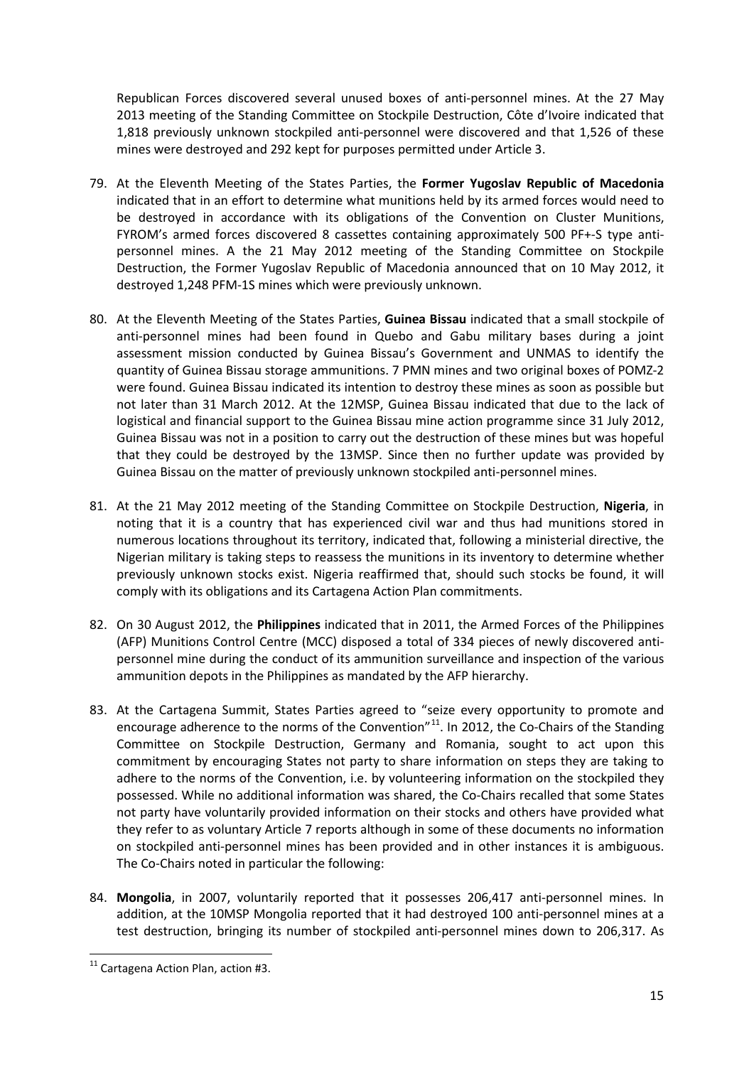Republican Forces discovered several unused boxes of anti-personnel mines. At the 27 May 2013 meeting of the Standing Committee on Stockpile Destruction, Côte d'Ivoire indicated that 1,818 previously unknown stockpiled anti-personnel were discovered and that 1,526 of these mines were destroyed and 292 kept for purposes permitted under Article 3.

- 79. At the Eleventh Meeting of the States Parties, the **Former Yugoslav Republic of Macedonia** indicated that in an effort to determine what munitions held by its armed forces would need to be destroyed in accordance with its obligations of the Convention on Cluster Munitions, FYROM's armed forces discovered 8 cassettes containing approximately 500 PF+-S type antipersonnel mines. A the 21 May 2012 meeting of the Standing Committee on Stockpile Destruction, the Former Yugoslav Republic of Macedonia announced that on 10 May 2012, it destroyed 1,248 PFM-1S mines which were previously unknown.
- 80. At the Eleventh Meeting of the States Parties, **Guinea Bissau** indicated that a small stockpile of anti-personnel mines had been found in Quebo and Gabu military bases during a joint assessment mission conducted by Guinea Bissau's Government and UNMAS to identify the quantity of Guinea Bissau storage ammunitions. 7 PMN mines and two original boxes of POMZ-2 were found. Guinea Bissau indicated its intention to destroy these mines as soon as possible but not later than 31 March 2012. At the 12MSP, Guinea Bissau indicated that due to the lack of logistical and financial support to the Guinea Bissau mine action programme since 31 July 2012, Guinea Bissau was not in a position to carry out the destruction of these mines but was hopeful that they could be destroyed by the 13MSP. Since then no further update was provided by Guinea Bissau on the matter of previously unknown stockpiled anti-personnel mines.
- 81. At the 21 May 2012 meeting of the Standing Committee on Stockpile Destruction, **Nigeria**, in noting that it is a country that has experienced civil war and thus had munitions stored in numerous locations throughout its territory, indicated that, following a ministerial directive, the Nigerian military is taking steps to reassess the munitions in its inventory to determine whether previously unknown stocks exist. Nigeria reaffirmed that, should such stocks be found, it will comply with its obligations and its Cartagena Action Plan commitments.
- 82. On 30 August 2012, the **Philippines** indicated that in 2011, the Armed Forces of the Philippines (AFP) Munitions Control Centre (MCC) disposed a total of 334 pieces of newly discovered antipersonnel mine during the conduct of its ammunition surveillance and inspection of the various ammunition depots in the Philippines as mandated by the AFP hierarchy.
- 83. At the Cartagena Summit, States Parties agreed to "seize every opportunity to promote and encourage adherence to the norms of the Convention" $11$ . In 2012, the Co-Chairs of the Standing Committee on Stockpile Destruction, Germany and Romania, sought to act upon this commitment by encouraging States not party to share information on steps they are taking to adhere to the norms of the Convention, i.e. by volunteering information on the stockpiled they possessed. While no additional information was shared, the Co-Chairs recalled that some States not party have voluntarily provided information on their stocks and others have provided what they refer to as voluntary Article 7 reports although in some of these documents no information on stockpiled anti-personnel mines has been provided and in other instances it is ambiguous. The Co-Chairs noted in particular the following:
- 84. **Mongolia**, in 2007, voluntarily reported that it possesses 206,417 anti-personnel mines. In addition, at the 10MSP Mongolia reported that it had destroyed 100 anti-personnel mines at a test destruction, bringing its number of stockpiled anti-personnel mines down to 206,317. As

<span id="page-14-0"></span> <sup>11</sup> Cartagena Action Plan, action #3.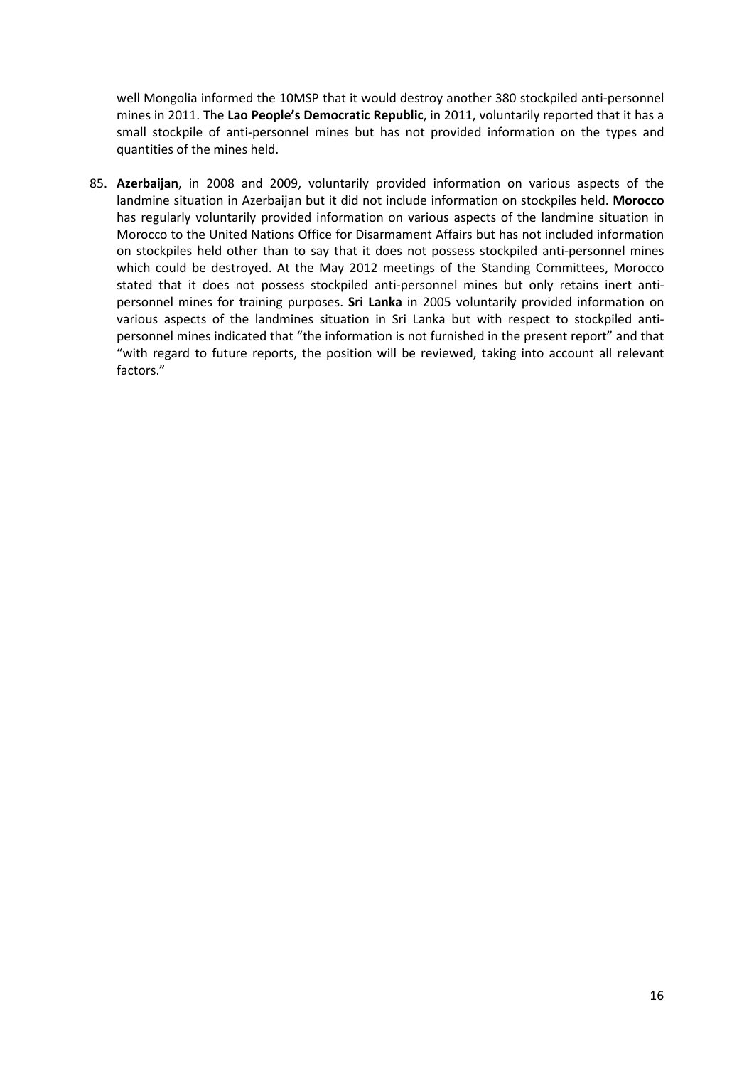well Mongolia informed the 10MSP that it would destroy another 380 stockpiled anti-personnel mines in 2011. The **Lao People's Democratic Republic**, in 2011, voluntarily reported that it has a small stockpile of anti-personnel mines but has not provided information on the types and quantities of the mines held.

85. **Azerbaijan**, in 2008 and 2009, voluntarily provided information on various aspects of the landmine situation in Azerbaijan but it did not include information on stockpiles held. **Morocco** has regularly voluntarily provided information on various aspects of the landmine situation in Morocco to the United Nations Office for Disarmament Affairs but has not included information on stockpiles held other than to say that it does not possess stockpiled anti-personnel mines which could be destroyed. At the May 2012 meetings of the Standing Committees, Morocco stated that it does not possess stockpiled anti-personnel mines but only retains inert antipersonnel mines for training purposes. **Sri Lanka** in 2005 voluntarily provided information on various aspects of the landmines situation in Sri Lanka but with respect to stockpiled antipersonnel mines indicated that "the information is not furnished in the present report" and that "with regard to future reports, the position will be reviewed, taking into account all relevant factors."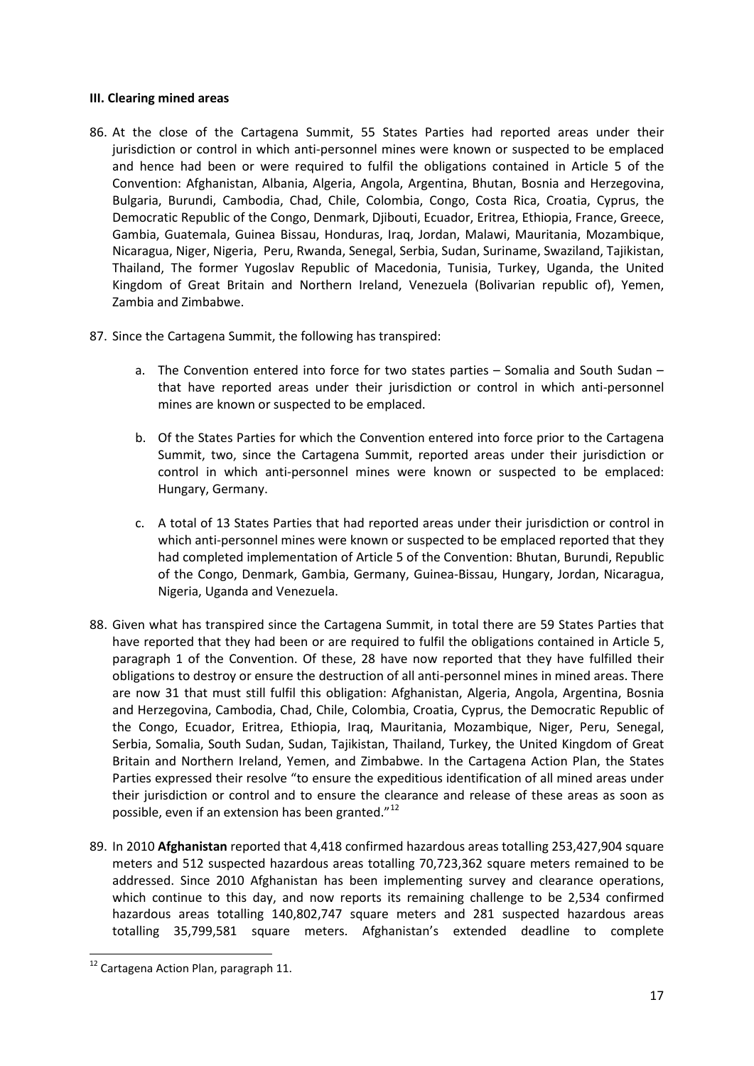### **III. Clearing mined areas**

- 86. At the close of the Cartagena Summit, 55 States Parties had reported areas under their jurisdiction or control in which anti-personnel mines were known or suspected to be emplaced and hence had been or were required to fulfil the obligations contained in Article 5 of the Convention: Afghanistan, Albania, Algeria, Angola, Argentina, Bhutan, Bosnia and Herzegovina, Bulgaria, Burundi, Cambodia, Chad, Chile, Colombia, Congo, Costa Rica, Croatia, Cyprus, the Democratic Republic of the Congo, Denmark, Djibouti, Ecuador, Eritrea, Ethiopia, France, Greece, Gambia, Guatemala, Guinea Bissau, Honduras, Iraq, Jordan, Malawi, Mauritania, Mozambique, Nicaragua, Niger, Nigeria, Peru, Rwanda, Senegal, Serbia, Sudan, Suriname, Swaziland, Tajikistan, Thailand, The former Yugoslav Republic of Macedonia, Tunisia, Turkey, Uganda, the United Kingdom of Great Britain and Northern Ireland, Venezuela (Bolivarian republic of), Yemen, Zambia and Zimbabwe.
- 87. Since the Cartagena Summit, the following has transpired:
	- a. The Convention entered into force for two states parties Somalia and South Sudan that have reported areas under their jurisdiction or control in which anti-personnel mines are known or suspected to be emplaced.
	- b. Of the States Parties for which the Convention entered into force prior to the Cartagena Summit, two, since the Cartagena Summit, reported areas under their jurisdiction or control in which anti-personnel mines were known or suspected to be emplaced: Hungary, Germany.
	- c. A total of 13 States Parties that had reported areas under their jurisdiction or control in which anti-personnel mines were known or suspected to be emplaced reported that they had completed implementation of Article 5 of the Convention: Bhutan, Burundi, Republic of the Congo, Denmark, Gambia, Germany, Guinea-Bissau, Hungary, Jordan, Nicaragua, Nigeria, Uganda and Venezuela.
- 88. Given what has transpired since the Cartagena Summit, in total there are 59 States Parties that have reported that they had been or are required to fulfil the obligations contained in Article 5, paragraph 1 of the Convention. Of these, 28 have now reported that they have fulfilled their obligations to destroy or ensure the destruction of all anti-personnel mines in mined areas. There are now 31 that must still fulfil this obligation: Afghanistan, Algeria, Angola, Argentina, Bosnia and Herzegovina, Cambodia, Chad, Chile, Colombia, Croatia, Cyprus, the Democratic Republic of the Congo, Ecuador, Eritrea, Ethiopia, Iraq, Mauritania, Mozambique, Niger, Peru, Senegal, Serbia, Somalia, South Sudan, Sudan, Tajikistan, Thailand, Turkey, the United Kingdom of Great Britain and Northern Ireland, Yemen, and Zimbabwe. In the Cartagena Action Plan, the States Parties expressed their resolve "to ensure the expeditious identification of all mined areas under their jurisdiction or control and to ensure the clearance and release of these areas as soon as possible, even if an extension has been granted."<sup>[12](#page-16-0)</sup>
- 89. In 2010 **Afghanistan** reported that 4,418 confirmed hazardous areas totalling 253,427,904 square meters and 512 suspected hazardous areas totalling 70,723,362 square meters remained to be addressed. Since 2010 Afghanistan has been implementing survey and clearance operations, which continue to this day, and now reports its remaining challenge to be 2,534 confirmed hazardous areas totalling 140,802,747 square meters and 281 suspected hazardous areas totalling 35,799,581 square meters. Afghanistan's extended deadline to complete

<span id="page-16-0"></span><sup>&</sup>lt;sup>12</sup> Cartagena Action Plan, paragraph 11.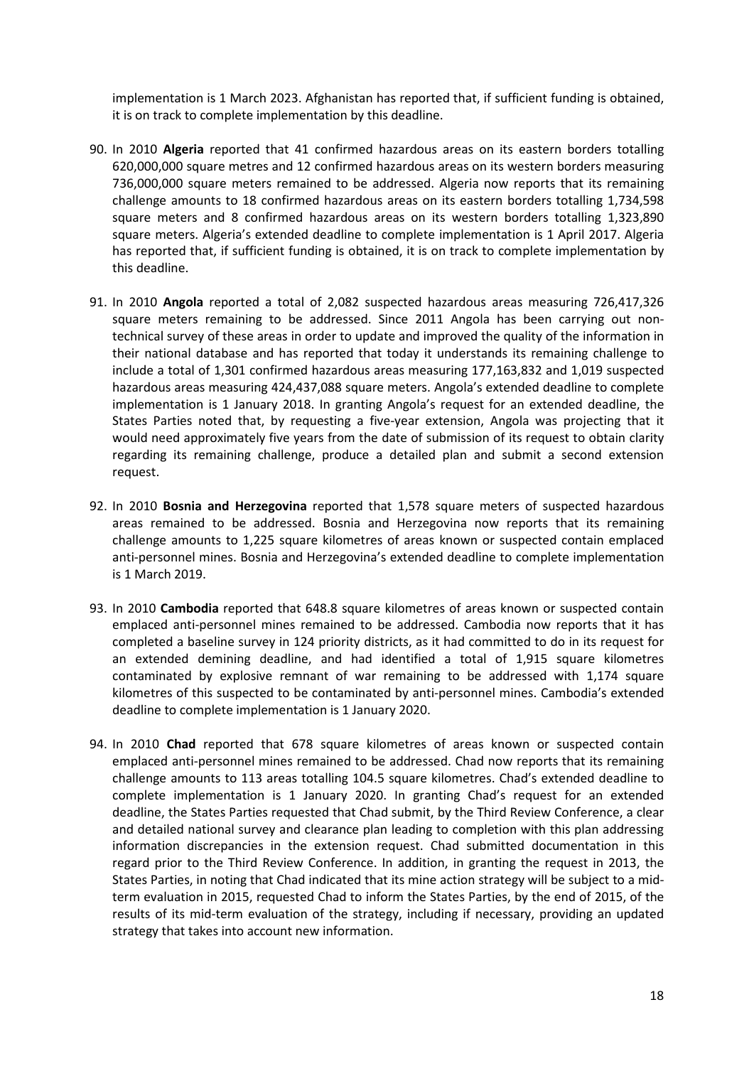implementation is 1 March 2023. Afghanistan has reported that, if sufficient funding is obtained, it is on track to complete implementation by this deadline.

- 90. In 2010 **Algeria** reported that 41 confirmed hazardous areas on its eastern borders totalling 620,000,000 square metres and 12 confirmed hazardous areas on its western borders measuring 736,000,000 square meters remained to be addressed. Algeria now reports that its remaining challenge amounts to 18 confirmed hazardous areas on its eastern borders totalling 1,734,598 square meters and 8 confirmed hazardous areas on its western borders totalling 1,323,890 square meters. Algeria's extended deadline to complete implementation is 1 April 2017. Algeria has reported that, if sufficient funding is obtained, it is on track to complete implementation by this deadline.
- 91. In 2010 **Angola** reported a total of 2,082 suspected hazardous areas measuring 726,417,326 square meters remaining to be addressed. Since 2011 Angola has been carrying out nontechnical survey of these areas in order to update and improved the quality of the information in their national database and has reported that today it understands its remaining challenge to include a total of 1,301 confirmed hazardous areas measuring 177,163,832 and 1,019 suspected hazardous areas measuring 424,437,088 square meters. Angola's extended deadline to complete implementation is 1 January 2018. In granting Angola's request for an extended deadline, the States Parties noted that, by requesting a five-year extension, Angola was projecting that it would need approximately five years from the date of submission of its request to obtain clarity regarding its remaining challenge, produce a detailed plan and submit a second extension request.
- 92. In 2010 **Bosnia and Herzegovina** reported that 1,578 square meters of suspected hazardous areas remained to be addressed. Bosnia and Herzegovina now reports that its remaining challenge amounts to 1,225 square kilometres of areas known or suspected contain emplaced anti-personnel mines. Bosnia and Herzegovina's extended deadline to complete implementation is 1 March 2019.
- 93. In 2010 **Cambodia** reported that 648.8 square kilometres of areas known or suspected contain emplaced anti-personnel mines remained to be addressed. Cambodia now reports that it has completed a baseline survey in 124 priority districts, as it had committed to do in its request for an extended demining deadline, and had identified a total of 1,915 square kilometres contaminated by explosive remnant of war remaining to be addressed with 1,174 square kilometres of this suspected to be contaminated by anti-personnel mines. Cambodia's extended deadline to complete implementation is 1 January 2020.
- 94. In 2010 **Chad** reported that 678 square kilometres of areas known or suspected contain emplaced anti-personnel mines remained to be addressed. Chad now reports that its remaining challenge amounts to 113 areas totalling 104.5 square kilometres. Chad's extended deadline to complete implementation is 1 January 2020. In granting Chad's request for an extended deadline, the States Parties requested that Chad submit, by the Third Review Conference, a clear and detailed national survey and clearance plan leading to completion with this plan addressing information discrepancies in the extension request. Chad submitted documentation in this regard prior to the Third Review Conference. In addition, in granting the request in 2013, the States Parties, in noting that Chad indicated that its mine action strategy will be subject to a midterm evaluation in 2015, requested Chad to inform the States Parties, by the end of 2015, of the results of its mid-term evaluation of the strategy, including if necessary, providing an updated strategy that takes into account new information.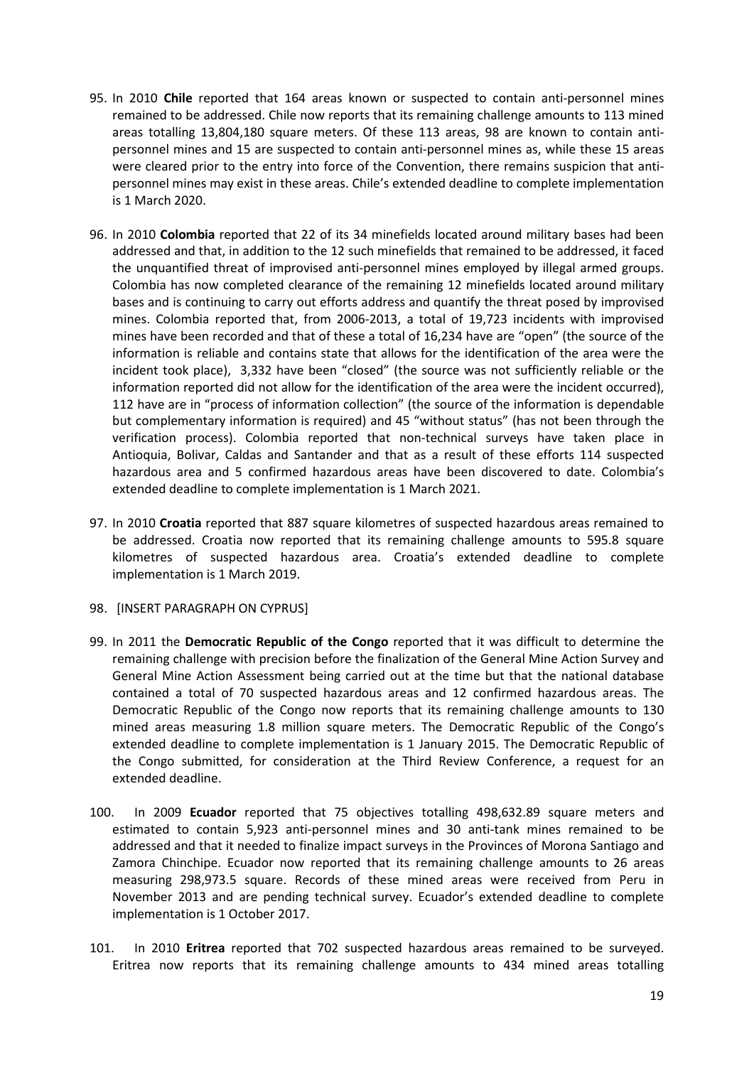- 95. In 2010 **Chile** reported that 164 areas known or suspected to contain anti-personnel mines remained to be addressed. Chile now reports that its remaining challenge amounts to 113 mined areas totalling 13,804,180 square meters. Of these 113 areas, 98 are known to contain antipersonnel mines and 15 are suspected to contain anti-personnel mines as, while these 15 areas were cleared prior to the entry into force of the Convention, there remains suspicion that antipersonnel mines may exist in these areas. Chile's extended deadline to complete implementation is 1 March 2020.
- 96. In 2010 **Colombia** reported that 22 of its 34 minefields located around military bases had been addressed and that, in addition to the 12 such minefields that remained to be addressed, it faced the unquantified threat of improvised anti-personnel mines employed by illegal armed groups. Colombia has now completed clearance of the remaining 12 minefields located around military bases and is continuing to carry out efforts address and quantify the threat posed by improvised mines. Colombia reported that, from 2006-2013, a total of 19,723 incidents with improvised mines have been recorded and that of these a total of 16,234 have are "open" (the source of the information is reliable and contains state that allows for the identification of the area were the incident took place), 3,332 have been "closed" (the source was not sufficiently reliable or the information reported did not allow for the identification of the area were the incident occurred), 112 have are in "process of information collection" (the source of the information is dependable but complementary information is required) and 45 "without status" (has not been through the verification process). Colombia reported that non-technical surveys have taken place in Antioquia, Bolivar, Caldas and Santander and that as a result of these efforts 114 suspected hazardous area and 5 confirmed hazardous areas have been discovered to date. Colombia's extended deadline to complete implementation is 1 March 2021.
- 97. In 2010 **Croatia** reported that 887 square kilometres of suspected hazardous areas remained to be addressed. Croatia now reported that its remaining challenge amounts to 595.8 square kilometres of suspected hazardous area. Croatia's extended deadline to complete implementation is 1 March 2019.
- 98. [INSERT PARAGRAPH ON CYPRUS]
- 99. In 2011 the **Democratic Republic of the Congo** reported that it was difficult to determine the remaining challenge with precision before the finalization of the General Mine Action Survey and General Mine Action Assessment being carried out at the time but that the national database contained a total of 70 suspected hazardous areas and 12 confirmed hazardous areas. The Democratic Republic of the Congo now reports that its remaining challenge amounts to 130 mined areas measuring 1.8 million square meters. The Democratic Republic of the Congo's extended deadline to complete implementation is 1 January 2015. The Democratic Republic of the Congo submitted, for consideration at the Third Review Conference, a request for an extended deadline.
- 100. In 2009 **Ecuador** reported that 75 objectives totalling 498,632.89 square meters and estimated to contain 5,923 anti-personnel mines and 30 anti-tank mines remained to be addressed and that it needed to finalize impact surveys in the Provinces of Morona Santiago and Zamora Chinchipe. Ecuador now reported that its remaining challenge amounts to 26 areas measuring 298,973.5 square. Records of these mined areas were received from Peru in November 2013 and are pending technical survey. Ecuador's extended deadline to complete implementation is 1 October 2017.
- 101. In 2010 **Eritrea** reported that 702 suspected hazardous areas remained to be surveyed. Eritrea now reports that its remaining challenge amounts to 434 mined areas totalling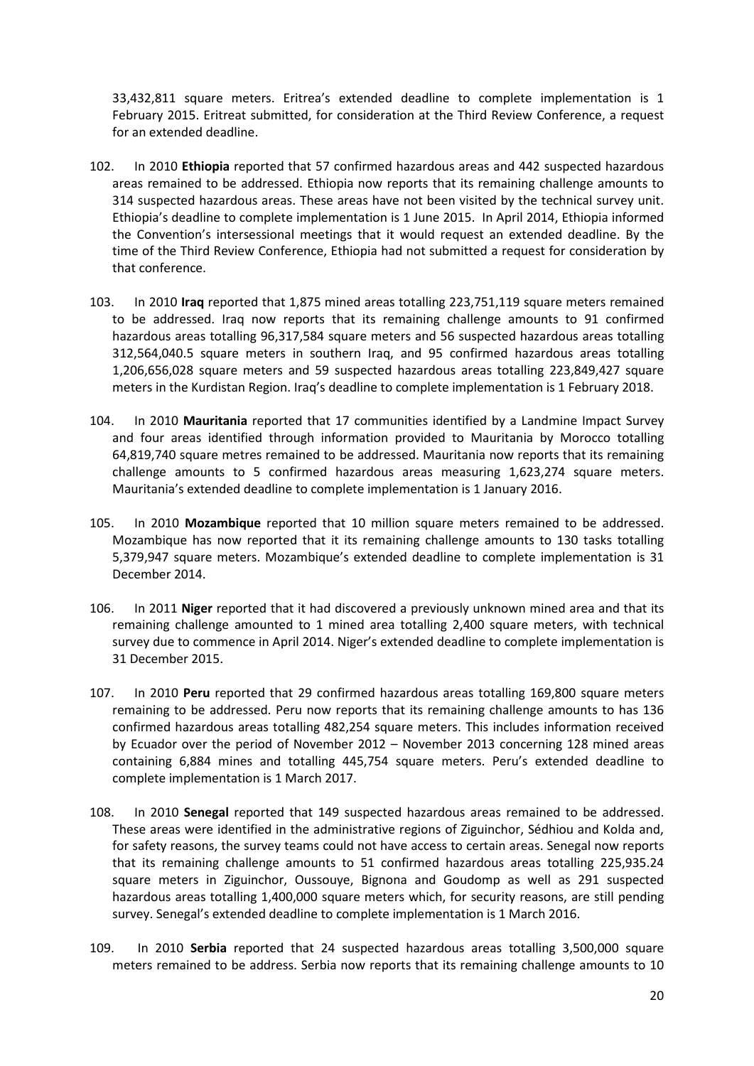33,432,811 square meters. Eritrea's extended deadline to complete implementation is 1 February 2015. Eritreat submitted, for consideration at the Third Review Conference, a request for an extended deadline.

- 102. In 2010 **Ethiopia** reported that 57 confirmed hazardous areas and 442 suspected hazardous areas remained to be addressed. Ethiopia now reports that its remaining challenge amounts to 314 suspected hazardous areas. These areas have not been visited by the technical survey unit. Ethiopia's deadline to complete implementation is 1 June 2015. In April 2014, Ethiopia informed the Convention's intersessional meetings that it would request an extended deadline. By the time of the Third Review Conference, Ethiopia had not submitted a request for consideration by that conference.
- 103. In 2010 **Iraq** reported that 1,875 mined areas totalling 223,751,119 square meters remained to be addressed. Iraq now reports that its remaining challenge amounts to 91 confirmed hazardous areas totalling 96,317,584 square meters and 56 suspected hazardous areas totalling 312,564,040.5 square meters in southern Iraq, and 95 confirmed hazardous areas totalling 1,206,656,028 square meters and 59 suspected hazardous areas totalling 223,849,427 square meters in the Kurdistan Region. Iraq's deadline to complete implementation is 1 February 2018.
- 104. In 2010 **Mauritania** reported that 17 communities identified by a Landmine Impact Survey and four areas identified through information provided to Mauritania by Morocco totalling 64,819,740 square metres remained to be addressed. Mauritania now reports that its remaining challenge amounts to 5 confirmed hazardous areas measuring 1,623,274 square meters. Mauritania's extended deadline to complete implementation is 1 January 2016.
- 105. In 2010 **Mozambique** reported that 10 million square meters remained to be addressed. Mozambique has now reported that it its remaining challenge amounts to 130 tasks totalling 5,379,947 square meters. Mozambique's extended deadline to complete implementation is 31 December 2014.
- 106. In 2011 **Niger** reported that it had discovered a previously unknown mined area and that its remaining challenge amounted to 1 mined area totalling 2,400 square meters, with technical survey due to commence in April 2014. Niger's extended deadline to complete implementation is 31 December 2015.
- 107. In 2010 **Peru** reported that 29 confirmed hazardous areas totalling 169,800 square meters remaining to be addressed. Peru now reports that its remaining challenge amounts to has 136 confirmed hazardous areas totalling 482,254 square meters. This includes information received by Ecuador over the period of November 2012 – November 2013 concerning 128 mined areas containing 6,884 mines and totalling 445,754 square meters. Peru's extended deadline to complete implementation is 1 March 2017.
- 108. In 2010 **Senegal** reported that 149 suspected hazardous areas remained to be addressed. These areas were identified in the administrative regions of Ziguinchor, Sédhiou and Kolda and, for safety reasons, the survey teams could not have access to certain areas. Senegal now reports that its remaining challenge amounts to 51 confirmed hazardous areas totalling 225,935.24 square meters in Ziguinchor, Oussouye, Bignona and Goudomp as well as 291 suspected hazardous areas totalling 1,400,000 square meters which, for security reasons, are still pending survey. Senegal's extended deadline to complete implementation is 1 March 2016.
- 109. In 2010 **Serbia** reported that 24 suspected hazardous areas totalling 3,500,000 square meters remained to be address. Serbia now reports that its remaining challenge amounts to 10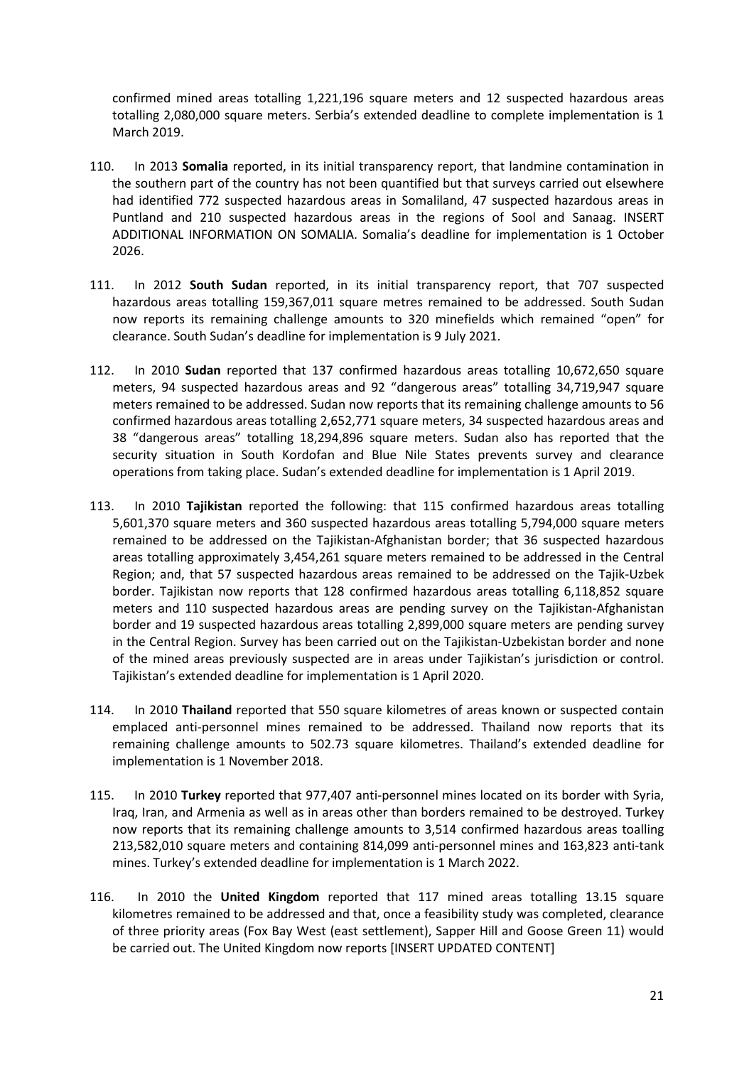confirmed mined areas totalling 1,221,196 square meters and 12 suspected hazardous areas totalling 2,080,000 square meters. Serbia's extended deadline to complete implementation is 1 March 2019.

- 110. In 2013 **Somalia** reported, in its initial transparency report, that landmine contamination in the southern part of the country has not been quantified but that surveys carried out elsewhere had identified 772 suspected hazardous areas in Somaliland, 47 suspected hazardous areas in Puntland and 210 suspected hazardous areas in the regions of Sool and Sanaag. INSERT ADDITIONAL INFORMATION ON SOMALIA. Somalia's deadline for implementation is 1 October 2026.
- 111. In 2012 **South Sudan** reported, in its initial transparency report, that 707 suspected hazardous areas totalling 159,367,011 square metres remained to be addressed. South Sudan now reports its remaining challenge amounts to 320 minefields which remained "open" for clearance. South Sudan's deadline for implementation is 9 July 2021.
- 112. In 2010 **Sudan** reported that 137 confirmed hazardous areas totalling 10,672,650 square meters, 94 suspected hazardous areas and 92 "dangerous areas" totalling 34,719,947 square meters remained to be addressed. Sudan now reports that its remaining challenge amounts to 56 confirmed hazardous areas totalling 2,652,771 square meters, 34 suspected hazardous areas and 38 "dangerous areas" totalling 18,294,896 square meters. Sudan also has reported that the security situation in South Kordofan and Blue Nile States prevents survey and clearance operations from taking place. Sudan's extended deadline for implementation is 1 April 2019.
- 113. In 2010 **Tajikistan** reported the following: that 115 confirmed hazardous areas totalling 5,601,370 square meters and 360 suspected hazardous areas totalling 5,794,000 square meters remained to be addressed on the Tajikistan-Afghanistan border; that 36 suspected hazardous areas totalling approximately 3,454,261 square meters remained to be addressed in the Central Region; and, that 57 suspected hazardous areas remained to be addressed on the Tajik-Uzbek border. Tajikistan now reports that 128 confirmed hazardous areas totalling 6,118,852 square meters and 110 suspected hazardous areas are pending survey on the Tajikistan-Afghanistan border and 19 suspected hazardous areas totalling 2,899,000 square meters are pending survey in the Central Region. Survey has been carried out on the Tajikistan-Uzbekistan border and none of the mined areas previously suspected are in areas under Tajikistan's jurisdiction or control. Tajikistan's extended deadline for implementation is 1 April 2020.
- 114. In 2010 **Thailand** reported that 550 square kilometres of areas known or suspected contain emplaced anti-personnel mines remained to be addressed. Thailand now reports that its remaining challenge amounts to 502.73 square kilometres. Thailand's extended deadline for implementation is 1 November 2018.
- 115. In 2010 **Turkey** reported that 977,407 anti-personnel mines located on its border with Syria, Iraq, Iran, and Armenia as well as in areas other than borders remained to be destroyed. Turkey now reports that its remaining challenge amounts to 3,514 confirmed hazardous areas toalling 213,582,010 square meters and containing 814,099 anti-personnel mines and 163,823 anti-tank mines. Turkey's extended deadline for implementation is 1 March 2022.
- 116. In 2010 the **United Kingdom** reported that 117 mined areas totalling 13.15 square kilometres remained to be addressed and that, once a feasibility study was completed, clearance of three priority areas (Fox Bay West (east settlement), Sapper Hill and Goose Green 11) would be carried out. The United Kingdom now reports [INSERT UPDATED CONTENT]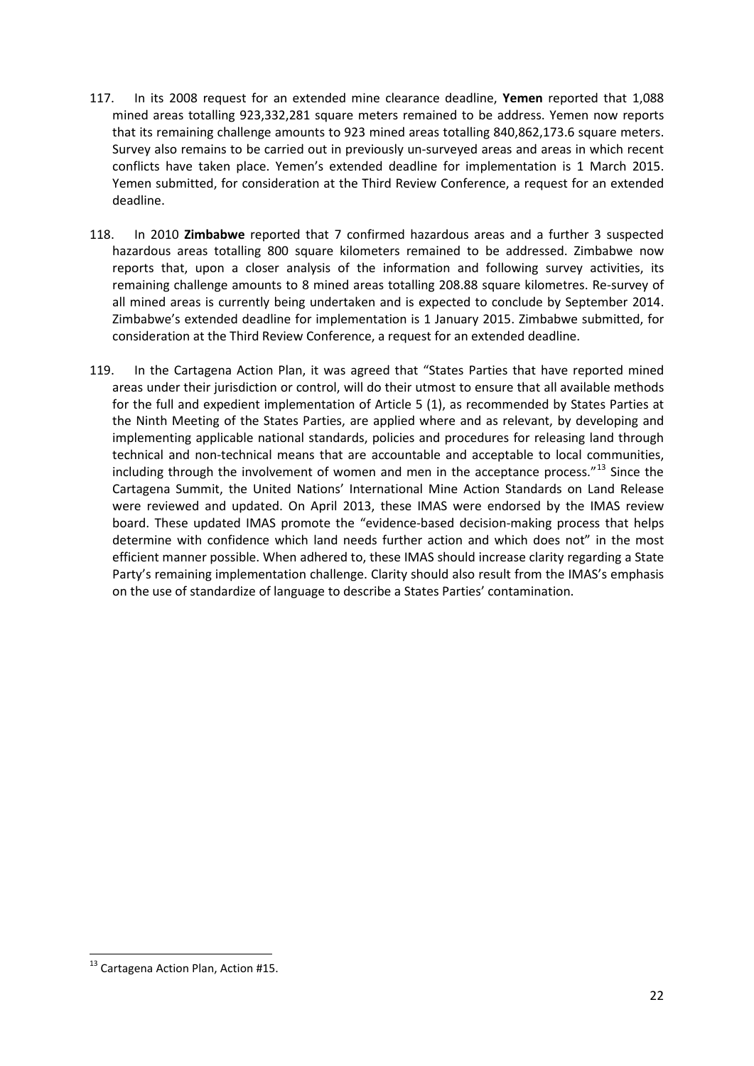- 117. In its 2008 request for an extended mine clearance deadline, **Yemen** reported that 1,088 mined areas totalling 923,332,281 square meters remained to be address. Yemen now reports that its remaining challenge amounts to 923 mined areas totalling 840,862,173.6 square meters. Survey also remains to be carried out in previously un-surveyed areas and areas in which recent conflicts have taken place. Yemen's extended deadline for implementation is 1 March 2015. Yemen submitted, for consideration at the Third Review Conference, a request for an extended deadline.
- 118. In 2010 **Zimbabwe** reported that 7 confirmed hazardous areas and a further 3 suspected hazardous areas totalling 800 square kilometers remained to be addressed. Zimbabwe now reports that, upon a closer analysis of the information and following survey activities, its remaining challenge amounts to 8 mined areas totalling 208.88 square kilometres. Re-survey of all mined areas is currently being undertaken and is expected to conclude by September 2014. Zimbabwe's extended deadline for implementation is 1 January 2015. Zimbabwe submitted, for consideration at the Third Review Conference, a request for an extended deadline.
- 119. In the Cartagena Action Plan, it was agreed that "States Parties that have reported mined areas under their jurisdiction or control, will do their utmost to ensure that all available methods for the full and expedient implementation of Article 5 (1), as recommended by States Parties at the Ninth Meeting of the States Parties, are applied where and as relevant, by developing and implementing applicable national standards, policies and procedures for releasing land through technical and non-technical means that are accountable and acceptable to local communities, including through the involvement of women and men in the acceptance process."[13](#page-21-0) Since the Cartagena Summit, the United Nations' International Mine Action Standards on Land Release were reviewed and updated. On April 2013, these IMAS were endorsed by the IMAS review board. These updated IMAS promote the "evidence-based decision-making process that helps determine with confidence which land needs further action and which does not" in the most efficient manner possible. When adhered to, these IMAS should increase clarity regarding a State Party's remaining implementation challenge. Clarity should also result from the IMAS's emphasis on the use of standardize of language to describe a States Parties' contamination.

<span id="page-21-0"></span><sup>&</sup>lt;sup>13</sup> Cartagena Action Plan, Action #15.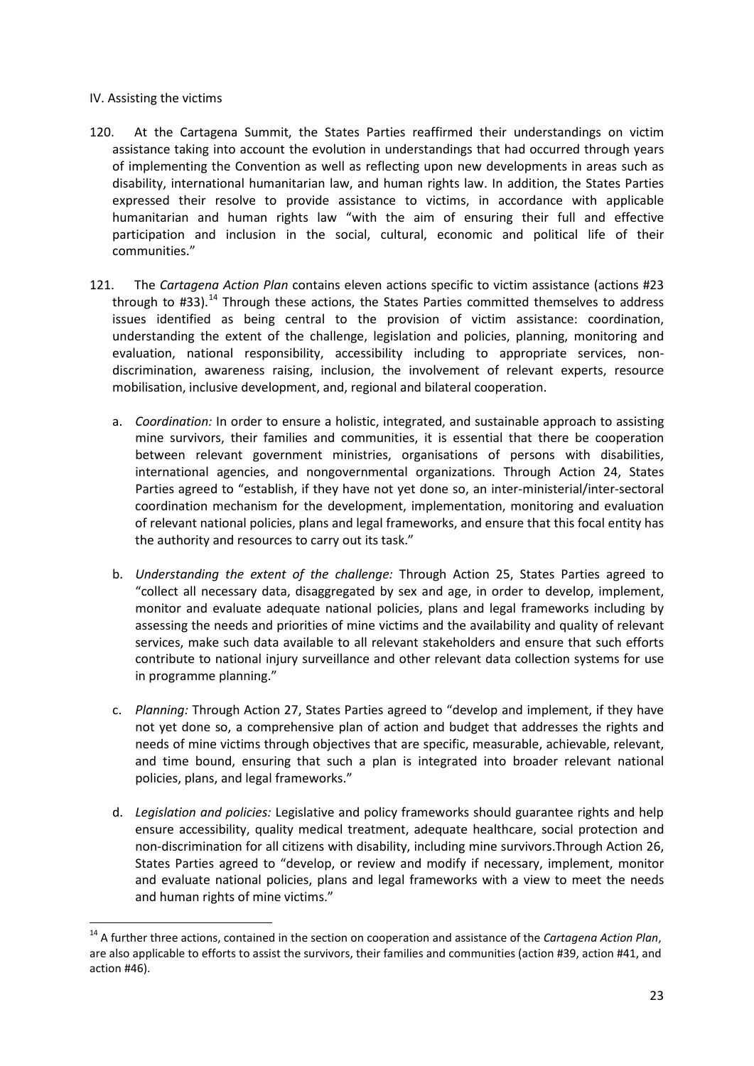#### IV. Assisting the victims

- 120. At the Cartagena Summit, the States Parties reaffirmed their understandings on victim assistance taking into account the evolution in understandings that had occurred through years of implementing the Convention as well as reflecting upon new developments in areas such as disability, international humanitarian law, and human rights law. In addition, the States Parties expressed their resolve to provide assistance to victims, in accordance with applicable humanitarian and human rights law "with the aim of ensuring their full and effective participation and inclusion in the social, cultural, economic and political life of their communities."
- 121. The *Cartagena Action Plan* contains eleven actions specific to victim assistance (actions #23 through to  $#33$ ).<sup>[14](#page-22-0)</sup> Through these actions, the States Parties committed themselves to address issues identified as being central to the provision of victim assistance: coordination, understanding the extent of the challenge, legislation and policies, planning, monitoring and evaluation, national responsibility, accessibility including to appropriate services, nondiscrimination, awareness raising, inclusion, the involvement of relevant experts, resource mobilisation, inclusive development, and, regional and bilateral cooperation.
	- a. *Coordination:* In order to ensure a holistic, integrated, and sustainable approach to assisting mine survivors, their families and communities, it is essential that there be cooperation between relevant government ministries, organisations of persons with disabilities, international agencies, and nongovernmental organizations. Through Action 24, States Parties agreed to "establish, if they have not yet done so, an inter-ministerial/inter-sectoral coordination mechanism for the development, implementation, monitoring and evaluation of relevant national policies, plans and legal frameworks, and ensure that this focal entity has the authority and resources to carry out its task."
	- b. *Understanding the extent of the challenge:* Through Action 25, States Parties agreed to "collect all necessary data, disaggregated by sex and age, in order to develop, implement, monitor and evaluate adequate national policies, plans and legal frameworks including by assessing the needs and priorities of mine victims and the availability and quality of relevant services, make such data available to all relevant stakeholders and ensure that such efforts contribute to national injury surveillance and other relevant data collection systems for use in programme planning."
	- c. *Planning:* Through Action 27, States Parties agreed to "develop and implement, if they have not yet done so, a comprehensive plan of action and budget that addresses the rights and needs of mine victims through objectives that are specific, measurable, achievable, relevant, and time bound, ensuring that such a plan is integrated into broader relevant national policies, plans, and legal frameworks."
	- d. *Legislation and policies:* Legislative and policy frameworks should guarantee rights and help ensure accessibility, quality medical treatment, adequate healthcare, social protection and non-discrimination for all citizens with disability, including mine survivors.Through Action 26, States Parties agreed to "develop, or review and modify if necessary, implement, monitor and evaluate national policies, plans and legal frameworks with a view to meet the needs and human rights of mine victims."

<span id="page-22-0"></span> <sup>14</sup> A further three actions, contained in the section on cooperation and assistance of the *Cartagena Action Plan*, are also applicable to efforts to assist the survivors, their families and communities (action #39, action #41, and action #46).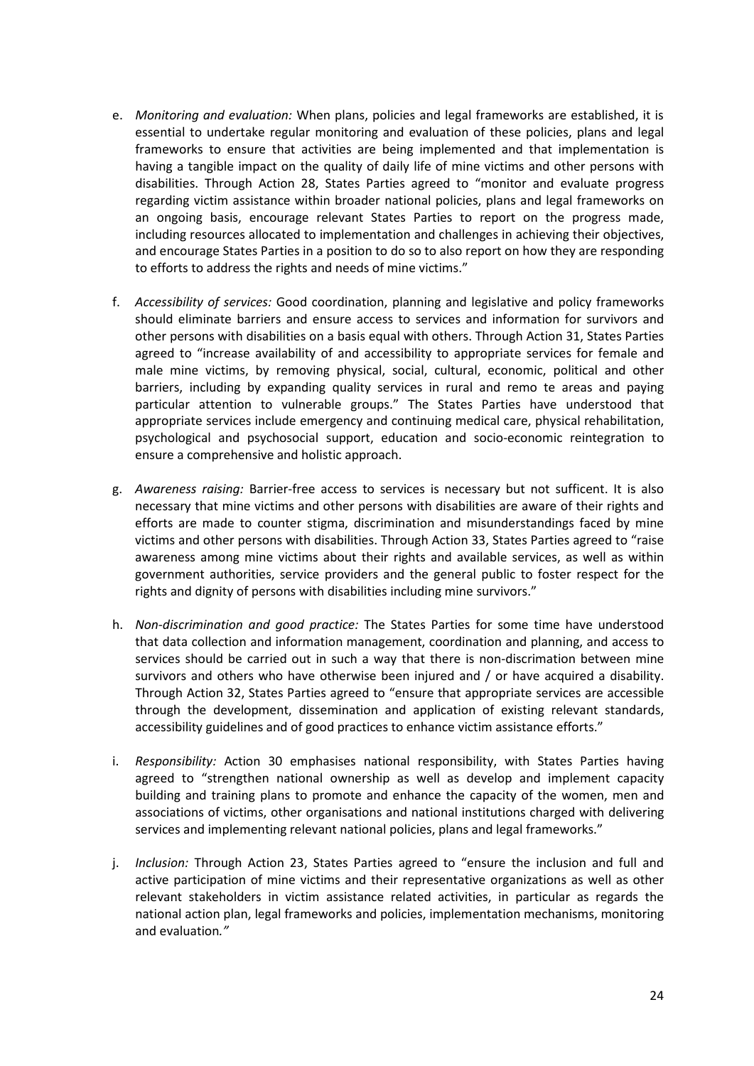- e. *Monitoring and evaluation:* When plans, policies and legal frameworks are established, it is essential to undertake regular monitoring and evaluation of these policies, plans and legal frameworks to ensure that activities are being implemented and that implementation is having a tangible impact on the quality of daily life of mine victims and other persons with disabilities. Through Action 28, States Parties agreed to "monitor and evaluate progress regarding victim assistance within broader national policies, plans and legal frameworks on an ongoing basis, encourage relevant States Parties to report on the progress made, including resources allocated to implementation and challenges in achieving their objectives, and encourage States Parties in a position to do so to also report on how they are responding to efforts to address the rights and needs of mine victims."
- f. *Accessibility of services:* Good coordination, planning and legislative and policy frameworks should eliminate barriers and ensure access to services and information for survivors and other persons with disabilities on a basis equal with others. Through Action 31, States Parties agreed to "increase availability of and accessibility to appropriate services for female and male mine victims, by removing physical, social, cultural, economic, political and other barriers, including by expanding quality services in rural and remo te areas and paying particular attention to vulnerable groups." The States Parties have understood that appropriate services include emergency and continuing medical care, physical rehabilitation, psychological and psychosocial support, education and socio-economic reintegration to ensure a comprehensive and holistic approach.
- g. *Awareness raising:* Barrier-free access to services is necessary but not sufficent. It is also necessary that mine victims and other persons with disabilities are aware of their rights and efforts are made to counter stigma, discrimination and misunderstandings faced by mine victims and other persons with disabilities. Through Action 33, States Parties agreed to "raise awareness among mine victims about their rights and available services, as well as within government authorities, service providers and the general public to foster respect for the rights and dignity of persons with disabilities including mine survivors."
- h. *Non-discrimination and good practice:* The States Parties for some time have understood that data collection and information management, coordination and planning, and access to services should be carried out in such a way that there is non-discrimation between mine survivors and others who have otherwise been injured and / or have acquired a disability. Through Action 32, States Parties agreed to "ensure that appropriate services are accessible through the development, dissemination and application of existing relevant standards, accessibility guidelines and of good practices to enhance victim assistance efforts."
- i. *Responsibility:* Action 30 emphasises national responsibility, with States Parties having agreed to "strengthen national ownership as well as develop and implement capacity building and training plans to promote and enhance the capacity of the women, men and associations of victims, other organisations and national institutions charged with delivering services and implementing relevant national policies, plans and legal frameworks."
- j. *Inclusion:* Through Action 23, States Parties agreed to "ensure the inclusion and full and active participation of mine victims and their representative organizations as well as other relevant stakeholders in victim assistance related activities, in particular as regards the national action plan, legal frameworks and policies, implementation mechanisms, monitoring and evaluation*."*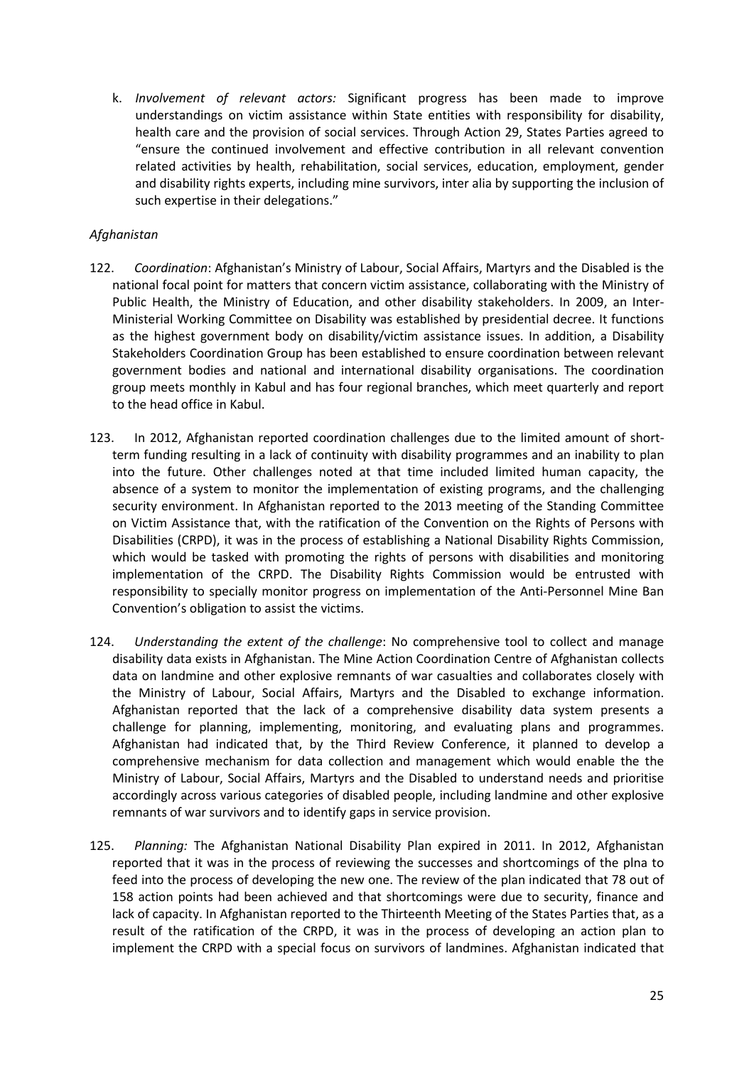k. *Involvement of relevant actors:* Significant progress has been made to improve understandings on victim assistance within State entities with responsibility for disability, health care and the provision of social services. Through Action 29, States Parties agreed to "ensure the continued involvement and effective contribution in all relevant convention related activities by health, rehabilitation, social services, education, employment, gender and disability rights experts, including mine survivors, inter alia by supporting the inclusion of such expertise in their delegations."

## *Afghanistan*

- 122. *Coordination*: Afghanistan's Ministry of Labour, Social Affairs, Martyrs and the Disabled is the national focal point for matters that concern victim assistance, collaborating with the Ministry of Public Health, the Ministry of Education, and other disability stakeholders. In 2009, an Inter-Ministerial Working Committee on Disability was established by presidential decree. It functions as the highest government body on disability/victim assistance issues. In addition, a Disability Stakeholders Coordination Group has been established to ensure coordination between relevant government bodies and national and international disability organisations. The coordination group meets monthly in Kabul and has four regional branches, which meet quarterly and report to the head office in Kabul.
- 123. In 2012, Afghanistan reported coordination challenges due to the limited amount of shortterm funding resulting in a lack of continuity with disability programmes and an inability to plan into the future. Other challenges noted at that time included limited human capacity, the absence of a system to monitor the implementation of existing programs, and the challenging security environment. In Afghanistan reported to the 2013 meeting of the Standing Committee on Victim Assistance that, with the ratification of the Convention on the Rights of Persons with Disabilities (CRPD), it was in the process of establishing a National Disability Rights Commission, which would be tasked with promoting the rights of persons with disabilities and monitoring implementation of the CRPD. The Disability Rights Commission would be entrusted with responsibility to specially monitor progress on implementation of the Anti-Personnel Mine Ban Convention's obligation to assist the victims.
- 124. *Understanding the extent of the challenge*: No comprehensive tool to collect and manage disability data exists in Afghanistan. The Mine Action Coordination Centre of Afghanistan collects data on landmine and other explosive remnants of war casualties and collaborates closely with the Ministry of Labour, Social Affairs, Martyrs and the Disabled to exchange information. Afghanistan reported that the lack of a comprehensive disability data system presents a challenge for planning, implementing, monitoring, and evaluating plans and programmes. Afghanistan had indicated that, by the Third Review Conference, it planned to develop a comprehensive mechanism for data collection and management which would enable the the Ministry of Labour, Social Affairs, Martyrs and the Disabled to understand needs and prioritise accordingly across various categories of disabled people, including landmine and other explosive remnants of war survivors and to identify gaps in service provision.
- 125. *Planning:* The Afghanistan National Disability Plan expired in 2011. In 2012, Afghanistan reported that it was in the process of reviewing the successes and shortcomings of the plna to feed into the process of developing the new one. The review of the plan indicated that 78 out of 158 action points had been achieved and that shortcomings were due to security, finance and lack of capacity. In Afghanistan reported to the Thirteenth Meeting of the States Parties that, as a result of the ratification of the CRPD, it was in the process of developing an action plan to implement the CRPD with a special focus on survivors of landmines. Afghanistan indicated that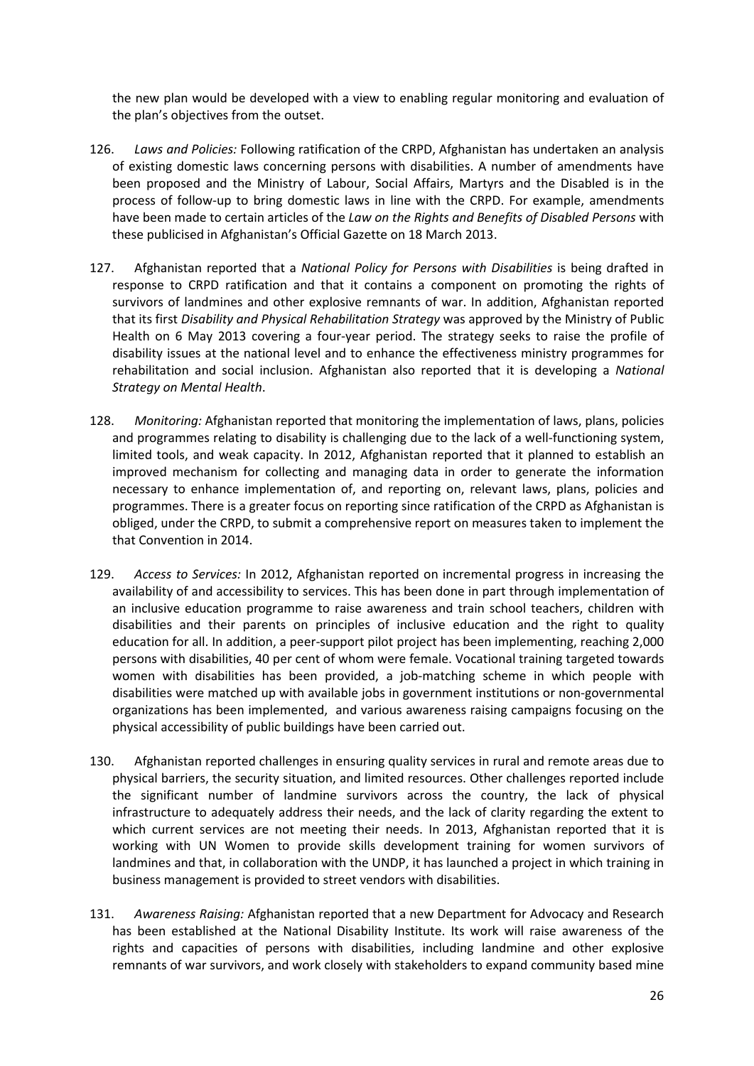the new plan would be developed with a view to enabling regular monitoring and evaluation of the plan's objectives from the outset.

- 126. *Laws and Policies:* Following ratification of the CRPD, Afghanistan has undertaken an analysis of existing domestic laws concerning persons with disabilities. A number of amendments have been proposed and the Ministry of Labour, Social Affairs, Martyrs and the Disabled is in the process of follow-up to bring domestic laws in line with the CRPD. For example, amendments have been made to certain articles of the *Law on the Rights and Benefits of Disabled Persons* with these publicised in Afghanistan's Official Gazette on 18 March 2013.
- 127. Afghanistan reported that a *National Policy for Persons with Disabilities* is being drafted in response to CRPD ratification and that it contains a component on promoting the rights of survivors of landmines and other explosive remnants of war. In addition, Afghanistan reported that its first *Disability and Physical Rehabilitation Strategy* was approved by the Ministry of Public Health on 6 May 2013 covering a four-year period. The strategy seeks to raise the profile of disability issues at the national level and to enhance the effectiveness ministry programmes for rehabilitation and social inclusion. Afghanistan also reported that it is developing a *National Strategy on Mental Health*.
- 128. *Monitoring:* Afghanistan reported that monitoring the implementation of laws, plans, policies and programmes relating to disability is challenging due to the lack of a well-functioning system, limited tools, and weak capacity. In 2012, Afghanistan reported that it planned to establish an improved mechanism for collecting and managing data in order to generate the information necessary to enhance implementation of, and reporting on, relevant laws, plans, policies and programmes. There is a greater focus on reporting since ratification of the CRPD as Afghanistan is obliged, under the CRPD, to submit a comprehensive report on measures taken to implement the that Convention in 2014.
- 129. *Access to Services:* In 2012, Afghanistan reported on incremental progress in increasing the availability of and accessibility to services. This has been done in part through implementation of an inclusive education programme to raise awareness and train school teachers, children with disabilities and their parents on principles of inclusive education and the right to quality education for all. In addition, a peer-support pilot project has been implementing, reaching 2,000 persons with disabilities, 40 per cent of whom were female. Vocational training targeted towards women with disabilities has been provided, a job-matching scheme in which people with disabilities were matched up with available jobs in government institutions or non-governmental organizations has been implemented, and various awareness raising campaigns focusing on the physical accessibility of public buildings have been carried out.
- 130. Afghanistan reported challenges in ensuring quality services in rural and remote areas due to physical barriers, the security situation, and limited resources. Other challenges reported include the significant number of landmine survivors across the country, the lack of physical infrastructure to adequately address their needs, and the lack of clarity regarding the extent to which current services are not meeting their needs. In 2013, Afghanistan reported that it is working with UN Women to provide skills development training for women survivors of landmines and that, in collaboration with the UNDP, it has launched a project in which training in business management is provided to street vendors with disabilities.
- 131. *Awareness Raising:* Afghanistan reported that a new Department for Advocacy and Research has been established at the National Disability Institute. Its work will raise awareness of the rights and capacities of persons with disabilities, including landmine and other explosive remnants of war survivors, and work closely with stakeholders to expand community based mine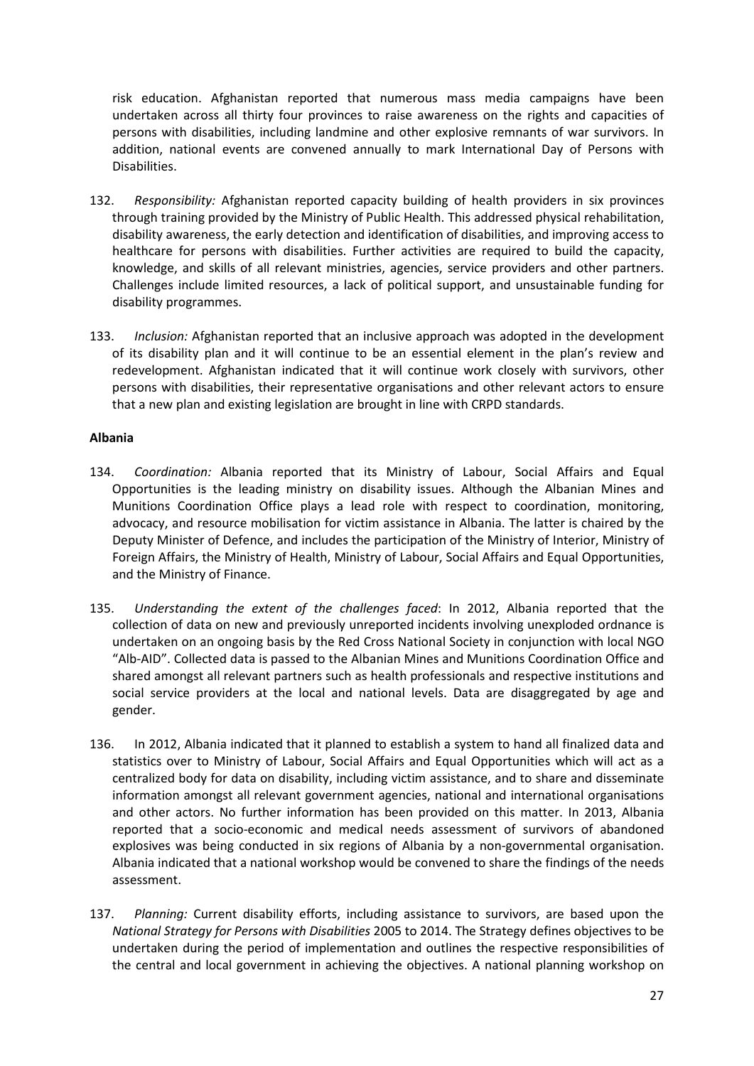risk education. Afghanistan reported that numerous mass media campaigns have been undertaken across all thirty four provinces to raise awareness on the rights and capacities of persons with disabilities, including landmine and other explosive remnants of war survivors. In addition, national events are convened annually to mark International Day of Persons with Disabilities.

- 132. *Responsibility:* Afghanistan reported capacity building of health providers in six provinces through training provided by the Ministry of Public Health. This addressed physical rehabilitation, disability awareness, the early detection and identification of disabilities, and improving access to healthcare for persons with disabilities. Further activities are required to build the capacity, knowledge, and skills of all relevant ministries, agencies, service providers and other partners. Challenges include limited resources, a lack of political support, and unsustainable funding for disability programmes.
- 133. *Inclusion:* Afghanistan reported that an inclusive approach was adopted in the development of its disability plan and it will continue to be an essential element in the plan's review and redevelopment. Afghanistan indicated that it will continue work closely with survivors, other persons with disabilities, their representative organisations and other relevant actors to ensure that a new plan and existing legislation are brought in line with CRPD standards.

## **Albania**

- 134. *Coordination:* Albania reported that its Ministry of Labour, Social Affairs and Equal Opportunities is the leading ministry on disability issues. Although the Albanian Mines and Munitions Coordination Office plays a lead role with respect to coordination, monitoring, advocacy, and resource mobilisation for victim assistance in Albania. The latter is chaired by the Deputy Minister of Defence, and includes the participation of the Ministry of Interior, Ministry of Foreign Affairs, the Ministry of Health, Ministry of Labour, Social Affairs and Equal Opportunities, and the Ministry of Finance.
- 135. *Understanding the extent of the challenges faced*: In 2012, Albania reported that the collection of data on new and previously unreported incidents involving unexploded ordnance is undertaken on an ongoing basis by the Red Cross National Society in conjunction with local NGO "Alb-AID". Collected data is passed to the Albanian Mines and Munitions Coordination Office and shared amongst all relevant partners such as health professionals and respective institutions and social service providers at the local and national levels. Data are disaggregated by age and gender.
- 136. In 2012, Albania indicated that it planned to establish a system to hand all finalized data and statistics over to Ministry of Labour, Social Affairs and Equal Opportunities which will act as a centralized body for data on disability, including victim assistance, and to share and disseminate information amongst all relevant government agencies, national and international organisations and other actors. No further information has been provided on this matter. In 2013, Albania reported that a socio-economic and medical needs assessment of survivors of abandoned explosives was being conducted in six regions of Albania by a non-governmental organisation. Albania indicated that a national workshop would be convened to share the findings of the needs assessment.
- 137. *Planning:* Current disability efforts, including assistance to survivors, are based upon the *National Strategy for Persons with Disabilities* 2005 to 2014. The Strategy defines objectives to be undertaken during the period of implementation and outlines the respective responsibilities of the central and local government in achieving the objectives. A national planning workshop on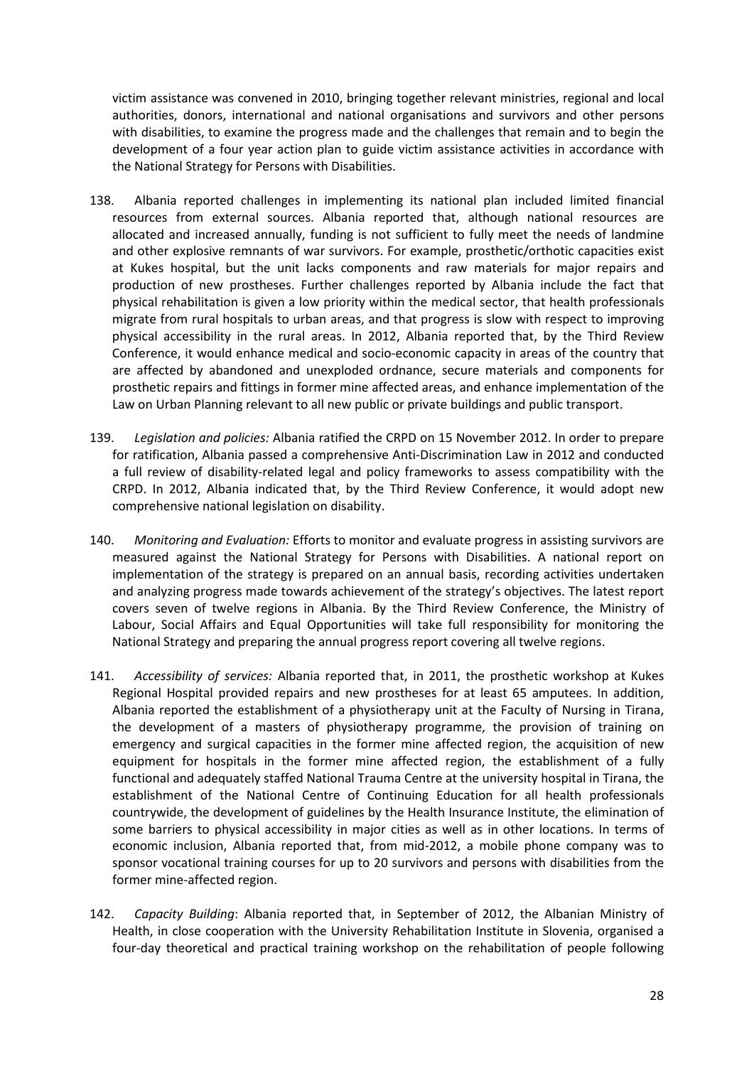victim assistance was convened in 2010, bringing together relevant ministries, regional and local authorities, donors, international and national organisations and survivors and other persons with disabilities, to examine the progress made and the challenges that remain and to begin the development of a four year action plan to guide victim assistance activities in accordance with the National Strategy for Persons with Disabilities.

- 138. Albania reported challenges in implementing its national plan included limited financial resources from external sources. Albania reported that, although national resources are allocated and increased annually, funding is not sufficient to fully meet the needs of landmine and other explosive remnants of war survivors. For example, prosthetic/orthotic capacities exist at Kukes hospital, but the unit lacks components and raw materials for major repairs and production of new prostheses. Further challenges reported by Albania include the fact that physical rehabilitation is given a low priority within the medical sector, that health professionals migrate from rural hospitals to urban areas, and that progress is slow with respect to improving physical accessibility in the rural areas. In 2012, Albania reported that, by the Third Review Conference, it would enhance medical and socio-economic capacity in areas of the country that are affected by abandoned and unexploded ordnance, secure materials and components for prosthetic repairs and fittings in former mine affected areas, and enhance implementation of the Law on Urban Planning relevant to all new public or private buildings and public transport.
- 139. *Legislation and policies:* Albania ratified the CRPD on 15 November 2012. In order to prepare for ratification, Albania passed a comprehensive Anti-Discrimination Law in 2012 and conducted a full review of disability-related legal and policy frameworks to assess compatibility with the CRPD. In 2012, Albania indicated that, by the Third Review Conference, it would adopt new comprehensive national legislation on disability.
- 140. *Monitoring and Evaluation:* Efforts to monitor and evaluate progress in assisting survivors are measured against the National Strategy for Persons with Disabilities. A national report on implementation of the strategy is prepared on an annual basis, recording activities undertaken and analyzing progress made towards achievement of the strategy's objectives. The latest report covers seven of twelve regions in Albania. By the Third Review Conference, the Ministry of Labour, Social Affairs and Equal Opportunities will take full responsibility for monitoring the National Strategy and preparing the annual progress report covering all twelve regions.
- 141. *Accessibility of services:* Albania reported that, in 2011, the prosthetic workshop at Kukes Regional Hospital provided repairs and new prostheses for at least 65 amputees. In addition, Albania reported the establishment of a physiotherapy unit at the Faculty of Nursing in Tirana, the development of a masters of physiotherapy programme, the provision of training on emergency and surgical capacities in the former mine affected region, the acquisition of new equipment for hospitals in the former mine affected region, the establishment of a fully functional and adequately staffed National Trauma Centre at the university hospital in Tirana, the establishment of the National Centre of Continuing Education for all health professionals countrywide, the development of guidelines by the Health Insurance Institute, the elimination of some barriers to physical accessibility in major cities as well as in other locations. In terms of economic inclusion, Albania reported that, from mid-2012, a mobile phone company was to sponsor vocational training courses for up to 20 survivors and persons with disabilities from the former mine-affected region.
- 142. *Capacity Building*: Albania reported that, in September of 2012, the Albanian Ministry of Health, in close cooperation with the University Rehabilitation Institute in Slovenia, organised a four-day theoretical and practical training workshop on the rehabilitation of people following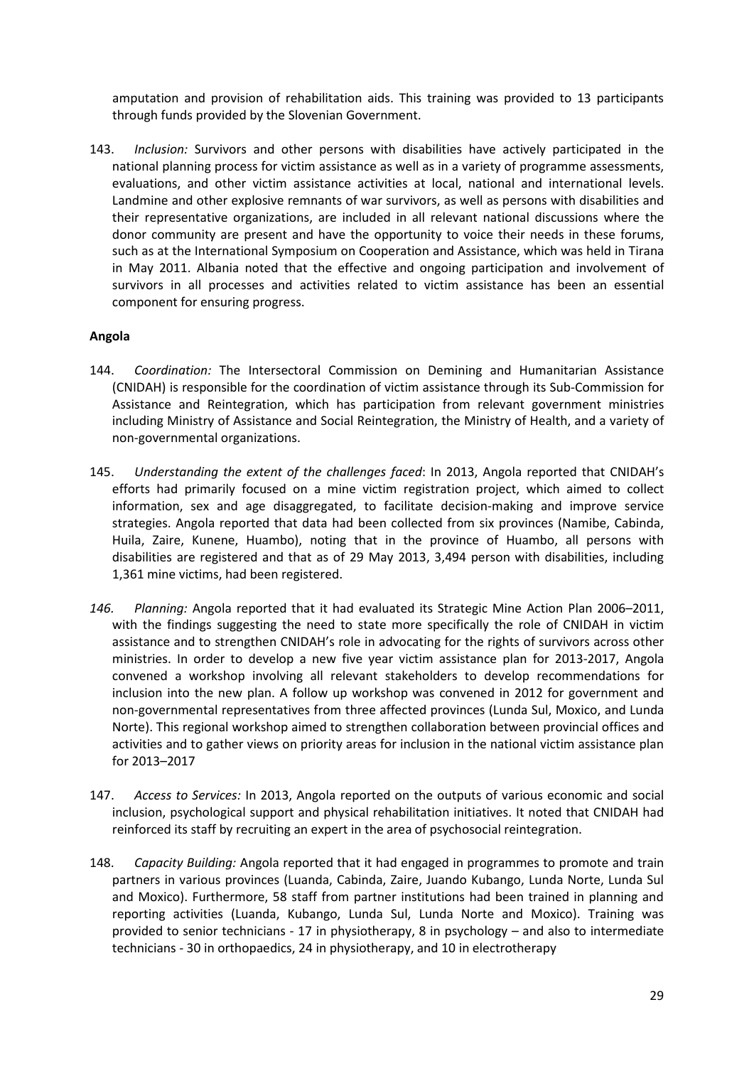amputation and provision of rehabilitation aids. This training was provided to 13 participants through funds provided by the Slovenian Government.

143. *Inclusion:* Survivors and other persons with disabilities have actively participated in the national planning process for victim assistance as well as in a variety of programme assessments, evaluations, and other victim assistance activities at local, national and international levels. Landmine and other explosive remnants of war survivors, as well as persons with disabilities and their representative organizations, are included in all relevant national discussions where the donor community are present and have the opportunity to voice their needs in these forums, such as at the International Symposium on Cooperation and Assistance, which was held in Tirana in May 2011. Albania noted that the effective and ongoing participation and involvement of survivors in all processes and activities related to victim assistance has been an essential component for ensuring progress.

## **Angola**

- 144. *Coordination:* The Intersectoral Commission on Demining and Humanitarian Assistance (CNIDAH) is responsible for the coordination of victim assistance through its Sub-Commission for Assistance and Reintegration, which has participation from relevant government ministries including Ministry of Assistance and Social Reintegration, the Ministry of Health, and a variety of non-governmental organizations.
- 145. *Understanding the extent of the challenges faced*: In 2013, Angola reported that CNIDAH's efforts had primarily focused on a mine victim registration project, which aimed to collect information, sex and age disaggregated, to facilitate decision-making and improve service strategies. Angola reported that data had been collected from six provinces (Namibe, Cabinda, Huila, Zaire, Kunene, Huambo), noting that in the province of Huambo, all persons with disabilities are registered and that as of 29 May 2013, 3,494 person with disabilities, including 1,361 mine victims, had been registered.
- *146. Planning:* Angola reported that it had evaluated its Strategic Mine Action Plan 2006–2011, with the findings suggesting the need to state more specifically the role of CNIDAH in victim assistance and to strengthen CNIDAH's role in advocating for the rights of survivors across other ministries. In order to develop a new five year victim assistance plan for 2013-2017, Angola convened a workshop involving all relevant stakeholders to develop recommendations for inclusion into the new plan. A follow up workshop was convened in 2012 for government and non-governmental representatives from three affected provinces (Lunda Sul, Moxico, and Lunda Norte). This regional workshop aimed to strengthen collaboration between provincial offices and activities and to gather views on priority areas for inclusion in the national victim assistance plan for 2013–2017
- 147. *Access to Services:* In 2013, Angola reported on the outputs of various economic and social inclusion, psychological support and physical rehabilitation initiatives. It noted that CNIDAH had reinforced its staff by recruiting an expert in the area of psychosocial reintegration.
- 148. *Capacity Building:* Angola reported that it had engaged in programmes to promote and train partners in various provinces (Luanda, Cabinda, Zaire, Juando Kubango, Lunda Norte, Lunda Sul and Moxico). Furthermore, 58 staff from partner institutions had been trained in planning and reporting activities (Luanda, Kubango, Lunda Sul, Lunda Norte and Moxico). Training was provided to senior technicians - 17 in physiotherapy, 8 in psychology – and also to intermediate technicians - 30 in orthopaedics, 24 in physiotherapy, and 10 in electrotherapy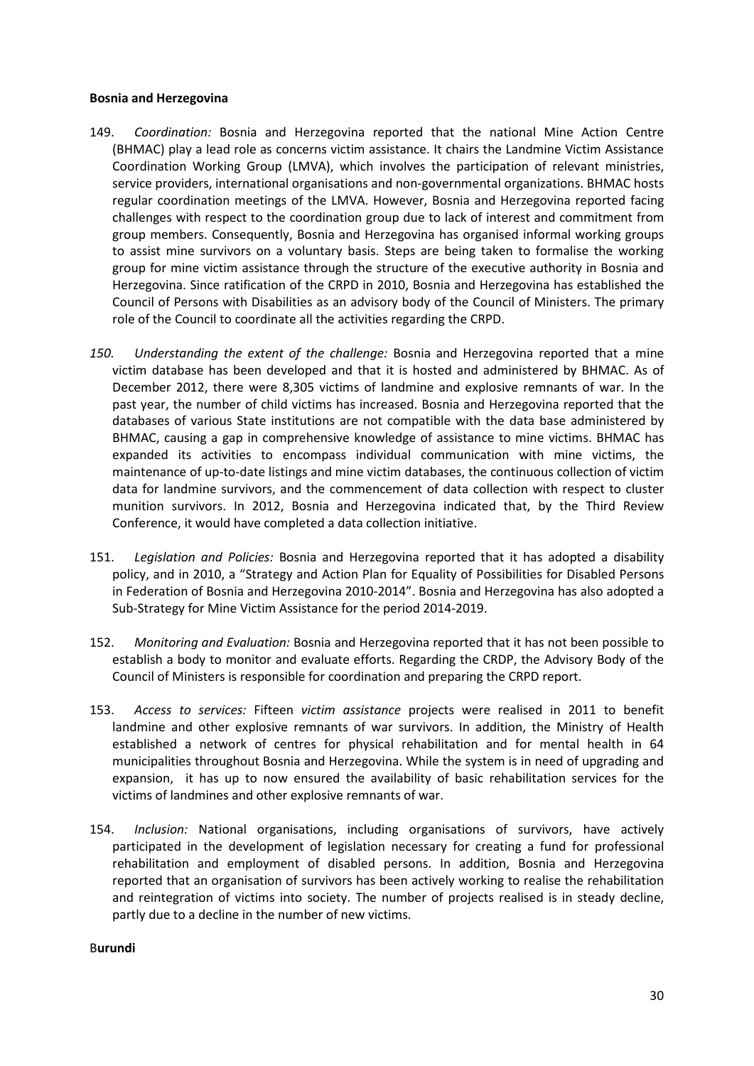#### **Bosnia and Herzegovina**

- 149. *Coordination:* Bosnia and Herzegovina reported that the national Mine Action Centre (BHMAC) play a lead role as concerns victim assistance. It chairs the Landmine Victim Assistance Coordination Working Group (LMVA), which involves the participation of relevant ministries, service providers, international organisations and non-governmental organizations. BHMAC hosts regular coordination meetings of the LMVA. However, Bosnia and Herzegovina reported facing challenges with respect to the coordination group due to lack of interest and commitment from group members. Consequently, Bosnia and Herzegovina has organised informal working groups to assist mine survivors on a voluntary basis. Steps are being taken to formalise the working group for mine victim assistance through the structure of the executive authority in Bosnia and Herzegovina. Since ratification of the CRPD in 2010, Bosnia and Herzegovina has established the Council of Persons with Disabilities as an advisory body of the Council of Ministers. The primary role of the Council to coordinate all the activities regarding the CRPD.
- *150. Understanding the extent of the challenge:* Bosnia and Herzegovina reported that a mine victim database has been developed and that it is hosted and administered by BHMAC. As of December 2012, there were 8,305 victims of landmine and explosive remnants of war. In the past year, the number of child victims has increased. Bosnia and Herzegovina reported that the databases of various State institutions are not compatible with the data base administered by BHMAC, causing a gap in comprehensive knowledge of assistance to mine victims. BHMAC has expanded its activities to encompass individual communication with mine victims, the maintenance of up-to-date listings and mine victim databases, the continuous collection of victim data for landmine survivors, and the commencement of data collection with respect to cluster munition survivors. In 2012, Bosnia and Herzegovina indicated that, by the Third Review Conference, it would have completed a data collection initiative.
- 151. *Legislation and Policies:* Bosnia and Herzegovina reported that it has adopted a disability policy, and in 2010, a "Strategy and Action Plan for Equality of Possibilities for Disabled Persons in Federation of Bosnia and Herzegovina 2010-2014". Bosnia and Herzegovina has also adopted a Sub-Strategy for Mine Victim Assistance for the period 2014-2019.
- 152. *Monitoring and Evaluation:* Bosnia and Herzegovina reported that it has not been possible to establish a body to monitor and evaluate efforts. Regarding the CRDP, the Advisory Body of the Council of Ministers is responsible for coordination and preparing the CRPD report.
- 153. *Access to services:* Fifteen *victim assistance* projects were realised in 2011 to benefit landmine and other explosive remnants of war survivors. In addition, the Ministry of Health established a network of centres for physical rehabilitation and for mental health in 64 municipalities throughout Bosnia and Herzegovina. While the system is in need of upgrading and expansion, it has up to now ensured the availability of basic rehabilitation services for the victims of landmines and other explosive remnants of war.
- 154. *Inclusion:* National organisations, including organisations of survivors, have actively participated in the development of legislation necessary for creating a fund for professional rehabilitation and employment of disabled persons. In addition, Bosnia and Herzegovina reported that an organisation of survivors has been actively working to realise the rehabilitation and reintegration of victims into society. The number of projects realised is in steady decline, partly due to a decline in the number of new victims.

### B**urundi**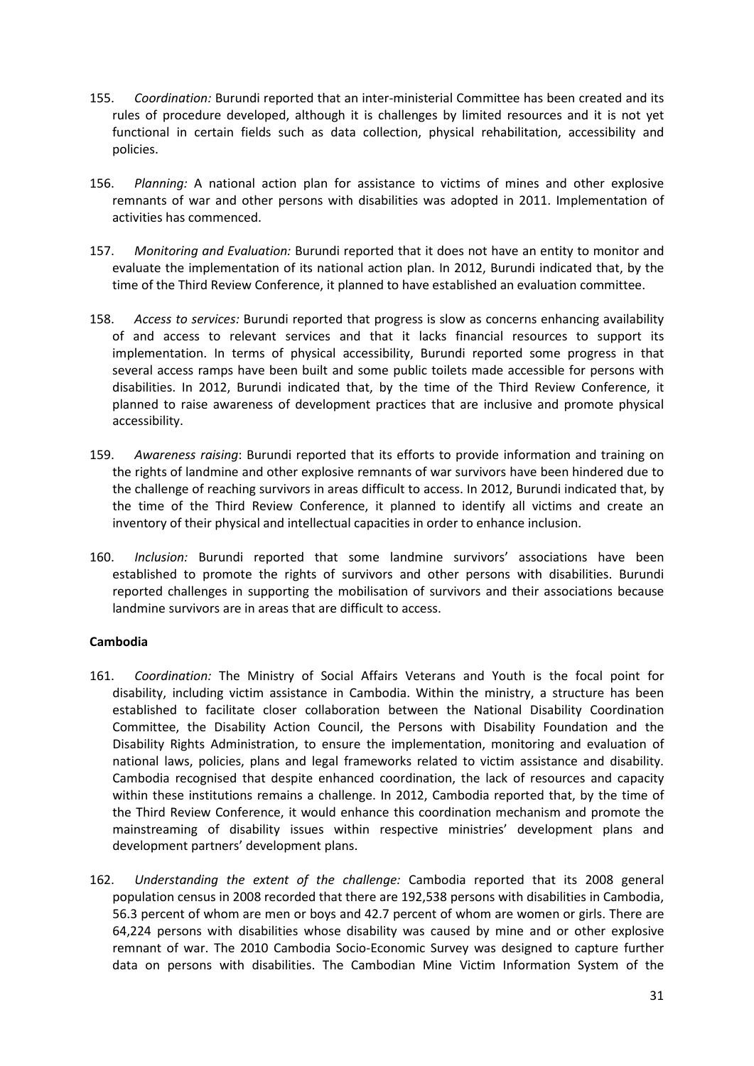- 155. *Coordination:* Burundi reported that an inter-ministerial Committee has been created and its rules of procedure developed, although it is challenges by limited resources and it is not yet functional in certain fields such as data collection, physical rehabilitation, accessibility and policies.
- 156. *Planning:* A national action plan for assistance to victims of mines and other explosive remnants of war and other persons with disabilities was adopted in 2011. Implementation of activities has commenced.
- 157. *Monitoring and Evaluation:* Burundi reported that it does not have an entity to monitor and evaluate the implementation of its national action plan. In 2012, Burundi indicated that, by the time of the Third Review Conference, it planned to have established an evaluation committee.
- 158. *Access to services:* Burundi reported that progress is slow as concerns enhancing availability of and access to relevant services and that it lacks financial resources to support its implementation. In terms of physical accessibility, Burundi reported some progress in that several access ramps have been built and some public toilets made accessible for persons with disabilities. In 2012, Burundi indicated that, by the time of the Third Review Conference, it planned to raise awareness of development practices that are inclusive and promote physical accessibility.
- 159. *Awareness raising*: Burundi reported that its efforts to provide information and training on the rights of landmine and other explosive remnants of war survivors have been hindered due to the challenge of reaching survivors in areas difficult to access. In 2012, Burundi indicated that, by the time of the Third Review Conference, it planned to identify all victims and create an inventory of their physical and intellectual capacities in order to enhance inclusion.
- 160. *Inclusion:* Burundi reported that some landmine survivors' associations have been established to promote the rights of survivors and other persons with disabilities. Burundi reported challenges in supporting the mobilisation of survivors and their associations because landmine survivors are in areas that are difficult to access.

## **Cambodia**

- 161. *Coordination:* The Ministry of Social Affairs Veterans and Youth is the focal point for disability, including victim assistance in Cambodia. Within the ministry, a structure has been established to facilitate closer collaboration between the National Disability Coordination Committee, the Disability Action Council, the Persons with Disability Foundation and the Disability Rights Administration, to ensure the implementation, monitoring and evaluation of national laws, policies, plans and legal frameworks related to victim assistance and disability. Cambodia recognised that despite enhanced coordination, the lack of resources and capacity within these institutions remains a challenge. In 2012, Cambodia reported that, by the time of the Third Review Conference, it would enhance this coordination mechanism and promote the mainstreaming of disability issues within respective ministries' development plans and development partners' development plans.
- 162. *Understanding the extent of the challenge:* Cambodia reported that its 2008 general population census in 2008 recorded that there are 192,538 persons with disabilities in Cambodia, 56.3 percent of whom are men or boys and 42.7 percent of whom are women or girls. There are 64,224 persons with disabilities whose disability was caused by mine and or other explosive remnant of war. The 2010 Cambodia Socio-Economic Survey was designed to capture further data on persons with disabilities. The Cambodian Mine Victim Information System of the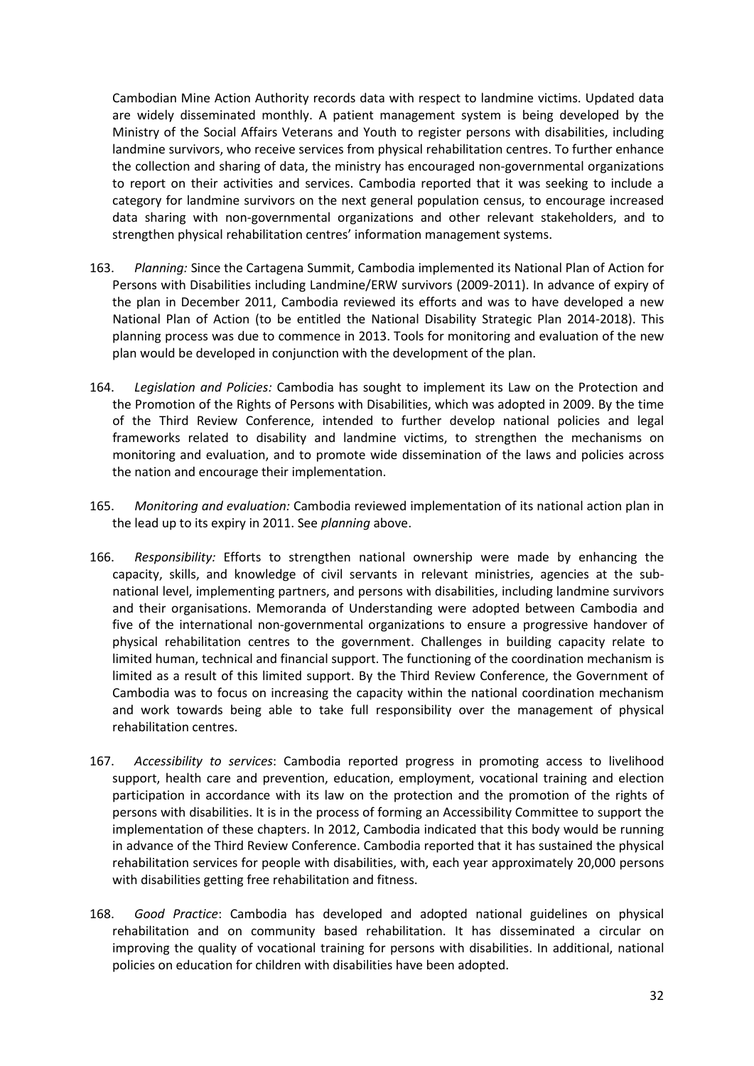Cambodian Mine Action Authority records data with respect to landmine victims. Updated data are widely disseminated monthly. A patient management system is being developed by the Ministry of the Social Affairs Veterans and Youth to register persons with disabilities, including landmine survivors, who receive services from physical rehabilitation centres. To further enhance the collection and sharing of data, the ministry has encouraged non-governmental organizations to report on their activities and services. Cambodia reported that it was seeking to include a category for landmine survivors on the next general population census, to encourage increased data sharing with non-governmental organizations and other relevant stakeholders, and to strengthen physical rehabilitation centres' information management systems.

- 163. *Planning:* Since the Cartagena Summit, Cambodia implemented its National Plan of Action for Persons with Disabilities including Landmine/ERW survivors (2009-2011). In advance of expiry of the plan in December 2011, Cambodia reviewed its efforts and was to have developed a new National Plan of Action (to be entitled the National Disability Strategic Plan 2014-2018). This planning process was due to commence in 2013. Tools for monitoring and evaluation of the new plan would be developed in conjunction with the development of the plan.
- 164. *Legislation and Policies:* Cambodia has sought to implement its Law on the Protection and the Promotion of the Rights of Persons with Disabilities, which was adopted in 2009. By the time of the Third Review Conference, intended to further develop national policies and legal frameworks related to disability and landmine victims, to strengthen the mechanisms on monitoring and evaluation, and to promote wide dissemination of the laws and policies across the nation and encourage their implementation.
- 165. *Monitoring and evaluation:* Cambodia reviewed implementation of its national action plan in the lead up to its expiry in 2011. See *planning* above.
- 166. *Responsibility:* Efforts to strengthen national ownership were made by enhancing the capacity, skills, and knowledge of civil servants in relevant ministries, agencies at the subnational level, implementing partners, and persons with disabilities, including landmine survivors and their organisations. Memoranda of Understanding were adopted between Cambodia and five of the international non-governmental organizations to ensure a progressive handover of physical rehabilitation centres to the government. Challenges in building capacity relate to limited human, technical and financial support. The functioning of the coordination mechanism is limited as a result of this limited support. By the Third Review Conference, the Government of Cambodia was to focus on increasing the capacity within the national coordination mechanism and work towards being able to take full responsibility over the management of physical rehabilitation centres.
- 167. *Accessibility to services*: Cambodia reported progress in promoting access to livelihood support, health care and prevention, education, employment, vocational training and election participation in accordance with its law on the protection and the promotion of the rights of persons with disabilities. It is in the process of forming an Accessibility Committee to support the implementation of these chapters. In 2012, Cambodia indicated that this body would be running in advance of the Third Review Conference. Cambodia reported that it has sustained the physical rehabilitation services for people with disabilities, with, each year approximately 20,000 persons with disabilities getting free rehabilitation and fitness.
- 168. *Good Practice*: Cambodia has developed and adopted national guidelines on physical rehabilitation and on community based rehabilitation. It has disseminated a circular on improving the quality of vocational training for persons with disabilities. In additional, national policies on education for children with disabilities have been adopted.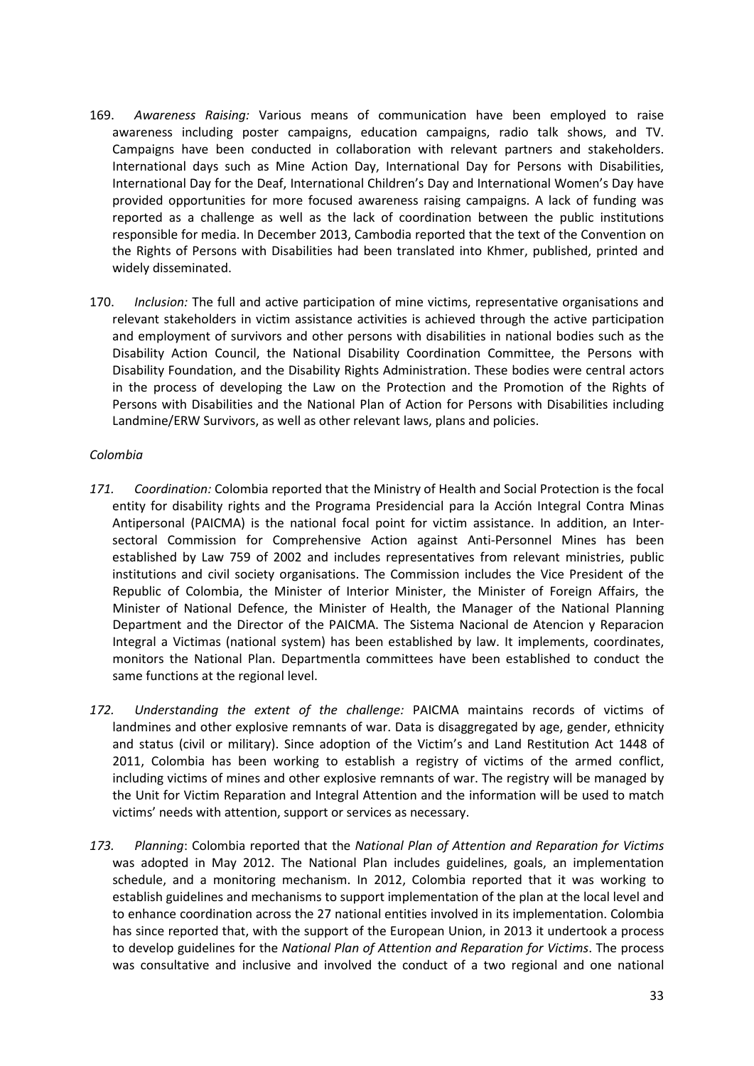- 169. *Awareness Raising:* Various means of communication have been employed to raise awareness including poster campaigns, education campaigns, radio talk shows, and TV. Campaigns have been conducted in collaboration with relevant partners and stakeholders. International days such as Mine Action Day, International Day for Persons with Disabilities, International Day for the Deaf, International Children's Day and International Women's Day have provided opportunities for more focused awareness raising campaigns. A lack of funding was reported as a challenge as well as the lack of coordination between the public institutions responsible for media. In December 2013, Cambodia reported that the text of the Convention on the Rights of Persons with Disabilities had been translated into Khmer, published, printed and widely disseminated.
- 170. *Inclusion:* The full and active participation of mine victims, representative organisations and relevant stakeholders in victim assistance activities is achieved through the active participation and employment of survivors and other persons with disabilities in national bodies such as the Disability Action Council, the National Disability Coordination Committee, the Persons with Disability Foundation, and the Disability Rights Administration. These bodies were central actors in the process of developing the Law on the Protection and the Promotion of the Rights of Persons with Disabilities and the National Plan of Action for Persons with Disabilities including Landmine/ERW Survivors, as well as other relevant laws, plans and policies.

### *Colombia*

- *171. Coordination:* Colombia reported that the Ministry of Health and Social Protection is the focal entity for disability rights and the Programa Presidencial para la Acción Integral Contra Minas Antipersonal (PAICMA) is the national focal point for victim assistance. In addition, an Intersectoral Commission for Comprehensive Action against Anti-Personnel Mines has been established by Law 759 of 2002 and includes representatives from relevant ministries, public institutions and civil society organisations. The Commission includes the Vice President of the Republic of Colombia, the Minister of Interior Minister, the Minister of Foreign Affairs, the Minister of National Defence, the Minister of Health, the Manager of the National Planning Department and the Director of the PAICMA. The Sistema Nacional de Atencion y Reparacion Integral a Victimas (national system) has been established by law. It implements, coordinates, monitors the National Plan. Departmentla committees have been established to conduct the same functions at the regional level.
- *172. Understanding the extent of the challenge:* PAICMA maintains records of victims of landmines and other explosive remnants of war. Data is disaggregated by age, gender, ethnicity and status (civil or military). Since adoption of the Victim's and Land Restitution Act 1448 of 2011, Colombia has been working to establish a registry of victims of the armed conflict, including victims of mines and other explosive remnants of war. The registry will be managed by the Unit for Victim Reparation and Integral Attention and the information will be used to match victims' needs with attention, support or services as necessary.
- *173. Planning*: Colombia reported that the *National Plan of Attention and Reparation for Victims* was adopted in May 2012. The National Plan includes guidelines, goals, an implementation schedule, and a monitoring mechanism. In 2012, Colombia reported that it was working to establish guidelines and mechanisms to support implementation of the plan at the local level and to enhance coordination across the 27 national entities involved in its implementation. Colombia has since reported that, with the support of the European Union, in 2013 it undertook a process to develop guidelines for the *National Plan of Attention and Reparation for Victims*. The process was consultative and inclusive and involved the conduct of a two regional and one national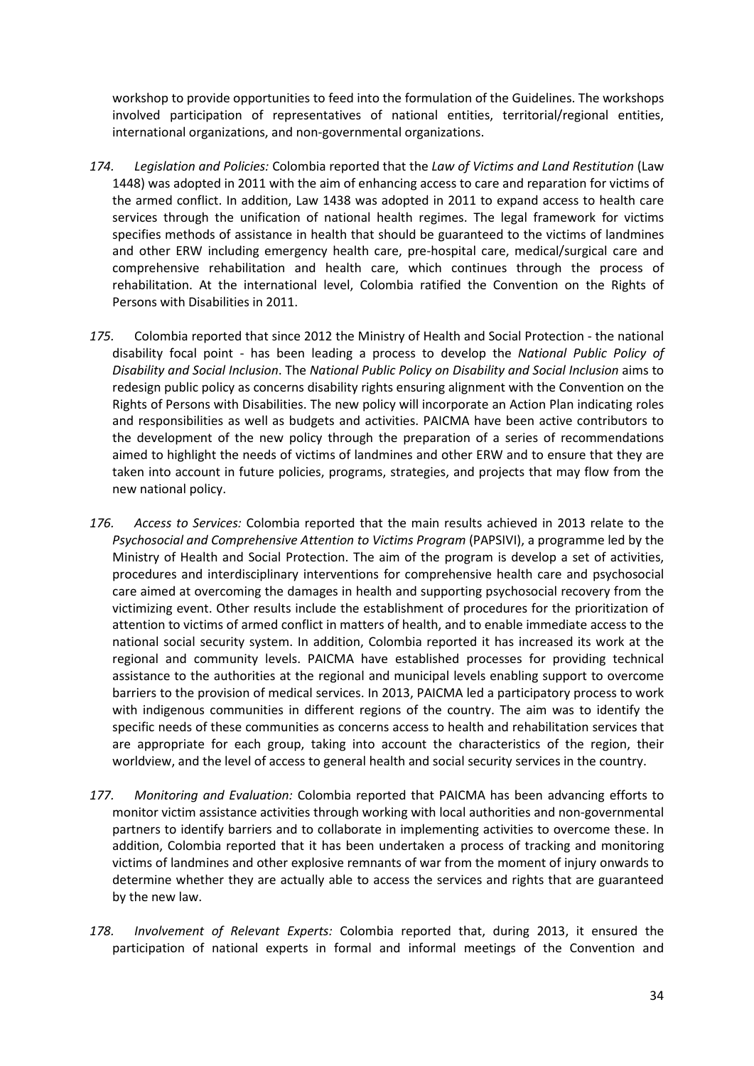workshop to provide opportunities to feed into the formulation of the Guidelines. The workshops involved participation of representatives of national entities, territorial/regional entities, international organizations, and non-governmental organizations.

- *174. Legislation and Policies:* Colombia reported that the *Law of Victims and Land Restitution* (Law 1448) was adopted in 2011 with the aim of enhancing access to care and reparation for victims of the armed conflict. In addition, Law 1438 was adopted in 2011 to expand access to health care services through the unification of national health regimes. The legal framework for victims specifies methods of assistance in health that should be guaranteed to the victims of landmines and other ERW including emergency health care, pre-hospital care, medical/surgical care and comprehensive rehabilitation and health care, which continues through the process of rehabilitation. At the international level, Colombia ratified the Convention on the Rights of Persons with Disabilities in 2011.
- *175.* Colombia reported that since 2012 the Ministry of Health and Social Protection the national disability focal point - has been leading a process to develop the *National Public Policy of Disability and Social Inclusion*. The *National Public Policy on Disability and Social Inclusion* aims to redesign public policy as concerns disability rights ensuring alignment with the Convention on the Rights of Persons with Disabilities. The new policy will incorporate an Action Plan indicating roles and responsibilities as well as budgets and activities. PAICMA have been active contributors to the development of the new policy through the preparation of a series of recommendations aimed to highlight the needs of victims of landmines and other ERW and to ensure that they are taken into account in future policies, programs, strategies, and projects that may flow from the new national policy.
- *176. Access to Services:* Colombia reported that the main results achieved in 2013 relate to the *Psychosocial and Comprehensive Attention to Victims Program* (PAPSIVI), a programme led by the Ministry of Health and Social Protection. The aim of the program is develop a set of activities, procedures and interdisciplinary interventions for comprehensive health care and psychosocial care aimed at overcoming the damages in health and supporting psychosocial recovery from the victimizing event. Other results include the establishment of procedures for the prioritization of attention to victims of armed conflict in matters of health, and to enable immediate access to the national social security system. In addition, Colombia reported it has increased its work at the regional and community levels. PAICMA have established processes for providing technical assistance to the authorities at the regional and municipal levels enabling support to overcome barriers to the provision of medical services. In 2013, PAICMA led a participatory process to work with indigenous communities in different regions of the country. The aim was to identify the specific needs of these communities as concerns access to health and rehabilitation services that are appropriate for each group, taking into account the characteristics of the region, their worldview, and the level of access to general health and social security services in the country.
- *177. Monitoring and Evaluation:* Colombia reported that PAICMA has been advancing efforts to monitor victim assistance activities through working with local authorities and non-governmental partners to identify barriers and to collaborate in implementing activities to overcome these. In addition, Colombia reported that it has been undertaken a process of tracking and monitoring victims of landmines and other explosive remnants of war from the moment of injury onwards to determine whether they are actually able to access the services and rights that are guaranteed by the new law.
- *178. Involvement of Relevant Experts:* Colombia reported that, during 2013, it ensured the participation of national experts in formal and informal meetings of the Convention and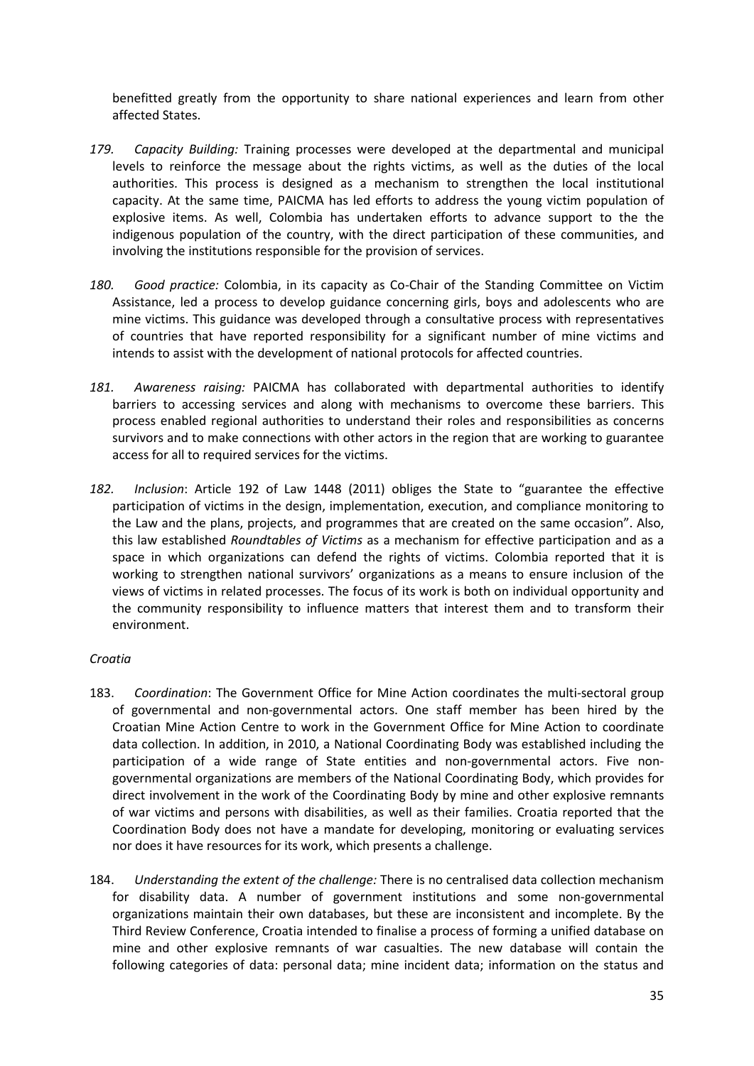benefitted greatly from the opportunity to share national experiences and learn from other affected States.

- *179. Capacity Building:* Training processes were developed at the departmental and municipal levels to reinforce the message about the rights victims, as well as the duties of the local authorities. This process is designed as a mechanism to strengthen the local institutional capacity. At the same time, PAICMA has led efforts to address the young victim population of explosive items. As well, Colombia has undertaken efforts to advance support to the the indigenous population of the country, with the direct participation of these communities, and involving the institutions responsible for the provision of services.
- *180. Good practice:* Colombia, in its capacity as Co-Chair of the Standing Committee on Victim Assistance, led a process to develop guidance concerning girls, boys and adolescents who are mine victims. This guidance was developed through a consultative process with representatives of countries that have reported responsibility for a significant number of mine victims and intends to assist with the development of national protocols for affected countries.
- *181. Awareness raising:* PAICMA has collaborated with departmental authorities to identify barriers to accessing services and along with mechanisms to overcome these barriers. This process enabled regional authorities to understand their roles and responsibilities as concerns survivors and to make connections with other actors in the region that are working to guarantee access for all to required services for the victims.
- *182. Inclusion*: Article 192 of Law 1448 (2011) obliges the State to "guarantee the effective participation of victims in the design, implementation, execution, and compliance monitoring to the Law and the plans, projects, and programmes that are created on the same occasion". Also, this law established *Roundtables of Victims* as a mechanism for effective participation and as a space in which organizations can defend the rights of victims. Colombia reported that it is working to strengthen national survivors' organizations as a means to ensure inclusion of the views of victims in related processes. The focus of its work is both on individual opportunity and the community responsibility to influence matters that interest them and to transform their environment.

## *Croatia*

- 183. *Coordination*: The Government Office for Mine Action coordinates the multi-sectoral group of governmental and non-governmental actors. One staff member has been hired by the Croatian Mine Action Centre to work in the Government Office for Mine Action to coordinate data collection. In addition, in 2010, a National Coordinating Body was established including the participation of a wide range of State entities and non-governmental actors. Five nongovernmental organizations are members of the National Coordinating Body, which provides for direct involvement in the work of the Coordinating Body by mine and other explosive remnants of war victims and persons with disabilities, as well as their families. Croatia reported that the Coordination Body does not have a mandate for developing, monitoring or evaluating services nor does it have resources for its work, which presents a challenge.
- 184. *Understanding the extent of the challenge:* There is no centralised data collection mechanism for disability data. A number of government institutions and some non-governmental organizations maintain their own databases, but these are inconsistent and incomplete. By the Third Review Conference, Croatia intended to finalise a process of forming a unified database on mine and other explosive remnants of war casualties. The new database will contain the following categories of data: personal data; mine incident data; information on the status and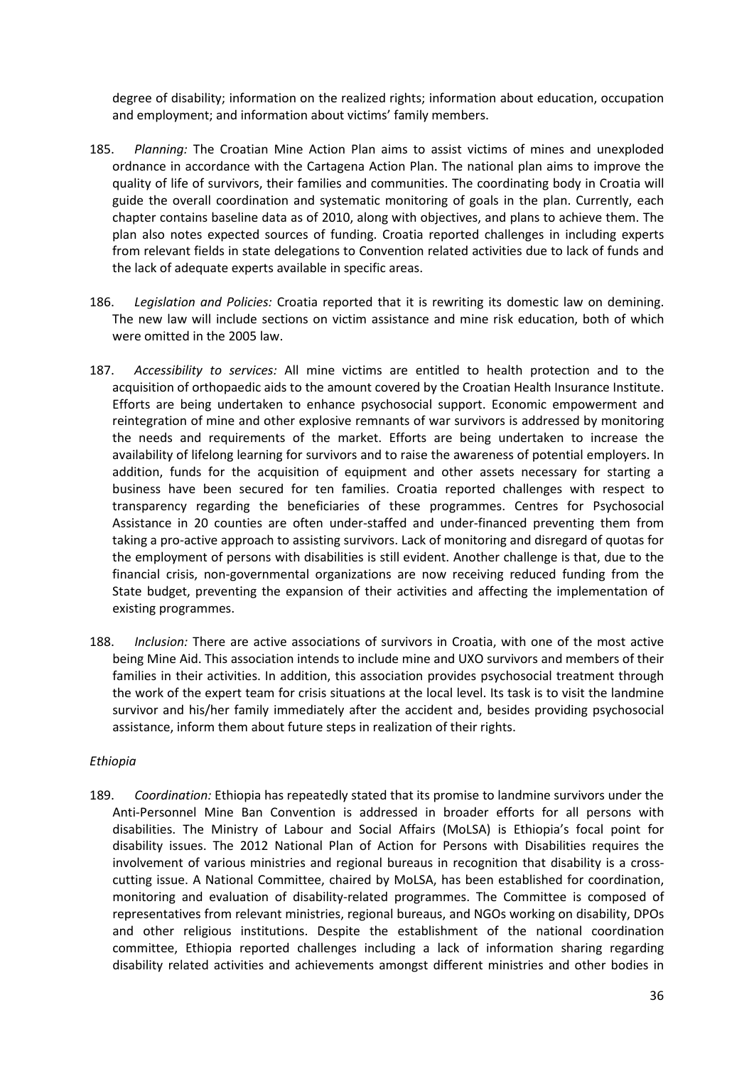degree of disability; information on the realized rights; information about education, occupation and employment; and information about victims' family members.

- 185. *Planning:* The Croatian Mine Action Plan aims to assist victims of mines and unexploded ordnance in accordance with the Cartagena Action Plan. The national plan aims to improve the quality of life of survivors, their families and communities. The coordinating body in Croatia will guide the overall coordination and systematic monitoring of goals in the plan. Currently, each chapter contains baseline data as of 2010, along with objectives, and plans to achieve them. The plan also notes expected sources of funding. Croatia reported challenges in including experts from relevant fields in state delegations to Convention related activities due to lack of funds and the lack of adequate experts available in specific areas.
- 186. *Legislation and Policies:* Croatia reported that it is rewriting its domestic law on demining. The new law will include sections on victim assistance and mine risk education, both of which were omitted in the 2005 law.
- 187. *Accessibility to services:* All mine victims are entitled to health protection and to the acquisition of orthopaedic aids to the amount covered by the Croatian Health Insurance Institute. Efforts are being undertaken to enhance psychosocial support. Economic empowerment and reintegration of mine and other explosive remnants of war survivors is addressed by monitoring the needs and requirements of the market. Efforts are being undertaken to increase the availability of lifelong learning for survivors and to raise the awareness of potential employers. In addition, funds for the acquisition of equipment and other assets necessary for starting a business have been secured for ten families. Croatia reported challenges with respect to transparency regarding the beneficiaries of these programmes. Centres for Psychosocial Assistance in 20 counties are often under-staffed and under-financed preventing them from taking a pro-active approach to assisting survivors. Lack of monitoring and disregard of quotas for the employment of persons with disabilities is still evident. Another challenge is that, due to the financial crisis, non-governmental organizations are now receiving reduced funding from the State budget, preventing the expansion of their activities and affecting the implementation of existing programmes.
- 188. *Inclusion:* There are active associations of survivors in Croatia, with one of the most active being Mine Aid. This association intends to include mine and UXO survivors and members of their families in their activities. In addition, this association provides psychosocial treatment through the work of the expert team for crisis situations at the local level. Its task is to visit the landmine survivor and his/her family immediately after the accident and, besides providing psychosocial assistance, inform them about future steps in realization of their rights.

### *Ethiopia*

189. *Coordination:* Ethiopia has repeatedly stated that its promise to landmine survivors under the Anti-Personnel Mine Ban Convention is addressed in broader efforts for all persons with disabilities. The Ministry of Labour and Social Affairs (MoLSA) is Ethiopia's focal point for disability issues. The 2012 National Plan of Action for Persons with Disabilities requires the involvement of various ministries and regional bureaus in recognition that disability is a crosscutting issue. A National Committee, chaired by MoLSA, has been established for coordination, monitoring and evaluation of disability-related programmes. The Committee is composed of representatives from relevant ministries, regional bureaus, and NGOs working on disability, DPOs and other religious institutions. Despite the establishment of the national coordination committee, Ethiopia reported challenges including a lack of information sharing regarding disability related activities and achievements amongst different ministries and other bodies in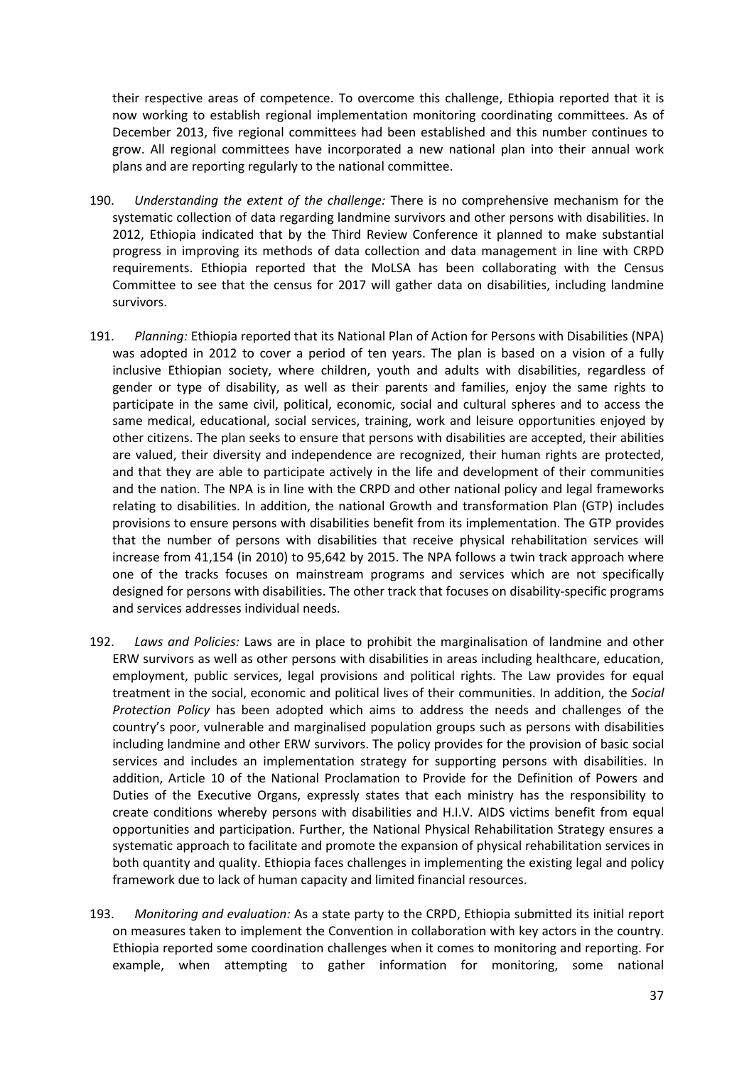their respective areas of competence. To overcome this challenge, Ethiopia reported that it is now working to establish regional implementation monitoring coordinating committees. As of December 2013, five regional committees had been established and this number continues to grow. All regional committees have incorporated a new national plan into their annual work plans and are reporting regularly to the national committee.

- 190. *Understanding the extent of the challenge:* There is no comprehensive mechanism for the systematic collection of data regarding landmine survivors and other persons with disabilities. In 2012, Ethiopia indicated that by the Third Review Conference it planned to make substantial progress in improving its methods of data collection and data management in line with CRPD requirements. Ethiopia reported that the MoLSA has been collaborating with the Census Committee to see that the census for 2017 will gather data on disabilities, including landmine survivors.
- 191. *Planning:* Ethiopia reported that its National Plan of Action for Persons with Disabilities (NPA) was adopted in 2012 to cover a period of ten years. The plan is based on a vision of a fully inclusive Ethiopian society, where children, youth and adults with disabilities, regardless of gender or type of disability, as well as their parents and families, enjoy the same rights to participate in the same civil, political, economic, social and cultural spheres and to access the same medical, educational, social services, training, work and leisure opportunities enjoyed by other citizens. The plan seeks to ensure that persons with disabilities are accepted, their abilities are valued, their diversity and independence are recognized, their human rights are protected, and that they are able to participate actively in the life and development of their communities and the nation. The NPA is in line with the CRPD and other national policy and legal frameworks relating to disabilities. In addition, the national Growth and transformation Plan (GTP) includes provisions to ensure persons with disabilities benefit from its implementation. The GTP provides that the number of persons with disabilities that receive physical rehabilitation services will increase from 41,154 (in 2010) to 95,642 by 2015. The NPA follows a twin track approach where one of the tracks focuses on mainstream programs and services which are not specifically designed for persons with disabilities. The other track that focuses on disability-specific programs and services addresses individual needs.
- 192. *Laws and Policies:* Laws are in place to prohibit the marginalisation of landmine and other ERW survivors as well as other persons with disabilities in areas including healthcare, education, employment, public services, legal provisions and political rights. The Law provides for equal treatment in the social, economic and political lives of their communities. In addition, the *Social Protection Policy* has been adopted which aims to address the needs and challenges of the country's poor, vulnerable and marginalised population groups such as persons with disabilities including landmine and other ERW survivors. The policy provides for the provision of basic social services and includes an implementation strategy for supporting persons with disabilities. In addition, Article 10 of the National Proclamation to Provide for the Definition of Powers and Duties of the Executive Organs, expressly states that each ministry has the responsibility to create conditions whereby persons with disabilities and H.I.V. AIDS victims benefit from equal opportunities and participation. Further, the National Physical Rehabilitation Strategy ensures a systematic approach to facilitate and promote the expansion of physical rehabilitation services in both quantity and quality. Ethiopia faces challenges in implementing the existing legal and policy framework due to lack of human capacity and limited financial resources.
- 193. *Monitoring and evaluation:* As a state party to the CRPD, Ethiopia submitted its initial report on measures taken to implement the Convention in collaboration with key actors in the country. Ethiopia reported some coordination challenges when it comes to monitoring and reporting. For example, when attempting to gather information for monitoring, some national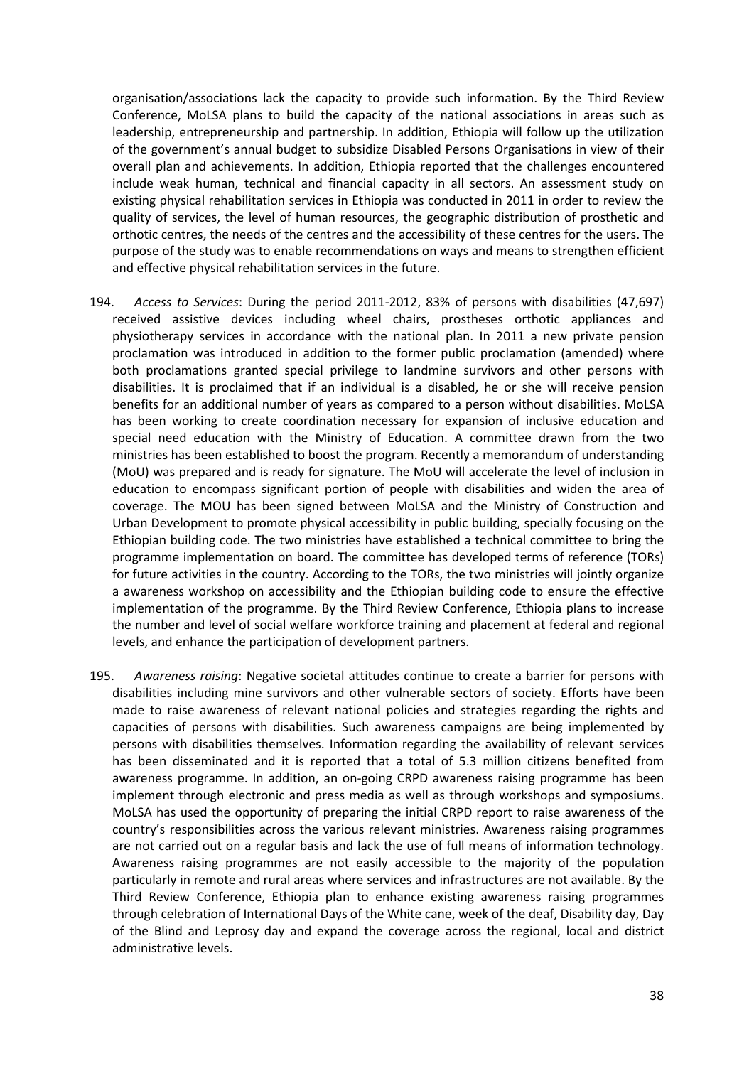organisation/associations lack the capacity to provide such information. By the Third Review Conference, MoLSA plans to build the capacity of the national associations in areas such as leadership, entrepreneurship and partnership. In addition, Ethiopia will follow up the utilization of the government's annual budget to subsidize Disabled Persons Organisations in view of their overall plan and achievements. In addition, Ethiopia reported that the challenges encountered include weak human, technical and financial capacity in all sectors. An assessment study on existing physical rehabilitation services in Ethiopia was conducted in 2011 in order to review the quality of services, the level of human resources, the geographic distribution of prosthetic and orthotic centres, the needs of the centres and the accessibility of these centres for the users. The purpose of the study was to enable recommendations on ways and means to strengthen efficient and effective physical rehabilitation services in the future.

- 194. *Access to Services*: During the period 2011-2012, 83% of persons with disabilities (47,697) received assistive devices including wheel chairs, prostheses orthotic appliances and physiotherapy services in accordance with the national plan. In 2011 a new private pension proclamation was introduced in addition to the former public proclamation (amended) where both proclamations granted special privilege to landmine survivors and other persons with disabilities. It is proclaimed that if an individual is a disabled, he or she will receive pension benefits for an additional number of years as compared to a person without disabilities. MoLSA has been working to create coordination necessary for expansion of inclusive education and special need education with the Ministry of Education. A committee drawn from the two ministries has been established to boost the program. Recently a memorandum of understanding (MoU) was prepared and is ready for signature. The MoU will accelerate the level of inclusion in education to encompass significant portion of people with disabilities and widen the area of coverage. The MOU has been signed between MoLSA and the Ministry of Construction and Urban Development to promote physical accessibility in public building, specially focusing on the Ethiopian building code. The two ministries have established a technical committee to bring the programme implementation on board. The committee has developed terms of reference (TORs) for future activities in the country. According to the TORs, the two ministries will jointly organize a awareness workshop on accessibility and the Ethiopian building code to ensure the effective implementation of the programme. By the Third Review Conference, Ethiopia plans to increase the number and level of social welfare workforce training and placement at federal and regional levels, and enhance the participation of development partners.
- 195. *Awareness raising*: Negative societal attitudes continue to create a barrier for persons with disabilities including mine survivors and other vulnerable sectors of society. Efforts have been made to raise awareness of relevant national policies and strategies regarding the rights and capacities of persons with disabilities. Such awareness campaigns are being implemented by persons with disabilities themselves. Information regarding the availability of relevant services has been disseminated and it is reported that a total of 5.3 million citizens benefited from awareness programme. In addition, an on-going CRPD awareness raising programme has been implement through electronic and press media as well as through workshops and symposiums. MoLSA has used the opportunity of preparing the initial CRPD report to raise awareness of the country's responsibilities across the various relevant ministries. Awareness raising programmes are not carried out on a regular basis and lack the use of full means of information technology. Awareness raising programmes are not easily accessible to the majority of the population particularly in remote and rural areas where services and infrastructures are not available. By the Third Review Conference, Ethiopia plan to enhance existing awareness raising programmes through celebration of International Days of the White cane, week of the deaf, Disability day, Day of the Blind and Leprosy day and expand the coverage across the regional, local and district administrative levels.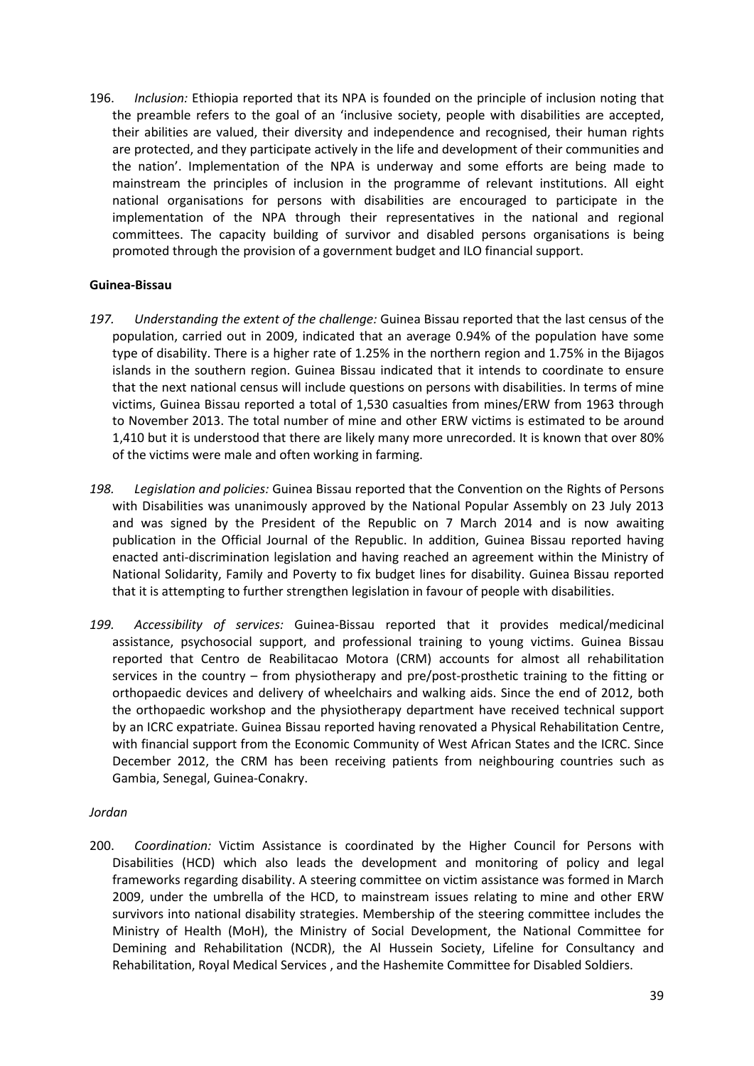196. *Inclusion:* Ethiopia reported that its NPA is founded on the principle of inclusion noting that the preamble refers to the goal of an 'inclusive society, people with disabilities are accepted, their abilities are valued, their diversity and independence and recognised, their human rights are protected, and they participate actively in the life and development of their communities and the nation'. Implementation of the NPA is underway and some efforts are being made to mainstream the principles of inclusion in the programme of relevant institutions. All eight national organisations for persons with disabilities are encouraged to participate in the implementation of the NPA through their representatives in the national and regional committees. The capacity building of survivor and disabled persons organisations is being promoted through the provision of a government budget and ILO financial support.

### **Guinea-Bissau**

- *197. Understanding the extent of the challenge:* Guinea Bissau reported that the last census of the population, carried out in 2009, indicated that an average 0.94% of the population have some type of disability. There is a higher rate of 1.25% in the northern region and 1.75% in the Bijagos islands in the southern region. Guinea Bissau indicated that it intends to coordinate to ensure that the next national census will include questions on persons with disabilities. In terms of mine victims, Guinea Bissau reported a total of 1,530 casualties from mines/ERW from 1963 through to November 2013. The total number of mine and other ERW victims is estimated to be around 1,410 but it is understood that there are likely many more unrecorded. It is known that over 80% of the victims were male and often working in farming.
- *198. Legislation and policies:* Guinea Bissau reported that the Convention on the Rights of Persons with Disabilities was unanimously approved by the National Popular Assembly on 23 July 2013 and was signed by the President of the Republic on 7 March 2014 and is now awaiting publication in the Official Journal of the Republic. In addition, Guinea Bissau reported having enacted anti-discrimination legislation and having reached an agreement within the Ministry of National Solidarity, Family and Poverty to fix budget lines for disability. Guinea Bissau reported that it is attempting to further strengthen legislation in favour of people with disabilities.
- *199. Accessibility of services:* Guinea-Bissau reported that it provides medical/medicinal assistance, psychosocial support, and professional training to young victims. Guinea Bissau reported that Centro de Reabilitacao Motora (CRM) accounts for almost all rehabilitation services in the country – from physiotherapy and pre/post-prosthetic training to the fitting or orthopaedic devices and delivery of wheelchairs and walking aids. Since the end of 2012, both the orthopaedic workshop and the physiotherapy department have received technical support by an ICRC expatriate. Guinea Bissau reported having renovated a Physical Rehabilitation Centre, with financial support from the Economic Community of West African States and the ICRC. Since December 2012, the CRM has been receiving patients from neighbouring countries such as Gambia, Senegal, Guinea-Conakry.

### *Jordan*

200. *Coordination:* Victim Assistance is coordinated by the Higher Council for Persons with Disabilities (HCD) which also leads the development and monitoring of policy and legal frameworks regarding disability. A steering committee on victim assistance was formed in March 2009, under the umbrella of the HCD, to mainstream issues relating to mine and other ERW survivors into national disability strategies. Membership of the steering committee includes the Ministry of Health (MoH), the Ministry of Social Development, the National Committee for Demining and Rehabilitation (NCDR), the Al Hussein Society, Lifeline for Consultancy and Rehabilitation, Royal Medical Services , and the Hashemite Committee for Disabled Soldiers.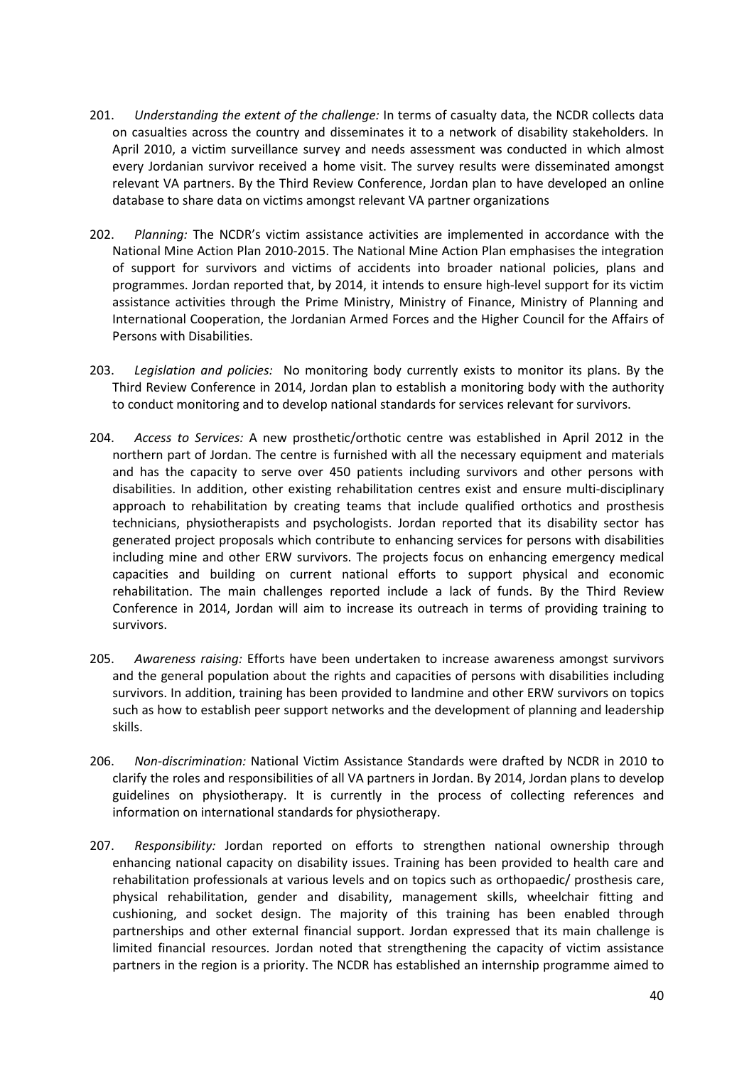- 201. *Understanding the extent of the challenge:* In terms of casualty data, the NCDR collects data on casualties across the country and disseminates it to a network of disability stakeholders. In April 2010, a victim surveillance survey and needs assessment was conducted in which almost every Jordanian survivor received a home visit. The survey results were disseminated amongst relevant VA partners. By the Third Review Conference, Jordan plan to have developed an online database to share data on victims amongst relevant VA partner organizations
- 202. *Planning:* The NCDR's victim assistance activities are implemented in accordance with the National Mine Action Plan 2010-2015. The National Mine Action Plan emphasises the integration of support for survivors and victims of accidents into broader national policies, plans and programmes. Jordan reported that, by 2014, it intends to ensure high-level support for its victim assistance activities through the Prime Ministry, Ministry of Finance, Ministry of Planning and International Cooperation, the Jordanian Armed Forces and the Higher Council for the Affairs of Persons with Disabilities.
- 203. *Legislation and policies:* No monitoring body currently exists to monitor its plans. By the Third Review Conference in 2014, Jordan plan to establish a monitoring body with the authority to conduct monitoring and to develop national standards for services relevant for survivors.
- 204. *Access to Services:* A new prosthetic/orthotic centre was established in April 2012 in the northern part of Jordan. The centre is furnished with all the necessary equipment and materials and has the capacity to serve over 450 patients including survivors and other persons with disabilities. In addition, other existing rehabilitation centres exist and ensure multi-disciplinary approach to rehabilitation by creating teams that include qualified orthotics and prosthesis technicians, physiotherapists and psychologists. Jordan reported that its disability sector has generated project proposals which contribute to enhancing services for persons with disabilities including mine and other ERW survivors. The projects focus on enhancing emergency medical capacities and building on current national efforts to support physical and economic rehabilitation. The main challenges reported include a lack of funds. By the Third Review Conference in 2014, Jordan will aim to increase its outreach in terms of providing training to survivors.
- 205. *Awareness raising:* Efforts have been undertaken to increase awareness amongst survivors and the general population about the rights and capacities of persons with disabilities including survivors. In addition, training has been provided to landmine and other ERW survivors on topics such as how to establish peer support networks and the development of planning and leadership skills.
- 206. *Non-discrimination:* National Victim Assistance Standards were drafted by NCDR in 2010 to clarify the roles and responsibilities of all VA partners in Jordan. By 2014, Jordan plans to develop guidelines on physiotherapy. It is currently in the process of collecting references and information on international standards for physiotherapy.
- 207. *Responsibility:* Jordan reported on efforts to strengthen national ownership through enhancing national capacity on disability issues. Training has been provided to health care and rehabilitation professionals at various levels and on topics such as orthopaedic/ prosthesis care, physical rehabilitation, gender and disability, management skills, wheelchair fitting and cushioning, and socket design. The majority of this training has been enabled through partnerships and other external financial support. Jordan expressed that its main challenge is limited financial resources. Jordan noted that strengthening the capacity of victim assistance partners in the region is a priority. The NCDR has established an internship programme aimed to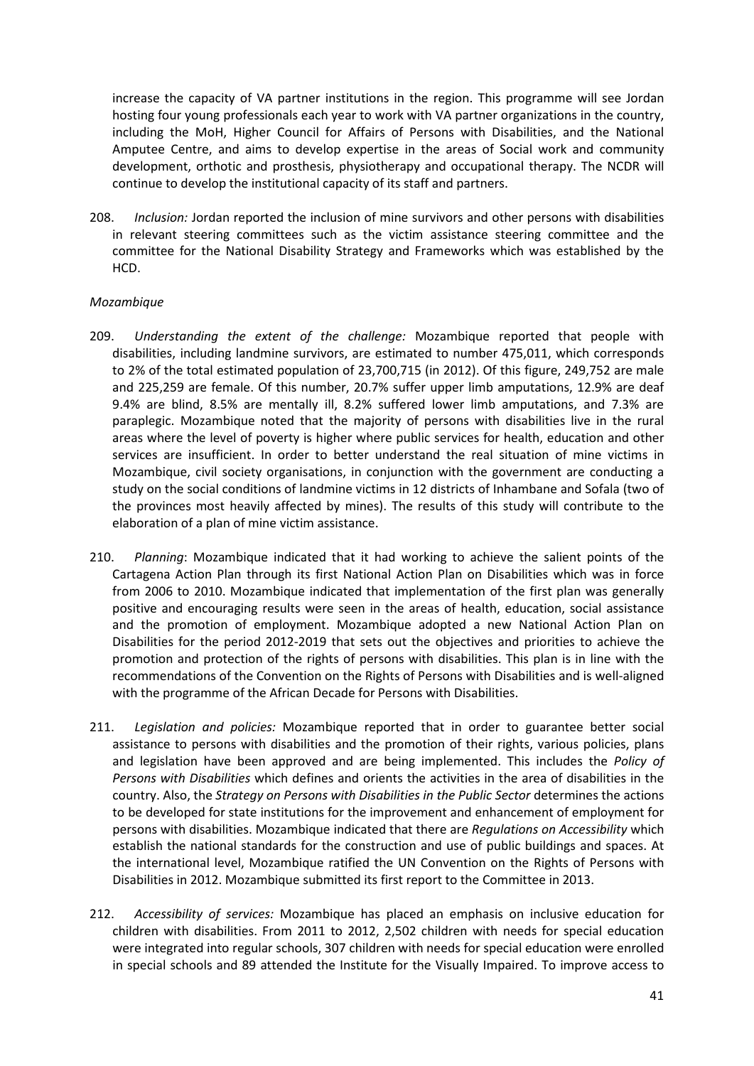increase the capacity of VA partner institutions in the region. This programme will see Jordan hosting four young professionals each year to work with VA partner organizations in the country, including the MoH, Higher Council for Affairs of Persons with Disabilities, and the National Amputee Centre, and aims to develop expertise in the areas of Social work and community development, orthotic and prosthesis, physiotherapy and occupational therapy. The NCDR will continue to develop the institutional capacity of its staff and partners.

208. *Inclusion:* Jordan reported the inclusion of mine survivors and other persons with disabilities in relevant steering committees such as the victim assistance steering committee and the committee for the National Disability Strategy and Frameworks which was established by the HCD.

# *Mozambique*

- 209. *Understanding the extent of the challenge:* Mozambique reported that people with disabilities, including landmine survivors, are estimated to number 475,011, which corresponds to 2% of the total estimated population of 23,700,715 (in 2012). Of this figure, 249,752 are male and 225,259 are female. Of this number, 20.7% suffer upper limb amputations, 12.9% are deaf 9.4% are blind, 8.5% are mentally ill, 8.2% suffered lower limb amputations, and 7.3% are paraplegic. Mozambique noted that the majority of persons with disabilities live in the rural areas where the level of poverty is higher where public services for health, education and other services are insufficient. In order to better understand the real situation of mine victims in Mozambique, civil society organisations, in conjunction with the government are conducting a study on the social conditions of landmine victims in 12 districts of Inhambane and Sofala (two of the provinces most heavily affected by mines). The results of this study will contribute to the elaboration of a plan of mine victim assistance.
- 210. *Planning*: Mozambique indicated that it had working to achieve the salient points of the Cartagena Action Plan through its first National Action Plan on Disabilities which was in force from 2006 to 2010. Mozambique indicated that implementation of the first plan was generally positive and encouraging results were seen in the areas of health, education, social assistance and the promotion of employment. Mozambique adopted a new National Action Plan on Disabilities for the period 2012-2019 that sets out the objectives and priorities to achieve the promotion and protection of the rights of persons with disabilities. This plan is in line with the recommendations of the Convention on the Rights of Persons with Disabilities and is well-aligned with the programme of the African Decade for Persons with Disabilities.
- 211. *Legislation and policies:* Mozambique reported that in order to guarantee better social assistance to persons with disabilities and the promotion of their rights, various policies, plans and legislation have been approved and are being implemented. This includes the *Policy of Persons with Disabilities* which defines and orients the activities in the area of disabilities in the country. Also, the *Strategy on Persons with Disabilities in the Public Sector* determines the actions to be developed for state institutions for the improvement and enhancement of employment for persons with disabilities. Mozambique indicated that there are *Regulations on Accessibility* which establish the national standards for the construction and use of public buildings and spaces. At the international level, Mozambique ratified the UN Convention on the Rights of Persons with Disabilities in 2012. Mozambique submitted its first report to the Committee in 2013.
- 212. *Accessibility of services:* Mozambique has placed an emphasis on inclusive education for children with disabilities. From 2011 to 2012, 2,502 children with needs for special education were integrated into regular schools, 307 children with needs for special education were enrolled in special schools and 89 attended the Institute for the Visually Impaired. To improve access to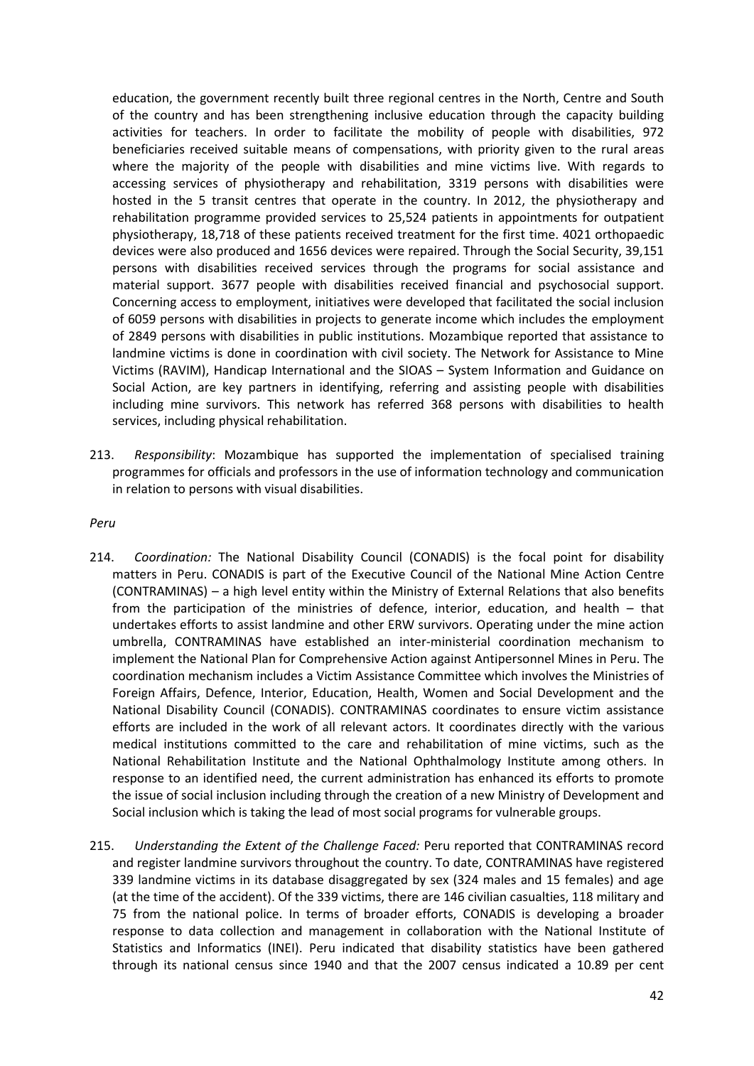education, the government recently built three regional centres in the North, Centre and South of the country and has been strengthening inclusive education through the capacity building activities for teachers. In order to facilitate the mobility of people with disabilities, 972 beneficiaries received suitable means of compensations, with priority given to the rural areas where the majority of the people with disabilities and mine victims live. With regards to accessing services of physiotherapy and rehabilitation, 3319 persons with disabilities were hosted in the 5 transit centres that operate in the country. In 2012, the physiotherapy and rehabilitation programme provided services to 25,524 patients in appointments for outpatient physiotherapy, 18,718 of these patients received treatment for the first time. 4021 orthopaedic devices were also produced and 1656 devices were repaired. Through the Social Security, 39,151 persons with disabilities received services through the programs for social assistance and material support. 3677 people with disabilities received financial and psychosocial support. Concerning access to employment, initiatives were developed that facilitated the social inclusion of 6059 persons with disabilities in projects to generate income which includes the employment of 2849 persons with disabilities in public institutions. Mozambique reported that assistance to landmine victims is done in coordination with civil society. The Network for Assistance to Mine Victims (RAVIM), Handicap International and the SIOAS – System Information and Guidance on Social Action, are key partners in identifying, referring and assisting people with disabilities including mine survivors. This network has referred 368 persons with disabilities to health services, including physical rehabilitation.

213. *Responsibility*: Mozambique has supported the implementation of specialised training programmes for officials and professors in the use of information technology and communication in relation to persons with visual disabilities.

#### *Peru*

- 214. *Coordination:* The National Disability Council (CONADIS) is the focal point for disability matters in Peru. CONADIS is part of the Executive Council of the National Mine Action Centre (CONTRAMINAS) – a high level entity within the Ministry of External Relations that also benefits from the participation of the ministries of defence, interior, education, and health – that undertakes efforts to assist landmine and other ERW survivors. Operating under the mine action umbrella, CONTRAMINAS have established an inter-ministerial coordination mechanism to implement the National Plan for Comprehensive Action against Antipersonnel Mines in Peru. The coordination mechanism includes a Victim Assistance Committee which involves the Ministries of Foreign Affairs, Defence, Interior, Education, Health, Women and Social Development and the National Disability Council (CONADIS). CONTRAMINAS coordinates to ensure victim assistance efforts are included in the work of all relevant actors. It coordinates directly with the various medical institutions committed to the care and rehabilitation of mine victims, such as the National Rehabilitation Institute and the National Ophthalmology Institute among others. In response to an identified need, the current administration has enhanced its efforts to promote the issue of social inclusion including through the creation of a new Ministry of Development and Social inclusion which is taking the lead of most social programs for vulnerable groups.
- 215. *Understanding the Extent of the Challenge Faced:* Peru reported that CONTRAMINAS record and register landmine survivors throughout the country. To date, CONTRAMINAS have registered 339 landmine victims in its database disaggregated by sex (324 males and 15 females) and age (at the time of the accident). Of the 339 victims, there are 146 civilian casualties, 118 military and 75 from the national police. In terms of broader efforts, CONADIS is developing a broader response to data collection and management in collaboration with the National Institute of Statistics and Informatics (INEI). Peru indicated that disability statistics have been gathered through its national census since 1940 and that the 2007 census indicated a 10.89 per cent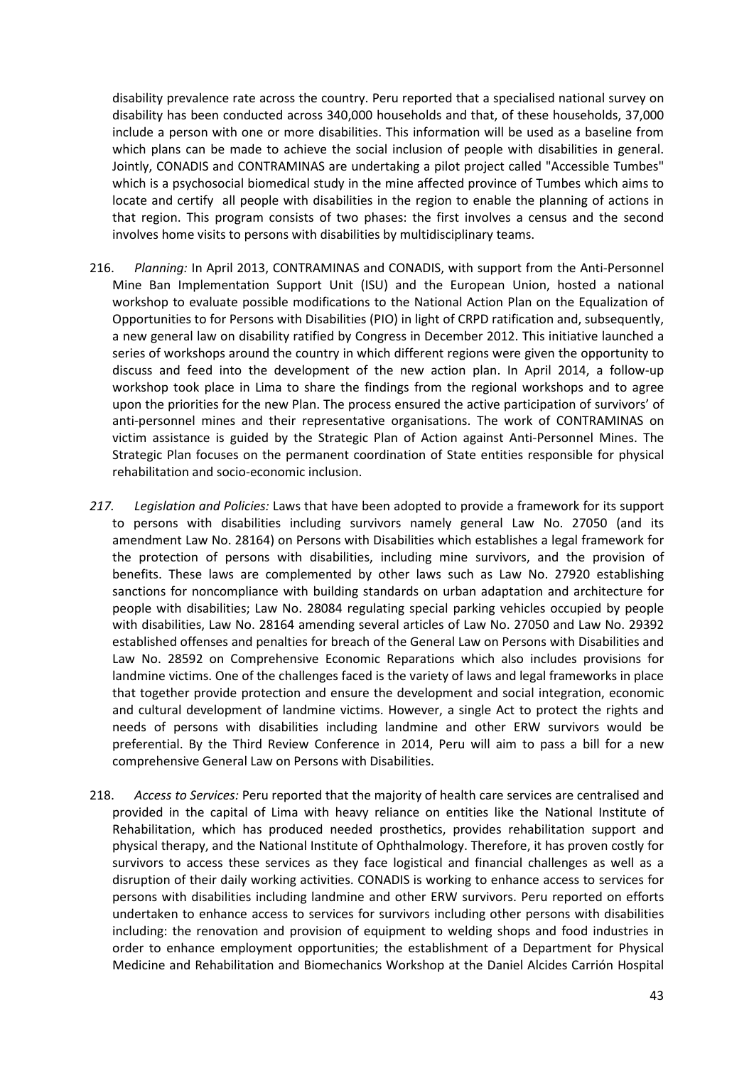disability prevalence rate across the country. Peru reported that a specialised national survey on disability has been conducted across 340,000 households and that, of these households, 37,000 include a person with one or more disabilities. This information will be used as a baseline from which plans can be made to achieve the social inclusion of people with disabilities in general. Jointly, CONADIS and CONTRAMINAS are undertaking a pilot project called "Accessible Tumbes" which is a psychosocial biomedical study in the mine affected province of Tumbes which aims to locate and certify all people with disabilities in the region to enable the planning of actions in that region. This program consists of two phases: the first involves a census and the second involves home visits to persons with disabilities by multidisciplinary teams.

- 216. *Planning:* In April 2013, CONTRAMINAS and CONADIS, with support from the Anti-Personnel Mine Ban Implementation Support Unit (ISU) and the European Union, hosted a national workshop to evaluate possible modifications to the National Action Plan on the Equalization of Opportunities to for Persons with Disabilities (PIO) in light of CRPD ratification and, subsequently, a new general law on disability ratified by Congress in December 2012. This initiative launched a series of workshops around the country in which different regions were given the opportunity to discuss and feed into the development of the new action plan. In April 2014, a follow-up workshop took place in Lima to share the findings from the regional workshops and to agree upon the priorities for the new Plan. The process ensured the active participation of survivors' of anti-personnel mines and their representative organisations. The work of CONTRAMINAS on victim assistance is guided by the Strategic Plan of Action against Anti-Personnel Mines. The Strategic Plan focuses on the permanent coordination of State entities responsible for physical rehabilitation and socio-economic inclusion.
- *217. Legislation and Policies:* Laws that have been adopted to provide a framework for its support to persons with disabilities including survivors namely general Law No. 27050 (and its amendment Law No. 28164) on Persons with Disabilities which establishes a legal framework for the protection of persons with disabilities, including mine survivors, and the provision of benefits. These laws are complemented by other laws such as Law No. 27920 establishing sanctions for noncompliance with building standards on urban adaptation and architecture for people with disabilities; Law No. 28084 regulating special parking vehicles occupied by people with disabilities, Law No. 28164 amending several articles of Law No. 27050 and Law No. 29392 established offenses and penalties for breach of the General Law on Persons with Disabilities and Law No. 28592 on Comprehensive Economic Reparations which also includes provisions for landmine victims. One of the challenges faced is the variety of laws and legal frameworks in place that together provide protection and ensure the development and social integration, economic and cultural development of landmine victims. However, a single Act to protect the rights and needs of persons with disabilities including landmine and other ERW survivors would be preferential. By the Third Review Conference in 2014, Peru will aim to pass a bill for a new comprehensive General Law on Persons with Disabilities.
- 218. *Access to Services:* Peru reported that the majority of health care services are centralised and provided in the capital of Lima with heavy reliance on entities like the National Institute of Rehabilitation, which has produced needed prosthetics, provides rehabilitation support and physical therapy, and the National Institute of Ophthalmology. Therefore, it has proven costly for survivors to access these services as they face logistical and financial challenges as well as a disruption of their daily working activities. CONADIS is working to enhance access to services for persons with disabilities including landmine and other ERW survivors. Peru reported on efforts undertaken to enhance access to services for survivors including other persons with disabilities including: the renovation and provision of equipment to welding shops and food industries in order to enhance employment opportunities; the establishment of a Department for Physical Medicine and Rehabilitation and Biomechanics Workshop at the Daniel Alcides Carrión Hospital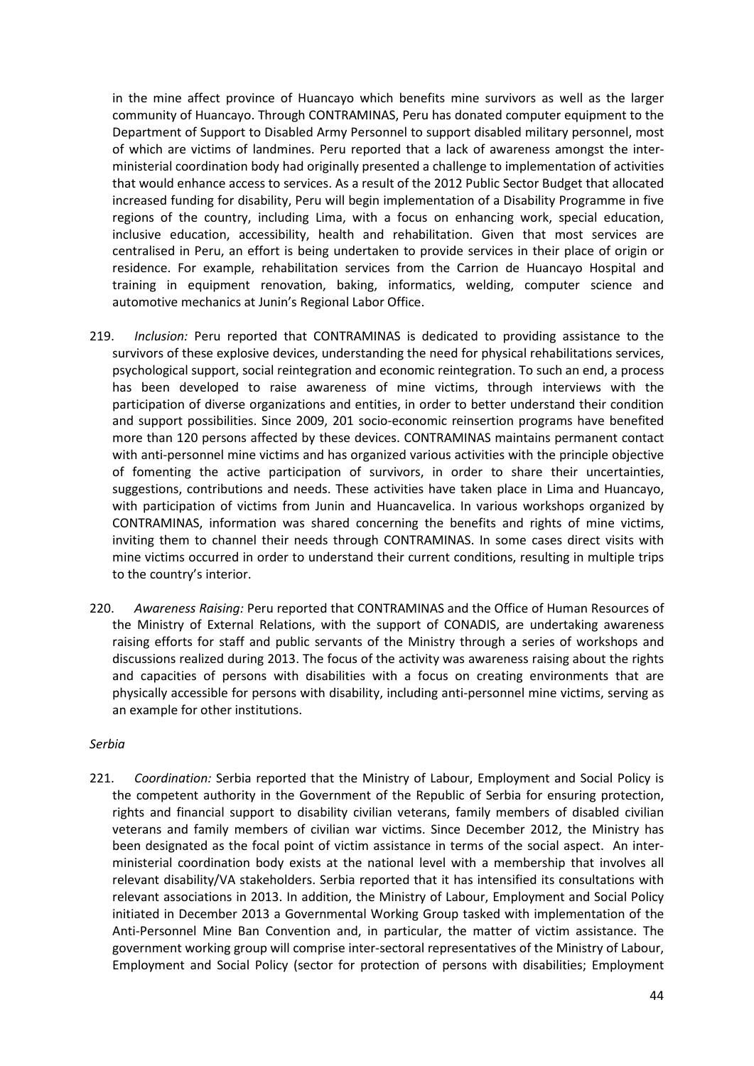in the mine affect province of Huancayo which benefits mine survivors as well as the larger community of Huancayo. Through CONTRAMINAS, Peru has donated computer equipment to the Department of Support to Disabled Army Personnel to support disabled military personnel, most of which are victims of landmines. Peru reported that a lack of awareness amongst the interministerial coordination body had originally presented a challenge to implementation of activities that would enhance access to services. As a result of the 2012 Public Sector Budget that allocated increased funding for disability, Peru will begin implementation of a Disability Programme in five regions of the country, including Lima, with a focus on enhancing work, special education, inclusive education, accessibility, health and rehabilitation. Given that most services are centralised in Peru, an effort is being undertaken to provide services in their place of origin or residence. For example, rehabilitation services from the Carrion de Huancayo Hospital and training in equipment renovation, baking, informatics, welding, computer science and automotive mechanics at Junin's Regional Labor Office.

- 219. *Inclusion:* Peru reported that CONTRAMINAS is dedicated to providing assistance to the survivors of these explosive devices, understanding the need for physical rehabilitations services, psychological support, social reintegration and economic reintegration. To such an end, a process has been developed to raise awareness of mine victims, through interviews with the participation of diverse organizations and entities, in order to better understand their condition and support possibilities. Since 2009, 201 socio-economic reinsertion programs have benefited more than 120 persons affected by these devices. CONTRAMINAS maintains permanent contact with anti-personnel mine victims and has organized various activities with the principle objective of fomenting the active participation of survivors, in order to share their uncertainties, suggestions, contributions and needs. These activities have taken place in Lima and Huancayo, with participation of victims from Junin and Huancavelica. In various workshops organized by CONTRAMINAS, information was shared concerning the benefits and rights of mine victims, inviting them to channel their needs through CONTRAMINAS. In some cases direct visits with mine victims occurred in order to understand their current conditions, resulting in multiple trips to the country's interior.
- 220. *Awareness Raising:* Peru reported that CONTRAMINAS and the Office of Human Resources of the Ministry of External Relations, with the support of CONADIS, are undertaking awareness raising efforts for staff and public servants of the Ministry through a series of workshops and discussions realized during 2013. The focus of the activity was awareness raising about the rights and capacities of persons with disabilities with a focus on creating environments that are physically accessible for persons with disability, including anti-personnel mine victims, serving as an example for other institutions.

### *Serbia*

221. *Coordination:* Serbia reported that the Ministry of Labour, Employment and Social Policy is the competent authority in the Government of the Republic of Serbia for ensuring protection, rights and financial support to disability civilian veterans, family members of disabled civilian veterans and family members of civilian war victims. Since December 2012, the Ministry has been designated as the focal point of victim assistance in terms of the social aspect. An interministerial coordination body exists at the national level with a membership that involves all relevant disability/VA stakeholders. Serbia reported that it has intensified its consultations with relevant associations in 2013. In addition, the Ministry of Labour, Employment and Social Policy initiated in December 2013 a Governmental Working Group tasked with implementation of the Anti-Personnel Mine Ban Convention and, in particular, the matter of victim assistance. The government working group will comprise inter-sectoral representatives of the Ministry of Labour, Employment and Social Policy (sector for protection of persons with disabilities; Employment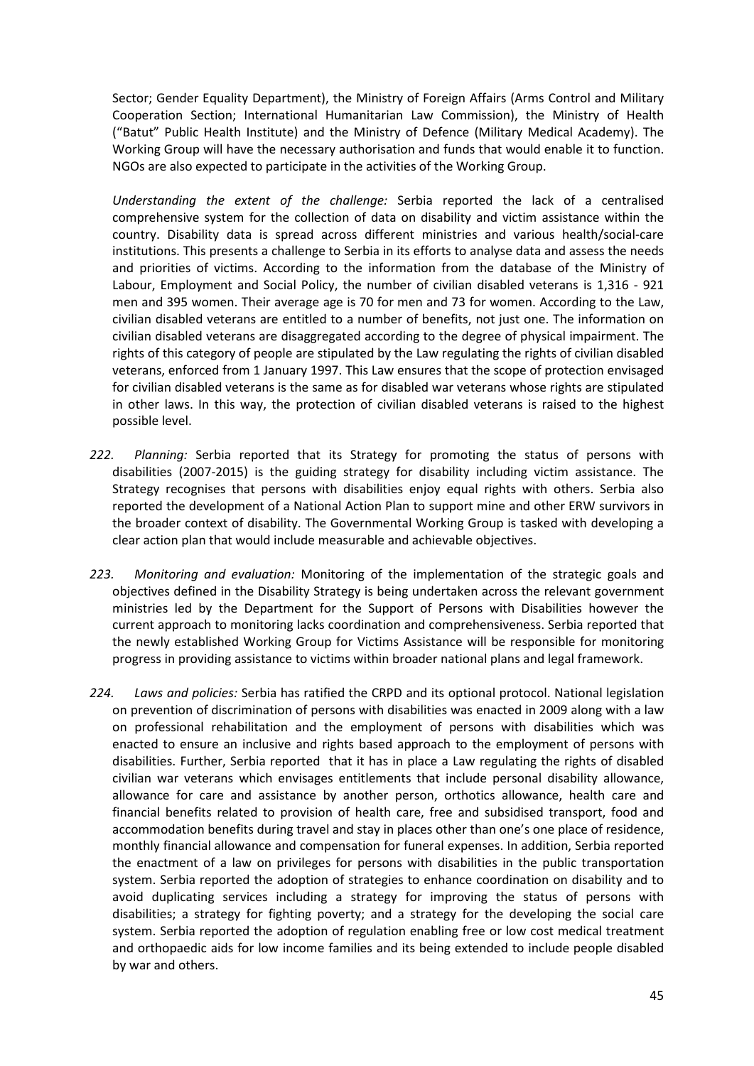Sector; Gender Equality Department), the Ministry of Foreign Affairs (Arms Control and Military Cooperation Section; International Humanitarian Law Commission), the Ministry of Health ("Batut" Public Health Institute) and the Ministry of Defence (Military Medical Academy). The Working Group will have the necessary authorisation and funds that would enable it to function. NGOs are also expected to participate in the activities of the Working Group.

*Understanding the extent of the challenge:* Serbia reported the lack of a centralised comprehensive system for the collection of data on disability and victim assistance within the country. Disability data is spread across different ministries and various health/social-care institutions. This presents a challenge to Serbia in its efforts to analyse data and assess the needs and priorities of victims. According to the information from the database of the Ministry of Labour, Employment and Social Policy, the number of civilian disabled veterans is 1,316 - 921 men and 395 women. Their average age is 70 for men and 73 for women. According to the Law, civilian disabled veterans are entitled to a number of benefits, not just one. The information on civilian disabled veterans are disaggregated according to the degree of physical impairment. The rights of this category of people are stipulated by the Law regulating the rights of civilian disabled veterans, enforced from 1 January 1997. This Law ensures that the scope of protection envisaged for civilian disabled veterans is the same as for disabled war veterans whose rights are stipulated in other laws. In this way, the protection of civilian disabled veterans is raised to the highest possible level.

- *222. Planning:* Serbia reported that its Strategy for promoting the status of persons with disabilities (2007-2015) is the guiding strategy for disability including victim assistance. The Strategy recognises that persons with disabilities enjoy equal rights with others. Serbia also reported the development of a National Action Plan to support mine and other ERW survivors in the broader context of disability. The Governmental Working Group is tasked with developing a clear action plan that would include measurable and achievable objectives.
- *223. Monitoring and evaluation:* Monitoring of the implementation of the strategic goals and objectives defined in the Disability Strategy is being undertaken across the relevant government ministries led by the Department for the Support of Persons with Disabilities however the current approach to monitoring lacks coordination and comprehensiveness. Serbia reported that the newly established Working Group for Victims Assistance will be responsible for monitoring progress in providing assistance to victims within broader national plans and legal framework.
- *224. Laws and policies:* Serbia has ratified the CRPD and its optional protocol. National legislation on prevention of discrimination of persons with disabilities was enacted in 2009 along with a law on professional rehabilitation and the employment of persons with disabilities which was enacted to ensure an inclusive and rights based approach to the employment of persons with disabilities. Further, Serbia reported that it has in place a Law regulating the rights of disabled civilian war veterans which envisages entitlements that include personal disability allowance, allowance for care and assistance by another person, orthotics allowance, health care and financial benefits related to provision of health care, free and subsidised transport, food and accommodation benefits during travel and stay in places other than one's one place of residence, monthly financial allowance and compensation for funeral expenses. In addition, Serbia reported the enactment of a law on privileges for persons with disabilities in the public transportation system. Serbia reported the adoption of strategies to enhance coordination on disability and to avoid duplicating services including a strategy for improving the status of persons with disabilities; a strategy for fighting poverty; and a strategy for the developing the social care system. Serbia reported the adoption of regulation enabling free or low cost medical treatment and orthopaedic aids for low income families and its being extended to include people disabled by war and others.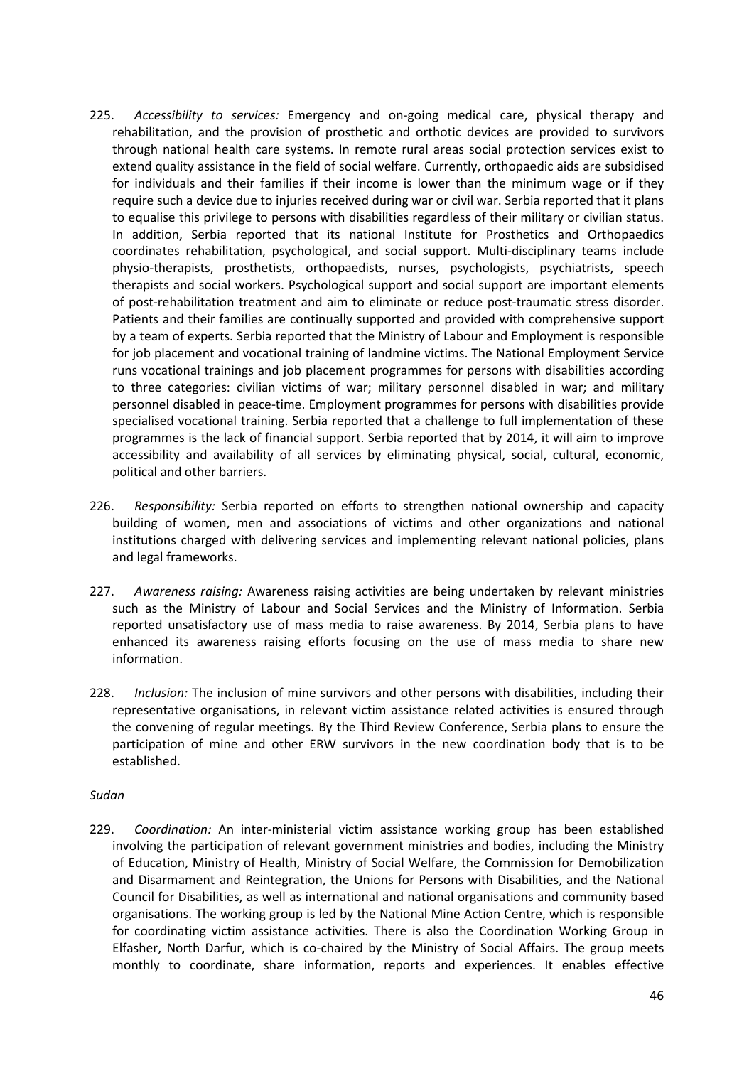- 225. *Accessibility to services:* Emergency and on-going medical care, physical therapy and rehabilitation, and the provision of prosthetic and orthotic devices are provided to survivors through national health care systems. In remote rural areas social protection services exist to extend quality assistance in the field of social welfare. Currently, orthopaedic aids are subsidised for individuals and their families if their income is lower than the minimum wage or if they require such a device due to injuries received during war or civil war. Serbia reported that it plans to equalise this privilege to persons with disabilities regardless of their military or civilian status. In addition, Serbia reported that its national Institute for Prosthetics and Orthopaedics coordinates rehabilitation, psychological, and social support. Multi-disciplinary teams include physio-therapists, prosthetists, orthopaedists, nurses, psychologists, psychiatrists, speech therapists and social workers. Psychological support and social support are important elements of post-rehabilitation treatment and aim to eliminate or reduce post-traumatic stress disorder. Patients and their families are continually supported and provided with comprehensive support by a team of experts. Serbia reported that the Ministry of Labour and Employment is responsible for job placement and vocational training of landmine victims. The National Employment Service runs vocational trainings and job placement programmes for persons with disabilities according to three categories: civilian victims of war; military personnel disabled in war; and military personnel disabled in peace-time. Employment programmes for persons with disabilities provide specialised vocational training. Serbia reported that a challenge to full implementation of these programmes is the lack of financial support. Serbia reported that by 2014, it will aim to improve accessibility and availability of all services by eliminating physical, social, cultural, economic, political and other barriers.
- 226. *Responsibility:* Serbia reported on efforts to strengthen national ownership and capacity building of women, men and associations of victims and other organizations and national institutions charged with delivering services and implementing relevant national policies, plans and legal frameworks.
- 227. *Awareness raising:* Awareness raising activities are being undertaken by relevant ministries such as the Ministry of Labour and Social Services and the Ministry of Information. Serbia reported unsatisfactory use of mass media to raise awareness. By 2014, Serbia plans to have enhanced its awareness raising efforts focusing on the use of mass media to share new information.
- 228. *Inclusion:* The inclusion of mine survivors and other persons with disabilities, including their representative organisations, in relevant victim assistance related activities is ensured through the convening of regular meetings. By the Third Review Conference, Serbia plans to ensure the participation of mine and other ERW survivors in the new coordination body that is to be established.

### *Sudan*

229. *Coordination:* An inter-ministerial victim assistance working group has been established involving the participation of relevant government ministries and bodies, including the Ministry of Education, Ministry of Health, Ministry of Social Welfare, the Commission for Demobilization and Disarmament and Reintegration, the Unions for Persons with Disabilities, and the National Council for Disabilities, as well as international and national organisations and community based organisations. The working group is led by the National Mine Action Centre, which is responsible for coordinating victim assistance activities. There is also the Coordination Working Group in Elfasher, North Darfur, which is co-chaired by the Ministry of Social Affairs. The group meets monthly to coordinate, share information, reports and experiences. It enables effective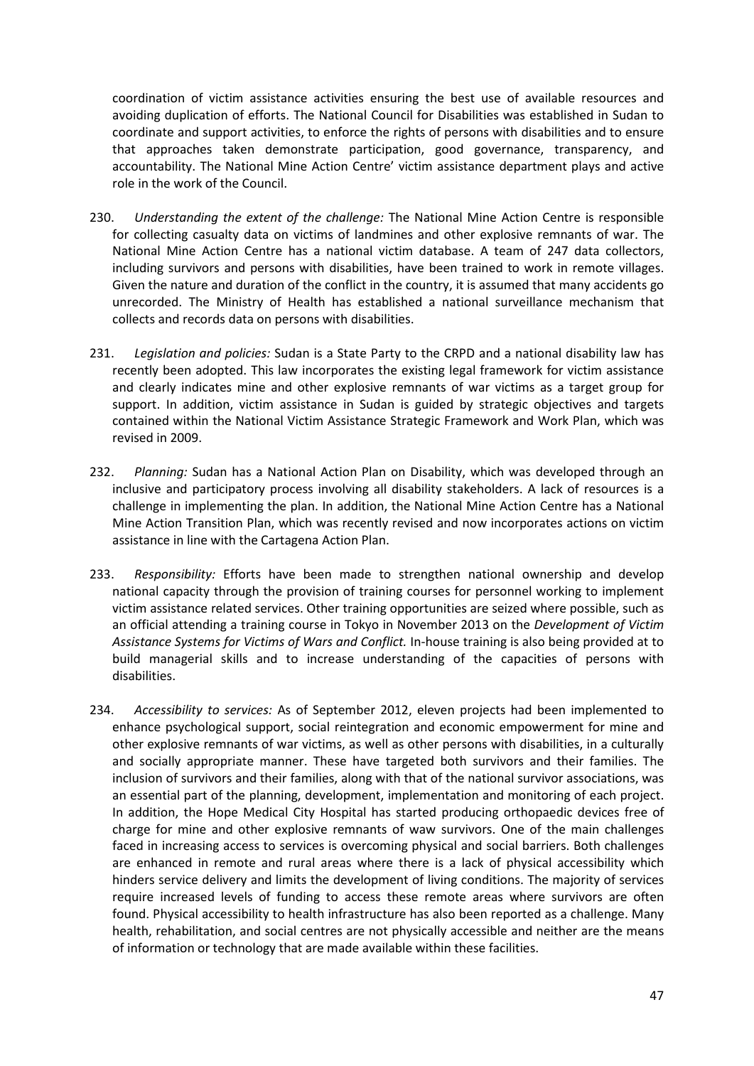coordination of victim assistance activities ensuring the best use of available resources and avoiding duplication of efforts. The National Council for Disabilities was established in Sudan to coordinate and support activities, to enforce the rights of persons with disabilities and to ensure that approaches taken demonstrate participation, good governance, transparency, and accountability. The National Mine Action Centre' victim assistance department plays and active role in the work of the Council.

- 230. *Understanding the extent of the challenge:* The National Mine Action Centre is responsible for collecting casualty data on victims of landmines and other explosive remnants of war. The National Mine Action Centre has a national victim database. A team of 247 data collectors, including survivors and persons with disabilities, have been trained to work in remote villages. Given the nature and duration of the conflict in the country, it is assumed that many accidents go unrecorded. The Ministry of Health has established a national surveillance mechanism that collects and records data on persons with disabilities.
- 231. *Legislation and policies:* Sudan is a State Party to the CRPD and a national disability law has recently been adopted. This law incorporates the existing legal framework for victim assistance and clearly indicates mine and other explosive remnants of war victims as a target group for support. In addition, victim assistance in Sudan is guided by strategic objectives and targets contained within the National Victim Assistance Strategic Framework and Work Plan, which was revised in 2009.
- 232. *Planning:* Sudan has a National Action Plan on Disability, which was developed through an inclusive and participatory process involving all disability stakeholders. A lack of resources is a challenge in implementing the plan. In addition, the National Mine Action Centre has a National Mine Action Transition Plan, which was recently revised and now incorporates actions on victim assistance in line with the Cartagena Action Plan.
- 233. *Responsibility:* Efforts have been made to strengthen national ownership and develop national capacity through the provision of training courses for personnel working to implement victim assistance related services. Other training opportunities are seized where possible, such as an official attending a training course in Tokyo in November 2013 on the *Development of Victim Assistance Systems for Victims of Wars and Conflict.* In-house training is also being provided at to build managerial skills and to increase understanding of the capacities of persons with disabilities.
- 234. *Accessibility to services:* As of September 2012, eleven projects had been implemented to enhance psychological support, social reintegration and economic empowerment for mine and other explosive remnants of war victims, as well as other persons with disabilities, in a culturally and socially appropriate manner. These have targeted both survivors and their families. The inclusion of survivors and their families, along with that of the national survivor associations, was an essential part of the planning, development, implementation and monitoring of each project. In addition, the Hope Medical City Hospital has started producing orthopaedic devices free of charge for mine and other explosive remnants of waw survivors. One of the main challenges faced in increasing access to services is overcoming physical and social barriers. Both challenges are enhanced in remote and rural areas where there is a lack of physical accessibility which hinders service delivery and limits the development of living conditions. The majority of services require increased levels of funding to access these remote areas where survivors are often found. Physical accessibility to health infrastructure has also been reported as a challenge. Many health, rehabilitation, and social centres are not physically accessible and neither are the means of information or technology that are made available within these facilities.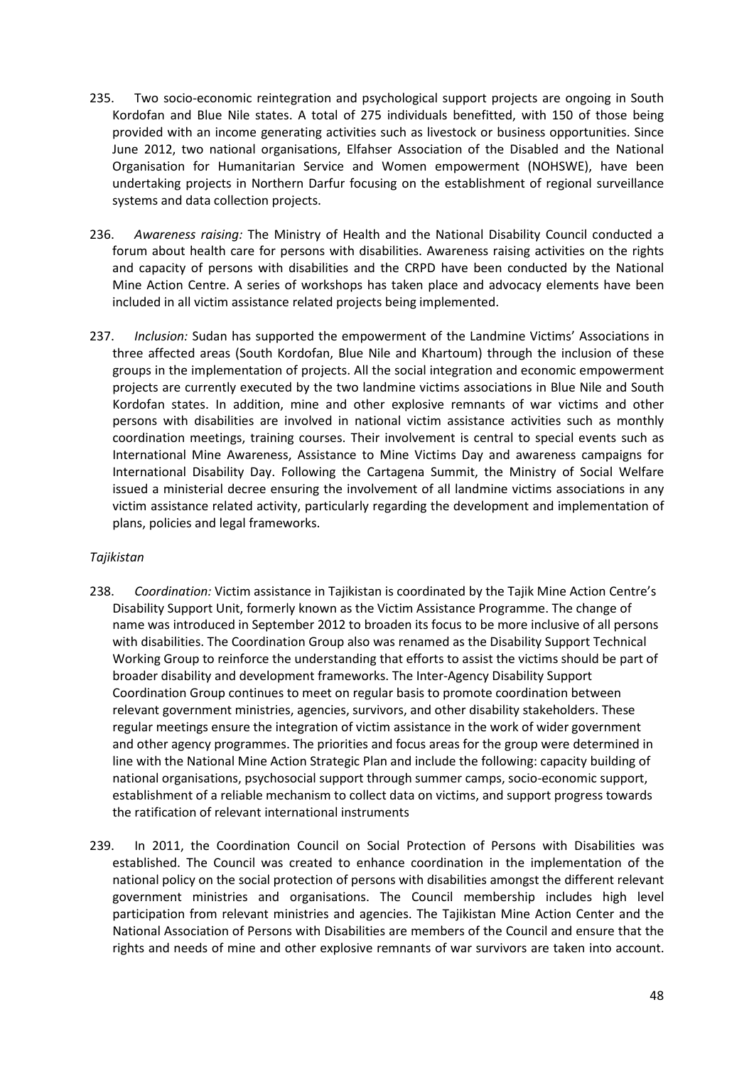- 235. Two socio-economic reintegration and psychological support projects are ongoing in South Kordofan and Blue Nile states. A total of 275 individuals benefitted, with 150 of those being provided with an income generating activities such as livestock or business opportunities. Since June 2012, two national organisations, Elfahser Association of the Disabled and the National Organisation for Humanitarian Service and Women empowerment (NOHSWE), have been undertaking projects in Northern Darfur focusing on the establishment of regional surveillance systems and data collection projects.
- 236. *Awareness raising:* The Ministry of Health and the National Disability Council conducted a forum about health care for persons with disabilities. Awareness raising activities on the rights and capacity of persons with disabilities and the CRPD have been conducted by the National Mine Action Centre. A series of workshops has taken place and advocacy elements have been included in all victim assistance related projects being implemented.
- 237. *Inclusion:* Sudan has supported the empowerment of the Landmine Victims' Associations in three affected areas (South Kordofan, Blue Nile and Khartoum) through the inclusion of these groups in the implementation of projects. All the social integration and economic empowerment projects are currently executed by the two landmine victims associations in Blue Nile and South Kordofan states. In addition, mine and other explosive remnants of war victims and other persons with disabilities are involved in national victim assistance activities such as monthly coordination meetings, training courses. Their involvement is central to special events such as International Mine Awareness, Assistance to Mine Victims Day and awareness campaigns for International Disability Day. Following the Cartagena Summit, the Ministry of Social Welfare issued a ministerial decree ensuring the involvement of all landmine victims associations in any victim assistance related activity, particularly regarding the development and implementation of plans, policies and legal frameworks.

### *Tajikistan*

- 238. *Coordination:* Victim assistance in Tajikistan is coordinated by the Tajik Mine Action Centre's Disability Support Unit, formerly known as the Victim Assistance Programme. The change of name was introduced in September 2012 to broaden its focus to be more inclusive of all persons with disabilities. The Coordination Group also was renamed as the Disability Support Technical Working Group to reinforce the understanding that efforts to assist the victims should be part of broader disability and development frameworks. The Inter-Agency Disability Support Coordination Group continues to meet on regular basis to promote coordination between relevant government ministries, agencies, survivors, and other disability stakeholders. These regular meetings ensure the integration of victim assistance in the work of wider government and other agency programmes. The priorities and focus areas for the group were determined in line with the National Mine Action Strategic Plan and include the following: capacity building of national organisations, psychosocial support through summer camps, socio-economic support, establishment of a reliable mechanism to collect data on victims, and support progress towards the ratification of relevant international instruments
- 239. In 2011, the Coordination Council on Social Protection of Persons with Disabilities was established. The Council was created to enhance coordination in the implementation of the national policy on the social protection of persons with disabilities amongst the different relevant government ministries and organisations. The Council membership includes high level participation from relevant ministries and agencies. The Tajikistan Mine Action Center and the National Association of Persons with Disabilities are members of the Council and ensure that the rights and needs of mine and other explosive remnants of war survivors are taken into account.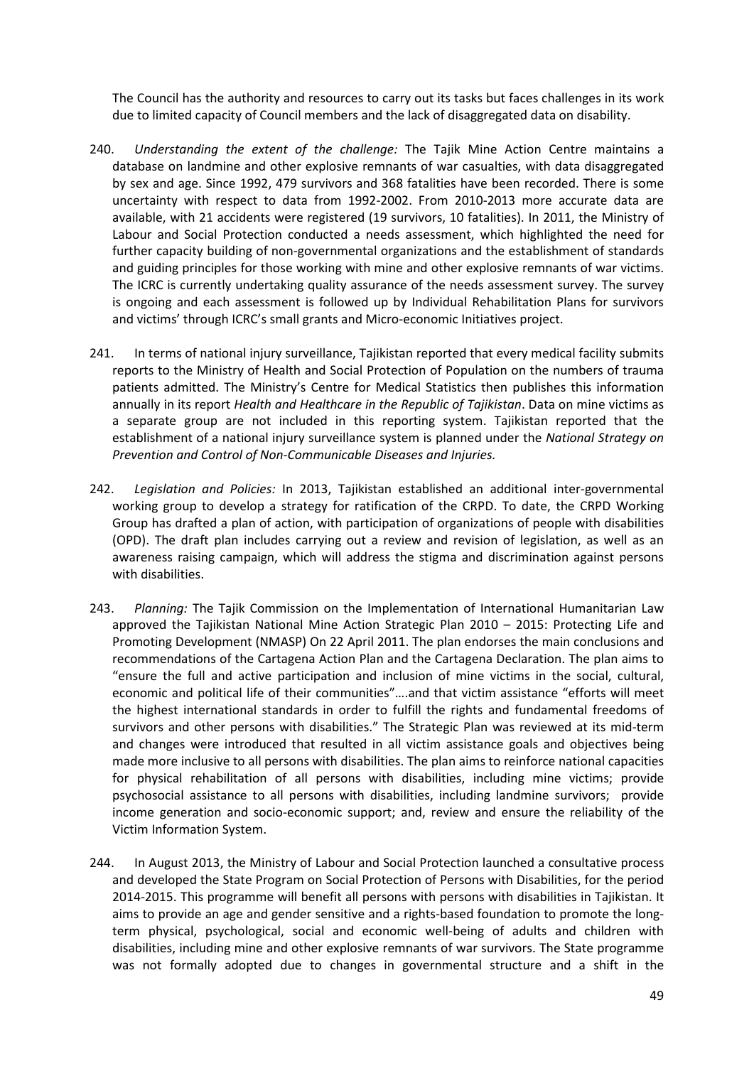The Council has the authority and resources to carry out its tasks but faces challenges in its work due to limited capacity of Council members and the lack of disaggregated data on disability.

- 240. *Understanding the extent of the challenge:* The Tajik Mine Action Centre maintains a database on landmine and other explosive remnants of war casualties, with data disaggregated by sex and age. Since 1992, 479 survivors and 368 fatalities have been recorded. There is some uncertainty with respect to data from 1992-2002. From 2010-2013 more accurate data are available, with 21 accidents were registered (19 survivors, 10 fatalities). In 2011, the Ministry of Labour and Social Protection conducted a needs assessment, which highlighted the need for further capacity building of non-governmental organizations and the establishment of standards and guiding principles for those working with mine and other explosive remnants of war victims. The ICRC is currently undertaking quality assurance of the needs assessment survey. The survey is ongoing and each assessment is followed up by Individual Rehabilitation Plans for survivors and victims' through ICRC's small grants and Micro-economic Initiatives project.
- 241. In terms of national injury surveillance, Tajikistan reported that every medical facility submits reports to the Ministry of Health and Social Protection of Population on the numbers of trauma patients admitted. The Ministry's Centre for Medical Statistics then publishes this information annually in its report *Health and Healthcare in the Republic of Tajikistan*. Data on mine victims as a separate group are not included in this reporting system. Tajikistan reported that the establishment of a national injury surveillance system is planned under the *National Strategy on Prevention and Control of Non-Communicable Diseases and Injuries.*
- 242. *Legislation and Policies:* In 2013, Tajikistan established an additional inter-governmental working group to develop a strategy for ratification of the CRPD. To date, the CRPD Working Group has drafted a plan of action, with participation of organizations of people with disabilities (OPD). The draft plan includes carrying out a review and revision of legislation, as well as an awareness raising campaign, which will address the stigma and discrimination against persons with disabilities.
- 243. *Planning:* The Tajik Commission on the Implementation of International Humanitarian Law approved the Tajikistan National Mine Action Strategic Plan 2010 – 2015: Protecting Life and Promoting Development (NMASP) On 22 April 2011. The plan endorses the main conclusions and recommendations of the Cartagena Action Plan and the Cartagena Declaration. The plan aims to "ensure the full and active participation and inclusion of mine victims in the social, cultural, economic and political life of their communities"….and that victim assistance "efforts will meet the highest international standards in order to fulfill the rights and fundamental freedoms of survivors and other persons with disabilities." The Strategic Plan was reviewed at its mid-term and changes were introduced that resulted in all victim assistance goals and objectives being made more inclusive to all persons with disabilities. The plan aims to reinforce national capacities for physical rehabilitation of all persons with disabilities, including mine victims; provide psychosocial assistance to all persons with disabilities, including landmine survivors; provide income generation and socio-economic support; and, review and ensure the reliability of the Victim Information System.
- 244. In August 2013, the Ministry of Labour and Social Protection launched a consultative process and developed the State Program on Social Protection of Persons with Disabilities, for the period 2014-2015. This programme will benefit all persons with persons with disabilities in Tajikistan. It aims to provide an age and gender sensitive and a rights-based foundation to promote the longterm physical, psychological, social and economic well-being of adults and children with disabilities, including mine and other explosive remnants of war survivors. The State programme was not formally adopted due to changes in governmental structure and a shift in the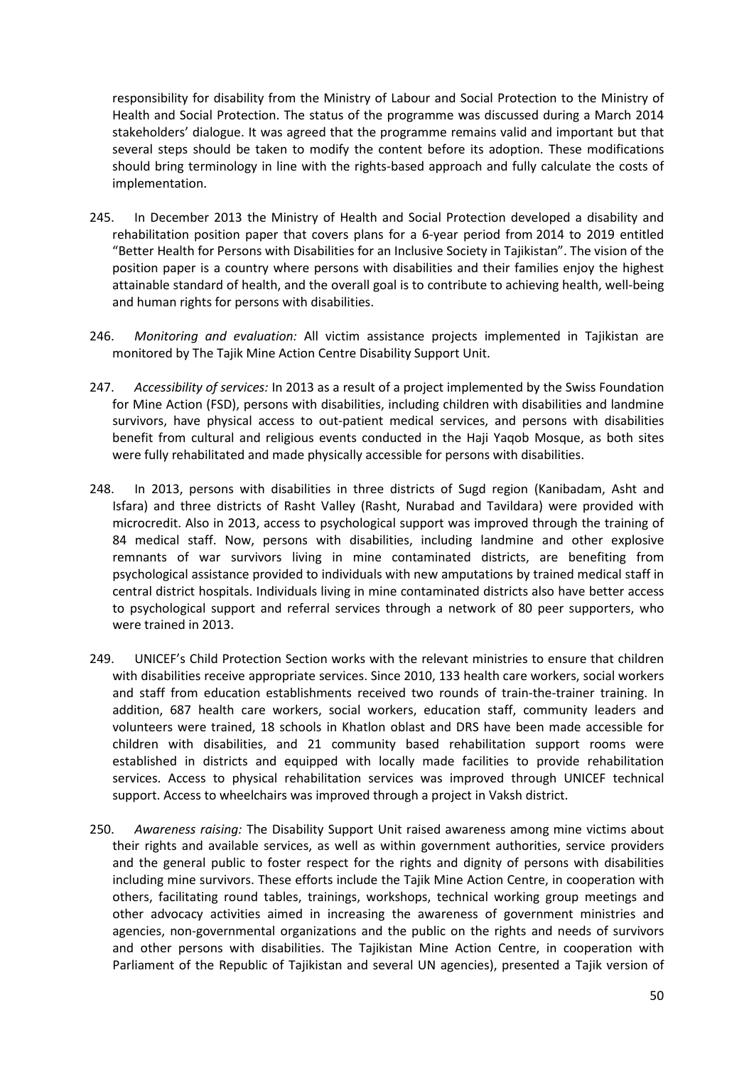responsibility for disability from the Ministry of Labour and Social Protection to the Ministry of Health and Social Protection. The status of the programme was discussed during a March 2014 stakeholders' dialogue. It was agreed that the programme remains valid and important but that several steps should be taken to modify the content before its adoption. These modifications should bring terminology in line with the rights-based approach and fully calculate the costs of implementation.

- 245. In December 2013 the Ministry of Health and Social Protection developed a disability and rehabilitation position paper that covers plans for a 6-year period from 2014 to 2019 entitled "Better Health for Persons with Disabilities for an Inclusive Society in Tajikistan". The vision of the position paper is a country where persons with disabilities and their families enjoy the highest attainable standard of health, and the overall goal is to contribute to achieving health, well-being and human rights for persons with disabilities.
- 246. *Monitoring and evaluation:* All victim assistance projects implemented in Tajikistan are monitored by The Tajik Mine Action Centre Disability Support Unit.
- 247. *Accessibility of services:* In 2013 as a result of a project implemented by the Swiss Foundation for Mine Action (FSD), persons with disabilities, including children with disabilities and landmine survivors, have physical access to out-patient medical services, and persons with disabilities benefit from cultural and religious events conducted in the Haji Yaqob Mosque, as both sites were fully rehabilitated and made physically accessible for persons with disabilities.
- 248. In 2013, persons with disabilities in three districts of Sugd region (Kanibadam, Asht and Isfara) and three districts of Rasht Valley (Rasht, Nurabad and Tavildara) were provided with microcredit. Also in 2013, access to psychological support was improved through the training of 84 medical staff. Now, persons with disabilities, including landmine and other explosive remnants of war survivors living in mine contaminated districts, are benefiting from psychological assistance provided to individuals with new amputations by trained medical staff in central district hospitals. Individuals living in mine contaminated districts also have better access to psychological support and referral services through a network of 80 peer supporters, who were trained in 2013.
- 249. UNICEF's Child Protection Section works with the relevant ministries to ensure that children with disabilities receive appropriate services. Since 2010, 133 health care workers, social workers and staff from education establishments received two rounds of train-the-trainer training. In addition, 687 health care workers, social workers, education staff, community leaders and volunteers were trained, 18 schools in Khatlon oblast and DRS have been made accessible for children with disabilities, and 21 community based rehabilitation support rooms were established in districts and equipped with locally made facilities to provide rehabilitation services. Access to physical rehabilitation services was improved through UNICEF technical support. Access to wheelchairs was improved through a project in Vaksh district.
- 250. *Awareness raising:* The Disability Support Unit raised awareness among mine victims about their rights and available services, as well as within government authorities, service providers and the general public to foster respect for the rights and dignity of persons with disabilities including mine survivors. These efforts include the Tajik Mine Action Centre, in cooperation with others, facilitating round tables, trainings, workshops, technical working group meetings and other advocacy activities aimed in increasing the awareness of government ministries and agencies, non-governmental organizations and the public on the rights and needs of survivors and other persons with disabilities. The Tajikistan Mine Action Centre, in cooperation with Parliament of the Republic of Tajikistan and several UN agencies), presented a Tajik version of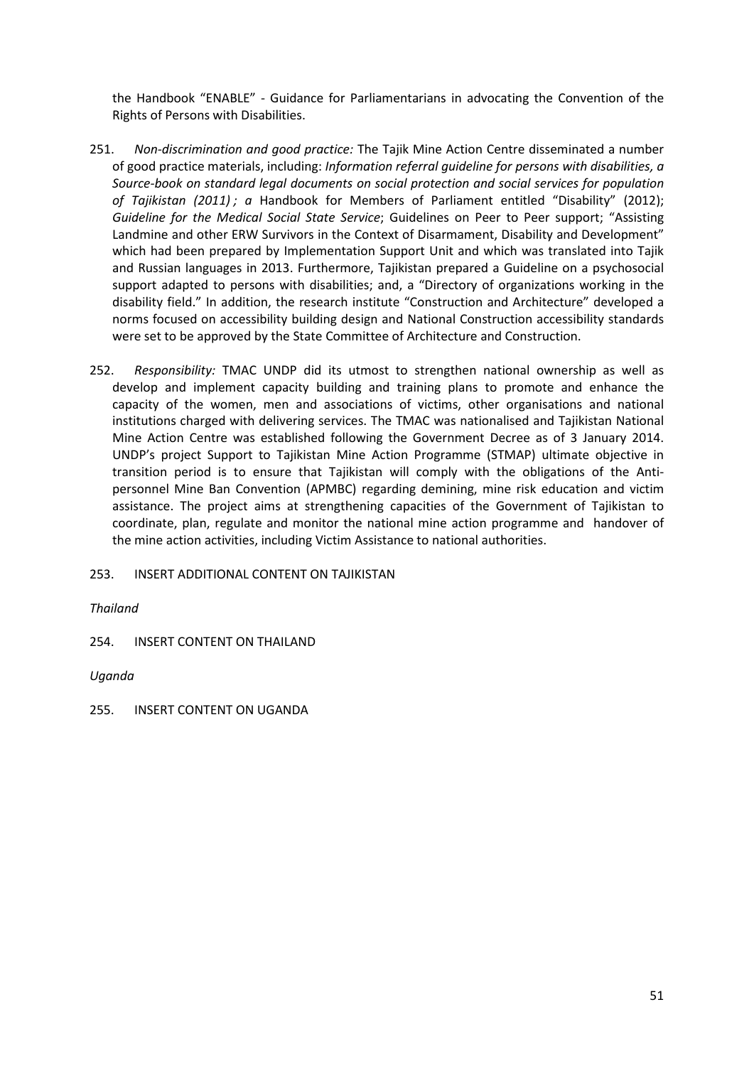the Handbook "ENABLE" - Guidance for Parliamentarians in advocating the Convention of the Rights of Persons with Disabilities.

- 251. *Non-discrimination and good practice:* The Tajik Mine Action Centre disseminated a number of good practice materials, including: *Information referral guideline for persons with disabilities, a Source-book on standard legal documents on social protection and social services for population of Tajikistan (2011) ; a* Handbook for Members of Parliament entitled "Disability" (2012); *Guideline for the Medical Social State Service*; Guidelines on Peer to Peer support; "Assisting Landmine and other ERW Survivors in the Context of Disarmament, Disability and Development" which had been prepared by Implementation Support Unit and which was translated into Tajik and Russian languages in 2013. Furthermore, Tajikistan prepared a Guideline on a psychosocial support adapted to persons with disabilities; and, a "Directory of organizations working in the disability field." In addition, the research institute "Construction and Architecture" developed a norms focused on accessibility building design and National Construction accessibility standards were set to be approved by the State Committee of Architecture and Construction.
- 252. *Responsibility:* TMAC UNDP did its utmost to strengthen national ownership as well as develop and implement capacity building and training plans to promote and enhance the capacity of the women, men and associations of victims, other organisations and national institutions charged with delivering services. The TMAC was nationalised and Tajikistan National Mine Action Centre was established following the Government Decree as of 3 January 2014. UNDP's project Support to Tajikistan Mine Action Programme (STMAP) ultimate objective in transition period is to ensure that Tajikistan will comply with the obligations of the Antipersonnel Mine Ban Convention (APMBC) regarding demining, mine risk education and victim assistance. The project aims at strengthening capacities of the Government of Tajikistan to coordinate, plan, regulate and monitor the national mine action programme and handover of the mine action activities, including Victim Assistance to national authorities.

253. INSERT ADDITIONAL CONTENT ON TAJIKISTAN

*Thailand*

254. INSERT CONTENT ON THAILAND

*Uganda*

255. INSERT CONTENT ON UGANDA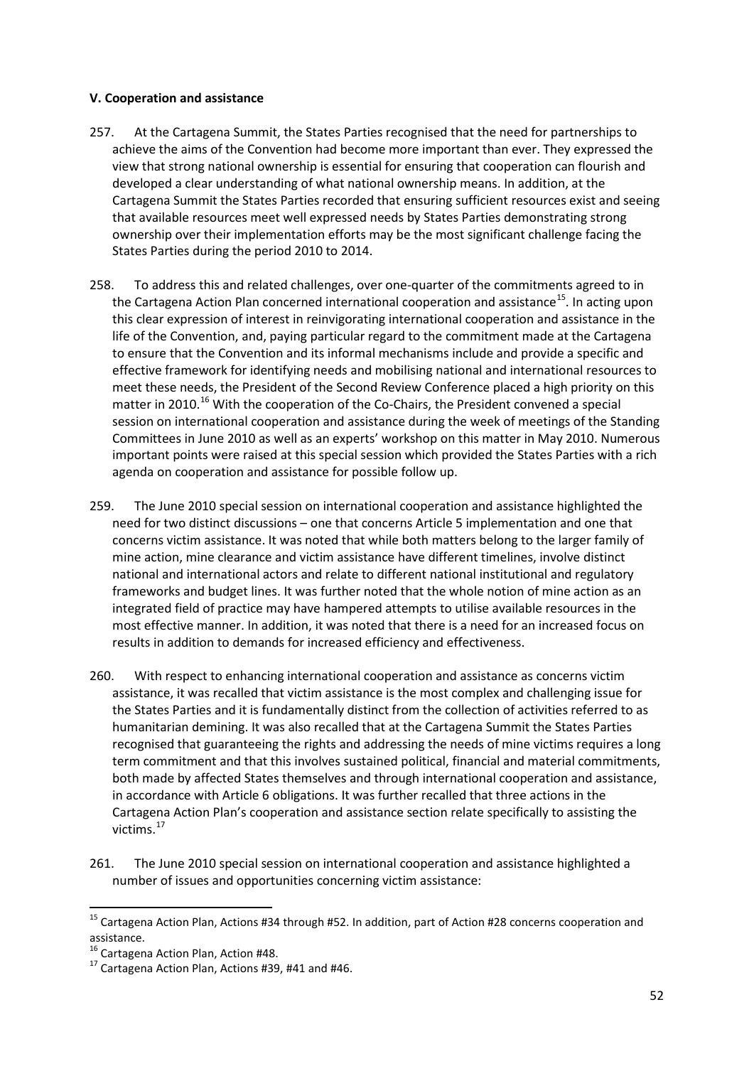## **V. Cooperation and assistance**

- 257. At the Cartagena Summit, the States Parties recognised that the need for partnerships to achieve the aims of the Convention had become more important than ever. They expressed the view that strong national ownership is essential for ensuring that cooperation can flourish and developed a clear understanding of what national ownership means. In addition, at the Cartagena Summit the States Parties recorded that ensuring sufficient resources exist and seeing that available resources meet well expressed needs by States Parties demonstrating strong ownership over their implementation efforts may be the most significant challenge facing the States Parties during the period 2010 to 2014.
- 258. To address this and related challenges, over one-quarter of the commitments agreed to in the Cartagena Action Plan concerned international cooperation and assistance<sup>15</sup>. In acting upon this clear expression of interest in reinvigorating international cooperation and assistance in the life of the Convention, and, paying particular regard to the commitment made at the Cartagena to ensure that the Convention and its informal mechanisms include and provide a specific and effective framework for identifying needs and mobilising national and international resources to meet these needs, the President of the Second Review Conference placed a high priority on this matter in 2010.<sup>[16](#page-51-1)</sup> With the cooperation of the Co-Chairs, the President convened a special session on international cooperation and assistance during the week of meetings of the Standing Committees in June 2010 as well as an experts' workshop on this matter in May 2010. Numerous important points were raised at this special session which provided the States Parties with a rich agenda on cooperation and assistance for possible follow up.
- 259. The June 2010 special session on international cooperation and assistance highlighted the need for two distinct discussions – one that concerns Article 5 implementation and one that concerns victim assistance. It was noted that while both matters belong to the larger family of mine action, mine clearance and victim assistance have different timelines, involve distinct national and international actors and relate to different national institutional and regulatory frameworks and budget lines. It was further noted that the whole notion of mine action as an integrated field of practice may have hampered attempts to utilise available resources in the most effective manner. In addition, it was noted that there is a need for an increased focus on results in addition to demands for increased efficiency and effectiveness.
- 260. With respect to enhancing international cooperation and assistance as concerns victim assistance, it was recalled that victim assistance is the most complex and challenging issue for the States Parties and it is fundamentally distinct from the collection of activities referred to as humanitarian demining. It was also recalled that at the Cartagena Summit the States Parties recognised that guaranteeing the rights and addressing the needs of mine victims requires a long term commitment and that this involves sustained political, financial and material commitments, both made by affected States themselves and through international cooperation and assistance, in accordance with Article 6 obligations. It was further recalled that three actions in the Cartagena Action Plan's cooperation and assistance section relate specifically to assisting the victims.[17](#page-51-2)
- 261. The June 2010 special session on international cooperation and assistance highlighted a number of issues and opportunities concerning victim assistance:

<span id="page-51-0"></span><sup>&</sup>lt;sup>15</sup> Cartagena Action Plan, Actions #34 through #52. In addition, part of Action #28 concerns cooperation and assistance.<br><sup>16</sup> Cartagena Action Plan, Action #48.

<span id="page-51-1"></span>

<span id="page-51-2"></span> $17$  Cartagena Action Plan, Actions #39, #41 and #46.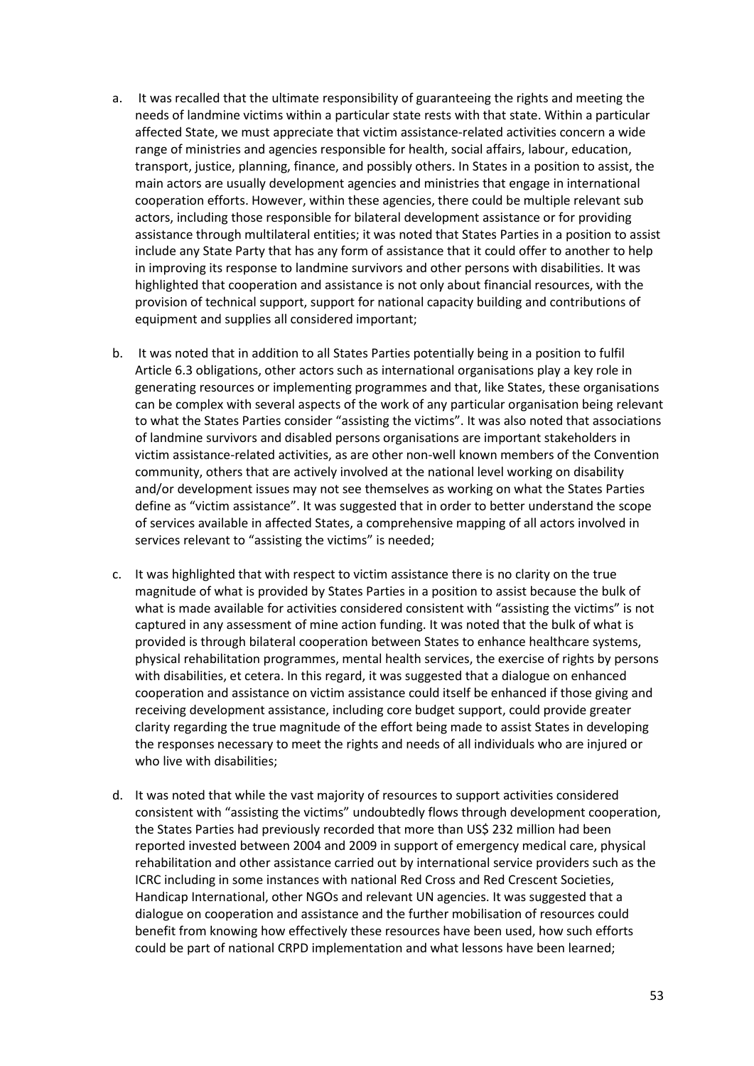- a. It was recalled that the ultimate responsibility of guaranteeing the rights and meeting the needs of landmine victims within a particular state rests with that state. Within a particular affected State, we must appreciate that victim assistance-related activities concern a wide range of ministries and agencies responsible for health, social affairs, labour, education, transport, justice, planning, finance, and possibly others. In States in a position to assist, the main actors are usually development agencies and ministries that engage in international cooperation efforts. However, within these agencies, there could be multiple relevant sub actors, including those responsible for bilateral development assistance or for providing assistance through multilateral entities; it was noted that States Parties in a position to assist include any State Party that has any form of assistance that it could offer to another to help in improving its response to landmine survivors and other persons with disabilities. It was highlighted that cooperation and assistance is not only about financial resources, with the provision of technical support, support for national capacity building and contributions of equipment and supplies all considered important;
- b. It was noted that in addition to all States Parties potentially being in a position to fulfil Article 6.3 obligations, other actors such as international organisations play a key role in generating resources or implementing programmes and that, like States, these organisations can be complex with several aspects of the work of any particular organisation being relevant to what the States Parties consider "assisting the victims". It was also noted that associations of landmine survivors and disabled persons organisations are important stakeholders in victim assistance-related activities, as are other non-well known members of the Convention community, others that are actively involved at the national level working on disability and/or development issues may not see themselves as working on what the States Parties define as "victim assistance". It was suggested that in order to better understand the scope of services available in affected States, a comprehensive mapping of all actors involved in services relevant to "assisting the victims" is needed;
- c. It was highlighted that with respect to victim assistance there is no clarity on the true magnitude of what is provided by States Parties in a position to assist because the bulk of what is made available for activities considered consistent with "assisting the victims" is not captured in any assessment of mine action funding. It was noted that the bulk of what is provided is through bilateral cooperation between States to enhance healthcare systems, physical rehabilitation programmes, mental health services, the exercise of rights by persons with disabilities, et cetera. In this regard, it was suggested that a dialogue on enhanced cooperation and assistance on victim assistance could itself be enhanced if those giving and receiving development assistance, including core budget support, could provide greater clarity regarding the true magnitude of the effort being made to assist States in developing the responses necessary to meet the rights and needs of all individuals who are injured or who live with disabilities;
- d. It was noted that while the vast majority of resources to support activities considered consistent with "assisting the victims" undoubtedly flows through development cooperation, the States Parties had previously recorded that more than US\$ 232 million had been reported invested between 2004 and 2009 in support of emergency medical care, physical rehabilitation and other assistance carried out by international service providers such as the ICRC including in some instances with national Red Cross and Red Crescent Societies, Handicap International, other NGOs and relevant UN agencies. It was suggested that a dialogue on cooperation and assistance and the further mobilisation of resources could benefit from knowing how effectively these resources have been used, how such efforts could be part of national CRPD implementation and what lessons have been learned;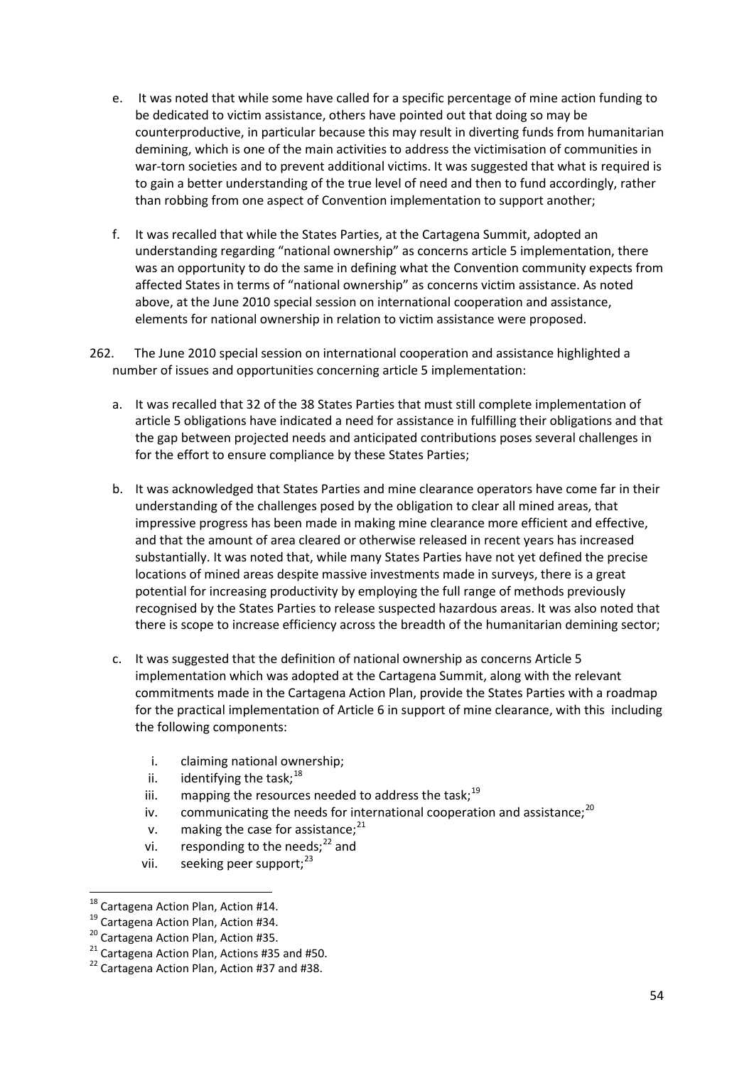- e. It was noted that while some have called for a specific percentage of mine action funding to be dedicated to victim assistance, others have pointed out that doing so may be counterproductive, in particular because this may result in diverting funds from humanitarian demining, which is one of the main activities to address the victimisation of communities in war-torn societies and to prevent additional victims. It was suggested that what is required is to gain a better understanding of the true level of need and then to fund accordingly, rather than robbing from one aspect of Convention implementation to support another;
- f. It was recalled that while the States Parties, at the Cartagena Summit, adopted an understanding regarding "national ownership" as concerns article 5 implementation, there was an opportunity to do the same in defining what the Convention community expects from affected States in terms of "national ownership" as concerns victim assistance. As noted above, at the June 2010 special session on international cooperation and assistance, elements for national ownership in relation to victim assistance were proposed.
- 262. The June 2010 special session on international cooperation and assistance highlighted a number of issues and opportunities concerning article 5 implementation:
	- a. It was recalled that 32 of the 38 States Parties that must still complete implementation of article 5 obligations have indicated a need for assistance in fulfilling their obligations and that the gap between projected needs and anticipated contributions poses several challenges in for the effort to ensure compliance by these States Parties;
	- b. It was acknowledged that States Parties and mine clearance operators have come far in their understanding of the challenges posed by the obligation to clear all mined areas, that impressive progress has been made in making mine clearance more efficient and effective, and that the amount of area cleared or otherwise released in recent years has increased substantially. It was noted that, while many States Parties have not yet defined the precise locations of mined areas despite massive investments made in surveys, there is a great potential for increasing productivity by employing the full range of methods previously recognised by the States Parties to release suspected hazardous areas. It was also noted that there is scope to increase efficiency across the breadth of the humanitarian demining sector;
	- c. It was suggested that the definition of national ownership as concerns Article 5 implementation which was adopted at the Cartagena Summit, along with the relevant commitments made in the Cartagena Action Plan, provide the States Parties with a roadmap for the practical implementation of Article 6 in support of mine clearance, with this including the following components:
		- i. claiming national ownership;
		- ii. identifying the task:  $18$
		- iii. mapping the resources needed to address the task;<sup>[19](#page-53-1)</sup>
		- iv. communicating the needs for international cooperation and assistance:  $^{20}$  $^{20}$  $^{20}$
		- v. making the case for assistance: $21$
		- vi. responding to the needs; $^{22}$  $^{22}$  $^{22}$  and
		- vii. seeking peer support: $^{23}$  $^{23}$  $^{23}$

<span id="page-53-0"></span>

<span id="page-53-1"></span>

<span id="page-53-2"></span>

<sup>&</sup>lt;sup>18</sup> Cartagena Action Plan, Action #14.<br><sup>19</sup> Cartagena Action Plan, Action #34.<br><sup>20</sup> Cartagena Action Plan, Action #35.<br><sup>21</sup> Cartagena Action Plan, Action #37 and #50.<br><sup>22</sup> Cartagena Action Plan, Action #37 and #38.

<span id="page-53-4"></span><span id="page-53-3"></span>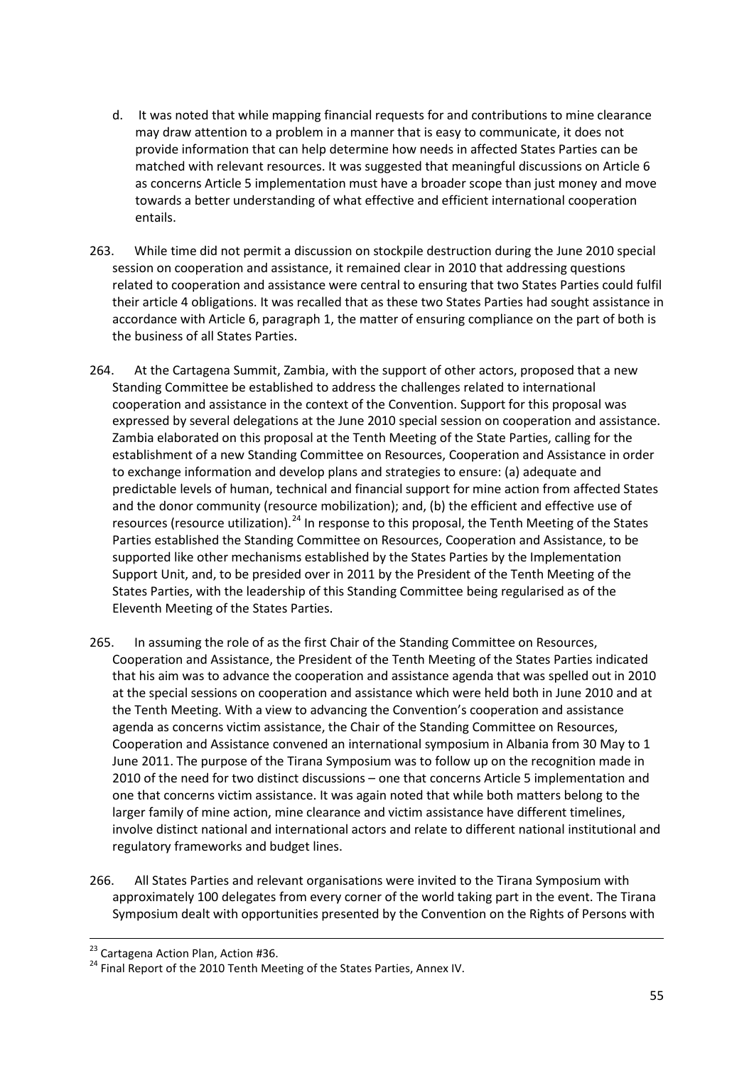- d. It was noted that while mapping financial requests for and contributions to mine clearance may draw attention to a problem in a manner that is easy to communicate, it does not provide information that can help determine how needs in affected States Parties can be matched with relevant resources. It was suggested that meaningful discussions on Article 6 as concerns Article 5 implementation must have a broader scope than just money and move towards a better understanding of what effective and efficient international cooperation entails.
- 263. While time did not permit a discussion on stockpile destruction during the June 2010 special session on cooperation and assistance, it remained clear in 2010 that addressing questions related to cooperation and assistance were central to ensuring that two States Parties could fulfil their article 4 obligations. It was recalled that as these two States Parties had sought assistance in accordance with Article 6, paragraph 1, the matter of ensuring compliance on the part of both is the business of all States Parties.
- 264. At the Cartagena Summit, Zambia, with the support of other actors, proposed that a new Standing Committee be established to address the challenges related to international cooperation and assistance in the context of the Convention. Support for this proposal was expressed by several delegations at the June 2010 special session on cooperation and assistance. Zambia elaborated on this proposal at the Tenth Meeting of the State Parties, calling for the establishment of a new Standing Committee on Resources, Cooperation and Assistance in order to exchange information and develop plans and strategies to ensure: (a) adequate and predictable levels of human, technical and financial support for mine action from affected States and the donor community (resource mobilization); and, (b) the efficient and effective use of resources (resource utilization).<sup>[24](#page-54-0)</sup> In response to this proposal, the Tenth Meeting of the States Parties established the Standing Committee on Resources, Cooperation and Assistance, to be supported like other mechanisms established by the States Parties by the Implementation Support Unit, and, to be presided over in 2011 by the President of the Tenth Meeting of the States Parties, with the leadership of this Standing Committee being regularised as of the Eleventh Meeting of the States Parties.
- 265. In assuming the role of as the first Chair of the Standing Committee on Resources, Cooperation and Assistance, the President of the Tenth Meeting of the States Parties indicated that his aim was to advance the cooperation and assistance agenda that was spelled out in 2010 at the special sessions on cooperation and assistance which were held both in June 2010 and at the Tenth Meeting. With a view to advancing the Convention's cooperation and assistance agenda as concerns victim assistance, the Chair of the Standing Committee on Resources, Cooperation and Assistance convened an international symposium in Albania from 30 May to 1 June 2011. The purpose of the Tirana Symposium was to follow up on the recognition made in 2010 of the need for two distinct discussions – one that concerns Article 5 implementation and one that concerns victim assistance. It was again noted that while both matters belong to the larger family of mine action, mine clearance and victim assistance have different timelines, involve distinct national and international actors and relate to different national institutional and regulatory frameworks and budget lines.
- 266. All States Parties and relevant organisations were invited to the Tirana Symposium with approximately 100 delegates from every corner of the world taking part in the event. The Tirana Symposium dealt with opportunities presented by the Convention on the Rights of Persons with

<span id="page-54-0"></span><sup>&</sup>lt;sup>23</sup> Cartagena Action Plan, Action #36.<br><sup>24</sup> Final Report of the 2010 Tenth Meeting of the States Parties, Annex IV.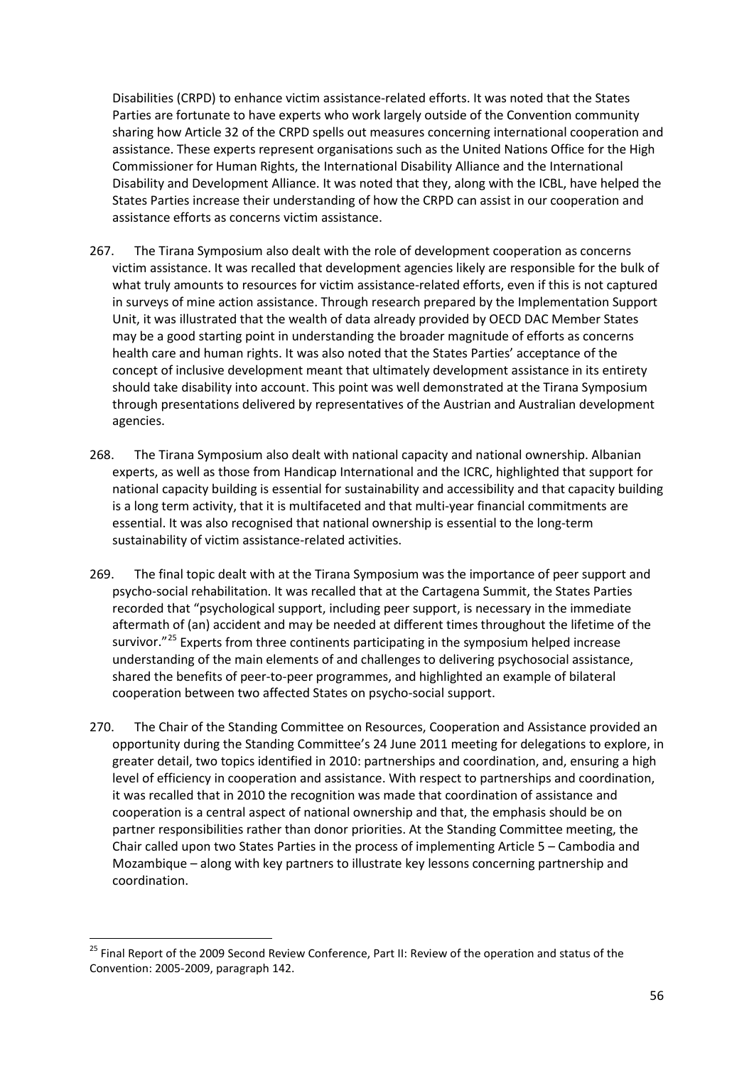Disabilities (CRPD) to enhance victim assistance-related efforts. It was noted that the States Parties are fortunate to have experts who work largely outside of the Convention community sharing how Article 32 of the CRPD spells out measures concerning international cooperation and assistance. These experts represent organisations such as the United Nations Office for the High Commissioner for Human Rights, the International Disability Alliance and the International Disability and Development Alliance. It was noted that they, along with the ICBL, have helped the States Parties increase their understanding of how the CRPD can assist in our cooperation and assistance efforts as concerns victim assistance.

- 267. The Tirana Symposium also dealt with the role of development cooperation as concerns victim assistance. It was recalled that development agencies likely are responsible for the bulk of what truly amounts to resources for victim assistance-related efforts, even if this is not captured in surveys of mine action assistance. Through research prepared by the Implementation Support Unit, it was illustrated that the wealth of data already provided by OECD DAC Member States may be a good starting point in understanding the broader magnitude of efforts as concerns health care and human rights. It was also noted that the States Parties' acceptance of the concept of inclusive development meant that ultimately development assistance in its entirety should take disability into account. This point was well demonstrated at the Tirana Symposium through presentations delivered by representatives of the Austrian and Australian development agencies.
- 268. The Tirana Symposium also dealt with national capacity and national ownership. Albanian experts, as well as those from Handicap International and the ICRC, highlighted that support for national capacity building is essential for sustainability and accessibility and that capacity building is a long term activity, that it is multifaceted and that multi-year financial commitments are essential. It was also recognised that national ownership is essential to the long-term sustainability of victim assistance-related activities.
- 269. The final topic dealt with at the Tirana Symposium was the importance of peer support and psycho-social rehabilitation. It was recalled that at the Cartagena Summit, the States Parties recorded that "psychological support, including peer support, is necessary in the immediate aftermath of (an) accident and may be needed at different times throughout the lifetime of the survivor."<sup>[25](#page-55-0)</sup> Experts from three continents participating in the symposium helped increase understanding of the main elements of and challenges to delivering psychosocial assistance, shared the benefits of peer-to-peer programmes, and highlighted an example of bilateral cooperation between two affected States on psycho-social support.
- 270. The Chair of the Standing Committee on Resources, Cooperation and Assistance provided an opportunity during the Standing Committee's 24 June 2011 meeting for delegations to explore, in greater detail, two topics identified in 2010: partnerships and coordination, and, ensuring a high level of efficiency in cooperation and assistance. With respect to partnerships and coordination, it was recalled that in 2010 the recognition was made that coordination of assistance and cooperation is a central aspect of national ownership and that, the emphasis should be on partner responsibilities rather than donor priorities. At the Standing Committee meeting, the Chair called upon two States Parties in the process of implementing Article 5 – Cambodia and Mozambique – along with key partners to illustrate key lessons concerning partnership and coordination.

<span id="page-55-0"></span><sup>&</sup>lt;sup>25</sup> Final Report of the 2009 Second Review Conference, Part II: Review of the operation and status of the Convention: 2005-2009, paragraph 142.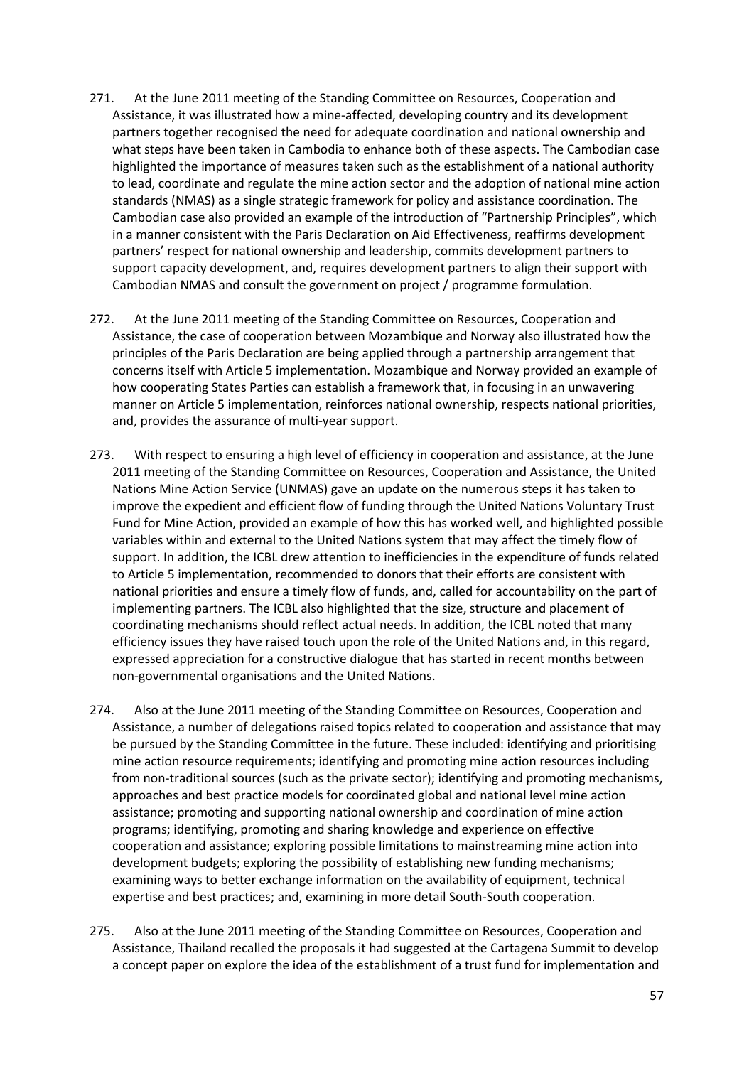- 271. At the June 2011 meeting of the Standing Committee on Resources, Cooperation and Assistance, it was illustrated how a mine-affected, developing country and its development partners together recognised the need for adequate coordination and national ownership and what steps have been taken in Cambodia to enhance both of these aspects. The Cambodian case highlighted the importance of measures taken such as the establishment of a national authority to lead, coordinate and regulate the mine action sector and the adoption of national mine action standards (NMAS) as a single strategic framework for policy and assistance coordination. The Cambodian case also provided an example of the introduction of "Partnership Principles", which in a manner consistent with the Paris Declaration on Aid Effectiveness, reaffirms development partners' respect for national ownership and leadership, commits development partners to support capacity development, and, requires development partners to align their support with Cambodian NMAS and consult the government on project / programme formulation.
- 272. At the June 2011 meeting of the Standing Committee on Resources, Cooperation and Assistance, the case of cooperation between Mozambique and Norway also illustrated how the principles of the Paris Declaration are being applied through a partnership arrangement that concerns itself with Article 5 implementation. Mozambique and Norway provided an example of how cooperating States Parties can establish a framework that, in focusing in an unwavering manner on Article 5 implementation, reinforces national ownership, respects national priorities, and, provides the assurance of multi-year support.
- 273. With respect to ensuring a high level of efficiency in cooperation and assistance, at the June 2011 meeting of the Standing Committee on Resources, Cooperation and Assistance, the United Nations Mine Action Service (UNMAS) gave an update on the numerous steps it has taken to improve the expedient and efficient flow of funding through the United Nations Voluntary Trust Fund for Mine Action, provided an example of how this has worked well, and highlighted possible variables within and external to the United Nations system that may affect the timely flow of support. In addition, the ICBL drew attention to inefficiencies in the expenditure of funds related to Article 5 implementation, recommended to donors that their efforts are consistent with national priorities and ensure a timely flow of funds, and, called for accountability on the part of implementing partners. The ICBL also highlighted that the size, structure and placement of coordinating mechanisms should reflect actual needs. In addition, the ICBL noted that many efficiency issues they have raised touch upon the role of the United Nations and, in this regard, expressed appreciation for a constructive dialogue that has started in recent months between non-governmental organisations and the United Nations.
- 274. Also at the June 2011 meeting of the Standing Committee on Resources, Cooperation and Assistance, a number of delegations raised topics related to cooperation and assistance that may be pursued by the Standing Committee in the future. These included: identifying and prioritising mine action resource requirements; identifying and promoting mine action resources including from non-traditional sources (such as the private sector); identifying and promoting mechanisms, approaches and best practice models for coordinated global and national level mine action assistance; promoting and supporting national ownership and coordination of mine action programs; identifying, promoting and sharing knowledge and experience on effective cooperation and assistance; exploring possible limitations to mainstreaming mine action into development budgets; exploring the possibility of establishing new funding mechanisms; examining ways to better exchange information on the availability of equipment, technical expertise and best practices; and, examining in more detail South-South cooperation.
- 275. Also at the June 2011 meeting of the Standing Committee on Resources, Cooperation and Assistance, Thailand recalled the proposals it had suggested at the Cartagena Summit to develop a concept paper on explore the idea of the establishment of a trust fund for implementation and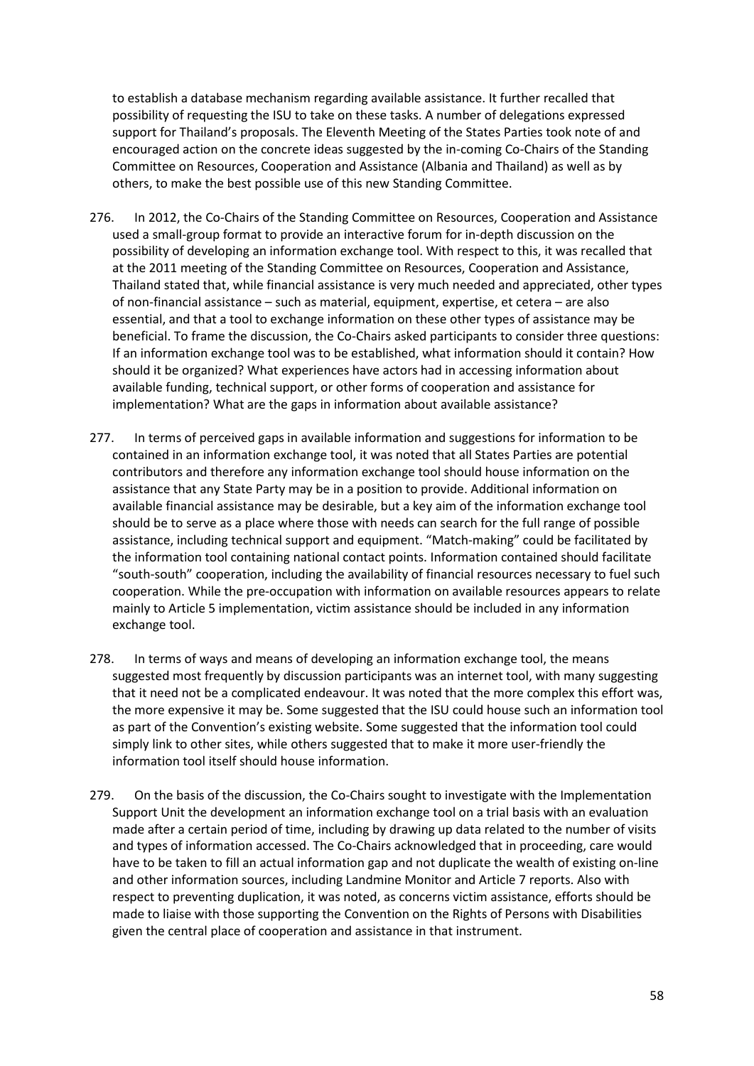to establish a database mechanism regarding available assistance. It further recalled that possibility of requesting the ISU to take on these tasks. A number of delegations expressed support for Thailand's proposals. The Eleventh Meeting of the States Parties took note of and encouraged action on the concrete ideas suggested by the in-coming Co-Chairs of the Standing Committee on Resources, Cooperation and Assistance (Albania and Thailand) as well as by others, to make the best possible use of this new Standing Committee.

- 276. In 2012, the Co-Chairs of the Standing Committee on Resources, Cooperation and Assistance used a small-group format to provide an interactive forum for in-depth discussion on the possibility of developing an information exchange tool. With respect to this, it was recalled that at the 2011 meeting of the Standing Committee on Resources, Cooperation and Assistance, Thailand stated that, while financial assistance is very much needed and appreciated, other types of non-financial assistance – such as material, equipment, expertise, et cetera – are also essential, and that a tool to exchange information on these other types of assistance may be beneficial. To frame the discussion, the Co-Chairs asked participants to consider three questions: If an information exchange tool was to be established, what information should it contain? How should it be organized? What experiences have actors had in accessing information about available funding, technical support, or other forms of cooperation and assistance for implementation? What are the gaps in information about available assistance?
- 277. In terms of perceived gaps in available information and suggestions for information to be contained in an information exchange tool, it was noted that all States Parties are potential contributors and therefore any information exchange tool should house information on the assistance that any State Party may be in a position to provide. Additional information on available financial assistance may be desirable, but a key aim of the information exchange tool should be to serve as a place where those with needs can search for the full range of possible assistance, including technical support and equipment. "Match-making" could be facilitated by the information tool containing national contact points. Information contained should facilitate "south-south" cooperation, including the availability of financial resources necessary to fuel such cooperation. While the pre-occupation with information on available resources appears to relate mainly to Article 5 implementation, victim assistance should be included in any information exchange tool.
- 278. In terms of ways and means of developing an information exchange tool, the means suggested most frequently by discussion participants was an internet tool, with many suggesting that it need not be a complicated endeavour. It was noted that the more complex this effort was, the more expensive it may be. Some suggested that the ISU could house such an information tool as part of the Convention's existing website. Some suggested that the information tool could simply link to other sites, while others suggested that to make it more user-friendly the information tool itself should house information.
- 279. On the basis of the discussion, the Co-Chairs sought to investigate with the Implementation Support Unit the development an information exchange tool on a trial basis with an evaluation made after a certain period of time, including by drawing up data related to the number of visits and types of information accessed. The Co-Chairs acknowledged that in proceeding, care would have to be taken to fill an actual information gap and not duplicate the wealth of existing on-line and other information sources, including Landmine Monitor and Article 7 reports. Also with respect to preventing duplication, it was noted, as concerns victim assistance, efforts should be made to liaise with those supporting the Convention on the Rights of Persons with Disabilities given the central place of cooperation and assistance in that instrument.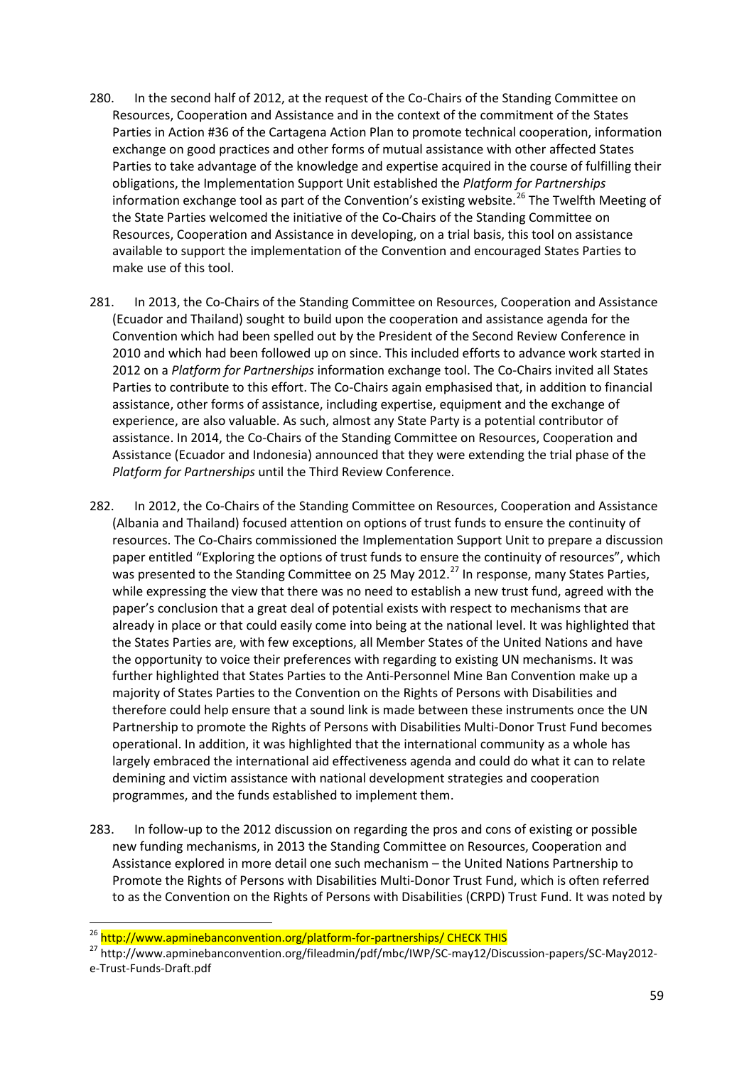- 280. In the second half of 2012, at the request of the Co-Chairs of the Standing Committee on Resources, Cooperation and Assistance and in the context of the commitment of the States Parties in Action #36 of the Cartagena Action Plan to promote technical cooperation, information exchange on good practices and other forms of mutual assistance with other affected States Parties to take advantage of the knowledge and expertise acquired in the course of fulfilling their obligations, the Implementation Support Unit established the *Platform for Partnerships* information exchange tool as part of the Convention's existing website.<sup>[26](#page-58-0)</sup> The Twelfth Meeting of the State Parties welcomed the initiative of the Co-Chairs of the Standing Committee on Resources, Cooperation and Assistance in developing, on a trial basis, this tool on assistance available to support the implementation of the Convention and encouraged States Parties to make use of this tool.
- 281. In 2013, the Co-Chairs of the Standing Committee on Resources, Cooperation and Assistance (Ecuador and Thailand) sought to build upon the cooperation and assistance agenda for the Convention which had been spelled out by the President of the Second Review Conference in 2010 and which had been followed up on since. This included efforts to advance work started in 2012 on a *Platform for Partnerships* information exchange tool. The Co-Chairs invited all States Parties to contribute to this effort. The Co-Chairs again emphasised that, in addition to financial assistance, other forms of assistance, including expertise, equipment and the exchange of experience, are also valuable. As such, almost any State Party is a potential contributor of assistance. In 2014, the Co-Chairs of the Standing Committee on Resources, Cooperation and Assistance (Ecuador and Indonesia) announced that they were extending the trial phase of the *Platform for Partnerships* until the Third Review Conference.
- 282. In 2012, the Co-Chairs of the Standing Committee on Resources, Cooperation and Assistance (Albania and Thailand) focused attention on options of trust funds to ensure the continuity of resources. The Co-Chairs commissioned the Implementation Support Unit to prepare a discussion paper entitled "Exploring the options of trust funds to ensure the continuity of resources", which was presented to the Standing Committee on 25 May 2012.<sup>[27](#page-58-1)</sup> In response, many States Parties, while expressing the view that there was no need to establish a new trust fund, agreed with the paper's conclusion that a great deal of potential exists with respect to mechanisms that are already in place or that could easily come into being at the national level. It was highlighted that the States Parties are, with few exceptions, all Member States of the United Nations and have the opportunity to voice their preferences with regarding to existing UN mechanisms. It was further highlighted that States Parties to the Anti-Personnel Mine Ban Convention make up a majority of States Parties to the Convention on the Rights of Persons with Disabilities and therefore could help ensure that a sound link is made between these instruments once the UN Partnership to promote the Rights of Persons with Disabilities Multi-Donor Trust Fund becomes operational. In addition, it was highlighted that the international community as a whole has largely embraced the international aid effectiveness agenda and could do what it can to relate demining and victim assistance with national development strategies and cooperation programmes, and the funds established to implement them.
- 283. In follow-up to the 2012 discussion on regarding the pros and cons of existing or possible new funding mechanisms, in 2013 the Standing Committee on Resources, Cooperation and Assistance explored in more detail one such mechanism – the United Nations Partnership to Promote the Rights of Persons with Disabilities Multi-Donor Trust Fund, which is often referred to as the Convention on the Rights of Persons with Disabilities (CRPD) Trust Fund. It was noted by

<span id="page-58-1"></span><span id="page-58-0"></span><sup>&</sup>lt;sup>26</sup> http://www.apminebanconvention.org/platform-for-partnerships/ CHECK THIS<br><sup>27</sup> http://www.apminebanconvention.org/fileadmin/pdf/mbc/IWP/SC-may12/Discussion-papers/SC-May2012e-Trust-Funds-Draft.pdf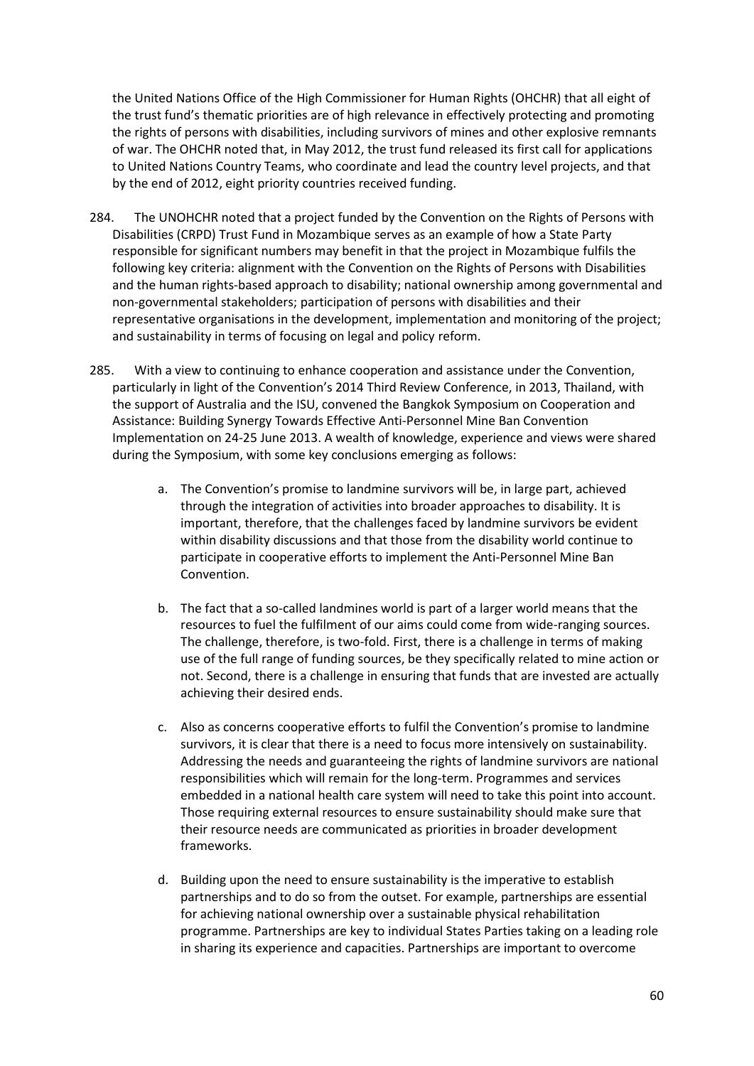the United Nations Office of the High Commissioner for Human Rights (OHCHR) that all eight of the trust fund's thematic priorities are of high relevance in effectively protecting and promoting the rights of persons with disabilities, including survivors of mines and other explosive remnants of war. The OHCHR noted that, in May 2012, the trust fund released its first call for applications to United Nations Country Teams, who coordinate and lead the country level projects, and that by the end of 2012, eight priority countries received funding.

- 284. The UNOHCHR noted that a project funded by the Convention on the Rights of Persons with Disabilities (CRPD) Trust Fund in Mozambique serves as an example of how a State Party responsible for significant numbers may benefit in that the project in Mozambique fulfils the following key criteria: alignment with the Convention on the Rights of Persons with Disabilities and the human rights-based approach to disability; national ownership among governmental and non-governmental stakeholders; participation of persons with disabilities and their representative organisations in the development, implementation and monitoring of the project; and sustainability in terms of focusing on legal and policy reform.
- 285. With a view to continuing to enhance cooperation and assistance under the Convention, particularly in light of the Convention's 2014 Third Review Conference, in 2013, Thailand, with the support of Australia and the ISU, convened the Bangkok Symposium on Cooperation and Assistance: Building Synergy Towards Effective Anti-Personnel Mine Ban Convention Implementation on 24-25 June 2013. A wealth of knowledge, experience and views were shared during the Symposium, with some key conclusions emerging as follows:
	- a. The Convention's promise to landmine survivors will be, in large part, achieved through the integration of activities into broader approaches to disability. It is important, therefore, that the challenges faced by landmine survivors be evident within disability discussions and that those from the disability world continue to participate in cooperative efforts to implement the Anti-Personnel Mine Ban Convention.
	- b. The fact that a so-called landmines world is part of a larger world means that the resources to fuel the fulfilment of our aims could come from wide-ranging sources. The challenge, therefore, is two-fold. First, there is a challenge in terms of making use of the full range of funding sources, be they specifically related to mine action or not. Second, there is a challenge in ensuring that funds that are invested are actually achieving their desired ends.
	- c. Also as concerns cooperative efforts to fulfil the Convention's promise to landmine survivors, it is clear that there is a need to focus more intensively on sustainability. Addressing the needs and guaranteeing the rights of landmine survivors are national responsibilities which will remain for the long-term. Programmes and services embedded in a national health care system will need to take this point into account. Those requiring external resources to ensure sustainability should make sure that their resource needs are communicated as priorities in broader development frameworks.
	- d. Building upon the need to ensure sustainability is the imperative to establish partnerships and to do so from the outset. For example, partnerships are essential for achieving national ownership over a sustainable physical rehabilitation programme. Partnerships are key to individual States Parties taking on a leading role in sharing its experience and capacities. Partnerships are important to overcome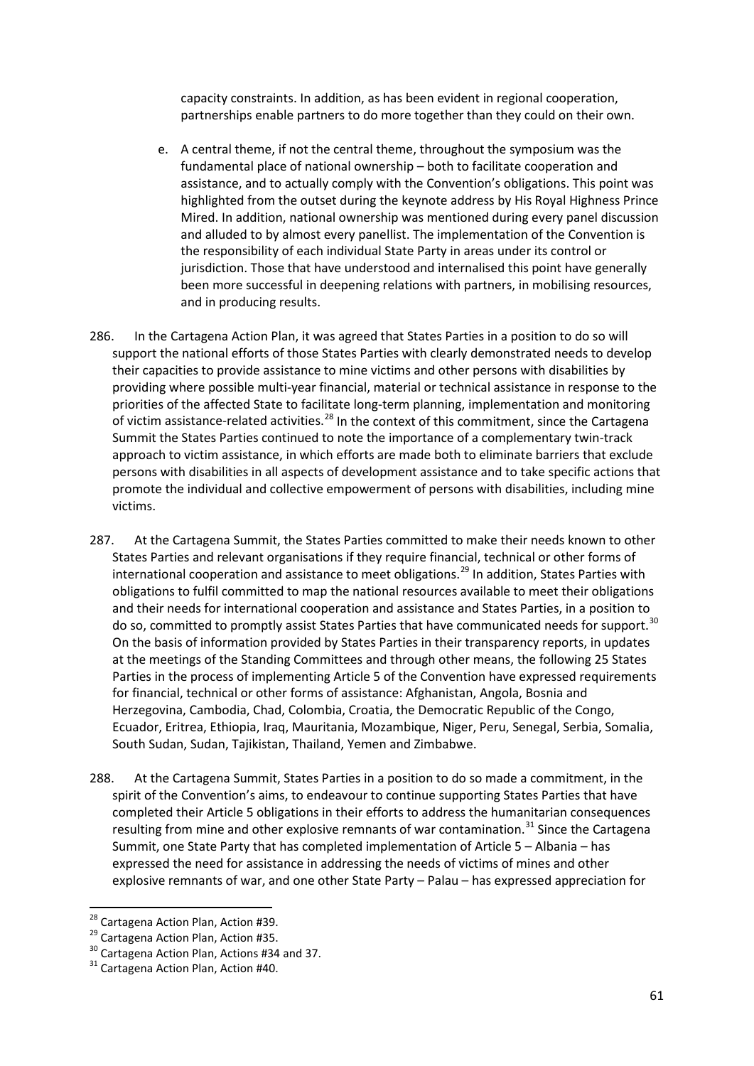capacity constraints. In addition, as has been evident in regional cooperation, partnerships enable partners to do more together than they could on their own.

- e. A central theme, if not the central theme, throughout the symposium was the fundamental place of national ownership – both to facilitate cooperation and assistance, and to actually comply with the Convention's obligations. This point was highlighted from the outset during the keynote address by His Royal Highness Prince Mired. In addition, national ownership was mentioned during every panel discussion and alluded to by almost every panellist. The implementation of the Convention is the responsibility of each individual State Party in areas under its control or jurisdiction. Those that have understood and internalised this point have generally been more successful in deepening relations with partners, in mobilising resources, and in producing results.
- 286. In the Cartagena Action Plan, it was agreed that States Parties in a position to do so will support the national efforts of those States Parties with clearly demonstrated needs to develop their capacities to provide assistance to mine victims and other persons with disabilities by providing where possible multi-year financial, material or technical assistance in response to the priorities of the affected State to facilitate long-term planning, implementation and monitoring of victim assistance-related activities.<sup>[28](#page-60-0)</sup> In the context of this commitment, since the Cartagena Summit the States Parties continued to note the importance of a complementary twin-track approach to victim assistance, in which efforts are made both to eliminate barriers that exclude persons with disabilities in all aspects of development assistance and to take specific actions that promote the individual and collective empowerment of persons with disabilities, including mine victims.
- 287. At the Cartagena Summit, the States Parties committed to make their needs known to other States Parties and relevant organisations if they require financial, technical or other forms of international cooperation and assistance to meet obligations.<sup>[29](#page-60-1)</sup> In addition, States Parties with obligations to fulfil committed to map the national resources available to meet their obligations and their needs for international cooperation and assistance and States Parties, in a position to do so, committed to promptly assist States Parties that have communicated needs for support.<sup>[30](#page-60-2)</sup> On the basis of information provided by States Parties in their transparency reports, in updates at the meetings of the Standing Committees and through other means, the following 25 States Parties in the process of implementing Article 5 of the Convention have expressed requirements for financial, technical or other forms of assistance: Afghanistan, Angola, Bosnia and Herzegovina, Cambodia, Chad, Colombia, Croatia, the Democratic Republic of the Congo, Ecuador, Eritrea, Ethiopia, Iraq, Mauritania, Mozambique, Niger, Peru, Senegal, Serbia, Somalia, South Sudan, Sudan, Tajikistan, Thailand, Yemen and Zimbabwe.
- 288. At the Cartagena Summit, States Parties in a position to do so made a commitment, in the spirit of the Convention's aims, to endeavour to continue supporting States Parties that have completed their Article 5 obligations in their efforts to address the humanitarian consequences resulting from mine and other explosive remnants of war contamination.<sup>[31](#page-60-3)</sup> Since the Cartagena Summit, one State Party that has completed implementation of Article 5 – Albania – has expressed the need for assistance in addressing the needs of victims of mines and other explosive remnants of war, and one other State Party – Palau – has expressed appreciation for

<span id="page-60-1"></span>

<span id="page-60-0"></span><sup>&</sup>lt;sup>28</sup> Cartagena Action Plan, Action #39.<br><sup>29</sup> Cartagena Action Plan, Action #35.<br><sup>30</sup> Cartagena Action Plan, Actions #34 and 37.<br><sup>31</sup> Cartagena Action Plan, Action #40.

<span id="page-60-3"></span><span id="page-60-2"></span>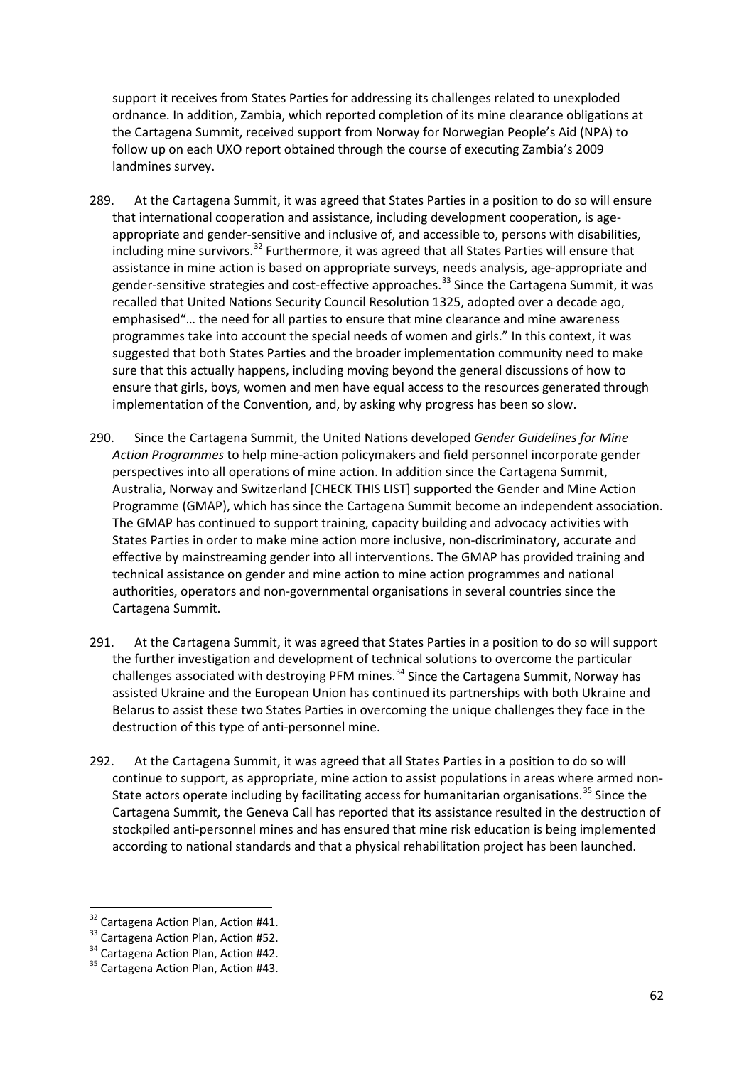support it receives from States Parties for addressing its challenges related to unexploded ordnance. In addition, Zambia, which reported completion of its mine clearance obligations at the Cartagena Summit, received support from Norway for Norwegian People's Aid (NPA) to follow up on each UXO report obtained through the course of executing Zambia's 2009 landmines survey.

- 289. At the Cartagena Summit, it was agreed that States Parties in a position to do so will ensure that international cooperation and assistance, including development cooperation, is ageappropriate and gender-sensitive and inclusive of, and accessible to, persons with disabilities, including mine survivors.<sup>[32](#page-61-0)</sup> Furthermore, it was agreed that all States Parties will ensure that assistance in mine action is based on appropriate surveys, needs analysis, age-appropriate and gender-sensitive strategies and cost-effective approaches.<sup>[33](#page-61-1)</sup> Since the Cartagena Summit, it was recalled that United Nations Security Council Resolution 1325, adopted over a decade ago, emphasised"… the need for all parties to ensure that mine clearance and mine awareness programmes take into account the special needs of women and girls." In this context, it was suggested that both States Parties and the broader implementation community need to make sure that this actually happens, including moving beyond the general discussions of how to ensure that girls, boys, women and men have equal access to the resources generated through implementation of the Convention, and, by asking why progress has been so slow.
- 290. Since the Cartagena Summit, the United Nations developed *Gender Guidelines for Mine Action Programmes* to help mine-action policymakers and field personnel incorporate gender perspectives into all operations of mine action. In addition since the Cartagena Summit, Australia, Norway and Switzerland [CHECK THIS LIST] supported the Gender and Mine Action Programme (GMAP), which has since the Cartagena Summit become an independent association. The GMAP has continued to support training, capacity building and advocacy activities with States Parties in order to make mine action more inclusive, non-discriminatory, accurate and effective by mainstreaming gender into all interventions. The GMAP has provided training and technical assistance on gender and mine action to mine action programmes and national authorities, operators and non-governmental organisations in several countries since the Cartagena Summit.
- 291. At the Cartagena Summit, it was agreed that States Parties in a position to do so will support the further investigation and development of technical solutions to overcome the particular challenges associated with destroying PFM mines.<sup>[34](#page-61-2)</sup> Since the Cartagena Summit, Norway has assisted Ukraine and the European Union has continued its partnerships with both Ukraine and Belarus to assist these two States Parties in overcoming the unique challenges they face in the destruction of this type of anti-personnel mine.
- 292. At the Cartagena Summit, it was agreed that all States Parties in a position to do so will continue to support, as appropriate, mine action to assist populations in areas where armed non-State actors operate including by facilitating access for humanitarian organisations.<sup>[35](#page-61-3)</sup> Since the Cartagena Summit, the Geneva Call has reported that its assistance resulted in the destruction of stockpiled anti-personnel mines and has ensured that mine risk education is being implemented according to national standards and that a physical rehabilitation project has been launched.

<span id="page-61-1"></span>

<span id="page-61-3"></span><span id="page-61-2"></span>

<span id="page-61-0"></span><sup>&</sup>lt;sup>32</sup> Cartagena Action Plan, Action #41.<br><sup>33</sup> Cartagena Action Plan, Action #52.<br><sup>34</sup> Cartagena Action Plan, Action #42.<br><sup>35</sup> Cartagena Action Plan, Action #43.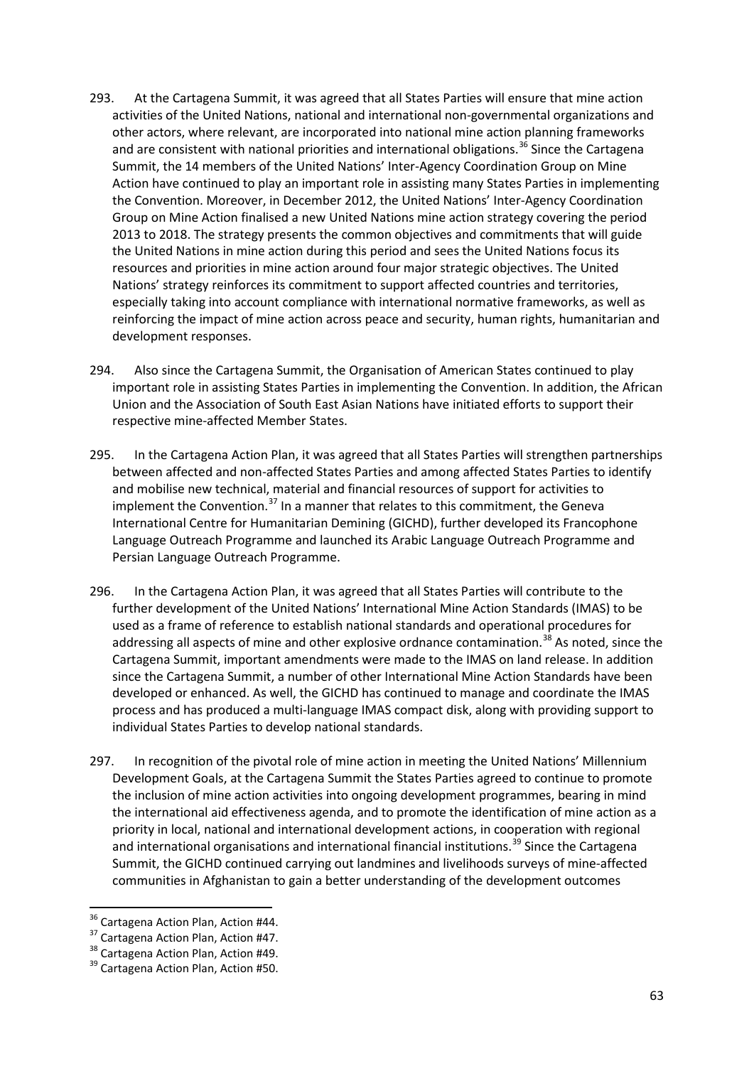- 293. At the Cartagena Summit, it was agreed that all States Parties will ensure that mine action activities of the United Nations, national and international non-governmental organizations and other actors, where relevant, are incorporated into national mine action planning frameworks and are consistent with national priorities and international obligations.<sup>[36](#page-62-0)</sup> Since the Cartagena Summit, the 14 members of the United Nations' Inter-Agency Coordination Group on Mine Action have continued to play an important role in assisting many States Parties in implementing the Convention. Moreover, in December 2012, the United Nations' Inter-Agency Coordination Group on Mine Action finalised a new United Nations mine action strategy covering the period 2013 to 2018. The strategy presents the common objectives and commitments that will guide the United Nations in mine action during this period and sees the United Nations focus its resources and priorities in mine action around four major strategic objectives. The United Nations' strategy reinforces its commitment to support affected countries and territories, especially taking into account compliance with international normative frameworks, as well as reinforcing the impact of mine action across peace and security, human rights, humanitarian and development responses.
- 294. Also since the Cartagena Summit, the Organisation of American States continued to play important role in assisting States Parties in implementing the Convention. In addition, the African Union and the Association of South East Asian Nations have initiated efforts to support their respective mine-affected Member States.
- 295. In the Cartagena Action Plan, it was agreed that all States Parties will strengthen partnerships between affected and non-affected States Parties and among affected States Parties to identify and mobilise new technical, material and financial resources of support for activities to implement the Convention.<sup>[37](#page-62-1)</sup> In a manner that relates to this commitment, the Geneva International Centre for Humanitarian Demining (GICHD), further developed its Francophone Language Outreach Programme and launched its Arabic Language Outreach Programme and Persian Language Outreach Programme.
- 296. In the Cartagena Action Plan, it was agreed that all States Parties will contribute to the further development of the United Nations' International Mine Action Standards (IMAS) to be used as a frame of reference to establish national standards and operational procedures for addressing all aspects of mine and other explosive ordnance contamination.<sup>[38](#page-62-2)</sup> As noted, since the Cartagena Summit, important amendments were made to the IMAS on land release. In addition since the Cartagena Summit, a number of other International Mine Action Standards have been developed or enhanced. As well, the GICHD has continued to manage and coordinate the IMAS process and has produced a multi-language IMAS compact disk, along with providing support to individual States Parties to develop national standards.
- 297. In recognition of the pivotal role of mine action in meeting the United Nations' Millennium Development Goals, at the Cartagena Summit the States Parties agreed to continue to promote the inclusion of mine action activities into ongoing development programmes, bearing in mind the international aid effectiveness agenda, and to promote the identification of mine action as a priority in local, national and international development actions, in cooperation with regional and international organisations and international financial institutions.<sup>[39](#page-62-3)</sup> Since the Cartagena Summit, the GICHD continued carrying out landmines and livelihoods surveys of mine-affected communities in Afghanistan to gain a better understanding of the development outcomes

<span id="page-62-1"></span>

<span id="page-62-3"></span><span id="page-62-2"></span>

<span id="page-62-0"></span><sup>&</sup>lt;sup>36</sup> Cartagena Action Plan, Action #44.<br><sup>37</sup> Cartagena Action Plan, Action #47.<br><sup>38</sup> Cartagena Action Plan, Action #50.<br><sup>39</sup> Cartagena Action Plan, Action #50.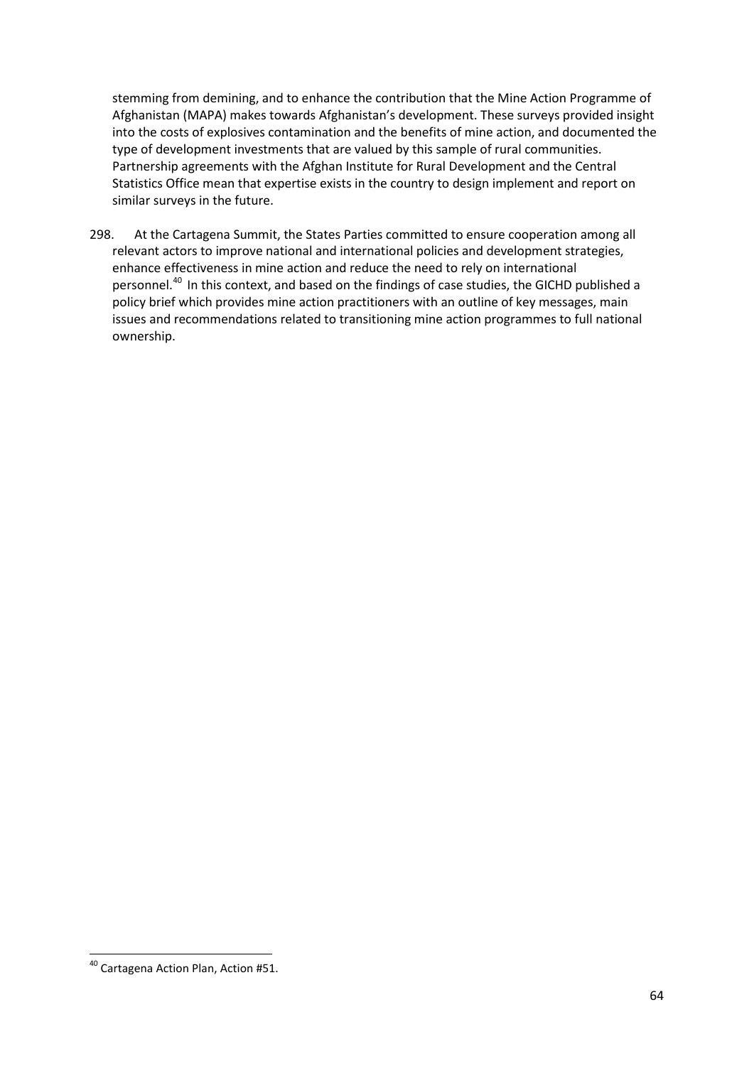stemming from demining, and to enhance the contribution that the Mine Action Programme of Afghanistan (MAPA) makes towards Afghanistan's development. These surveys provided insight into the costs of explosives contamination and the benefits of mine action, and documented the type of development investments that are valued by this sample of rural communities. Partnership agreements with the Afghan Institute for Rural Development and the Central Statistics Office mean that expertise exists in the country to design implement and report on similar surveys in the future.

298. At the Cartagena Summit, the States Parties committed to ensure cooperation among all relevant actors to improve national and international policies and development strategies, enhance effectiveness in mine action and reduce the need to rely on international personnel.[40](#page-63-0) In this context, and based on the findings of case studies, the GICHD published a policy brief which provides mine action practitioners with an outline of key messages, main issues and recommendations related to transitioning mine action programmes to full national ownership.

<span id="page-63-0"></span> <sup>40</sup> Cartagena Action Plan, Action #51.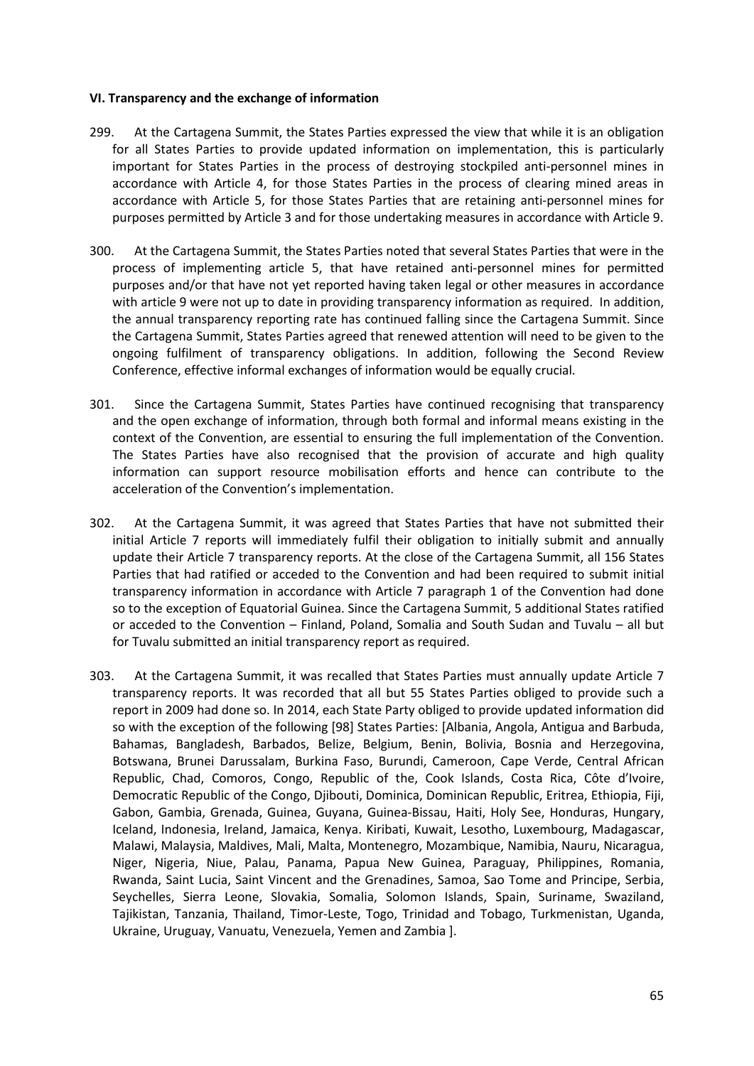#### **VI. Transparency and the exchange of information**

- 299. At the Cartagena Summit, the States Parties expressed the view that while it is an obligation for all States Parties to provide updated information on implementation, this is particularly important for States Parties in the process of destroying stockpiled anti-personnel mines in accordance with Article 4, for those States Parties in the process of clearing mined areas in accordance with Article 5, for those States Parties that are retaining anti-personnel mines for purposes permitted by Article 3 and for those undertaking measures in accordance with Article 9.
- 300. At the Cartagena Summit, the States Parties noted that several States Parties that were in the process of implementing article 5, that have retained anti-personnel mines for permitted purposes and/or that have not yet reported having taken legal or other measures in accordance with article 9 were not up to date in providing transparency information as required. In addition, the annual transparency reporting rate has continued falling since the Cartagena Summit. Since the Cartagena Summit, States Parties agreed that renewed attention will need to be given to the ongoing fulfilment of transparency obligations. In addition, following the Second Review Conference, effective informal exchanges of information would be equally crucial.
- 301. Since the Cartagena Summit, States Parties have continued recognising that transparency and the open exchange of information, through both formal and informal means existing in the context of the Convention, are essential to ensuring the full implementation of the Convention. The States Parties have also recognised that the provision of accurate and high quality information can support resource mobilisation efforts and hence can contribute to the acceleration of the Convention's implementation.
- 302. At the Cartagena Summit, it was agreed that States Parties that have not submitted their initial Article 7 reports will immediately fulfil their obligation to initially submit and annually update their Article 7 transparency reports. At the close of the Cartagena Summit, all 156 States Parties that had ratified or acceded to the Convention and had been required to submit initial transparency information in accordance with Article 7 paragraph 1 of the Convention had done so to the exception of Equatorial Guinea. Since the Cartagena Summit, 5 additional States ratified or acceded to the Convention – Finland, Poland, Somalia and South Sudan and Tuvalu – all but for Tuvalu submitted an initial transparency report as required.
- 303. At the Cartagena Summit, it was recalled that States Parties must annually update Article 7 transparency reports. It was recorded that all but 55 States Parties obliged to provide such a report in 2009 had done so. In 2014, each State Party obliged to provide updated information did so with the exception of the following [98] States Parties: [Albania, Angola, Antigua and Barbuda, Bahamas, Bangladesh, Barbados, Belize, Belgium, Benin, Bolivia, Bosnia and Herzegovina, Botswana, Brunei Darussalam, Burkina Faso, Burundi, Cameroon, Cape Verde, Central African Republic, Chad, Comoros, Congo, Republic of the, Cook Islands, Costa Rica, Côte d'Ivoire, Democratic Republic of the Congo, Djibouti, Dominica, Dominican Republic, Eritrea, Ethiopia, Fiji, Gabon, Gambia, Grenada, Guinea, Guyana, Guinea-Bissau, Haiti, Holy See, Honduras, Hungary, Iceland, Indonesia, Ireland, Jamaica, Kenya. Kiribati, Kuwait, Lesotho, Luxembourg, Madagascar, Malawi, Malaysia, Maldives, Mali, Malta, Montenegro, Mozambique, Namibia, Nauru, Nicaragua, Niger, Nigeria, Niue, Palau, Panama, Papua New Guinea, Paraguay, Philippines, Romania, Rwanda, Saint Lucia, Saint Vincent and the Grenadines, Samoa, Sao Tome and Principe, Serbia, Seychelles, Sierra Leone, Slovakia, Somalia, Solomon Islands, Spain, Suriname, Swaziland, Tajikistan, Tanzania, Thailand, Timor-Leste, Togo, Trinidad and Tobago, Turkmenistan, Uganda, Ukraine, Uruguay, Vanuatu, Venezuela, Yemen and Zambia ].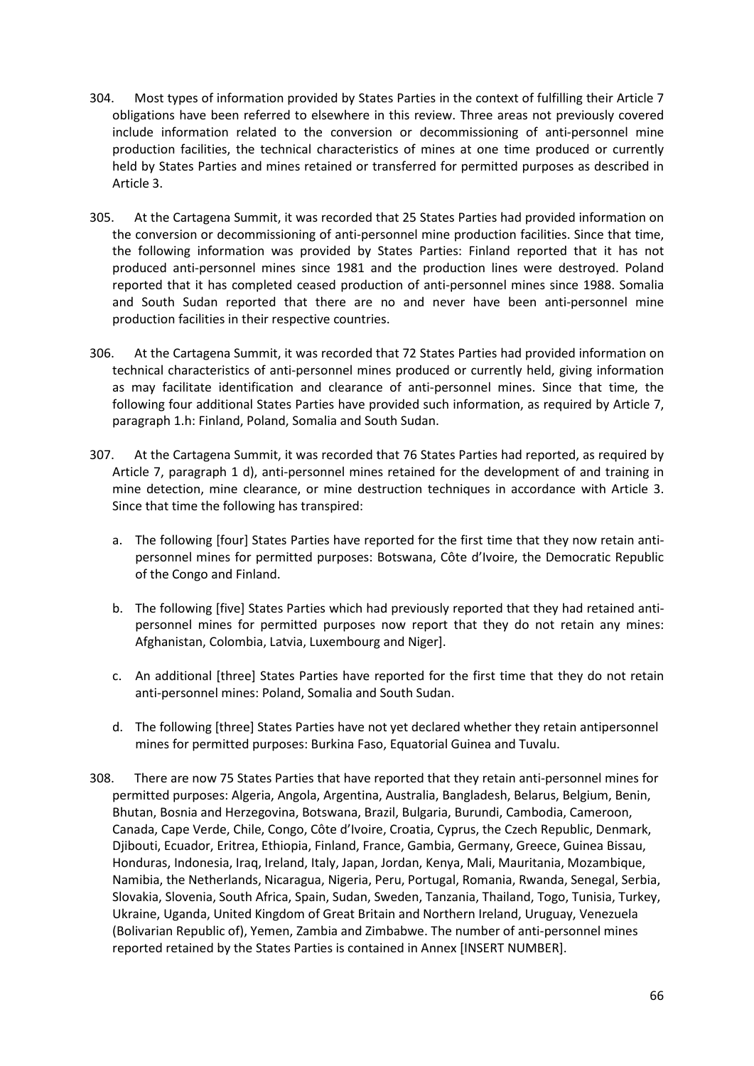- 304. Most types of information provided by States Parties in the context of fulfilling their Article 7 obligations have been referred to elsewhere in this review. Three areas not previously covered include information related to the conversion or decommissioning of anti-personnel mine production facilities, the technical characteristics of mines at one time produced or currently held by States Parties and mines retained or transferred for permitted purposes as described in Article 3.
- 305. At the Cartagena Summit, it was recorded that 25 States Parties had provided information on the conversion or decommissioning of anti-personnel mine production facilities. Since that time, the following information was provided by States Parties: Finland reported that it has not produced anti-personnel mines since 1981 and the production lines were destroyed. Poland reported that it has completed ceased production of anti-personnel mines since 1988. Somalia and South Sudan reported that there are no and never have been anti-personnel mine production facilities in their respective countries.
- 306. At the Cartagena Summit, it was recorded that 72 States Parties had provided information on technical characteristics of anti-personnel mines produced or currently held, giving information as may facilitate identification and clearance of anti-personnel mines. Since that time, the following four additional States Parties have provided such information, as required by Article 7, paragraph 1.h: Finland, Poland, Somalia and South Sudan.
- 307. At the Cartagena Summit, it was recorded that 76 States Parties had reported, as required by Article 7, paragraph 1 d), anti-personnel mines retained for the development of and training in mine detection, mine clearance, or mine destruction techniques in accordance with Article 3. Since that time the following has transpired:
	- a. The following [four] States Parties have reported for the first time that they now retain antipersonnel mines for permitted purposes: Botswana, Côte d'Ivoire, the Democratic Republic of the Congo and Finland.
	- b. The following [five] States Parties which had previously reported that they had retained antipersonnel mines for permitted purposes now report that they do not retain any mines: Afghanistan, Colombia, Latvia, Luxembourg and Niger].
	- c. An additional [three] States Parties have reported for the first time that they do not retain anti-personnel mines: Poland, Somalia and South Sudan.
	- d. The following [three] States Parties have not yet declared whether they retain antipersonnel mines for permitted purposes: Burkina Faso, Equatorial Guinea and Tuvalu.
- 308. There are now 75 States Parties that have reported that they retain anti-personnel mines for permitted purposes: Algeria, Angola, Argentina, Australia, Bangladesh, Belarus, Belgium, Benin, Bhutan, Bosnia and Herzegovina, Botswana, Brazil, Bulgaria, Burundi, Cambodia, Cameroon, Canada, Cape Verde, Chile, Congo, Côte d'Ivoire, Croatia, Cyprus, the Czech Republic, Denmark, Djibouti, Ecuador, Eritrea, Ethiopia, Finland, France, Gambia, Germany, Greece, Guinea Bissau, Honduras, Indonesia, Iraq, Ireland, Italy, Japan, Jordan, Kenya, Mali, Mauritania, Mozambique, Namibia, the Netherlands, Nicaragua, Nigeria, Peru, Portugal, Romania, Rwanda, Senegal, Serbia, Slovakia, Slovenia, South Africa, Spain, Sudan, Sweden, Tanzania, Thailand, Togo, Tunisia, Turkey, Ukraine, Uganda, United Kingdom of Great Britain and Northern Ireland, Uruguay, Venezuela (Bolivarian Republic of), Yemen, Zambia and Zimbabwe. The number of anti-personnel mines reported retained by the States Parties is contained in Annex [INSERT NUMBER].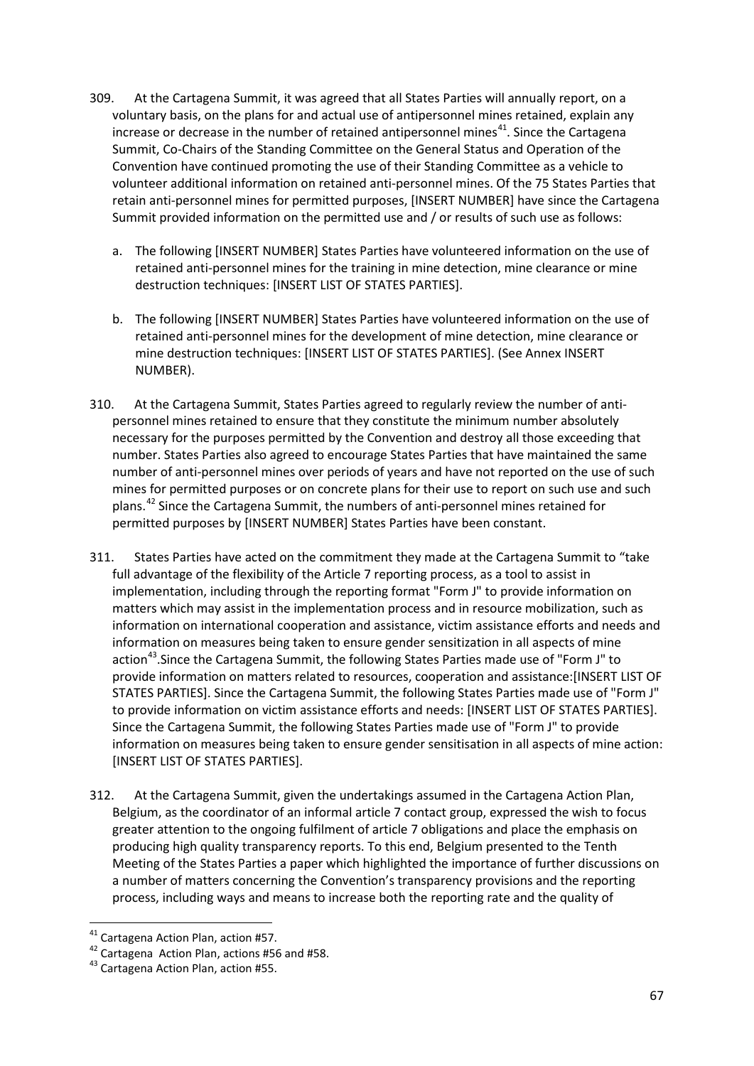- 309. At the Cartagena Summit, it was agreed that all States Parties will annually report, on a voluntary basis, on the plans for and actual use of antipersonnel mines retained, explain any increase or decrease in the number of retained antipersonnel mines<sup>[41](#page-66-0)</sup>. Since the Cartagena Summit, Co-Chairs of the Standing Committee on the General Status and Operation of the Convention have continued promoting the use of their Standing Committee as a vehicle to volunteer additional information on retained anti-personnel mines. Of the 75 States Parties that retain anti-personnel mines for permitted purposes, [INSERT NUMBER] have since the Cartagena Summit provided information on the permitted use and / or results of such use as follows:
	- a. The following [INSERT NUMBER] States Parties have volunteered information on the use of retained anti-personnel mines for the training in mine detection, mine clearance or mine destruction techniques: [INSERT LIST OF STATES PARTIES].
	- b. The following [INSERT NUMBER] States Parties have volunteered information on the use of retained anti-personnel mines for the development of mine detection, mine clearance or mine destruction techniques: [INSERT LIST OF STATES PARTIES]. (See Annex INSERT NUMBER).
- 310. At the Cartagena Summit, States Parties agreed to regularly review the number of antipersonnel mines retained to ensure that they constitute the minimum number absolutely necessary for the purposes permitted by the Convention and destroy all those exceeding that number. States Parties also agreed to encourage States Parties that have maintained the same number of anti-personnel mines over periods of years and have not reported on the use of such mines for permitted purposes or on concrete plans for their use to report on such use and such plans.[42](#page-66-1) Since the Cartagena Summit, the numbers of anti-personnel mines retained for permitted purposes by [INSERT NUMBER] States Parties have been constant.
- 311. States Parties have acted on the commitment they made at the Cartagena Summit to "take full advantage of the flexibility of the Article 7 reporting process, as a tool to assist in implementation, including through the reporting format "Form J" to provide information on matters which may assist in the implementation process and in resource mobilization, such as information on international cooperation and assistance, victim assistance efforts and needs and information on measures being taken to ensure gender sensitization in all aspects of mine action<sup>43</sup>. Since the Cartagena Summit, the following States Parties made use of "Form J" to provide information on matters related to resources, cooperation and assistance:[INSERT LIST OF STATES PARTIES]. Since the Cartagena Summit, the following States Parties made use of "Form J" to provide information on victim assistance efforts and needs: [INSERT LIST OF STATES PARTIES]. Since the Cartagena Summit, the following States Parties made use of "Form J" to provide information on measures being taken to ensure gender sensitisation in all aspects of mine action: [INSERT LIST OF STATES PARTIES].
- 312. At the Cartagena Summit, given the undertakings assumed in the Cartagena Action Plan, Belgium, as the coordinator of an informal article 7 contact group, expressed the wish to focus greater attention to the ongoing fulfilment of article 7 obligations and place the emphasis on producing high quality transparency reports. To this end, Belgium presented to the Tenth Meeting of the States Parties a paper which highlighted the importance of further discussions on a number of matters concerning the Convention's transparency provisions and the reporting process, including ways and means to increase both the reporting rate and the quality of

<span id="page-66-1"></span><span id="page-66-0"></span><sup>&</sup>lt;sup>41</sup> Cartagena Action Plan, action #57.<br><sup>42</sup> Cartagena Action Plan, actions #56 and #58.<br><sup>43</sup> Cartagena Action Plan, action #55.

<span id="page-66-2"></span>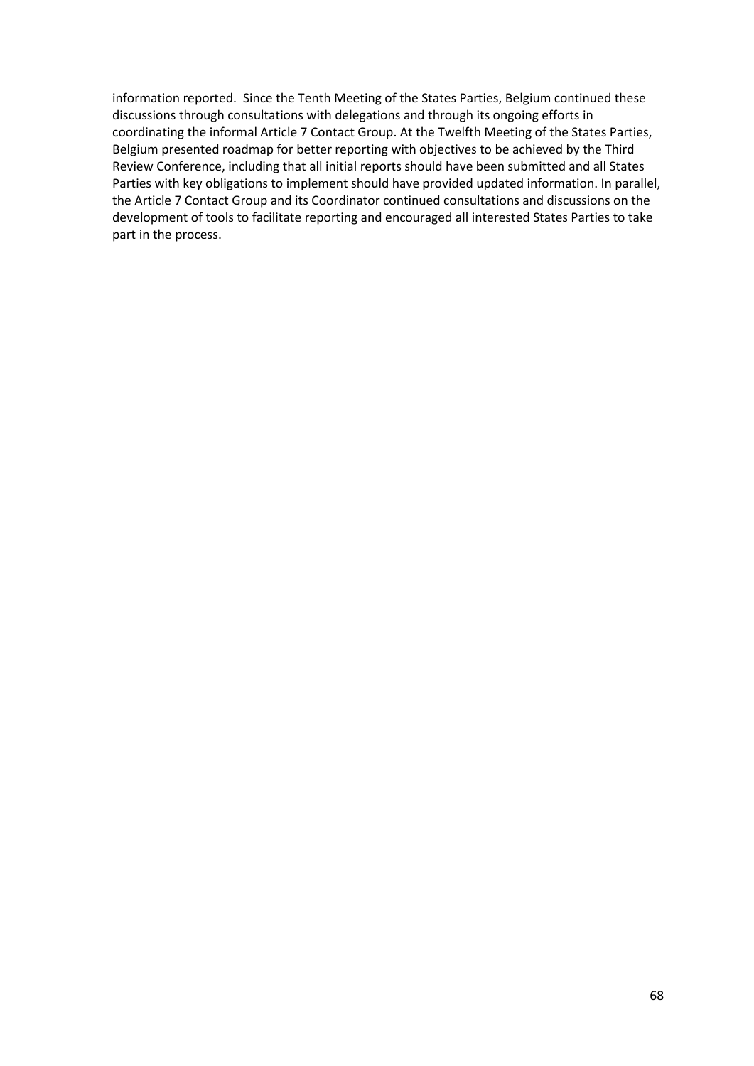information reported. Since the Tenth Meeting of the States Parties, Belgium continued these discussions through consultations with delegations and through its ongoing efforts in coordinating the informal Article 7 Contact Group. At the Twelfth Meeting of the States Parties, Belgium presented roadmap for better reporting with objectives to be achieved by the Third Review Conference, including that all initial reports should have been submitted and all States Parties with key obligations to implement should have provided updated information. In parallel, the Article 7 Contact Group and its Coordinator continued consultations and discussions on the development of tools to facilitate reporting and encouraged all interested States Parties to take part in the process.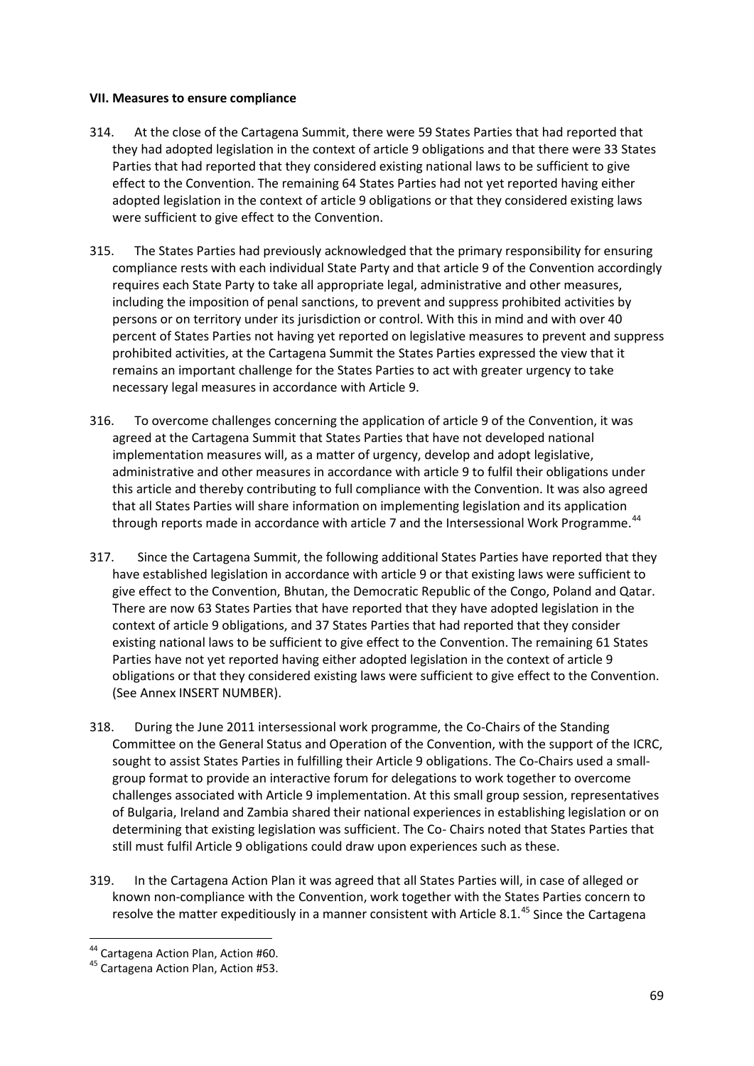### **VII. Measures to ensure compliance**

- 314. At the close of the Cartagena Summit, there were 59 States Parties that had reported that they had adopted legislation in the context of article 9 obligations and that there were 33 States Parties that had reported that they considered existing national laws to be sufficient to give effect to the Convention. The remaining 64 States Parties had not yet reported having either adopted legislation in the context of article 9 obligations or that they considered existing laws were sufficient to give effect to the Convention.
- 315. The States Parties had previously acknowledged that the primary responsibility for ensuring compliance rests with each individual State Party and that article 9 of the Convention accordingly requires each State Party to take all appropriate legal, administrative and other measures, including the imposition of penal sanctions, to prevent and suppress prohibited activities by persons or on territory under its jurisdiction or control. With this in mind and with over 40 percent of States Parties not having yet reported on legislative measures to prevent and suppress prohibited activities, at the Cartagena Summit the States Parties expressed the view that it remains an important challenge for the States Parties to act with greater urgency to take necessary legal measures in accordance with Article 9.
- 316. To overcome challenges concerning the application of article 9 of the Convention, it was agreed at the Cartagena Summit that States Parties that have not developed national implementation measures will, as a matter of urgency, develop and adopt legislative, administrative and other measures in accordance with article 9 to fulfil their obligations under this article and thereby contributing to full compliance with the Convention. It was also agreed that all States Parties will share information on implementing legislation and its application through reports made in accordance with article 7 and the Intersessional Work Programme.<sup>[44](#page-68-0)</sup>
- 317. Since the Cartagena Summit, the following additional States Parties have reported that they have established legislation in accordance with article 9 or that existing laws were sufficient to give effect to the Convention, Bhutan, the Democratic Republic of the Congo, Poland and Qatar. There are now 63 States Parties that have reported that they have adopted legislation in the context of article 9 obligations, and 37 States Parties that had reported that they consider existing national laws to be sufficient to give effect to the Convention. The remaining 61 States Parties have not yet reported having either adopted legislation in the context of article 9 obligations or that they considered existing laws were sufficient to give effect to the Convention. (See Annex INSERT NUMBER).
- 318. During the June 2011 intersessional work programme, the Co-Chairs of the Standing Committee on the General Status and Operation of the Convention, with the support of the ICRC, sought to assist States Parties in fulfilling their Article 9 obligations. The Co-Chairs used a smallgroup format to provide an interactive forum for delegations to work together to overcome challenges associated with Article 9 implementation. At this small group session, representatives of Bulgaria, Ireland and Zambia shared their national experiences in establishing legislation or on determining that existing legislation was sufficient. The Co- Chairs noted that States Parties that still must fulfil Article 9 obligations could draw upon experiences such as these.
- 319. In the Cartagena Action Plan it was agreed that all States Parties will, in case of alleged or known non-compliance with the Convention, work together with the States Parties concern to resolve the matter expeditiously in a manner consistent with Article 8.1.<sup>[45](#page-68-1)</sup> Since the Cartagena

<span id="page-68-1"></span><span id="page-68-0"></span><sup>44</sup> Cartagena Action Plan, Action #60.<br><sup>45</sup> Cartagena Action Plan, Action #53.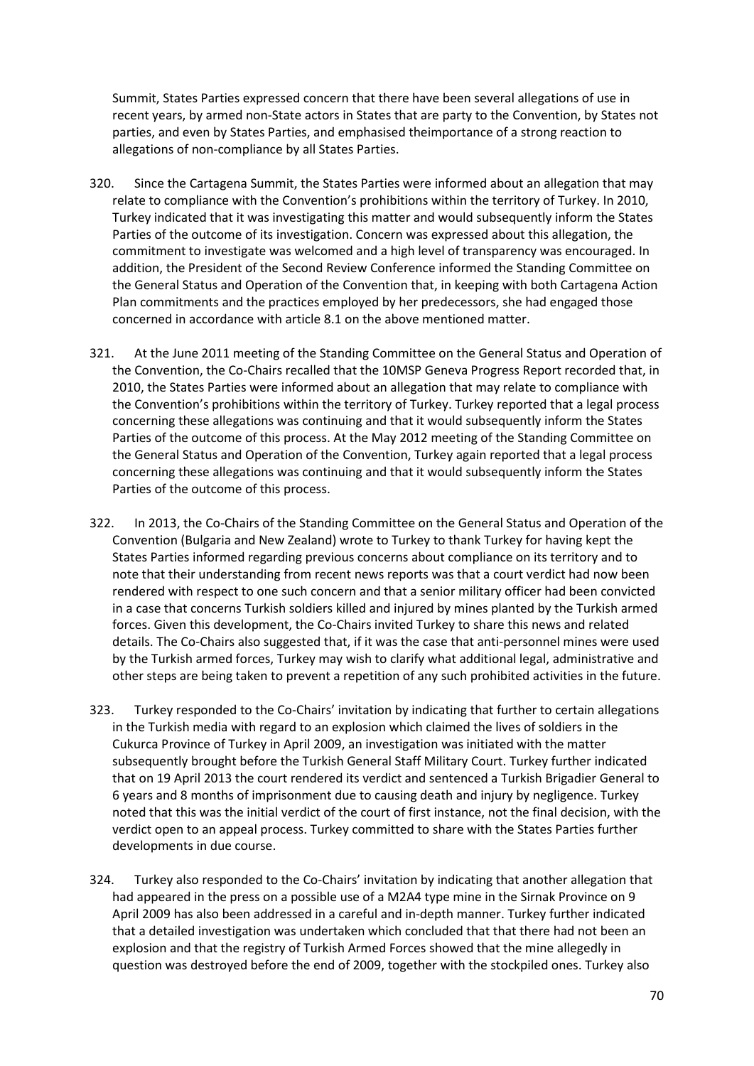Summit, States Parties expressed concern that there have been several allegations of use in recent years, by armed non-State actors in States that are party to the Convention, by States not parties, and even by States Parties, and emphasised theimportance of a strong reaction to allegations of non-compliance by all States Parties.

- 320. Since the Cartagena Summit, the States Parties were informed about an allegation that may relate to compliance with the Convention's prohibitions within the territory of Turkey. In 2010, Turkey indicated that it was investigating this matter and would subsequently inform the States Parties of the outcome of its investigation. Concern was expressed about this allegation, the commitment to investigate was welcomed and a high level of transparency was encouraged. In addition, the President of the Second Review Conference informed the Standing Committee on the General Status and Operation of the Convention that, in keeping with both Cartagena Action Plan commitments and the practices employed by her predecessors, she had engaged those concerned in accordance with article 8.1 on the above mentioned matter.
- 321. At the June 2011 meeting of the Standing Committee on the General Status and Operation of the Convention, the Co-Chairs recalled that the 10MSP Geneva Progress Report recorded that, in 2010, the States Parties were informed about an allegation that may relate to compliance with the Convention's prohibitions within the territory of Turkey. Turkey reported that a legal process concerning these allegations was continuing and that it would subsequently inform the States Parties of the outcome of this process. At the May 2012 meeting of the Standing Committee on the General Status and Operation of the Convention, Turkey again reported that a legal process concerning these allegations was continuing and that it would subsequently inform the States Parties of the outcome of this process.
- 322. In 2013, the Co-Chairs of the Standing Committee on the General Status and Operation of the Convention (Bulgaria and New Zealand) wrote to Turkey to thank Turkey for having kept the States Parties informed regarding previous concerns about compliance on its territory and to note that their understanding from recent news reports was that a court verdict had now been rendered with respect to one such concern and that a senior military officer had been convicted in a case that concerns Turkish soldiers killed and injured by mines planted by the Turkish armed forces. Given this development, the Co-Chairs invited Turkey to share this news and related details. The Co-Chairs also suggested that, if it was the case that anti-personnel mines were used by the Turkish armed forces, Turkey may wish to clarify what additional legal, administrative and other steps are being taken to prevent a repetition of any such prohibited activities in the future.
- 323. Turkey responded to the Co-Chairs' invitation by indicating that further to certain allegations in the Turkish media with regard to an explosion which claimed the lives of soldiers in the Cukurca Province of Turkey in April 2009, an investigation was initiated with the matter subsequently brought before the Turkish General Staff Military Court. Turkey further indicated that on 19 April 2013 the court rendered its verdict and sentenced a Turkish Brigadier General to 6 years and 8 months of imprisonment due to causing death and injury by negligence. Turkey noted that this was the initial verdict of the court of first instance, not the final decision, with the verdict open to an appeal process. Turkey committed to share with the States Parties further developments in due course.
- 324. Turkey also responded to the Co-Chairs' invitation by indicating that another allegation that had appeared in the press on a possible use of a M2A4 type mine in the Sirnak Province on 9 April 2009 has also been addressed in a careful and in-depth manner. Turkey further indicated that a detailed investigation was undertaken which concluded that that there had not been an explosion and that the registry of Turkish Armed Forces showed that the mine allegedly in question was destroyed before the end of 2009, together with the stockpiled ones. Turkey also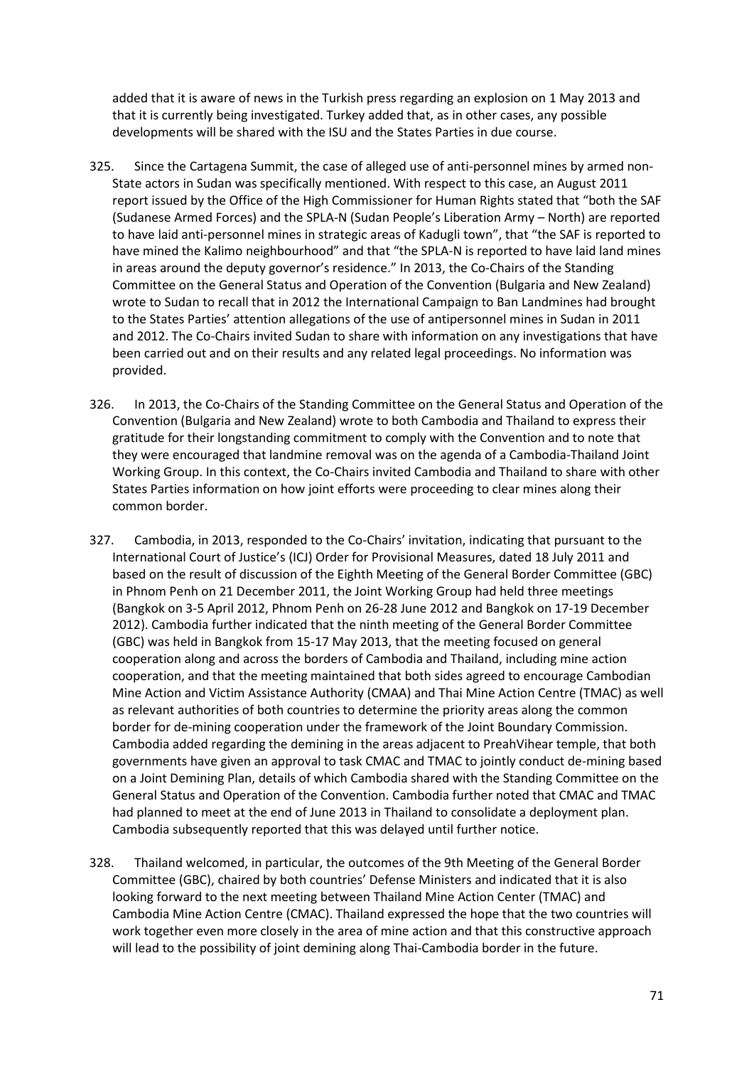added that it is aware of news in the Turkish press regarding an explosion on 1 May 2013 and that it is currently being investigated. Turkey added that, as in other cases, any possible developments will be shared with the ISU and the States Parties in due course.

- 325. Since the Cartagena Summit, the case of alleged use of anti-personnel mines by armed non-State actors in Sudan was specifically mentioned. With respect to this case, an August 2011 report issued by the Office of the High Commissioner for Human Rights stated that "both the SAF (Sudanese Armed Forces) and the SPLA-N (Sudan People's Liberation Army – North) are reported to have laid anti-personnel mines in strategic areas of Kadugli town", that "the SAF is reported to have mined the Kalimo neighbourhood" and that "the SPLA-N is reported to have laid land mines in areas around the deputy governor's residence." In 2013, the Co-Chairs of the Standing Committee on the General Status and Operation of the Convention (Bulgaria and New Zealand) wrote to Sudan to recall that in 2012 the International Campaign to Ban Landmines had brought to the States Parties' attention allegations of the use of antipersonnel mines in Sudan in 2011 and 2012. The Co-Chairs invited Sudan to share with information on any investigations that have been carried out and on their results and any related legal proceedings. No information was provided.
- 326. In 2013, the Co-Chairs of the Standing Committee on the General Status and Operation of the Convention (Bulgaria and New Zealand) wrote to both Cambodia and Thailand to express their gratitude for their longstanding commitment to comply with the Convention and to note that they were encouraged that landmine removal was on the agenda of a Cambodia-Thailand Joint Working Group. In this context, the Co-Chairs invited Cambodia and Thailand to share with other States Parties information on how joint efforts were proceeding to clear mines along their common border.
- 327. Cambodia, in 2013, responded to the Co-Chairs' invitation, indicating that pursuant to the International Court of Justice's (ICJ) Order for Provisional Measures, dated 18 July 2011 and based on the result of discussion of the Eighth Meeting of the General Border Committee (GBC) in Phnom Penh on 21 December 2011, the Joint Working Group had held three meetings (Bangkok on 3-5 April 2012, Phnom Penh on 26-28 June 2012 and Bangkok on 17-19 December 2012). Cambodia further indicated that the ninth meeting of the General Border Committee (GBC) was held in Bangkok from 15-17 May 2013, that the meeting focused on general cooperation along and across the borders of Cambodia and Thailand, including mine action cooperation, and that the meeting maintained that both sides agreed to encourage Cambodian Mine Action and Victim Assistance Authority (CMAA) and Thai Mine Action Centre (TMAC) as well as relevant authorities of both countries to determine the priority areas along the common border for de-mining cooperation under the framework of the Joint Boundary Commission. Cambodia added regarding the demining in the areas adjacent to PreahVihear temple, that both governments have given an approval to task CMAC and TMAC to jointly conduct de-mining based on a Joint Demining Plan, details of which Cambodia shared with the Standing Committee on the General Status and Operation of the Convention. Cambodia further noted that CMAC and TMAC had planned to meet at the end of June 2013 in Thailand to consolidate a deployment plan. Cambodia subsequently reported that this was delayed until further notice.
- 328. Thailand welcomed, in particular, the outcomes of the 9th Meeting of the General Border Committee (GBC), chaired by both countries' Defense Ministers and indicated that it is also looking forward to the next meeting between Thailand Mine Action Center (TMAC) and Cambodia Mine Action Centre (CMAC). Thailand expressed the hope that the two countries will work together even more closely in the area of mine action and that this constructive approach will lead to the possibility of joint demining along Thai-Cambodia border in the future.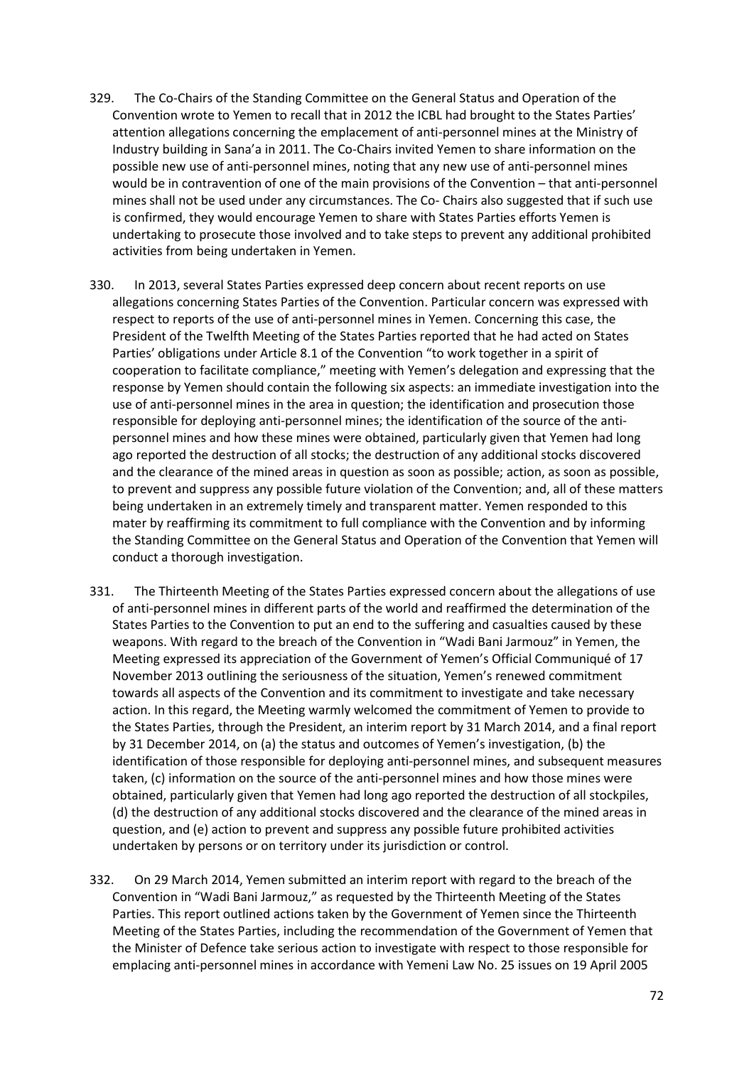- 329. The Co-Chairs of the Standing Committee on the General Status and Operation of the Convention wrote to Yemen to recall that in 2012 the ICBL had brought to the States Parties' attention allegations concerning the emplacement of anti-personnel mines at the Ministry of Industry building in Sana'a in 2011. The Co-Chairs invited Yemen to share information on the possible new use of anti-personnel mines, noting that any new use of anti-personnel mines would be in contravention of one of the main provisions of the Convention – that anti-personnel mines shall not be used under any circumstances. The Co- Chairs also suggested that if such use is confirmed, they would encourage Yemen to share with States Parties efforts Yemen is undertaking to prosecute those involved and to take steps to prevent any additional prohibited activities from being undertaken in Yemen.
- 330. In 2013, several States Parties expressed deep concern about recent reports on use allegations concerning States Parties of the Convention. Particular concern was expressed with respect to reports of the use of anti-personnel mines in Yemen. Concerning this case, the President of the Twelfth Meeting of the States Parties reported that he had acted on States Parties' obligations under Article 8.1 of the Convention "to work together in a spirit of cooperation to facilitate compliance," meeting with Yemen's delegation and expressing that the response by Yemen should contain the following six aspects: an immediate investigation into the use of anti-personnel mines in the area in question; the identification and prosecution those responsible for deploying anti-personnel mines; the identification of the source of the antipersonnel mines and how these mines were obtained, particularly given that Yemen had long ago reported the destruction of all stocks; the destruction of any additional stocks discovered and the clearance of the mined areas in question as soon as possible; action, as soon as possible, to prevent and suppress any possible future violation of the Convention; and, all of these matters being undertaken in an extremely timely and transparent matter. Yemen responded to this mater by reaffirming its commitment to full compliance with the Convention and by informing the Standing Committee on the General Status and Operation of the Convention that Yemen will conduct a thorough investigation.
- 331. The Thirteenth Meeting of the States Parties expressed concern about the allegations of use of anti-personnel mines in different parts of the world and reaffirmed the determination of the States Parties to the Convention to put an end to the suffering and casualties caused by these weapons. With regard to the breach of the Convention in "Wadi Bani Jarmouz" in Yemen, the Meeting expressed its appreciation of the Government of Yemen's Official Communiqué of 17 November 2013 outlining the seriousness of the situation, Yemen's renewed commitment towards all aspects of the Convention and its commitment to investigate and take necessary action. In this regard, the Meeting warmly welcomed the commitment of Yemen to provide to the States Parties, through the President, an interim report by 31 March 2014, and a final report by 31 December 2014, on (a) the status and outcomes of Yemen's investigation, (b) the identification of those responsible for deploying anti-personnel mines, and subsequent measures taken, (c) information on the source of the anti-personnel mines and how those mines were obtained, particularly given that Yemen had long ago reported the destruction of all stockpiles, (d) the destruction of any additional stocks discovered and the clearance of the mined areas in question, and (e) action to prevent and suppress any possible future prohibited activities undertaken by persons or on territory under its jurisdiction or control.
- 332. On 29 March 2014, Yemen submitted an interim report with regard to the breach of the Convention in "Wadi Bani Jarmouz," as requested by the Thirteenth Meeting of the States Parties. This report outlined actions taken by the Government of Yemen since the Thirteenth Meeting of the States Parties, including the recommendation of the Government of Yemen that the Minister of Defence take serious action to investigate with respect to those responsible for emplacing anti-personnel mines in accordance with Yemeni Law No. 25 issues on 19 April 2005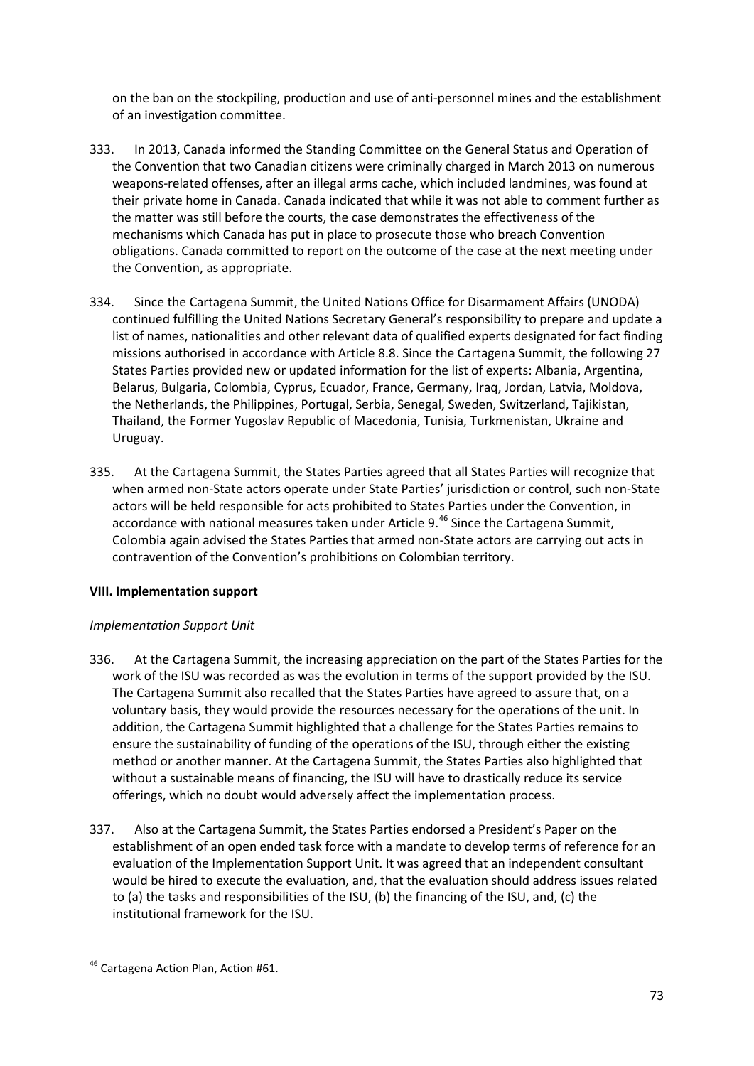on the ban on the stockpiling, production and use of anti-personnel mines and the establishment of an investigation committee.

- 333. In 2013, Canada informed the Standing Committee on the General Status and Operation of the Convention that two Canadian citizens were criminally charged in March 2013 on numerous weapons-related offenses, after an illegal arms cache, which included landmines, was found at their private home in Canada. Canada indicated that while it was not able to comment further as the matter was still before the courts, the case demonstrates the effectiveness of the mechanisms which Canada has put in place to prosecute those who breach Convention obligations. Canada committed to report on the outcome of the case at the next meeting under the Convention, as appropriate.
- 334. Since the Cartagena Summit, the United Nations Office for Disarmament Affairs (UNODA) continued fulfilling the United Nations Secretary General's responsibility to prepare and update a list of names, nationalities and other relevant data of qualified experts designated for fact finding missions authorised in accordance with Article 8.8. Since the Cartagena Summit, the following 27 States Parties provided new or updated information for the list of experts: Albania, Argentina, Belarus, Bulgaria, Colombia, Cyprus, Ecuador, France, Germany, Iraq, Jordan, Latvia, Moldova, the Netherlands, the Philippines, Portugal, Serbia, Senegal, Sweden, Switzerland, Tajikistan, Thailand, the Former Yugoslav Republic of Macedonia, Tunisia, Turkmenistan, Ukraine and Uruguay.
- 335. At the Cartagena Summit, the States Parties agreed that all States Parties will recognize that when armed non-State actors operate under State Parties' jurisdiction or control, such non-State actors will be held responsible for acts prohibited to States Parties under the Convention, in accordance with national measures taken under Article 9.<sup>[46](#page-72-0)</sup> Since the Cartagena Summit, Colombia again advised the States Parties that armed non-State actors are carrying out acts in contravention of the Convention's prohibitions on Colombian territory.

## **VIII. Implementation support**

## *Implementation Support Unit*

- 336. At the Cartagena Summit, the increasing appreciation on the part of the States Parties for the work of the ISU was recorded as was the evolution in terms of the support provided by the ISU. The Cartagena Summit also recalled that the States Parties have agreed to assure that, on a voluntary basis, they would provide the resources necessary for the operations of the unit. In addition, the Cartagena Summit highlighted that a challenge for the States Parties remains to ensure the sustainability of funding of the operations of the ISU, through either the existing method or another manner. At the Cartagena Summit, the States Parties also highlighted that without a sustainable means of financing, the ISU will have to drastically reduce its service offerings, which no doubt would adversely affect the implementation process.
- 337. Also at the Cartagena Summit, the States Parties endorsed a President's Paper on the establishment of an open ended task force with a mandate to develop terms of reference for an evaluation of the Implementation Support Unit. It was agreed that an independent consultant would be hired to execute the evaluation, and, that the evaluation should address issues related to (a) the tasks and responsibilities of the ISU, (b) the financing of the ISU, and, (c) the institutional framework for the ISU.

<span id="page-72-0"></span> <sup>46</sup> Cartagena Action Plan, Action #61.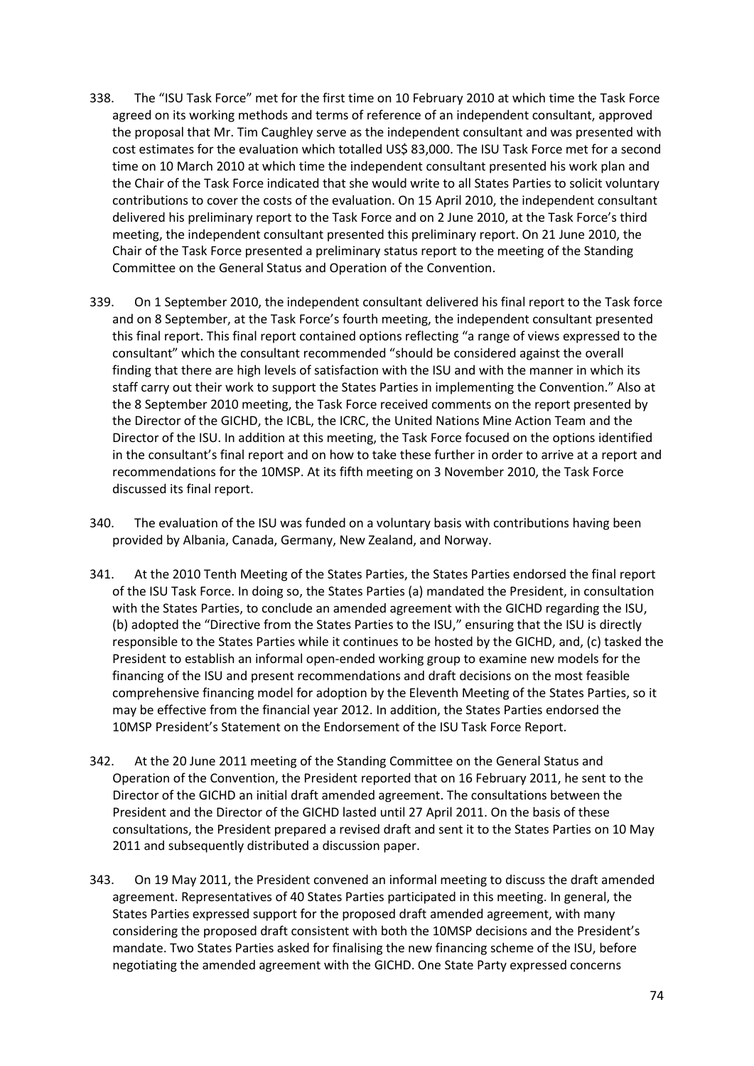- 338. The "ISU Task Force" met for the first time on 10 February 2010 at which time the Task Force agreed on its working methods and terms of reference of an independent consultant, approved the proposal that Mr. Tim Caughley serve as the independent consultant and was presented with cost estimates for the evaluation which totalled US\$ 83,000. The ISU Task Force met for a second time on 10 March 2010 at which time the independent consultant presented his work plan and the Chair of the Task Force indicated that she would write to all States Parties to solicit voluntary contributions to cover the costs of the evaluation. On 15 April 2010, the independent consultant delivered his preliminary report to the Task Force and on 2 June 2010, at the Task Force's third meeting, the independent consultant presented this preliminary report. On 21 June 2010, the Chair of the Task Force presented a preliminary status report to the meeting of the Standing Committee on the General Status and Operation of the Convention.
- 339. On 1 September 2010, the independent consultant delivered his final report to the Task force and on 8 September, at the Task Force's fourth meeting, the independent consultant presented this final report. This final report contained options reflecting "a range of views expressed to the consultant" which the consultant recommended "should be considered against the overall finding that there are high levels of satisfaction with the ISU and with the manner in which its staff carry out their work to support the States Parties in implementing the Convention." Also at the 8 September 2010 meeting, the Task Force received comments on the report presented by the Director of the GICHD, the ICBL, the ICRC, the United Nations Mine Action Team and the Director of the ISU. In addition at this meeting, the Task Force focused on the options identified in the consultant's final report and on how to take these further in order to arrive at a report and recommendations for the 10MSP. At its fifth meeting on 3 November 2010, the Task Force discussed its final report.
- 340. The evaluation of the ISU was funded on a voluntary basis with contributions having been provided by Albania, Canada, Germany, New Zealand, and Norway.
- 341. At the 2010 Tenth Meeting of the States Parties, the States Parties endorsed the final report of the ISU Task Force. In doing so, the States Parties (a) mandated the President, in consultation with the States Parties, to conclude an amended agreement with the GICHD regarding the ISU, (b) adopted the "Directive from the States Parties to the ISU," ensuring that the ISU is directly responsible to the States Parties while it continues to be hosted by the GICHD, and, (c) tasked the President to establish an informal open-ended working group to examine new models for the financing of the ISU and present recommendations and draft decisions on the most feasible comprehensive financing model for adoption by the Eleventh Meeting of the States Parties, so it may be effective from the financial year 2012. In addition, the States Parties endorsed the 10MSP President's Statement on the Endorsement of the ISU Task Force Report.
- 342. At the 20 June 2011 meeting of the Standing Committee on the General Status and Operation of the Convention, the President reported that on 16 February 2011, he sent to the Director of the GICHD an initial draft amended agreement. The consultations between the President and the Director of the GICHD lasted until 27 April 2011. On the basis of these consultations, the President prepared a revised draft and sent it to the States Parties on 10 May 2011 and subsequently distributed a discussion paper.
- 343. On 19 May 2011, the President convened an informal meeting to discuss the draft amended agreement. Representatives of 40 States Parties participated in this meeting. In general, the States Parties expressed support for the proposed draft amended agreement, with many considering the proposed draft consistent with both the 10MSP decisions and the President's mandate. Two States Parties asked for finalising the new financing scheme of the ISU, before negotiating the amended agreement with the GICHD. One State Party expressed concerns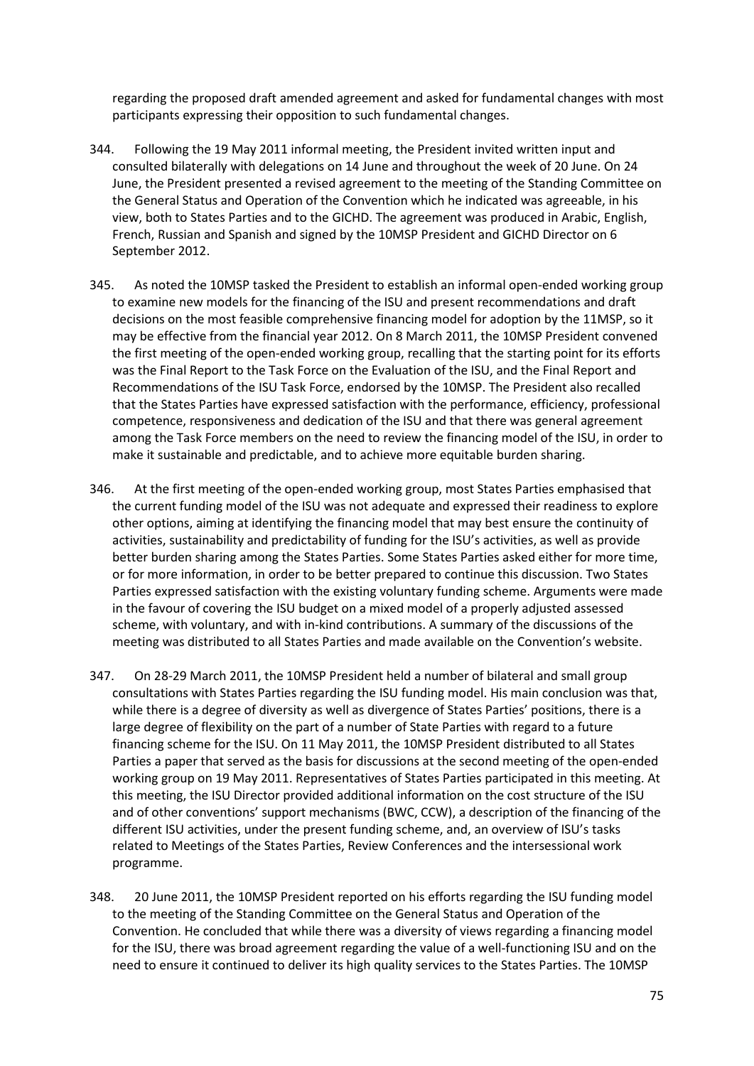regarding the proposed draft amended agreement and asked for fundamental changes with most participants expressing their opposition to such fundamental changes.

- 344. Following the 19 May 2011 informal meeting, the President invited written input and consulted bilaterally with delegations on 14 June and throughout the week of 20 June. On 24 June, the President presented a revised agreement to the meeting of the Standing Committee on the General Status and Operation of the Convention which he indicated was agreeable, in his view, both to States Parties and to the GICHD. The agreement was produced in Arabic, English, French, Russian and Spanish and signed by the 10MSP President and GICHD Director on 6 September 2012.
- 345. As noted the 10MSP tasked the President to establish an informal open-ended working group to examine new models for the financing of the ISU and present recommendations and draft decisions on the most feasible comprehensive financing model for adoption by the 11MSP, so it may be effective from the financial year 2012. On 8 March 2011, the 10MSP President convened the first meeting of the open-ended working group, recalling that the starting point for its efforts was the Final Report to the Task Force on the Evaluation of the ISU, and the Final Report and Recommendations of the ISU Task Force, endorsed by the 10MSP. The President also recalled that the States Parties have expressed satisfaction with the performance, efficiency, professional competence, responsiveness and dedication of the ISU and that there was general agreement among the Task Force members on the need to review the financing model of the ISU, in order to make it sustainable and predictable, and to achieve more equitable burden sharing.
- 346. At the first meeting of the open-ended working group, most States Parties emphasised that the current funding model of the ISU was not adequate and expressed their readiness to explore other options, aiming at identifying the financing model that may best ensure the continuity of activities, sustainability and predictability of funding for the ISU's activities, as well as provide better burden sharing among the States Parties. Some States Parties asked either for more time, or for more information, in order to be better prepared to continue this discussion. Two States Parties expressed satisfaction with the existing voluntary funding scheme. Arguments were made in the favour of covering the ISU budget on a mixed model of a properly adjusted assessed scheme, with voluntary, and with in-kind contributions. A summary of the discussions of the meeting was distributed to all States Parties and made available on the Convention's website.
- 347. On 28-29 March 2011, the 10MSP President held a number of bilateral and small group consultations with States Parties regarding the ISU funding model. His main conclusion was that, while there is a degree of diversity as well as divergence of States Parties' positions, there is a large degree of flexibility on the part of a number of State Parties with regard to a future financing scheme for the ISU. On 11 May 2011, the 10MSP President distributed to all States Parties a paper that served as the basis for discussions at the second meeting of the open-ended working group on 19 May 2011. Representatives of States Parties participated in this meeting. At this meeting, the ISU Director provided additional information on the cost structure of the ISU and of other conventions' support mechanisms (BWC, CCW), a description of the financing of the different ISU activities, under the present funding scheme, and, an overview of ISU's tasks related to Meetings of the States Parties, Review Conferences and the intersessional work programme.
- 348. 20 June 2011, the 10MSP President reported on his efforts regarding the ISU funding model to the meeting of the Standing Committee on the General Status and Operation of the Convention. He concluded that while there was a diversity of views regarding a financing model for the ISU, there was broad agreement regarding the value of a well-functioning ISU and on the need to ensure it continued to deliver its high quality services to the States Parties. The 10MSP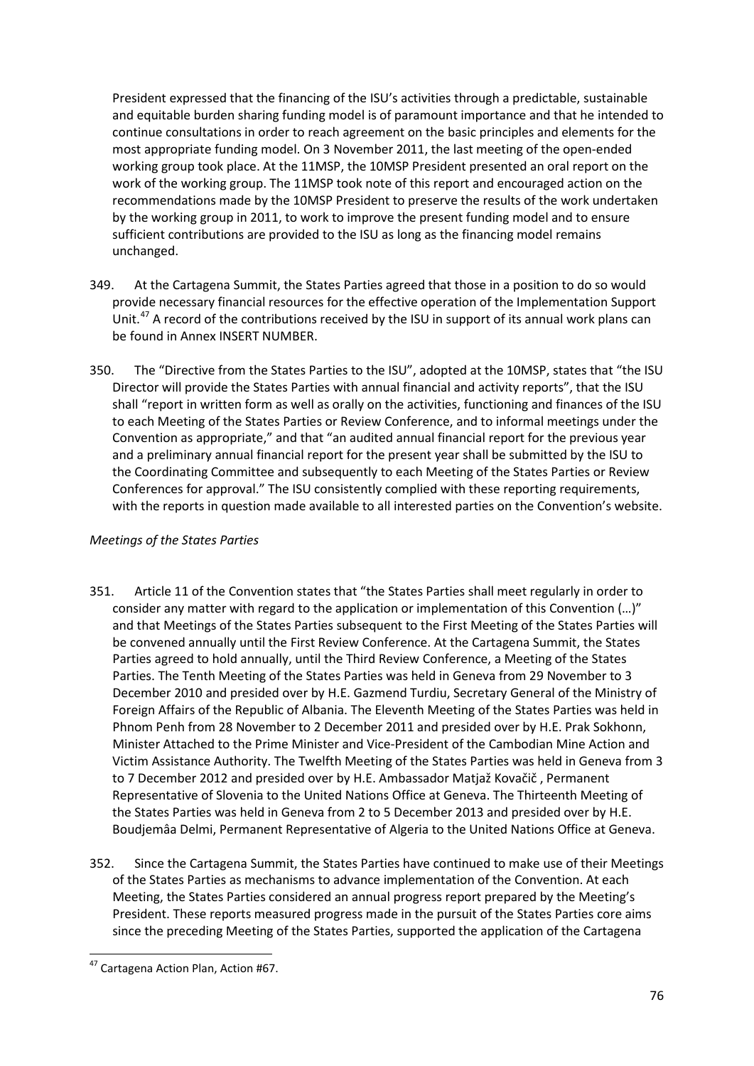President expressed that the financing of the ISU's activities through a predictable, sustainable and equitable burden sharing funding model is of paramount importance and that he intended to continue consultations in order to reach agreement on the basic principles and elements for the most appropriate funding model. On 3 November 2011, the last meeting of the open-ended working group took place. At the 11MSP, the 10MSP President presented an oral report on the work of the working group. The 11MSP took note of this report and encouraged action on the recommendations made by the 10MSP President to preserve the results of the work undertaken by the working group in 2011, to work to improve the present funding model and to ensure sufficient contributions are provided to the ISU as long as the financing model remains unchanged.

- 349. At the Cartagena Summit, the States Parties agreed that those in a position to do so would provide necessary financial resources for the effective operation of the Implementation Support Unit.<sup>[47](#page-75-0)</sup> A record of the contributions received by the ISU in support of its annual work plans can be found in Annex INSERT NUMBER.
- 350. The "Directive from the States Parties to the ISU", adopted at the 10MSP, states that "the ISU Director will provide the States Parties with annual financial and activity reports", that the ISU shall "report in written form as well as orally on the activities, functioning and finances of the ISU to each Meeting of the States Parties or Review Conference, and to informal meetings under the Convention as appropriate," and that "an audited annual financial report for the previous year and a preliminary annual financial report for the present year shall be submitted by the ISU to the Coordinating Committee and subsequently to each Meeting of the States Parties or Review Conferences for approval." The ISU consistently complied with these reporting requirements, with the reports in question made available to all interested parties on the Convention's website.

## *Meetings of the States Parties*

- 351. Article 11 of the Convention states that "the States Parties shall meet regularly in order to consider any matter with regard to the application or implementation of this Convention (…)" and that Meetings of the States Parties subsequent to the First Meeting of the States Parties will be convened annually until the First Review Conference. At the Cartagena Summit, the States Parties agreed to hold annually, until the Third Review Conference, a Meeting of the States Parties. The Tenth Meeting of the States Parties was held in Geneva from 29 November to 3 December 2010 and presided over by H.E. Gazmend Turdiu, Secretary General of the Ministry of Foreign Affairs of the Republic of Albania. The Eleventh Meeting of the States Parties was held in Phnom Penh from 28 November to 2 December 2011 and presided over by H.E. Prak Sokhonn, Minister Attached to the Prime Minister and Vice-President of the Cambodian Mine Action and Victim Assistance Authority. The Twelfth Meeting of the States Parties was held in Geneva from 3 to 7 December 2012 and presided over by H.E. Ambassador Matjaž Kovačič , Permanent Representative of Slovenia to the United Nations Office at Geneva. The Thirteenth Meeting of the States Parties was held in Geneva from 2 to 5 December 2013 and presided over by H.E. Boudjemâa Delmi, Permanent Representative of Algeria to the United Nations Office at Geneva.
- 352. Since the Cartagena Summit, the States Parties have continued to make use of their Meetings of the States Parties as mechanisms to advance implementation of the Convention. At each Meeting, the States Parties considered an annual progress report prepared by the Meeting's President. These reports measured progress made in the pursuit of the States Parties core aims since the preceding Meeting of the States Parties, supported the application of the Cartagena

<span id="page-75-0"></span> <sup>47</sup> Cartagena Action Plan, Action #67.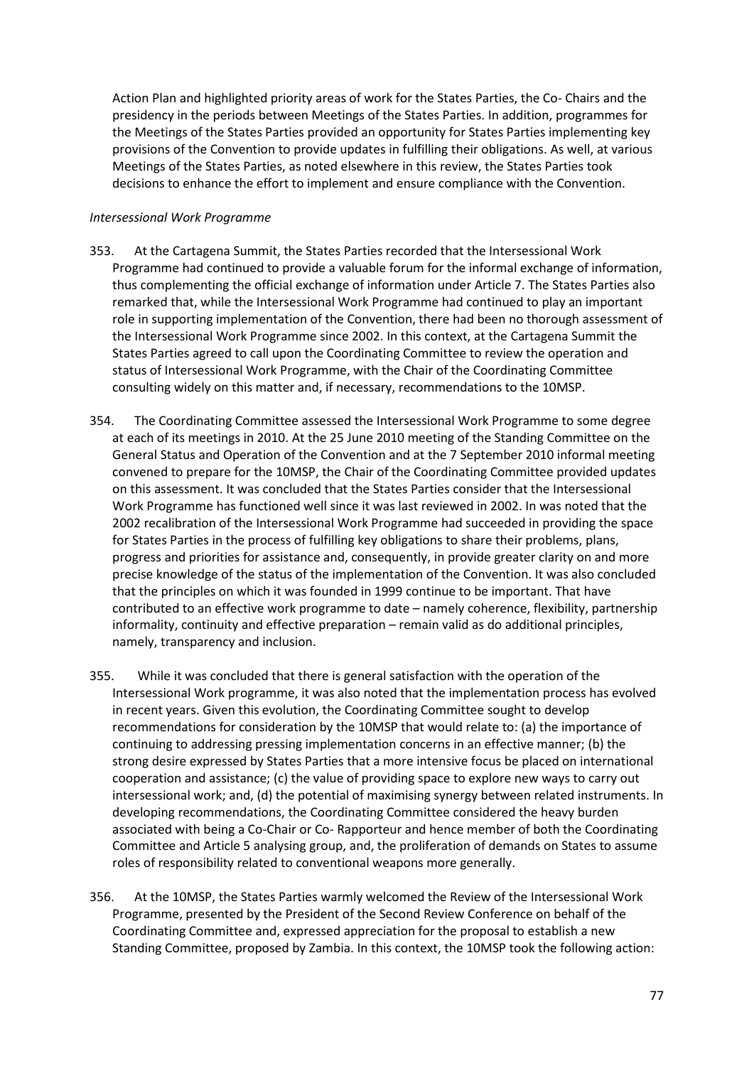Action Plan and highlighted priority areas of work for the States Parties, the Co- Chairs and the presidency in the periods between Meetings of the States Parties. In addition, programmes for the Meetings of the States Parties provided an opportunity for States Parties implementing key provisions of the Convention to provide updates in fulfilling their obligations. As well, at various Meetings of the States Parties, as noted elsewhere in this review, the States Parties took decisions to enhance the effort to implement and ensure compliance with the Convention.

#### *Intersessional Work Programme*

- 353. At the Cartagena Summit, the States Parties recorded that the Intersessional Work Programme had continued to provide a valuable forum for the informal exchange of information, thus complementing the official exchange of information under Article 7. The States Parties also remarked that, while the Intersessional Work Programme had continued to play an important role in supporting implementation of the Convention, there had been no thorough assessment of the Intersessional Work Programme since 2002. In this context, at the Cartagena Summit the States Parties agreed to call upon the Coordinating Committee to review the operation and status of Intersessional Work Programme, with the Chair of the Coordinating Committee consulting widely on this matter and, if necessary, recommendations to the 10MSP.
- 354. The Coordinating Committee assessed the Intersessional Work Programme to some degree at each of its meetings in 2010. At the 25 June 2010 meeting of the Standing Committee on the General Status and Operation of the Convention and at the 7 September 2010 informal meeting convened to prepare for the 10MSP, the Chair of the Coordinating Committee provided updates on this assessment. It was concluded that the States Parties consider that the Intersessional Work Programme has functioned well since it was last reviewed in 2002. In was noted that the 2002 recalibration of the Intersessional Work Programme had succeeded in providing the space for States Parties in the process of fulfilling key obligations to share their problems, plans, progress and priorities for assistance and, consequently, in provide greater clarity on and more precise knowledge of the status of the implementation of the Convention. It was also concluded that the principles on which it was founded in 1999 continue to be important. That have contributed to an effective work programme to date – namely coherence, flexibility, partnership informality, continuity and effective preparation – remain valid as do additional principles, namely, transparency and inclusion.
- 355. While it was concluded that there is general satisfaction with the operation of the Intersessional Work programme, it was also noted that the implementation process has evolved in recent years. Given this evolution, the Coordinating Committee sought to develop recommendations for consideration by the 10MSP that would relate to: (a) the importance of continuing to addressing pressing implementation concerns in an effective manner; (b) the strong desire expressed by States Parties that a more intensive focus be placed on international cooperation and assistance; (c) the value of providing space to explore new ways to carry out intersessional work; and, (d) the potential of maximising synergy between related instruments. In developing recommendations, the Coordinating Committee considered the heavy burden associated with being a Co-Chair or Co- Rapporteur and hence member of both the Coordinating Committee and Article 5 analysing group, and, the proliferation of demands on States to assume roles of responsibility related to conventional weapons more generally.
- 356. At the 10MSP, the States Parties warmly welcomed the Review of the Intersessional Work Programme, presented by the President of the Second Review Conference on behalf of the Coordinating Committee and, expressed appreciation for the proposal to establish a new Standing Committee, proposed by Zambia. In this context, the 10MSP took the following action: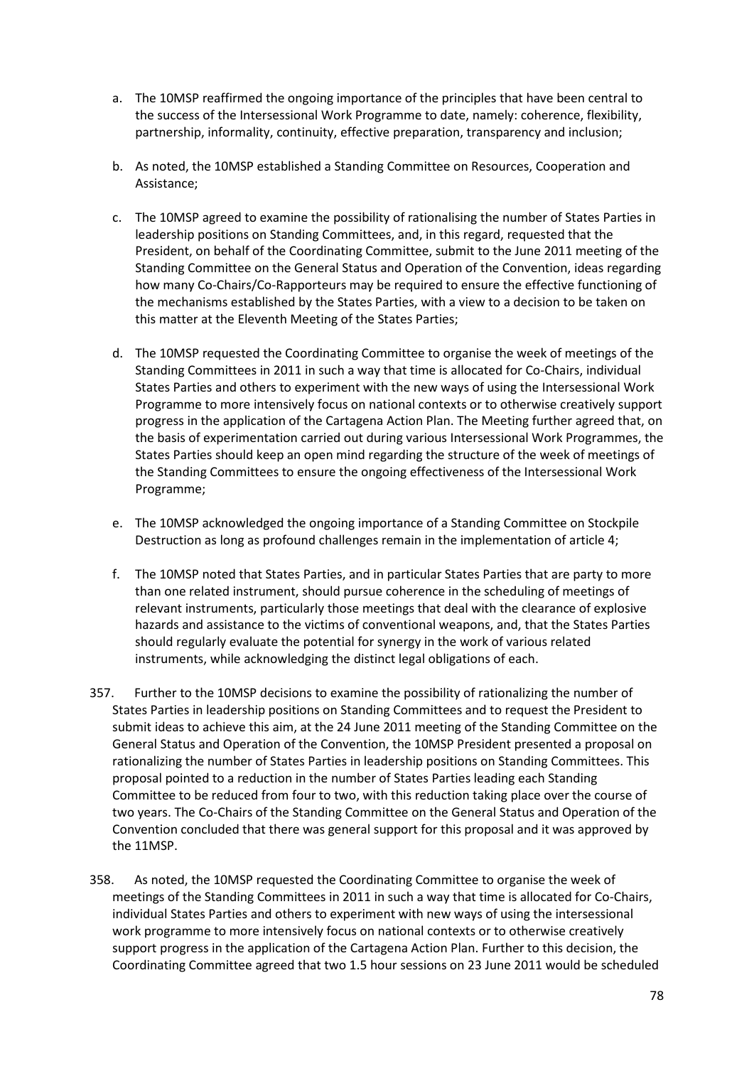- a. The 10MSP reaffirmed the ongoing importance of the principles that have been central to the success of the Intersessional Work Programme to date, namely: coherence, flexibility, partnership, informality, continuity, effective preparation, transparency and inclusion;
- b. As noted, the 10MSP established a Standing Committee on Resources, Cooperation and Assistance;
- c. The 10MSP agreed to examine the possibility of rationalising the number of States Parties in leadership positions on Standing Committees, and, in this regard, requested that the President, on behalf of the Coordinating Committee, submit to the June 2011 meeting of the Standing Committee on the General Status and Operation of the Convention, ideas regarding how many Co-Chairs/Co-Rapporteurs may be required to ensure the effective functioning of the mechanisms established by the States Parties, with a view to a decision to be taken on this matter at the Eleventh Meeting of the States Parties;
- d. The 10MSP requested the Coordinating Committee to organise the week of meetings of the Standing Committees in 2011 in such a way that time is allocated for Co-Chairs, individual States Parties and others to experiment with the new ways of using the Intersessional Work Programme to more intensively focus on national contexts or to otherwise creatively support progress in the application of the Cartagena Action Plan. The Meeting further agreed that, on the basis of experimentation carried out during various Intersessional Work Programmes, the States Parties should keep an open mind regarding the structure of the week of meetings of the Standing Committees to ensure the ongoing effectiveness of the Intersessional Work Programme;
- e. The 10MSP acknowledged the ongoing importance of a Standing Committee on Stockpile Destruction as long as profound challenges remain in the implementation of article 4;
- f. The 10MSP noted that States Parties, and in particular States Parties that are party to more than one related instrument, should pursue coherence in the scheduling of meetings of relevant instruments, particularly those meetings that deal with the clearance of explosive hazards and assistance to the victims of conventional weapons, and, that the States Parties should regularly evaluate the potential for synergy in the work of various related instruments, while acknowledging the distinct legal obligations of each.
- 357. Further to the 10MSP decisions to examine the possibility of rationalizing the number of States Parties in leadership positions on Standing Committees and to request the President to submit ideas to achieve this aim, at the 24 June 2011 meeting of the Standing Committee on the General Status and Operation of the Convention, the 10MSP President presented a proposal on rationalizing the number of States Parties in leadership positions on Standing Committees. This proposal pointed to a reduction in the number of States Parties leading each Standing Committee to be reduced from four to two, with this reduction taking place over the course of two years. The Co-Chairs of the Standing Committee on the General Status and Operation of the Convention concluded that there was general support for this proposal and it was approved by the 11MSP.
- 358. As noted, the 10MSP requested the Coordinating Committee to organise the week of meetings of the Standing Committees in 2011 in such a way that time is allocated for Co-Chairs, individual States Parties and others to experiment with new ways of using the intersessional work programme to more intensively focus on national contexts or to otherwise creatively support progress in the application of the Cartagena Action Plan. Further to this decision, the Coordinating Committee agreed that two 1.5 hour sessions on 23 June 2011 would be scheduled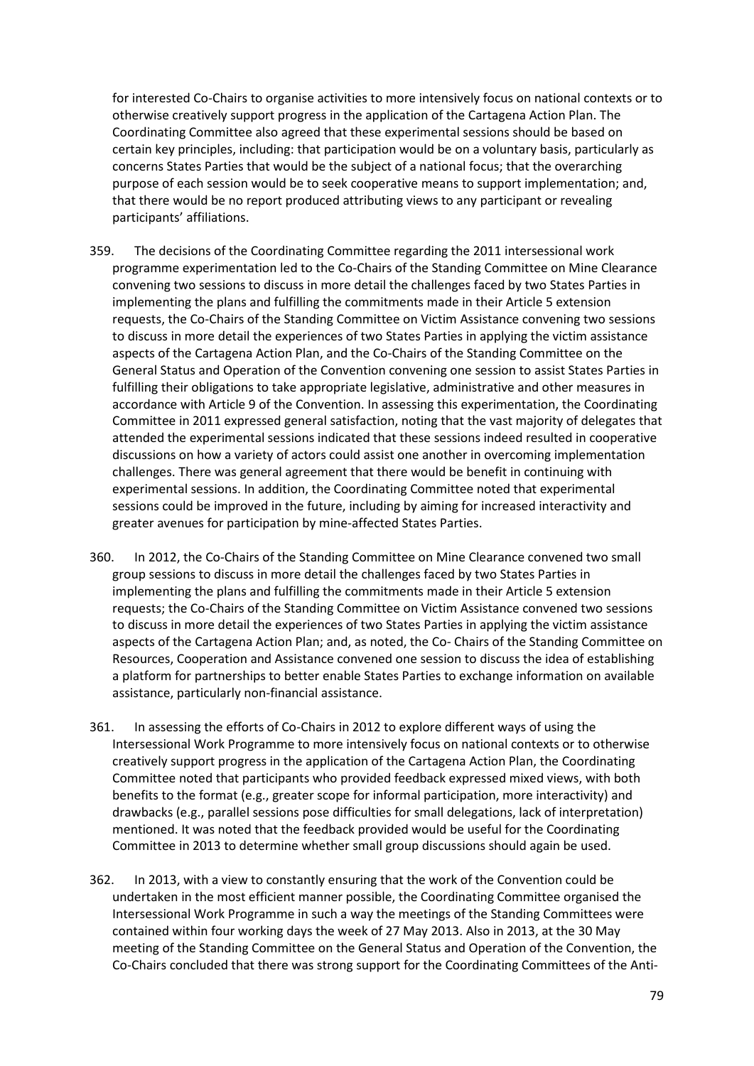for interested Co-Chairs to organise activities to more intensively focus on national contexts or to otherwise creatively support progress in the application of the Cartagena Action Plan. The Coordinating Committee also agreed that these experimental sessions should be based on certain key principles, including: that participation would be on a voluntary basis, particularly as concerns States Parties that would be the subject of a national focus; that the overarching purpose of each session would be to seek cooperative means to support implementation; and, that there would be no report produced attributing views to any participant or revealing participants' affiliations.

- 359. The decisions of the Coordinating Committee regarding the 2011 intersessional work programme experimentation led to the Co-Chairs of the Standing Committee on Mine Clearance convening two sessions to discuss in more detail the challenges faced by two States Parties in implementing the plans and fulfilling the commitments made in their Article 5 extension requests, the Co-Chairs of the Standing Committee on Victim Assistance convening two sessions to discuss in more detail the experiences of two States Parties in applying the victim assistance aspects of the Cartagena Action Plan, and the Co-Chairs of the Standing Committee on the General Status and Operation of the Convention convening one session to assist States Parties in fulfilling their obligations to take appropriate legislative, administrative and other measures in accordance with Article 9 of the Convention. In assessing this experimentation, the Coordinating Committee in 2011 expressed general satisfaction, noting that the vast majority of delegates that attended the experimental sessions indicated that these sessions indeed resulted in cooperative discussions on how a variety of actors could assist one another in overcoming implementation challenges. There was general agreement that there would be benefit in continuing with experimental sessions. In addition, the Coordinating Committee noted that experimental sessions could be improved in the future, including by aiming for increased interactivity and greater avenues for participation by mine-affected States Parties.
- 360. In 2012, the Co-Chairs of the Standing Committee on Mine Clearance convened two small group sessions to discuss in more detail the challenges faced by two States Parties in implementing the plans and fulfilling the commitments made in their Article 5 extension requests; the Co-Chairs of the Standing Committee on Victim Assistance convened two sessions to discuss in more detail the experiences of two States Parties in applying the victim assistance aspects of the Cartagena Action Plan; and, as noted, the Co- Chairs of the Standing Committee on Resources, Cooperation and Assistance convened one session to discuss the idea of establishing a platform for partnerships to better enable States Parties to exchange information on available assistance, particularly non-financial assistance.
- 361. In assessing the efforts of Co-Chairs in 2012 to explore different ways of using the Intersessional Work Programme to more intensively focus on national contexts or to otherwise creatively support progress in the application of the Cartagena Action Plan, the Coordinating Committee noted that participants who provided feedback expressed mixed views, with both benefits to the format (e.g., greater scope for informal participation, more interactivity) and drawbacks (e.g., parallel sessions pose difficulties for small delegations, lack of interpretation) mentioned. It was noted that the feedback provided would be useful for the Coordinating Committee in 2013 to determine whether small group discussions should again be used.
- 362. In 2013, with a view to constantly ensuring that the work of the Convention could be undertaken in the most efficient manner possible, the Coordinating Committee organised the Intersessional Work Programme in such a way the meetings of the Standing Committees were contained within four working days the week of 27 May 2013. Also in 2013, at the 30 May meeting of the Standing Committee on the General Status and Operation of the Convention, the Co-Chairs concluded that there was strong support for the Coordinating Committees of the Anti-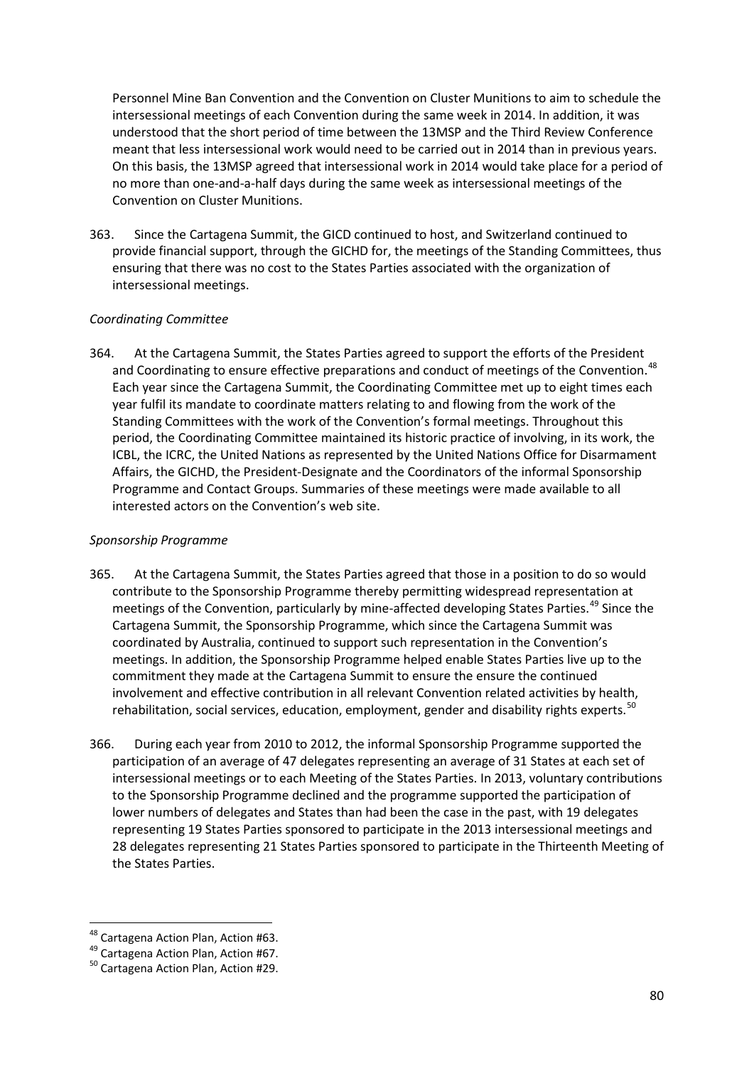Personnel Mine Ban Convention and the Convention on Cluster Munitions to aim to schedule the intersessional meetings of each Convention during the same week in 2014. In addition, it was understood that the short period of time between the 13MSP and the Third Review Conference meant that less intersessional work would need to be carried out in 2014 than in previous years. On this basis, the 13MSP agreed that intersessional work in 2014 would take place for a period of no more than one-and-a-half days during the same week as intersessional meetings of the Convention on Cluster Munitions.

363. Since the Cartagena Summit, the GICD continued to host, and Switzerland continued to provide financial support, through the GICHD for, the meetings of the Standing Committees, thus ensuring that there was no cost to the States Parties associated with the organization of intersessional meetings.

#### *Coordinating Committee*

364. At the Cartagena Summit, the States Parties agreed to support the efforts of the President and Coordinating to ensure effective preparations and conduct of meetings of the Convention.<sup>[48](#page-79-0)</sup> Each year since the Cartagena Summit, the Coordinating Committee met up to eight times each year fulfil its mandate to coordinate matters relating to and flowing from the work of the Standing Committees with the work of the Convention's formal meetings. Throughout this period, the Coordinating Committee maintained its historic practice of involving, in its work, the ICBL, the ICRC, the United Nations as represented by the United Nations Office for Disarmament Affairs, the GICHD, the President-Designate and the Coordinators of the informal Sponsorship Programme and Contact Groups. Summaries of these meetings were made available to all interested actors on the Convention's web site.

#### *Sponsorship Programme*

- 365. At the Cartagena Summit, the States Parties agreed that those in a position to do so would contribute to the Sponsorship Programme thereby permitting widespread representation at meetings of the Convention, particularly by mine-affected developing States Parties.<sup>[49](#page-79-1)</sup> Since the Cartagena Summit, the Sponsorship Programme, which since the Cartagena Summit was coordinated by Australia, continued to support such representation in the Convention's meetings. In addition, the Sponsorship Programme helped enable States Parties live up to the commitment they made at the Cartagena Summit to ensure the ensure the continued involvement and effective contribution in all relevant Convention related activities by health, rehabilitation, social services, education, employment, gender and disability rights experts.<sup>[50](#page-79-2)</sup>
- 366. During each year from 2010 to 2012, the informal Sponsorship Programme supported the participation of an average of 47 delegates representing an average of 31 States at each set of intersessional meetings or to each Meeting of the States Parties. In 2013, voluntary contributions to the Sponsorship Programme declined and the programme supported the participation of lower numbers of delegates and States than had been the case in the past, with 19 delegates representing 19 States Parties sponsored to participate in the 2013 intersessional meetings and 28 delegates representing 21 States Parties sponsored to participate in the Thirteenth Meeting of the States Parties.

<span id="page-79-2"></span><span id="page-79-1"></span>

<span id="page-79-0"></span><sup>&</sup>lt;sup>48</sup> Cartagena Action Plan, Action #63.<br><sup>49</sup> Cartagena Action Plan, Action #67.<br><sup>50</sup> Cartagena Action Plan, Action #29.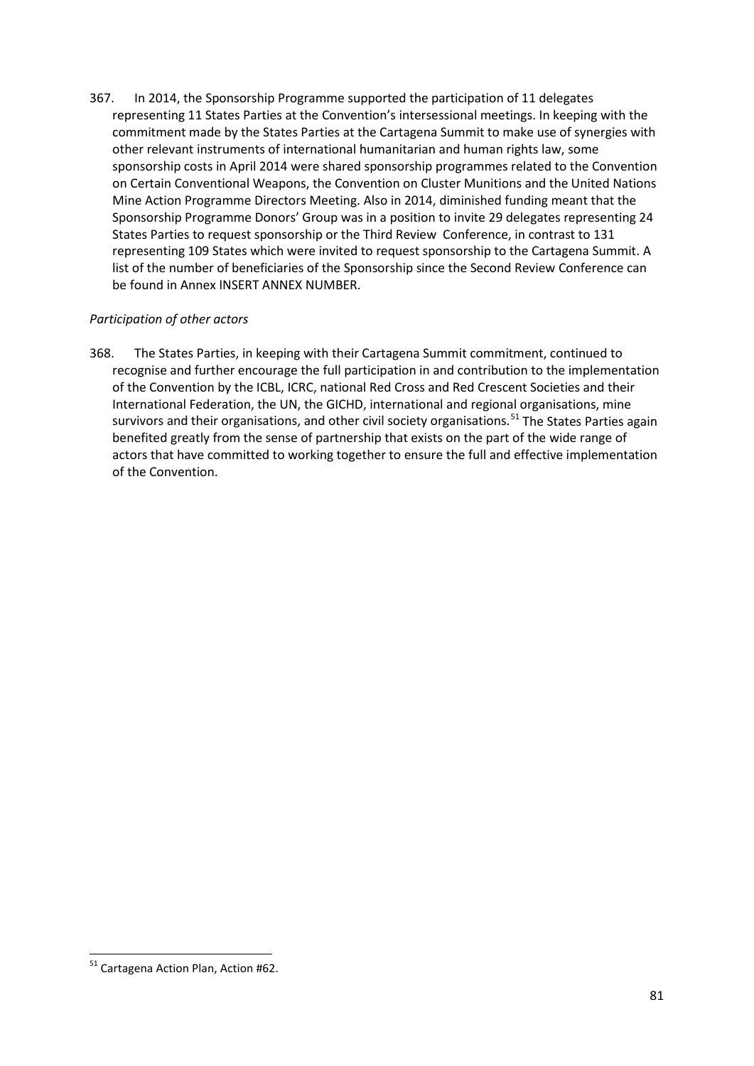367. In 2014, the Sponsorship Programme supported the participation of 11 delegates representing 11 States Parties at the Convention's intersessional meetings. In keeping with the commitment made by the States Parties at the Cartagena Summit to make use of synergies with other relevant instruments of international humanitarian and human rights law, some sponsorship costs in April 2014 were shared sponsorship programmes related to the Convention on Certain Conventional Weapons, the Convention on Cluster Munitions and the United Nations Mine Action Programme Directors Meeting. Also in 2014, diminished funding meant that the Sponsorship Programme Donors' Group was in a position to invite 29 delegates representing 24 States Parties to request sponsorship or the Third Review Conference, in contrast to 131 representing 109 States which were invited to request sponsorship to the Cartagena Summit. A list of the number of beneficiaries of the Sponsorship since the Second Review Conference can be found in Annex INSERT ANNEX NUMBER.

## *Participation of other actors*

368. The States Parties, in keeping with their Cartagena Summit commitment, continued to recognise and further encourage the full participation in and contribution to the implementation of the Convention by the ICBL, ICRC, national Red Cross and Red Crescent Societies and their International Federation, the UN, the GICHD, international and regional organisations, mine survivors and their organisations, and other civil society organisations.<sup>[51](#page-80-0)</sup> The States Parties again benefited greatly from the sense of partnership that exists on the part of the wide range of actors that have committed to working together to ensure the full and effective implementation of the Convention.

<span id="page-80-0"></span> <sup>51</sup> Cartagena Action Plan, Action #62.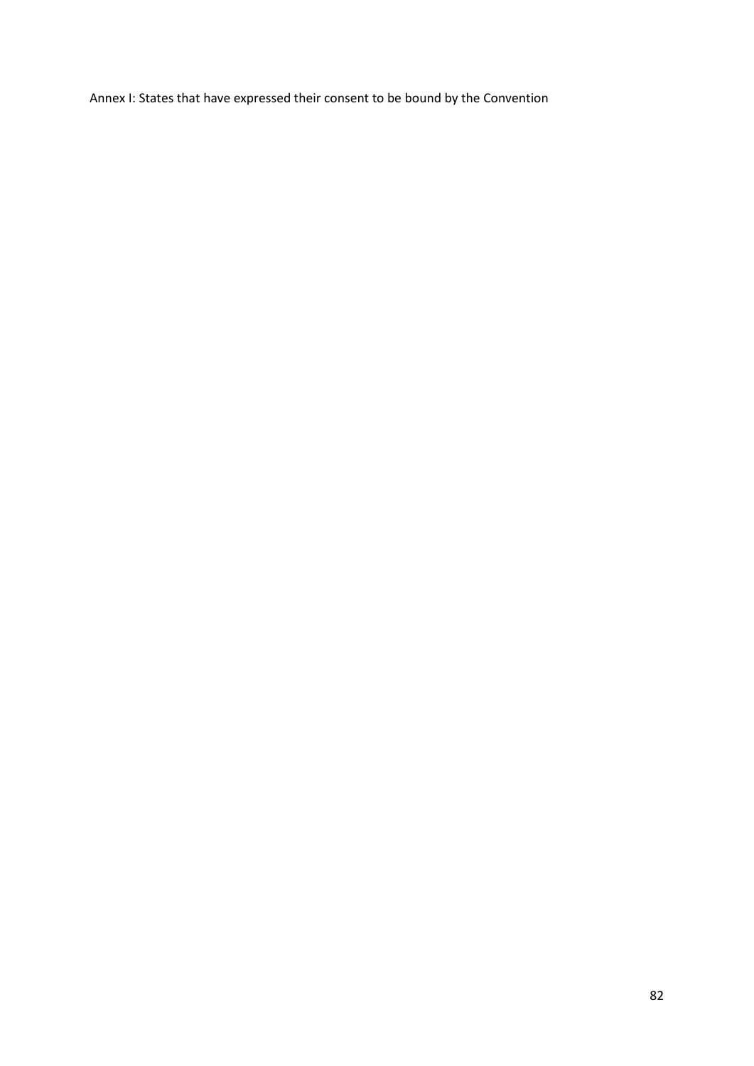Annex I: States that have expressed their consent to be bound by the Convention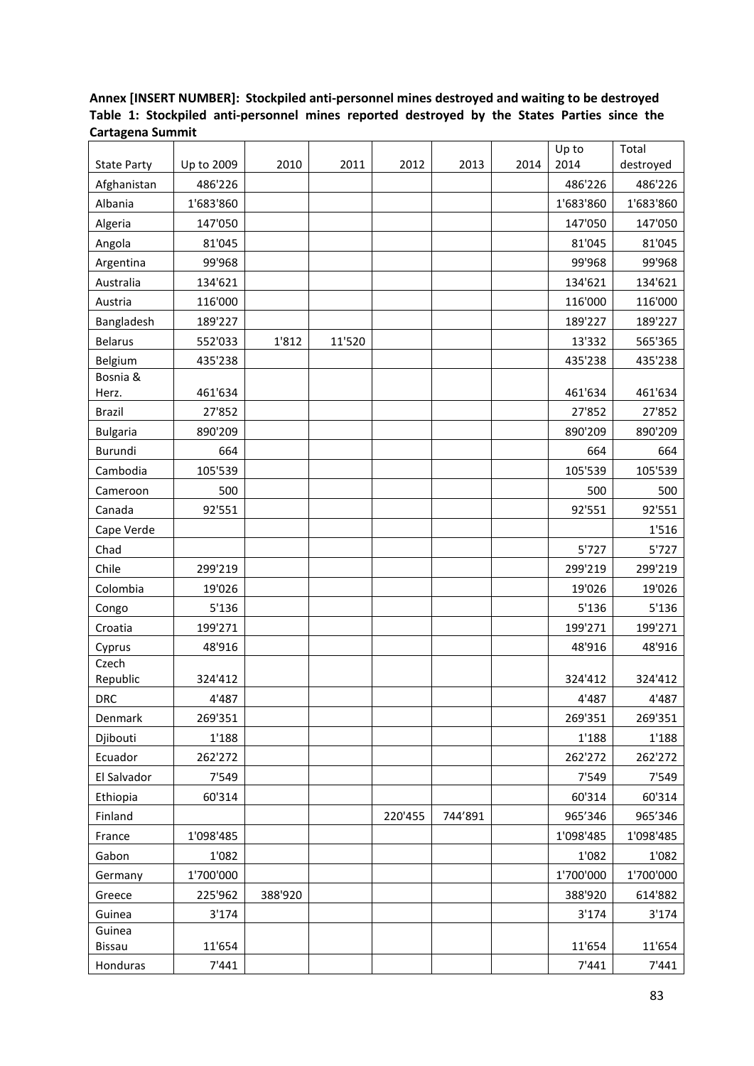# **Annex [INSERT NUMBER]: Stockpiled anti-personnel mines destroyed and waiting to be destroyed Table 1: Stockpiled anti-personnel mines reported destroyed by the States Parties since the Cartagena Summit**

|                    |            |         |        |         |         |      | Up to     | Total     |
|--------------------|------------|---------|--------|---------|---------|------|-----------|-----------|
| <b>State Party</b> | Up to 2009 | 2010    | 2011   | 2012    | 2013    | 2014 | 2014      | destroyed |
| Afghanistan        | 486'226    |         |        |         |         |      | 486'226   | 486'226   |
| Albania            | 1'683'860  |         |        |         |         |      | 1'683'860 | 1'683'860 |
| Algeria            | 147'050    |         |        |         |         |      | 147'050   | 147'050   |
| Angola             | 81'045     |         |        |         |         |      | 81'045    | 81'045    |
| Argentina          | 99'968     |         |        |         |         |      | 99'968    | 99'968    |
| Australia          | 134'621    |         |        |         |         |      | 134'621   | 134'621   |
| Austria            | 116'000    |         |        |         |         |      | 116'000   | 116'000   |
| Bangladesh         | 189'227    |         |        |         |         |      | 189'227   | 189'227   |
| <b>Belarus</b>     | 552'033    | 1'812   | 11'520 |         |         |      | 13'332    | 565'365   |
| Belgium            | 435'238    |         |        |         |         |      | 435'238   | 435'238   |
| Bosnia &           |            |         |        |         |         |      |           |           |
| Herz.              | 461'634    |         |        |         |         |      | 461'634   | 461'634   |
| <b>Brazil</b>      | 27'852     |         |        |         |         |      | 27'852    | 27'852    |
| <b>Bulgaria</b>    | 890'209    |         |        |         |         |      | 890'209   | 890'209   |
| Burundi            | 664        |         |        |         |         |      | 664       | 664       |
| Cambodia           | 105'539    |         |        |         |         |      | 105'539   | 105'539   |
| Cameroon           | 500        |         |        |         |         |      | 500       | 500       |
| Canada             | 92'551     |         |        |         |         |      | 92'551    | 92'551    |
| Cape Verde         |            |         |        |         |         |      |           | 1'516     |
| Chad               |            |         |        |         |         |      | 5'727     | 5'727     |
| Chile              | 299'219    |         |        |         |         |      | 299'219   | 299'219   |
| Colombia           | 19'026     |         |        |         |         |      | 19'026    | 19'026    |
| Congo              | 5'136      |         |        |         |         |      | 5'136     | 5'136     |
| Croatia            | 199'271    |         |        |         |         |      | 199'271   | 199'271   |
| Cyprus             | 48'916     |         |        |         |         |      | 48'916    | 48'916    |
| Czech              |            |         |        |         |         |      |           |           |
| Republic           | 324'412    |         |        |         |         |      | 324'412   | 324'412   |
| <b>DRC</b>         | 4'487      |         |        |         |         |      | 4'487     | 4'487     |
| Denmark            | 269'351    |         |        |         |         |      | 269'351   | 269'351   |
| Djibouti           | 1'188      |         |        |         |         |      | 1'188     | 1'188     |
| Ecuador            | 262'272    |         |        |         |         |      | 262'272   | 262'272   |
| El Salvador        | 7'549      |         |        |         |         |      | 7'549     | 7'549     |
| Ethiopia           | 60'314     |         |        |         |         |      | 60'314    | 60'314    |
| Finland            |            |         |        | 220'455 | 744'891 |      | 965'346   | 965'346   |
| France             | 1'098'485  |         |        |         |         |      | 1'098'485 | 1'098'485 |
| Gabon              | 1'082      |         |        |         |         |      | 1'082     | 1'082     |
| Germany            | 1'700'000  |         |        |         |         |      | 1'700'000 | 1'700'000 |
| Greece             | 225'962    | 388'920 |        |         |         |      | 388'920   | 614'882   |
| Guinea             | 3'174      |         |        |         |         |      | 3'174     | 3'174     |
| Guinea             |            |         |        |         |         |      |           |           |
| Bissau             | 11'654     |         |        |         |         |      | 11'654    | 11'654    |
| Honduras           | 7'441      |         |        |         |         |      | 7'441     | 7'441     |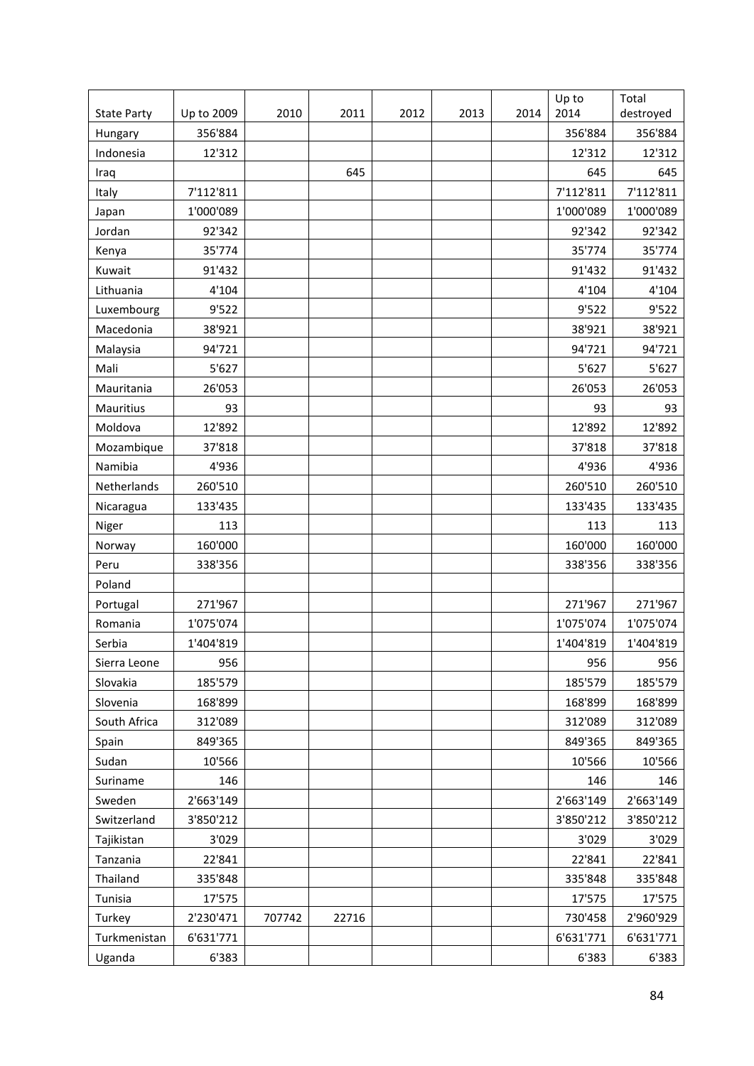|                    |            |        |       |      |      |      | Up to     | Total     |
|--------------------|------------|--------|-------|------|------|------|-----------|-----------|
| <b>State Party</b> | Up to 2009 | 2010   | 2011  | 2012 | 2013 | 2014 | 2014      | destroyed |
| Hungary            | 356'884    |        |       |      |      |      | 356'884   | 356'884   |
| Indonesia          | 12'312     |        |       |      |      |      | 12'312    | 12'312    |
| Iraq               |            |        | 645   |      |      |      | 645       | 645       |
| Italy              | 7'112'811  |        |       |      |      |      | 7'112'811 | 7'112'811 |
| Japan              | 1'000'089  |        |       |      |      |      | 1'000'089 | 1'000'089 |
| Jordan             | 92'342     |        |       |      |      |      | 92'342    | 92'342    |
| Kenya              | 35'774     |        |       |      |      |      | 35'774    | 35'774    |
| Kuwait             | 91'432     |        |       |      |      |      | 91'432    | 91'432    |
| Lithuania          | 4'104      |        |       |      |      |      | 4'104     | 4'104     |
| Luxembourg         | 9'522      |        |       |      |      |      | 9'522     | 9'522     |
| Macedonia          | 38'921     |        |       |      |      |      | 38'921    | 38'921    |
| Malaysia           | 94'721     |        |       |      |      |      | 94'721    | 94'721    |
| Mali               | 5'627      |        |       |      |      |      | 5'627     | 5'627     |
| Mauritania         | 26'053     |        |       |      |      |      | 26'053    | 26'053    |
| Mauritius          | 93         |        |       |      |      |      | 93        | 93        |
| Moldova            | 12'892     |        |       |      |      |      | 12'892    | 12'892    |
| Mozambique         | 37'818     |        |       |      |      |      | 37'818    | 37'818    |
| Namibia            | 4'936      |        |       |      |      |      | 4'936     | 4'936     |
| Netherlands        | 260'510    |        |       |      |      |      | 260'510   | 260'510   |
| Nicaragua          | 133'435    |        |       |      |      |      | 133'435   | 133'435   |
| Niger              | 113        |        |       |      |      |      | 113       | 113       |
| Norway             | 160'000    |        |       |      |      |      | 160'000   | 160'000   |
| Peru               | 338'356    |        |       |      |      |      | 338'356   | 338'356   |
| Poland             |            |        |       |      |      |      |           |           |
| Portugal           | 271'967    |        |       |      |      |      | 271'967   | 271'967   |
| Romania            | 1'075'074  |        |       |      |      |      | 1'075'074 | 1'075'074 |
| Serbia             | 1'404'819  |        |       |      |      |      | 1'404'819 | 1'404'819 |
| Sierra Leone       | 956        |        |       |      |      |      | 956       | 956       |
| Slovakia           | 185'579    |        |       |      |      |      | 185'579   | 185'579   |
| Slovenia           | 168'899    |        |       |      |      |      | 168'899   | 168'899   |
| South Africa       | 312'089    |        |       |      |      |      | 312'089   | 312'089   |
| Spain              | 849'365    |        |       |      |      |      | 849'365   | 849'365   |
| Sudan              | 10'566     |        |       |      |      |      | 10'566    | 10'566    |
| Suriname           | 146        |        |       |      |      |      | 146       | 146       |
| Sweden             | 2'663'149  |        |       |      |      |      | 2'663'149 | 2'663'149 |
| Switzerland        | 3'850'212  |        |       |      |      |      | 3'850'212 | 3'850'212 |
| Tajikistan         | 3'029      |        |       |      |      |      | 3'029     | 3'029     |
| Tanzania           | 22'841     |        |       |      |      |      | 22'841    | 22'841    |
| Thailand           | 335'848    |        |       |      |      |      | 335'848   | 335'848   |
| Tunisia            | 17'575     |        |       |      |      |      | 17'575    | 17'575    |
| Turkey             | 2'230'471  | 707742 | 22716 |      |      |      | 730'458   | 2'960'929 |
| Turkmenistan       | 6'631'771  |        |       |      |      |      | 6'631'771 | 6'631'771 |
| Uganda             | 6'383      |        |       |      |      |      | 6'383     | 6'383     |
|                    |            |        |       |      |      |      |           |           |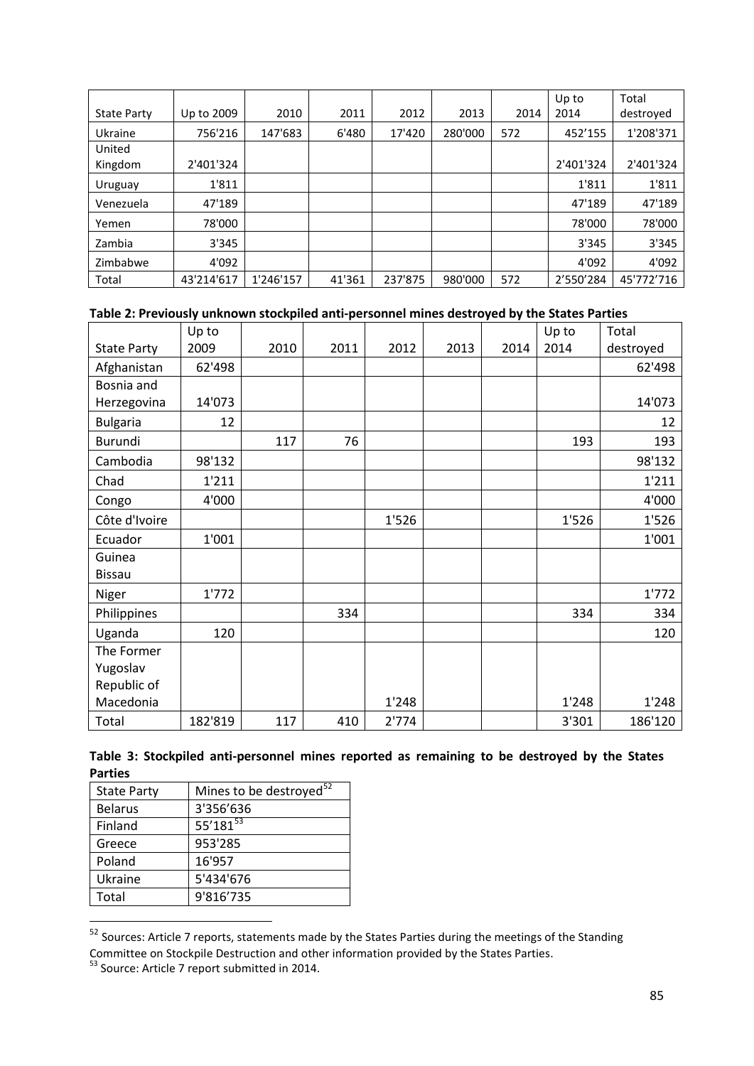|                    |            |           |        |         |         |      | Up to     | Total      |
|--------------------|------------|-----------|--------|---------|---------|------|-----------|------------|
| <b>State Party</b> | Up to 2009 | 2010      | 2011   | 2012    | 2013    | 2014 | 2014      | destroyed  |
| Ukraine            | 756'216    | 147'683   | 6'480  | 17'420  | 280'000 | 572  | 452'155   | 1'208'371  |
| United             |            |           |        |         |         |      |           |            |
| Kingdom            | 2'401'324  |           |        |         |         |      | 2'401'324 | 2'401'324  |
| Uruguay            | 1'811      |           |        |         |         |      | 1'811     | 1'811      |
| Venezuela          | 47'189     |           |        |         |         |      | 47'189    | 47'189     |
| Yemen              | 78'000     |           |        |         |         |      | 78'000    | 78'000     |
| Zambia             | 3'345      |           |        |         |         |      | 3'345     | 3'345      |
| Zimbabwe           | 4'092      |           |        |         |         |      | 4'092     | 4'092      |
| Total              | 43'214'617 | 1'246'157 | 41'361 | 237'875 | 980'000 | 572  | 2'550'284 | 45'772'716 |

#### **Table 2: Previously unknown stockpiled anti-personnel mines destroyed by the States Parties**

|                    | Up to   |      |      |       |      |      | Up to | Total     |
|--------------------|---------|------|------|-------|------|------|-------|-----------|
| <b>State Party</b> | 2009    | 2010 | 2011 | 2012  | 2013 | 2014 | 2014  | destroyed |
| Afghanistan        | 62'498  |      |      |       |      |      |       | 62'498    |
| Bosnia and         |         |      |      |       |      |      |       |           |
| Herzegovina        | 14'073  |      |      |       |      |      |       | 14'073    |
| <b>Bulgaria</b>    | 12      |      |      |       |      |      |       | 12        |
| Burundi            |         | 117  | 76   |       |      |      | 193   | 193       |
| Cambodia           | 98'132  |      |      |       |      |      |       | 98'132    |
| Chad               | 1'211   |      |      |       |      |      |       | 1'211     |
| Congo              | 4'000   |      |      |       |      |      |       | 4'000     |
| Côte d'Ivoire      |         |      |      | 1'526 |      |      | 1'526 | 1'526     |
| Ecuador            | 1'001   |      |      |       |      |      |       | 1'001     |
| Guinea             |         |      |      |       |      |      |       |           |
| <b>Bissau</b>      |         |      |      |       |      |      |       |           |
| Niger              | 1'772   |      |      |       |      |      |       | 1'772     |
| Philippines        |         |      | 334  |       |      |      | 334   | 334       |
| Uganda             | 120     |      |      |       |      |      |       | 120       |
| The Former         |         |      |      |       |      |      |       |           |
| Yugoslav           |         |      |      |       |      |      |       |           |
| Republic of        |         |      |      |       |      |      |       |           |
| Macedonia          |         |      |      | 1'248 |      |      | 1'248 | 1'248     |
| Total              | 182'819 | 117  | 410  | 2'774 |      |      | 3'301 | 186'120   |

| Table 3: Stockpiled anti-personnel mines reported as remaining to be destroyed by the States |  |  |  |  |  |
|----------------------------------------------------------------------------------------------|--|--|--|--|--|
| <b>Parties</b>                                                                               |  |  |  |  |  |

| Mines to be destroyed <sup>52</sup> |
|-------------------------------------|
| 3'356'636                           |
| 55'181 $53$                         |
| 953'285                             |
| 16'957                              |
| 5'434'676                           |
| 9'816'735                           |
|                                     |

<span id="page-84-0"></span> <sup>52</sup> Sources: Article 7 reports, statements made by the States Parties during the meetings of the Standing

<span id="page-84-1"></span>Committee on Stockpile Destruction and other information provided by the States Parties.<br><sup>53</sup> Source: Article 7 report submitted in 2014.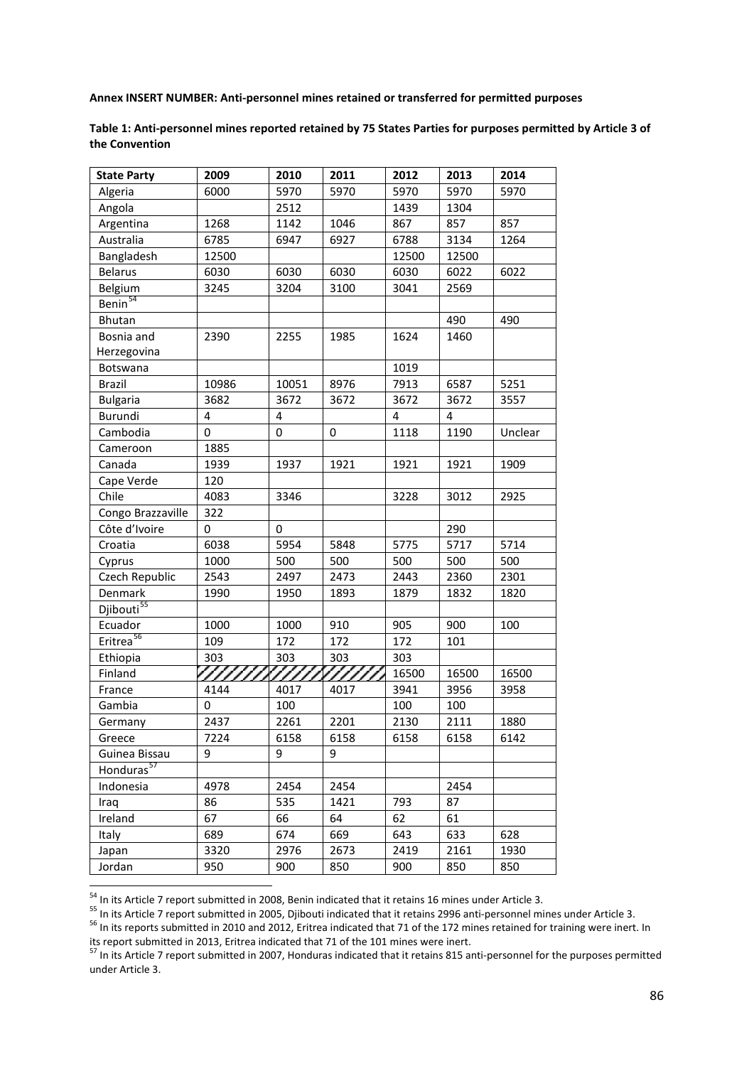**Annex INSERT NUMBER: Anti-personnel mines retained or transferred for permitted purposes**

**Table 1: Anti-personnel mines reported retained by 75 States Parties for purposes permitted by Article 3 of the Convention**

| <b>State Party</b>     | 2009              | 2010  | 2011 | 2012  | 2013  | 2014    |
|------------------------|-------------------|-------|------|-------|-------|---------|
| Algeria                | 6000              | 5970  | 5970 | 5970  | 5970  | 5970    |
| Angola                 |                   | 2512  |      | 1439  | 1304  |         |
| Argentina              | 1268              | 1142  | 1046 | 867   | 857   | 857     |
| Australia              | 6785              | 6947  | 6927 | 6788  | 3134  | 1264    |
| Bangladesh             | 12500             |       |      | 12500 | 12500 |         |
| <b>Belarus</b>         | 6030              | 6030  | 6030 | 6030  | 6022  | 6022    |
| Belgium                | 3245              | 3204  | 3100 | 3041  | 2569  |         |
| Benin <sup>54</sup>    |                   |       |      |       |       |         |
| Bhutan                 |                   |       |      |       | 490   | 490     |
| Bosnia and             | 2390              | 2255  | 1985 | 1624  | 1460  |         |
| Herzegovina            |                   |       |      |       |       |         |
| Botswana               |                   |       |      | 1019  |       |         |
| <b>Brazil</b>          | 10986             | 10051 | 8976 | 7913  | 6587  | 5251    |
| <b>Bulgaria</b>        | 3682              | 3672  | 3672 | 3672  | 3672  | 3557    |
| Burundi                | 4                 | 4     |      | 4     | 4     |         |
| Cambodia               | 0                 | 0     | 0    | 1118  | 1190  | Unclear |
| Cameroon               | 1885              |       |      |       |       |         |
| Canada                 | 1939              | 1937  | 1921 | 1921  | 1921  | 1909    |
| Cape Verde             | 120               |       |      |       |       |         |
| Chile                  | 4083              | 3346  |      | 3228  | 3012  | 2925    |
| Congo Brazzaville      | 322               |       |      |       |       |         |
| Côte d'Ivoire          | 0                 | 0     |      |       | 290   |         |
| Croatia                | 6038              | 5954  | 5848 | 5775  | 5717  | 5714    |
| Cyprus                 | 1000              | 500   | 500  | 500   | 500   | 500     |
| Czech Republic         | 2543              | 2497  | 2473 | 2443  | 2360  | 2301    |
| Denmark                | 1990              | 1950  | 1893 | 1879  | 1832  | 1820    |
| Djibouti <sup>55</sup> |                   |       |      |       |       |         |
| Ecuador                | 1000              | 1000  | 910  | 905   | 900   | 100     |
| Eritrea <sup>56</sup>  | 109               | 172   | 172  | 172   | 101   |         |
| Ethiopia               | 303               | 303   | 303  | 303   |       |         |
| Finland                | 77777 <u>7777</u> |       |      | 16500 | 16500 | 16500   |
| France                 | 4144              | 4017  | 4017 | 3941  | 3956  | 3958    |
| Gambia                 | 0                 | 100   |      | 100   | 100   |         |
| Germany                | 2437              | 2261  | 2201 | 2130  | 2111  | 1880    |
| Greece                 | 7224              | 6158  | 6158 | 6158  | 6158  | 6142    |
| Guinea Bissau          | 9                 | 9     | 9    |       |       |         |
| Honduras <sup>57</sup> |                   |       |      |       |       |         |
| Indonesia              | 4978              | 2454  | 2454 |       | 2454  |         |
| Iraq                   | 86                | 535   | 1421 | 793   | 87    |         |
| Ireland                | 67                | 66    | 64   | 62    | 61    |         |
| Italy                  | 689               | 674   | 669  | 643   | 633   | 628     |
| Japan                  | 3320              | 2976  | 2673 | 2419  | 2161  | 1930    |
| Jordan                 | 950               | 900   | 850  | 900   | 850   | 850     |

<span id="page-85-2"></span><span id="page-85-1"></span>

<span id="page-85-0"></span><sup>&</sup>lt;sup>54</sup> In its Article 7 report submitted in 2008, Benin indicated that it retains 16 mines under Article 3.<br><sup>55</sup> In its Article 7 report submitted in 2005, Djibouti indicated that it retains 2996 anti-personnel mines under its report submitted in 2013, Eritrea indicated that 71 of the 101 mines were inert.

<span id="page-85-3"></span><sup>57</sup> In its Article 7 report submitted in 2007, Honduras indicated that it retains 815 anti-personnel for the purposes permitted under Article 3.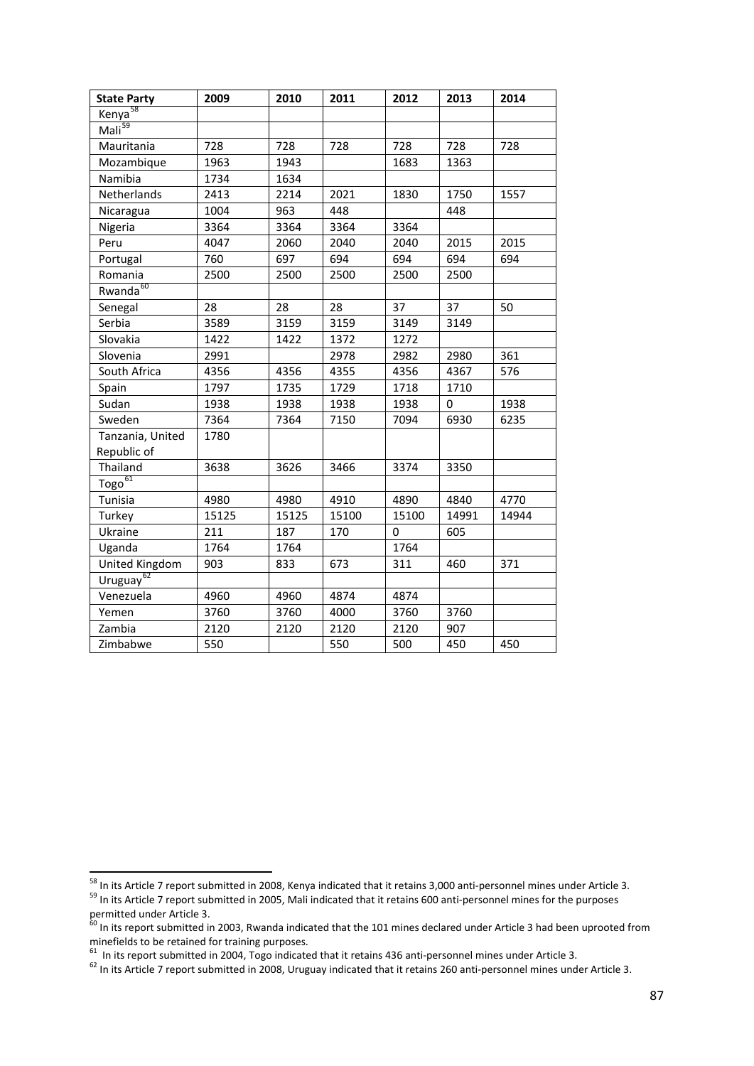| <b>State Party</b>                        | 2009  | 2010  | 2011  | 2012  | 2013     | 2014  |
|-------------------------------------------|-------|-------|-------|-------|----------|-------|
| Kenya <sup>58</sup>                       |       |       |       |       |          |       |
| $M$ ali <sup>59</sup>                     |       |       |       |       |          |       |
| Mauritania                                | 728   | 728   | 728   | 728   | 728      | 728   |
| Mozambique                                | 1963  | 1943  |       | 1683  | 1363     |       |
| Namibia                                   | 1734  | 1634  |       |       |          |       |
| Netherlands                               | 2413  | 2214  | 2021  | 1830  | 1750     | 1557  |
| Nicaragua                                 | 1004  | 963   | 448   |       | 448      |       |
| Nigeria                                   | 3364  | 3364  | 3364  | 3364  |          |       |
| Peru                                      | 4047  | 2060  | 2040  | 2040  | 2015     | 2015  |
| Portugal                                  | 760   | 697   | 694   | 694   | 694      | 694   |
| Romania                                   | 2500  | 2500  | 2500  | 2500  | 2500     |       |
| Rwanda <sup>60</sup>                      |       |       |       |       |          |       |
| Senegal                                   | 28    | 28    | 28    | 37    | 37       | 50    |
| Serbia                                    | 3589  | 3159  | 3159  | 3149  | 3149     |       |
| Slovakia                                  | 1422  | 1422  | 1372  | 1272  |          |       |
| Slovenia                                  | 2991  |       | 2978  | 2982  | 2980     | 361   |
| South Africa                              | 4356  | 4356  | 4355  | 4356  | 4367     | 576   |
| Spain                                     | 1797  | 1735  | 1729  | 1718  | 1710     |       |
| Sudan                                     | 1938  | 1938  | 1938  | 1938  | $\Omega$ | 1938  |
| Sweden                                    | 7364  | 7364  | 7150  | 7094  | 6930     | 6235  |
| Tanzania, United                          | 1780  |       |       |       |          |       |
| Republic of                               |       |       |       |       |          |       |
| Thailand                                  | 3638  | 3626  | 3466  | 3374  | 3350     |       |
| $\underline{\mathrm{Togo}}^{\mathrm{61}}$ |       |       |       |       |          |       |
| Tunisia                                   | 4980  | 4980  | 4910  | 4890  | 4840     | 4770  |
| Turkey                                    | 15125 | 15125 | 15100 | 15100 | 14991    | 14944 |
| Ukraine                                   | 211   | 187   | 170   | 0     | 605      |       |
| Uganda                                    | 1764  | 1764  |       | 1764  |          |       |
| United Kingdom                            | 903   | 833   | 673   | 311   | 460      | 371   |
| Uruguay <sup>62</sup>                     |       |       |       |       |          |       |
| Venezuela                                 | 4960  | 4960  | 4874  | 4874  |          |       |
| Yemen                                     | 3760  | 3760  | 4000  | 3760  | 3760     |       |
| Zambia                                    | 2120  | 2120  | 2120  | 2120  | 907      |       |
| Zimbabwe                                  | 550   |       | 550   | 500   | 450      | 450   |

<span id="page-86-1"></span>

<span id="page-86-0"></span><sup>&</sup>lt;sup>58</sup> In its Article 7 report submitted in 2008, Kenya indicated that it retains 3,000 anti-personnel mines under Article 3.<br><sup>59</sup> In its Article 7 report submitted in 2005, Mali indicated that it retains 600 anti-personnel permitted under Article 3.

<span id="page-86-2"></span> $^{60}$  In its report submitted in 2003, Rwanda indicated that the 101 mines declared under Article 3 had been uprooted from minefields to be retained for training purposes.<br>
<sup>61</sup> In its report submitted in 2004, Togo indicated that it retains 436 anti-personnel mines under Article 3.<br>
<sup>62</sup> In its Article 7 report submitted in 2008, Uruguay indi

<span id="page-86-4"></span><span id="page-86-3"></span>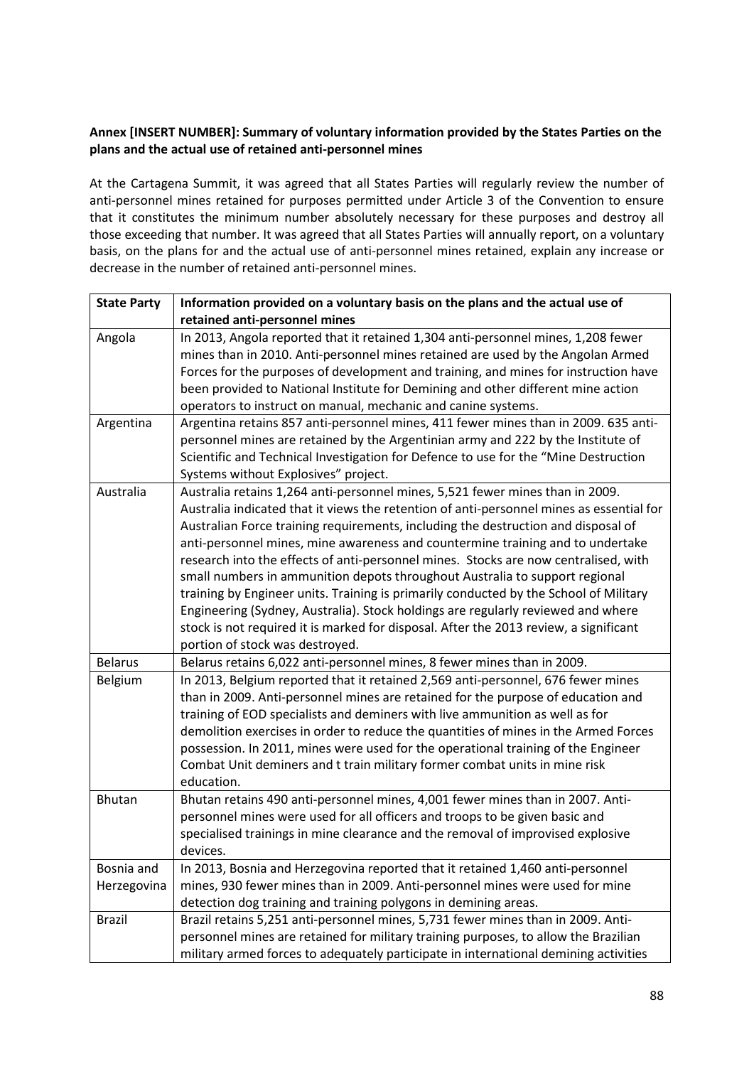## **Annex [INSERT NUMBER]: Summary of voluntary information provided by the States Parties on the plans and the actual use of retained anti-personnel mines**

At the Cartagena Summit, it was agreed that all States Parties will regularly review the number of anti-personnel mines retained for purposes permitted under Article 3 of the Convention to ensure that it constitutes the minimum number absolutely necessary for these purposes and destroy all those exceeding that number. It was agreed that all States Parties will annually report, on a voluntary basis, on the plans for and the actual use of anti-personnel mines retained, explain any increase or decrease in the number of retained anti-personnel mines.

| <b>State Party</b> | Information provided on a voluntary basis on the plans and the actual use of             |
|--------------------|------------------------------------------------------------------------------------------|
|                    | retained anti-personnel mines                                                            |
| Angola             | In 2013, Angola reported that it retained 1,304 anti-personnel mines, 1,208 fewer        |
|                    | mines than in 2010. Anti-personnel mines retained are used by the Angolan Armed          |
|                    | Forces for the purposes of development and training, and mines for instruction have      |
|                    | been provided to National Institute for Demining and other different mine action         |
|                    | operators to instruct on manual, mechanic and canine systems.                            |
| Argentina          | Argentina retains 857 anti-personnel mines, 411 fewer mines than in 2009. 635 anti-      |
|                    | personnel mines are retained by the Argentinian army and 222 by the Institute of         |
|                    | Scientific and Technical Investigation for Defence to use for the "Mine Destruction      |
|                    | Systems without Explosives" project.                                                     |
| Australia          | Australia retains 1,264 anti-personnel mines, 5,521 fewer mines than in 2009.            |
|                    | Australia indicated that it views the retention of anti-personnel mines as essential for |
|                    | Australian Force training requirements, including the destruction and disposal of        |
|                    | anti-personnel mines, mine awareness and countermine training and to undertake           |
|                    | research into the effects of anti-personnel mines. Stocks are now centralised, with      |
|                    | small numbers in ammunition depots throughout Australia to support regional              |
|                    | training by Engineer units. Training is primarily conducted by the School of Military    |
|                    | Engineering (Sydney, Australia). Stock holdings are regularly reviewed and where         |
|                    | stock is not required it is marked for disposal. After the 2013 review, a significant    |
|                    | portion of stock was destroyed.                                                          |
| <b>Belarus</b>     | Belarus retains 6,022 anti-personnel mines, 8 fewer mines than in 2009.                  |
| Belgium            | In 2013, Belgium reported that it retained 2,569 anti-personnel, 676 fewer mines         |
|                    | than in 2009. Anti-personnel mines are retained for the purpose of education and         |
|                    | training of EOD specialists and deminers with live ammunition as well as for             |
|                    | demolition exercises in order to reduce the quantities of mines in the Armed Forces      |
|                    | possession. In 2011, mines were used for the operational training of the Engineer        |
|                    | Combat Unit deminers and t train military former combat units in mine risk               |
|                    | education.                                                                               |
| Bhutan             | Bhutan retains 490 anti-personnel mines, 4,001 fewer mines than in 2007. Anti-           |
|                    | personnel mines were used for all officers and troops to be given basic and              |
|                    | specialised trainings in mine clearance and the removal of improvised explosive          |
|                    | devices.                                                                                 |
| Bosnia and         | In 2013, Bosnia and Herzegovina reported that it retained 1,460 anti-personnel           |
| Herzegovina        | mines, 930 fewer mines than in 2009. Anti-personnel mines were used for mine             |
|                    | detection dog training and training polygons in demining areas.                          |
| <b>Brazil</b>      | Brazil retains 5,251 anti-personnel mines, 5,731 fewer mines than in 2009. Anti-         |
|                    | personnel mines are retained for military training purposes, to allow the Brazilian      |
|                    | military armed forces to adequately participate in international demining activities     |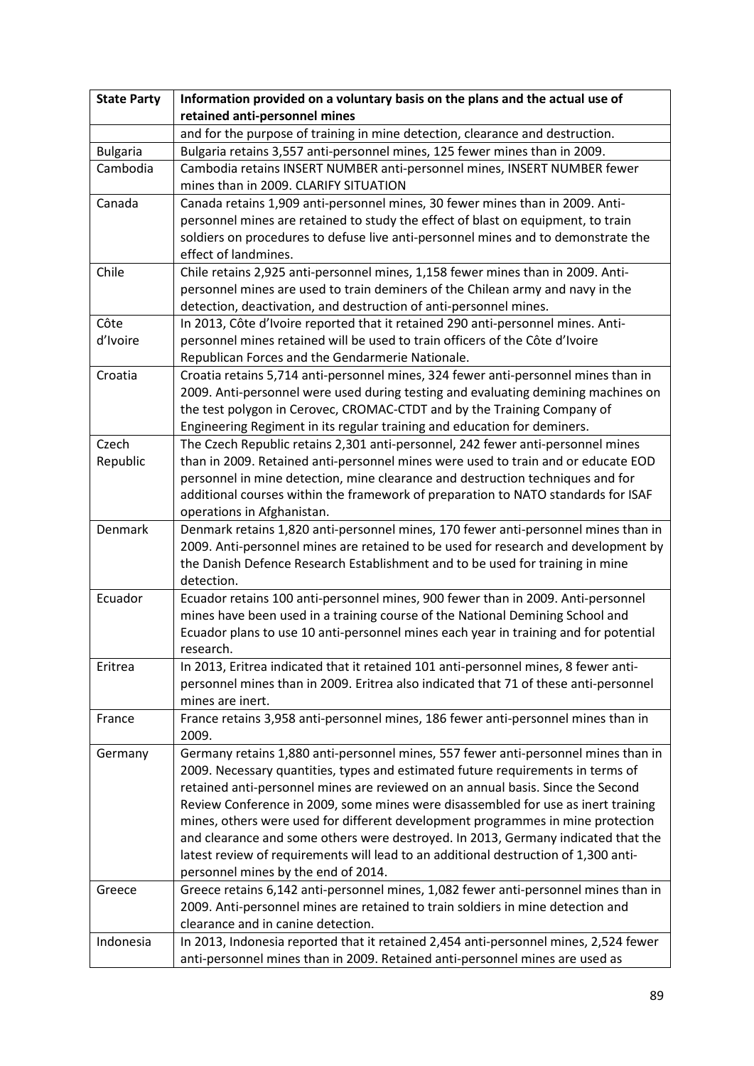| <b>State Party</b> | Information provided on a voluntary basis on the plans and the actual use of                                                                                                                                                                                                                                                                                                                                                                                                                                                                                                                                                                        |
|--------------------|-----------------------------------------------------------------------------------------------------------------------------------------------------------------------------------------------------------------------------------------------------------------------------------------------------------------------------------------------------------------------------------------------------------------------------------------------------------------------------------------------------------------------------------------------------------------------------------------------------------------------------------------------------|
|                    | retained anti-personnel mines                                                                                                                                                                                                                                                                                                                                                                                                                                                                                                                                                                                                                       |
|                    | and for the purpose of training in mine detection, clearance and destruction.                                                                                                                                                                                                                                                                                                                                                                                                                                                                                                                                                                       |
| <b>Bulgaria</b>    | Bulgaria retains 3,557 anti-personnel mines, 125 fewer mines than in 2009.                                                                                                                                                                                                                                                                                                                                                                                                                                                                                                                                                                          |
| Cambodia           | Cambodia retains INSERT NUMBER anti-personnel mines, INSERT NUMBER fewer<br>mines than in 2009. CLARIFY SITUATION                                                                                                                                                                                                                                                                                                                                                                                                                                                                                                                                   |
| Canada             | Canada retains 1,909 anti-personnel mines, 30 fewer mines than in 2009. Anti-<br>personnel mines are retained to study the effect of blast on equipment, to train<br>soldiers on procedures to defuse live anti-personnel mines and to demonstrate the<br>effect of landmines.                                                                                                                                                                                                                                                                                                                                                                      |
| Chile              | Chile retains 2,925 anti-personnel mines, 1,158 fewer mines than in 2009. Anti-<br>personnel mines are used to train deminers of the Chilean army and navy in the<br>detection, deactivation, and destruction of anti-personnel mines.                                                                                                                                                                                                                                                                                                                                                                                                              |
| Côte<br>d'Ivoire   | In 2013, Côte d'Ivoire reported that it retained 290 anti-personnel mines. Anti-<br>personnel mines retained will be used to train officers of the Côte d'Ivoire<br>Republican Forces and the Gendarmerie Nationale.                                                                                                                                                                                                                                                                                                                                                                                                                                |
| Croatia            | Croatia retains 5,714 anti-personnel mines, 324 fewer anti-personnel mines than in<br>2009. Anti-personnel were used during testing and evaluating demining machines on<br>the test polygon in Cerovec, CROMAC-CTDT and by the Training Company of<br>Engineering Regiment in its regular training and education for deminers.                                                                                                                                                                                                                                                                                                                      |
| Czech              | The Czech Republic retains 2,301 anti-personnel, 242 fewer anti-personnel mines                                                                                                                                                                                                                                                                                                                                                                                                                                                                                                                                                                     |
| Republic           | than in 2009. Retained anti-personnel mines were used to train and or educate EOD<br>personnel in mine detection, mine clearance and destruction techniques and for<br>additional courses within the framework of preparation to NATO standards for ISAF<br>operations in Afghanistan.                                                                                                                                                                                                                                                                                                                                                              |
| Denmark            | Denmark retains 1,820 anti-personnel mines, 170 fewer anti-personnel mines than in<br>2009. Anti-personnel mines are retained to be used for research and development by<br>the Danish Defence Research Establishment and to be used for training in mine<br>detection.                                                                                                                                                                                                                                                                                                                                                                             |
| Ecuador            | Ecuador retains 100 anti-personnel mines, 900 fewer than in 2009. Anti-personnel<br>mines have been used in a training course of the National Demining School and<br>Ecuador plans to use 10 anti-personnel mines each year in training and for potential<br>research.                                                                                                                                                                                                                                                                                                                                                                              |
| Eritrea            | In 2013, Eritrea indicated that it retained 101 anti-personnel mines, 8 fewer anti-<br>personnel mines than in 2009. Eritrea also indicated that 71 of these anti-personnel<br>mines are inert.                                                                                                                                                                                                                                                                                                                                                                                                                                                     |
| France             | France retains 3,958 anti-personnel mines, 186 fewer anti-personnel mines than in<br>2009.                                                                                                                                                                                                                                                                                                                                                                                                                                                                                                                                                          |
| Germany            | Germany retains 1,880 anti-personnel mines, 557 fewer anti-personnel mines than in<br>2009. Necessary quantities, types and estimated future requirements in terms of<br>retained anti-personnel mines are reviewed on an annual basis. Since the Second<br>Review Conference in 2009, some mines were disassembled for use as inert training<br>mines, others were used for different development programmes in mine protection<br>and clearance and some others were destroyed. In 2013, Germany indicated that the<br>latest review of requirements will lead to an additional destruction of 1,300 anti-<br>personnel mines by the end of 2014. |
| Greece             | Greece retains 6,142 anti-personnel mines, 1,082 fewer anti-personnel mines than in<br>2009. Anti-personnel mines are retained to train soldiers in mine detection and<br>clearance and in canine detection.                                                                                                                                                                                                                                                                                                                                                                                                                                        |
| Indonesia          | In 2013, Indonesia reported that it retained 2,454 anti-personnel mines, 2,524 fewer<br>anti-personnel mines than in 2009. Retained anti-personnel mines are used as                                                                                                                                                                                                                                                                                                                                                                                                                                                                                |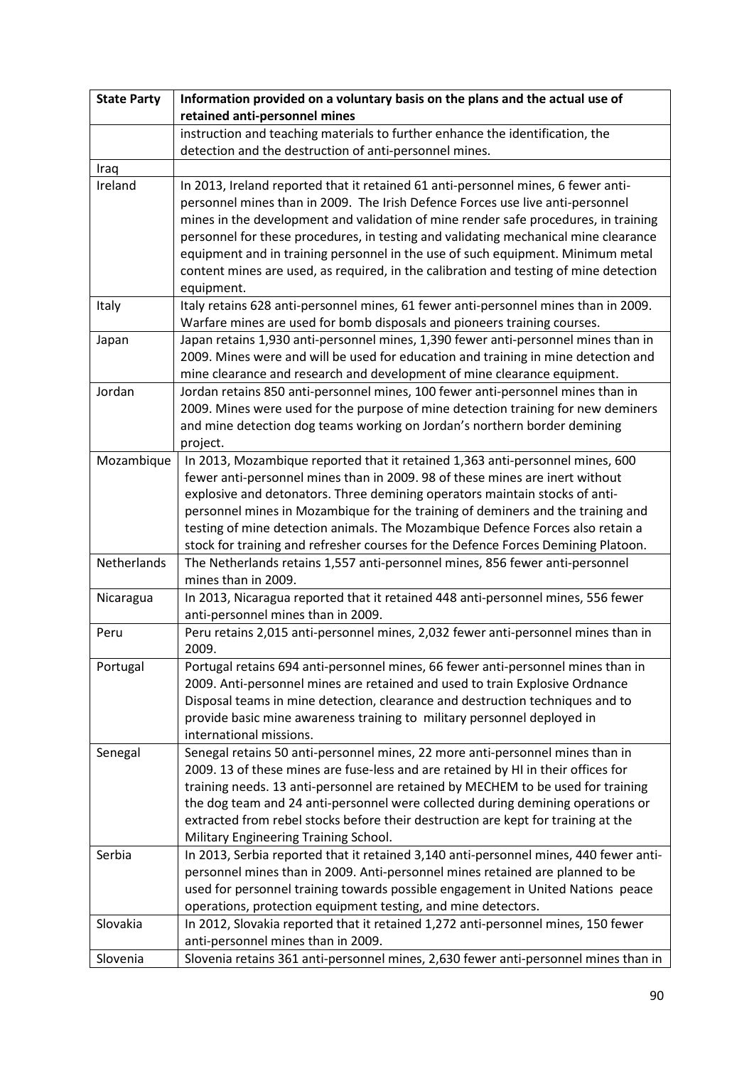| <b>State Party</b> | Information provided on a voluntary basis on the plans and the actual use of                                                                                                                                                                                                                                                                                                                                                                                                                                                                |
|--------------------|---------------------------------------------------------------------------------------------------------------------------------------------------------------------------------------------------------------------------------------------------------------------------------------------------------------------------------------------------------------------------------------------------------------------------------------------------------------------------------------------------------------------------------------------|
|                    | retained anti-personnel mines                                                                                                                                                                                                                                                                                                                                                                                                                                                                                                               |
|                    | instruction and teaching materials to further enhance the identification, the                                                                                                                                                                                                                                                                                                                                                                                                                                                               |
|                    | detection and the destruction of anti-personnel mines.                                                                                                                                                                                                                                                                                                                                                                                                                                                                                      |
| Iraq               |                                                                                                                                                                                                                                                                                                                                                                                                                                                                                                                                             |
| Ireland            | In 2013, Ireland reported that it retained 61 anti-personnel mines, 6 fewer anti-<br>personnel mines than in 2009. The Irish Defence Forces use live anti-personnel<br>mines in the development and validation of mine render safe procedures, in training<br>personnel for these procedures, in testing and validating mechanical mine clearance<br>equipment and in training personnel in the use of such equipment. Minimum metal<br>content mines are used, as required, in the calibration and testing of mine detection<br>equipment. |
| Italy              | Italy retains 628 anti-personnel mines, 61 fewer anti-personnel mines than in 2009.<br>Warfare mines are used for bomb disposals and pioneers training courses.                                                                                                                                                                                                                                                                                                                                                                             |
| Japan              | Japan retains 1,930 anti-personnel mines, 1,390 fewer anti-personnel mines than in                                                                                                                                                                                                                                                                                                                                                                                                                                                          |
|                    | 2009. Mines were and will be used for education and training in mine detection and<br>mine clearance and research and development of mine clearance equipment.                                                                                                                                                                                                                                                                                                                                                                              |
| Jordan             | Jordan retains 850 anti-personnel mines, 100 fewer anti-personnel mines than in<br>2009. Mines were used for the purpose of mine detection training for new deminers<br>and mine detection dog teams working on Jordan's northern border demining<br>project.                                                                                                                                                                                                                                                                               |
| Mozambique         | In 2013, Mozambique reported that it retained 1,363 anti-personnel mines, 600<br>fewer anti-personnel mines than in 2009. 98 of these mines are inert without<br>explosive and detonators. Three demining operators maintain stocks of anti-<br>personnel mines in Mozambique for the training of deminers and the training and<br>testing of mine detection animals. The Mozambique Defence Forces also retain a<br>stock for training and refresher courses for the Defence Forces Demining Platoon.                                      |
| Netherlands        | The Netherlands retains 1,557 anti-personnel mines, 856 fewer anti-personnel<br>mines than in 2009.                                                                                                                                                                                                                                                                                                                                                                                                                                         |
| Nicaragua          | In 2013, Nicaragua reported that it retained 448 anti-personnel mines, 556 fewer<br>anti-personnel mines than in 2009.                                                                                                                                                                                                                                                                                                                                                                                                                      |
| Peru               | Peru retains 2,015 anti-personnel mines, 2,032 fewer anti-personnel mines than in<br>2009.                                                                                                                                                                                                                                                                                                                                                                                                                                                  |
| Portugal           | Portugal retains 694 anti-personnel mines, 66 fewer anti-personnel mines than in<br>2009. Anti-personnel mines are retained and used to train Explosive Ordnance<br>Disposal teams in mine detection, clearance and destruction techniques and to<br>provide basic mine awareness training to military personnel deployed in<br>international missions.                                                                                                                                                                                     |
| Senegal            | Senegal retains 50 anti-personnel mines, 22 more anti-personnel mines than in<br>2009. 13 of these mines are fuse-less and are retained by HI in their offices for<br>training needs. 13 anti-personnel are retained by MECHEM to be used for training<br>the dog team and 24 anti-personnel were collected during demining operations or<br>extracted from rebel stocks before their destruction are kept for training at the<br>Military Engineering Training School.                                                                     |
| Serbia             | In 2013, Serbia reported that it retained 3,140 anti-personnel mines, 440 fewer anti-<br>personnel mines than in 2009. Anti-personnel mines retained are planned to be<br>used for personnel training towards possible engagement in United Nations peace<br>operations, protection equipment testing, and mine detectors.                                                                                                                                                                                                                  |
| Slovakia           | In 2012, Slovakia reported that it retained 1,272 anti-personnel mines, 150 fewer<br>anti-personnel mines than in 2009.                                                                                                                                                                                                                                                                                                                                                                                                                     |
| Slovenia           | Slovenia retains 361 anti-personnel mines, 2,630 fewer anti-personnel mines than in                                                                                                                                                                                                                                                                                                                                                                                                                                                         |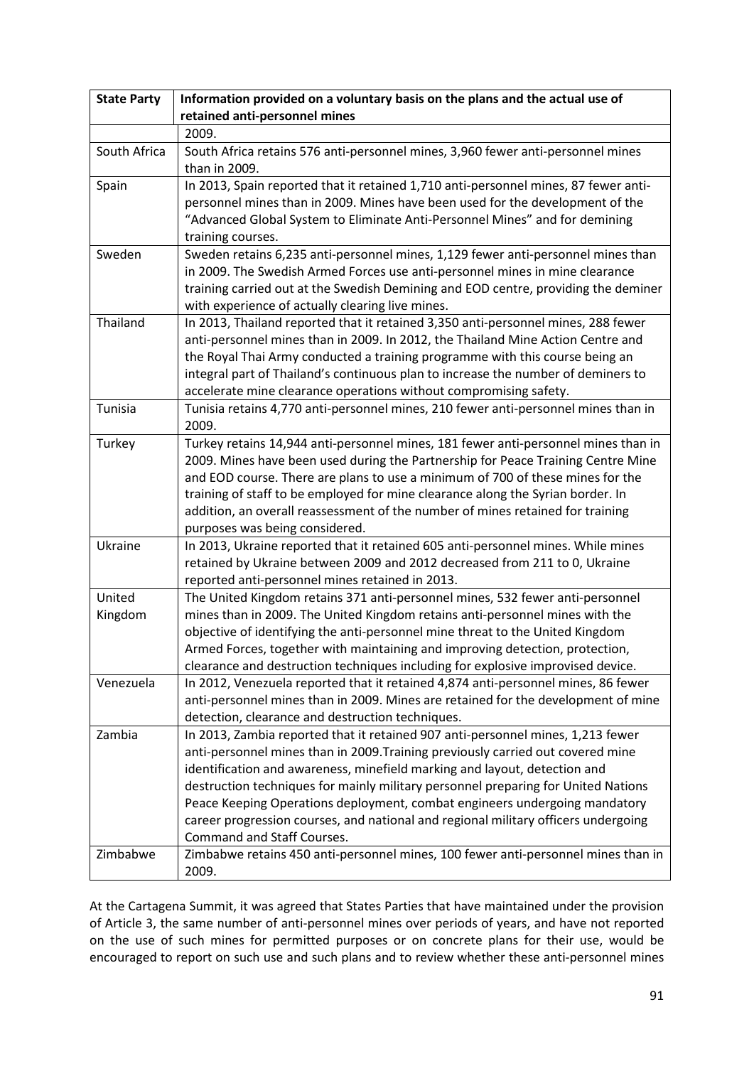| <b>State Party</b> | Information provided on a voluntary basis on the plans and the actual use of                                                                                                                                                                                                                                                                                                                                                                                                                                                                  |
|--------------------|-----------------------------------------------------------------------------------------------------------------------------------------------------------------------------------------------------------------------------------------------------------------------------------------------------------------------------------------------------------------------------------------------------------------------------------------------------------------------------------------------------------------------------------------------|
|                    | retained anti-personnel mines                                                                                                                                                                                                                                                                                                                                                                                                                                                                                                                 |
|                    | 2009.                                                                                                                                                                                                                                                                                                                                                                                                                                                                                                                                         |
| South Africa       | South Africa retains 576 anti-personnel mines, 3,960 fewer anti-personnel mines<br>than in 2009.                                                                                                                                                                                                                                                                                                                                                                                                                                              |
| Spain              | In 2013, Spain reported that it retained 1,710 anti-personnel mines, 87 fewer anti-<br>personnel mines than in 2009. Mines have been used for the development of the<br>"Advanced Global System to Eliminate Anti-Personnel Mines" and for demining<br>training courses.                                                                                                                                                                                                                                                                      |
| Sweden             | Sweden retains 6,235 anti-personnel mines, 1,129 fewer anti-personnel mines than<br>in 2009. The Swedish Armed Forces use anti-personnel mines in mine clearance<br>training carried out at the Swedish Demining and EOD centre, providing the deminer<br>with experience of actually clearing live mines.                                                                                                                                                                                                                                    |
| Thailand           | In 2013, Thailand reported that it retained 3,350 anti-personnel mines, 288 fewer<br>anti-personnel mines than in 2009. In 2012, the Thailand Mine Action Centre and<br>the Royal Thai Army conducted a training programme with this course being an<br>integral part of Thailand's continuous plan to increase the number of deminers to<br>accelerate mine clearance operations without compromising safety.                                                                                                                                |
| Tunisia            | Tunisia retains 4,770 anti-personnel mines, 210 fewer anti-personnel mines than in<br>2009.                                                                                                                                                                                                                                                                                                                                                                                                                                                   |
| Turkey             | Turkey retains 14,944 anti-personnel mines, 181 fewer anti-personnel mines than in<br>2009. Mines have been used during the Partnership for Peace Training Centre Mine<br>and EOD course. There are plans to use a minimum of 700 of these mines for the<br>training of staff to be employed for mine clearance along the Syrian border. In<br>addition, an overall reassessment of the number of mines retained for training<br>purposes was being considered.                                                                               |
| Ukraine            | In 2013, Ukraine reported that it retained 605 anti-personnel mines. While mines<br>retained by Ukraine between 2009 and 2012 decreased from 211 to 0, Ukraine<br>reported anti-personnel mines retained in 2013.                                                                                                                                                                                                                                                                                                                             |
| United<br>Kingdom  | The United Kingdom retains 371 anti-personnel mines, 532 fewer anti-personnel<br>mines than in 2009. The United Kingdom retains anti-personnel mines with the<br>objective of identifying the anti-personnel mine threat to the United Kingdom<br>Armed Forces, together with maintaining and improving detection, protection,<br>clearance and destruction techniques including for explosive improvised device.                                                                                                                             |
| Venezuela          | In 2012, Venezuela reported that it retained 4,874 anti-personnel mines, 86 fewer<br>anti-personnel mines than in 2009. Mines are retained for the development of mine<br>detection, clearance and destruction techniques.                                                                                                                                                                                                                                                                                                                    |
| Zambia             | In 2013, Zambia reported that it retained 907 anti-personnel mines, 1,213 fewer<br>anti-personnel mines than in 2009. Training previously carried out covered mine<br>identification and awareness, minefield marking and layout, detection and<br>destruction techniques for mainly military personnel preparing for United Nations<br>Peace Keeping Operations deployment, combat engineers undergoing mandatory<br>career progression courses, and national and regional military officers undergoing<br><b>Command and Staff Courses.</b> |
| Zimbabwe           | Zimbabwe retains 450 anti-personnel mines, 100 fewer anti-personnel mines than in<br>2009.                                                                                                                                                                                                                                                                                                                                                                                                                                                    |

At the Cartagena Summit, it was agreed that States Parties that have maintained under the provision of Article 3, the same number of anti-personnel mines over periods of years, and have not reported on the use of such mines for permitted purposes or on concrete plans for their use, would be encouraged to report on such use and such plans and to review whether these anti-personnel mines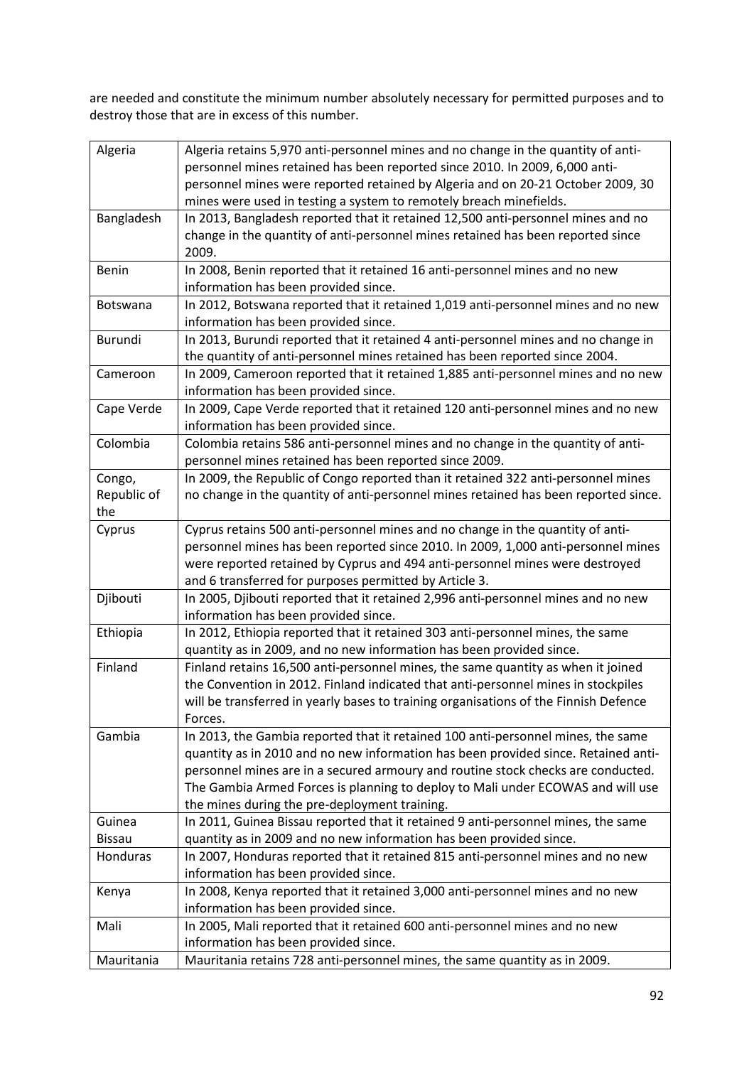are needed and constitute the minimum number absolutely necessary for permitted purposes and to destroy those that are in excess of this number.

| Algeria         | Algeria retains 5,970 anti-personnel mines and no change in the quantity of anti-    |
|-----------------|--------------------------------------------------------------------------------------|
|                 | personnel mines retained has been reported since 2010. In 2009, 6,000 anti-          |
|                 | personnel mines were reported retained by Algeria and on 20-21 October 2009, 30      |
|                 | mines were used in testing a system to remotely breach minefields.                   |
| Bangladesh      | In 2013, Bangladesh reported that it retained 12,500 anti-personnel mines and no     |
|                 | change in the quantity of anti-personnel mines retained has been reported since      |
|                 | 2009.                                                                                |
| Benin           | In 2008, Benin reported that it retained 16 anti-personnel mines and no new          |
|                 | information has been provided since.                                                 |
| <b>Botswana</b> | In 2012, Botswana reported that it retained 1,019 anti-personnel mines and no new    |
|                 | information has been provided since.                                                 |
| Burundi         | In 2013, Burundi reported that it retained 4 anti-personnel mines and no change in   |
|                 | the quantity of anti-personnel mines retained has been reported since 2004.          |
| Cameroon        | In 2009, Cameroon reported that it retained 1,885 anti-personnel mines and no new    |
|                 | information has been provided since.                                                 |
| Cape Verde      | In 2009, Cape Verde reported that it retained 120 anti-personnel mines and no new    |
|                 | information has been provided since.                                                 |
| Colombia        | Colombia retains 586 anti-personnel mines and no change in the quantity of anti-     |
|                 | personnel mines retained has been reported since 2009.                               |
| Congo,          | In 2009, the Republic of Congo reported than it retained 322 anti-personnel mines    |
| Republic of     | no change in the quantity of anti-personnel mines retained has been reported since.  |
| the             |                                                                                      |
| Cyprus          | Cyprus retains 500 anti-personnel mines and no change in the quantity of anti-       |
|                 | personnel mines has been reported since 2010. In 2009, 1,000 anti-personnel mines    |
|                 | were reported retained by Cyprus and 494 anti-personnel mines were destroyed         |
|                 | and 6 transferred for purposes permitted by Article 3.                               |
| Djibouti        | In 2005, Djibouti reported that it retained 2,996 anti-personnel mines and no new    |
|                 | information has been provided since.                                                 |
| Ethiopia        | In 2012, Ethiopia reported that it retained 303 anti-personnel mines, the same       |
|                 | quantity as in 2009, and no new information has been provided since.                 |
| Finland         | Finland retains 16,500 anti-personnel mines, the same quantity as when it joined     |
|                 | the Convention in 2012. Finland indicated that anti-personnel mines in stockpiles    |
|                 | will be transferred in yearly bases to training organisations of the Finnish Defence |
|                 | Forces.                                                                              |
| Gambia          | In 2013, the Gambia reported that it retained 100 anti-personnel mines, the same     |
|                 | quantity as in 2010 and no new information has been provided since. Retained anti-   |
|                 | personnel mines are in a secured armoury and routine stock checks are conducted.     |
|                 | The Gambia Armed Forces is planning to deploy to Mali under ECOWAS and will use      |
|                 | the mines during the pre-deployment training.                                        |
| Guinea          | In 2011, Guinea Bissau reported that it retained 9 anti-personnel mines, the same    |
| <b>Bissau</b>   | quantity as in 2009 and no new information has been provided since.                  |
| Honduras        | In 2007, Honduras reported that it retained 815 anti-personnel mines and no new      |
|                 | information has been provided since.                                                 |
| Kenya           | In 2008, Kenya reported that it retained 3,000 anti-personnel mines and no new       |
|                 | information has been provided since.                                                 |
| Mali            | In 2005, Mali reported that it retained 600 anti-personnel mines and no new          |
|                 | information has been provided since.                                                 |
| Mauritania      | Mauritania retains 728 anti-personnel mines, the same quantity as in 2009.           |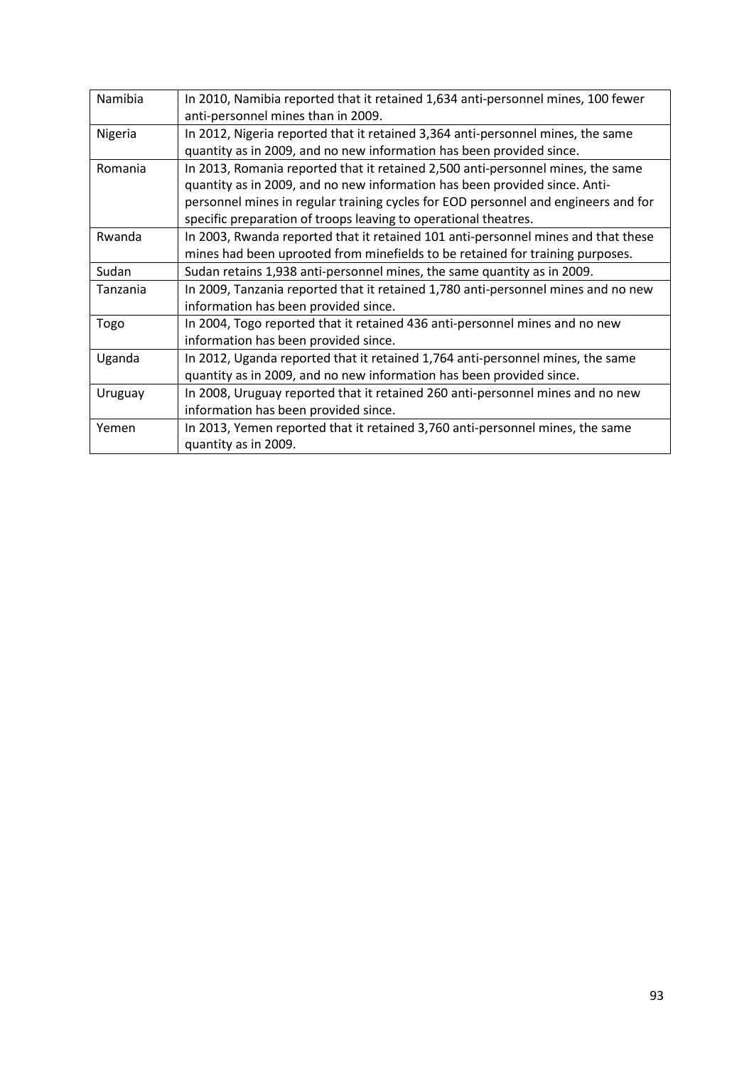| Namibia  | In 2010, Namibia reported that it retained 1,634 anti-personnel mines, 100 fewer<br>anti-personnel mines than in 2009.                                                                                                                                                                                                 |
|----------|------------------------------------------------------------------------------------------------------------------------------------------------------------------------------------------------------------------------------------------------------------------------------------------------------------------------|
| Nigeria  | In 2012, Nigeria reported that it retained 3,364 anti-personnel mines, the same<br>quantity as in 2009, and no new information has been provided since.                                                                                                                                                                |
| Romania  | In 2013, Romania reported that it retained 2,500 anti-personnel mines, the same<br>quantity as in 2009, and no new information has been provided since. Anti-<br>personnel mines in regular training cycles for EOD personnel and engineers and for<br>specific preparation of troops leaving to operational theatres. |
| Rwanda   | In 2003, Rwanda reported that it retained 101 anti-personnel mines and that these<br>mines had been uprooted from minefields to be retained for training purposes.                                                                                                                                                     |
| Sudan    | Sudan retains 1,938 anti-personnel mines, the same quantity as in 2009.                                                                                                                                                                                                                                                |
| Tanzania | In 2009, Tanzania reported that it retained 1,780 anti-personnel mines and no new<br>information has been provided since.                                                                                                                                                                                              |
| Togo     | In 2004, Togo reported that it retained 436 anti-personnel mines and no new<br>information has been provided since.                                                                                                                                                                                                    |
| Uganda   | In 2012, Uganda reported that it retained 1,764 anti-personnel mines, the same<br>quantity as in 2009, and no new information has been provided since.                                                                                                                                                                 |
| Uruguay  | In 2008, Uruguay reported that it retained 260 anti-personnel mines and no new<br>information has been provided since.                                                                                                                                                                                                 |
| Yemen    | In 2013, Yemen reported that it retained 3,760 anti-personnel mines, the same<br>quantity as in 2009.                                                                                                                                                                                                                  |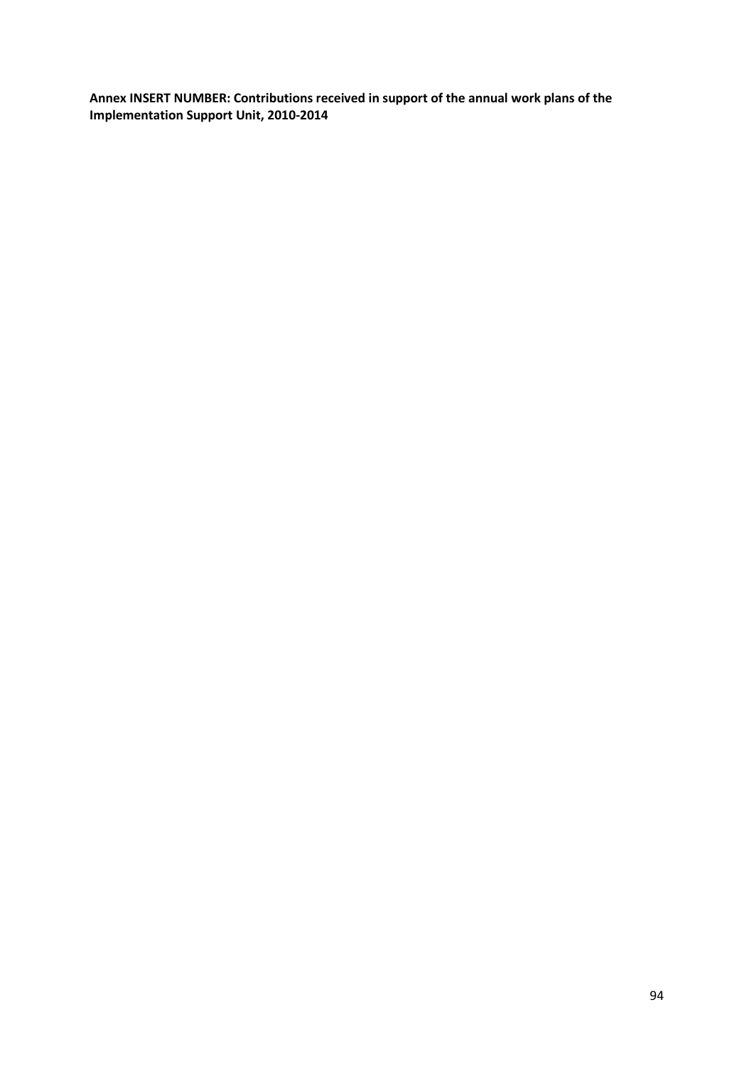**Annex INSERT NUMBER: Contributions received in support of the annual work plans of the Implementation Support Unit, 2010-2014**